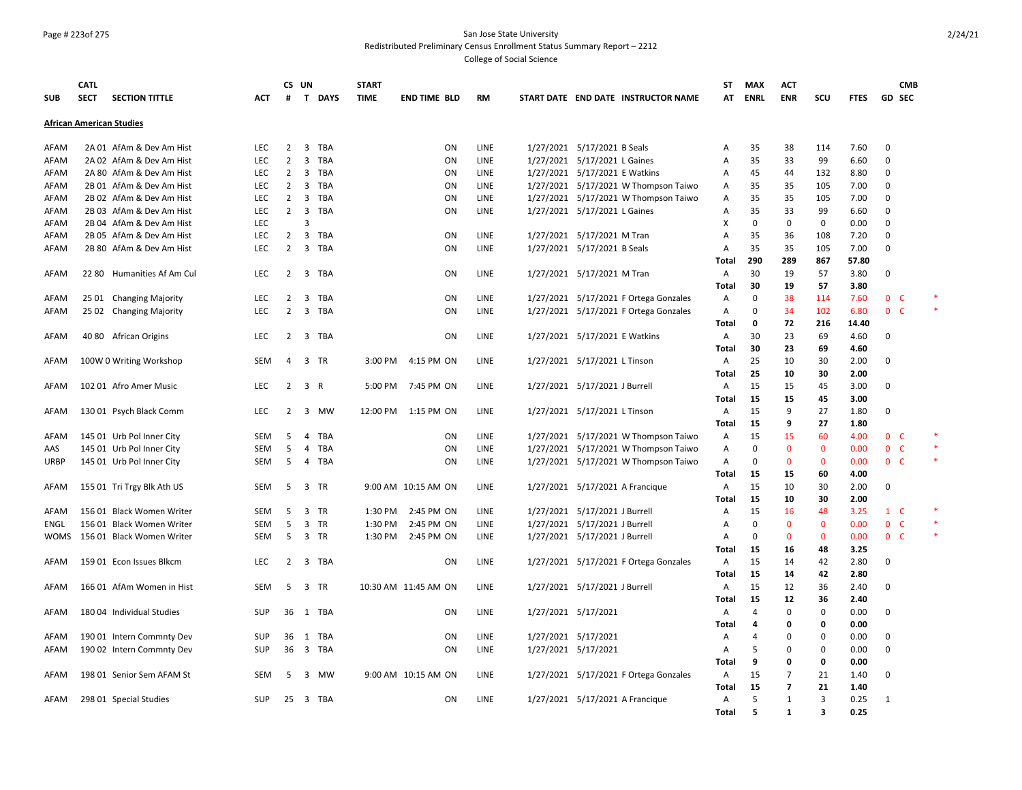#### Page # 223of 275 San Jose State University Redistributed Preliminary Census Enrollment Status Summary Report – 2212

|             | <b>CATL</b> |                                 |            | CS UN          |                                       | <b>START</b> |                      |             |                                       | ST           | <b>MAX</b>     | ACT            |              |             | <b>CMB</b>     |  |
|-------------|-------------|---------------------------------|------------|----------------|---------------------------------------|--------------|----------------------|-------------|---------------------------------------|--------------|----------------|----------------|--------------|-------------|----------------|--|
| <b>SUB</b>  | <b>SECT</b> | <b>SECTION TITTLE</b>           | <b>ACT</b> | #              | T DAYS                                | <b>TIME</b>  | <b>END TIME BLD</b>  | <b>RM</b>   | START DATE END DATE INSTRUCTOR NAME   | AT           | <b>ENRL</b>    | <b>ENR</b>     | SCU          | <b>FTES</b> | GD SEC         |  |
|             |             | <b>African American Studies</b> |            |                |                                       |              |                      |             |                                       |              |                |                |              |             |                |  |
| AFAM        |             | 2A 01 AfAm & Dev Am Hist        | LEC.       | $\overline{2}$ | $\overline{\mathbf{3}}$<br>TBA        |              | ON                   | LINE        | 1/27/2021 5/17/2021 B Seals           | Α            | 35             | 38             | 114          | 7.60        | $\mathbf 0$    |  |
| AFAM        |             | 2A 02 AfAm & Dev Am Hist        | LEC        | $\overline{2}$ | 3<br>TBA                              |              | ON                   | LINE        | 1/27/2021 5/17/2021 L Gaines          | Α            | 35             | 33             | 99           | 6.60        | 0              |  |
| AFAM        |             | 2A 80 AfAm & Dev Am Hist        | <b>LEC</b> | $\overline{2}$ | $\overline{\mathbf{3}}$<br>TBA        |              | ON                   | LINE        | 1/27/2021 5/17/2021 E Watkins         | Α            | 45             | 44             | 132          | 8.80        | 0              |  |
| AFAM        |             | 2B 01 AfAm & Dev Am Hist        | LEC        | $\overline{2}$ | 3<br>TBA                              |              | ON                   | LINE        | 1/27/2021 5/17/2021 W Thompson Taiwo  | A            | 35             | 35             | 105          | 7.00        | 0              |  |
| AFAM        |             | 2B 02 AfAm & Dev Am Hist        | LEC        | $\overline{2}$ | 3<br>TBA                              |              | ON                   | LINE        | 1/27/2021 5/17/2021 W Thompson Taiwo  | Α            | 35             | 35             | 105          | 7.00        | 0              |  |
| AFAM        |             | 2B 03 AfAm & Dev Am Hist        | LEC        | $\overline{2}$ | 3<br>TBA                              |              | ON                   | LINE        | 1/27/2021 5/17/2021 L Gaines          | Α            | 35             | 33             | 99           | 6.60        | 0              |  |
| AFAM        |             | 2B 04 AfAm & Dev Am Hist        | <b>LEC</b> |                | 3                                     |              |                      |             |                                       | х            | $\mathbf 0$    | 0              | 0            | 0.00        | $\mathbf 0$    |  |
| AFAM        |             | 2B 05 AfAm & Dev Am Hist        | LEC        | $\overline{2}$ | $\overline{3}$<br>TBA                 |              | ON                   | <b>LINE</b> | 1/27/2021 5/17/2021 M Tran            | Α            | 35             | 36             | 108          | 7.20        | $\mathbf 0$    |  |
| AFAM        |             | 2B 80 AfAm & Dev Am Hist        | <b>LEC</b> | $\overline{2}$ | $\overline{\mathbf{3}}$<br>TBA        |              | <b>ON</b>            | LINE        | 1/27/2021 5/17/2021 B Seals           | A            | 35             | 35             | 105          | 7.00        | 0              |  |
|             |             |                                 |            |                |                                       |              |                      |             |                                       | Total        | 290            | 289            | 867          | 57.80       |                |  |
| AFAM        |             | 22 80 Humanities Af Am Cul      | <b>LEC</b> | $\overline{2}$ | $\overline{\mathbf{3}}$<br>TBA        |              | <b>ON</b>            | LINE        | 1/27/2021 5/17/2021 M Tran            | A            | 30             | 19             | 57           | 3.80        | 0              |  |
|             |             |                                 |            |                |                                       |              |                      |             |                                       | Total        | 30             | 19             | 57           | 3.80        |                |  |
| AFAM        |             | 25 01 Changing Majority         | <b>LEC</b> | $\overline{2}$ | 3<br>TBA                              |              | ON                   | LINE        | 1/27/2021 5/17/2021 F Ortega Gonzales | Α            | $\Omega$       | 38             | 114          | 7.60        | 0 <sub>c</sub> |  |
| AFAM        |             | 25 02 Changing Majority         | LEC        | $\overline{2}$ | $\overline{3}$<br>TBA                 |              | ON                   | LINE        | 1/27/2021 5/17/2021 F Ortega Gonzales | Α            | $\Omega$       | 34             | 102          | 6.80        | 0 <sub>c</sub> |  |
|             |             |                                 |            |                |                                       |              |                      |             |                                       | Total        | $\mathbf{o}$   | 72             | 216          | 14.40       |                |  |
| AFAM        |             | 40 80 African Origins           | <b>LEC</b> | 2              | $\overline{\mathbf{3}}$<br><b>TBA</b> |              | <b>ON</b>            | LINE        | 1/27/2021 5/17/2021 E Watkins         | A            | 30             | 23             | 69           | 4.60        | $\Omega$       |  |
|             |             |                                 |            |                |                                       |              |                      |             |                                       | Total        | 30             | 23             | 69           | 4.60        |                |  |
| AFAM        |             | 100W 0 Writing Workshop         | SEM        | 4              | 3 TR                                  | 3:00 PM      | 4:15 PM ON           | LINE        | 1/27/2021 5/17/2021 L Tinson          | A            | 25             | 10             | 30           | 2.00        | $\Omega$       |  |
|             |             |                                 |            |                |                                       |              |                      |             |                                       | Total        | 25             | 10             | 30           | 2.00        |                |  |
| AFAM        |             | 102 01 Afro Amer Music          | <b>LEC</b> | $\overline{2}$ | $\overline{3}$<br>$\mathsf{R}$        | 5:00 PM      | 7:45 PM ON           | LINE        | 1/27/2021 5/17/2021 J Burrell         | A            | 15             | 15             | 45           | 3.00        | 0              |  |
|             |             |                                 |            |                |                                       |              |                      |             |                                       | <b>Total</b> | 15             | 15             | 45           | 3.00        |                |  |
| AFAM        |             | 130 01 Psych Black Comm         | <b>LEC</b> | $\overline{2}$ | $\overline{3}$<br>MW                  |              | 12:00 PM 1:15 PM ON  | LINE        | 1/27/2021 5/17/2021 L Tinson          | A            | 15             | 9              | 27           | 1.80        | $\Omega$       |  |
|             |             |                                 |            |                |                                       |              |                      |             |                                       | <b>Total</b> | 15             | 9              | 27           | 1.80        |                |  |
| AFAM        |             | 145 01 Urb Pol Inner City       | <b>SEM</b> | 5              | 4<br><b>TBA</b>                       |              | <b>ON</b>            | LINE        | 1/27/2021 5/17/2021 W Thompson Taiwo  | A            | 15             | 15             | 60           | 4.00        | 0 <sup>o</sup> |  |
| AAS         |             | 145 01 Urb Pol Inner City       | <b>SEM</b> | 5              | 4<br>TBA                              |              | ON                   | LINE        | 1/27/2021 5/17/2021 W Thompson Taiwo  | Α            | $\mathbf 0$    | $\mathbf 0$    | $\mathbf 0$  | 0.00        | 0 <sup>o</sup> |  |
| URBP        |             | 145 01 Urb Pol Inner City       | <b>SEM</b> | 5              | 4<br>TBA                              |              | <b>ON</b>            | LINE        | 1/27/2021 5/17/2021 W Thompson Taiwo  | A            | 0              | $\mathbf{0}$   | $\mathbf{0}$ | 0.00        | 0 <sup>o</sup> |  |
|             |             |                                 |            |                |                                       |              |                      |             |                                       | Total        | 15             | 15             | 60           | 4.00        |                |  |
| AFAM        |             | 155 01 Tri Trgy Blk Ath US      | SEM        | 5              | 3<br>TR                               |              | 9:00 AM 10:15 AM ON  | LINE        | 1/27/2021 5/17/2021 A Francique       | Α            | 15             | 10             | 30           | 2.00        | 0              |  |
|             |             |                                 |            |                |                                       |              |                      |             |                                       | <b>Total</b> | 15             | 10             | 30           | 2.00        |                |  |
| AFAM        |             | 156 01 Black Women Writer       | <b>SEM</b> | 5              | 3<br>TR                               | 1:30 PM      | 2:45 PM ON           | LINE        | 1/27/2021 5/17/2021 J Burrell         | Α            | 15             | 16             | 48           | 3.25        | $1\quad C$     |  |
| ENGL        |             | 156 01 Black Women Writer       | <b>SEM</b> | 5              | $\overline{3}$<br><b>TR</b>           | 1:30 PM      | 2:45 PM ON           | LINE        | 1/27/2021 5/17/2021 J Burrell         | A            | $\mathbf 0$    | $\mathbf{0}$   | $\mathbf{0}$ | 0.00        | 0 <sup>o</sup> |  |
| <b>WOMS</b> |             | 156 01 Black Women Writer       | <b>SEM</b> | 5              | $\overline{\mathbf{3}}$<br>TR         | 1:30 PM      | 2:45 PM ON           | LINE        | 1/27/2021 5/17/2021 J Burrell         | Α            | $\mathbf 0$    | $\mathbf{0}$   | $\mathbf{0}$ | 0.00        | 0 <sub>c</sub> |  |
|             |             |                                 |            |                |                                       |              |                      |             |                                       | Total        | 15             | 16             | 48           | 3.25        |                |  |
| AFAM        |             | 159 01 Econ Issues Blkcm        | <b>LEC</b> | $\overline{2}$ | $\overline{\mathbf{3}}$<br>TBA        |              | ON                   | LINE        | 1/27/2021 5/17/2021 F Ortega Gonzales | Α            | 15             | 14             | 42           | 2.80        | 0              |  |
|             |             |                                 |            |                |                                       |              |                      |             |                                       | Total        | 15             | 14             | 42           | 2.80        |                |  |
| AFAM        |             | 166 01 AfAm Women in Hist       | SEM        | 5              | 3<br>TR                               |              | 10:30 AM 11:45 AM ON | LINE        | 1/27/2021 5/17/2021 J Burrell         | Α            | 15             | 12             | 36           | 2.40        | 0              |  |
|             |             |                                 |            |                |                                       |              |                      |             |                                       | <b>Total</b> | 15             | 12             | -36          | 2.40        |                |  |
| AFAM        |             | 180 04 Individual Studies       | <b>SUP</b> | 36             | 1 TBA                                 |              | <b>ON</b>            | LINE        | 1/27/2021 5/17/2021                   | Α            | $\overline{a}$ | 0              | 0            | 0.00        | 0              |  |
|             |             |                                 |            |                |                                       |              |                      |             |                                       | Total        | 4              | 0              | 0            | 0.00        |                |  |
| AFAM        |             | 190 01 Intern Commnty Dev       | SUP        | 36             | 1 TBA                                 |              | <b>ON</b>            | LINE        | 1/27/2021 5/17/2021                   | Α            | $\overline{a}$ | $\Omega$       | $\mathbf 0$  | 0.00        | 0              |  |
| AFAM        |             | 190 02 Intern Commnty Dev       | SUP        | 36             | 3 TBA                                 |              | ON                   | LINE        | 1/27/2021 5/17/2021                   | Α            | 5              | $\Omega$       | $\mathbf 0$  | 0.00        | 0              |  |
|             |             |                                 |            |                |                                       |              |                      |             |                                       | Total        | 9              | $\mathbf{0}$   | $\mathbf 0$  | 0.00        |                |  |
| AFAM        |             | 198 01 Senior Sem AFAM St       | <b>SEM</b> | -5             | 3<br>MW                               |              | 9:00 AM 10:15 AM ON  | LINE        | 1/27/2021 5/17/2021 F Ortega Gonzales | Α            | 15             | $\overline{7}$ | 21           | 1.40        | 0              |  |
|             |             |                                 |            |                |                                       |              |                      |             |                                       | Total        | 15             | $\overline{7}$ | 21           | 1.40        |                |  |
| AFAM        |             | 298 01 Special Studies          | <b>SUP</b> | 25             | $\overline{\mathbf{3}}$<br>TBA        |              | <b>ON</b>            | LINE        | 1/27/2021 5/17/2021 A Francique       | Α            | 5              | $\mathbf{1}$   | 3            | 0.25        | 1              |  |
|             |             |                                 |            |                |                                       |              |                      |             |                                       | <b>Total</b> | 5              | 1              | 3            | 0.25        |                |  |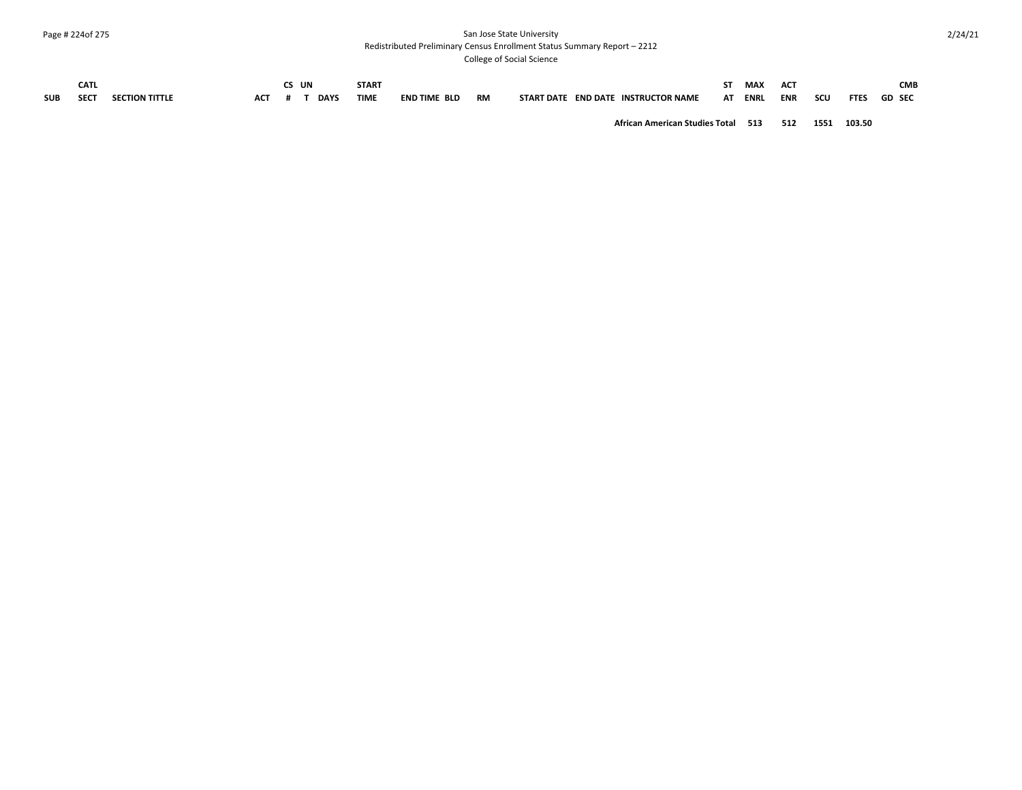# Page # 224of 275 San Jose State University

Redistributed Preliminary Census Enrollment Status Summary Report – 2212

College of Social Science

|            | CATL        |  | UN |             | <b>START</b> |                     |           |                                                         | SΤ | <b>MAX</b>  | ACT        |     |             | CMB    |
|------------|-------------|--|----|-------------|--------------|---------------------|-----------|---------------------------------------------------------|----|-------------|------------|-----|-------------|--------|
| <b>SUB</b> | <b>SECT</b> |  |    | <b>DAYS</b> | <b>TIME</b>  | <b>END TIME BLD</b> | <b>RM</b> | <b>INSTRUCTOR NAME</b><br>START DATE<br><b>FND DATF</b> | AT | <b>ENR!</b> | <b>ENR</b> | SCU | <b>FTES</b> | GD SEC |

**African American Studies Total 513 512 1551 103.50**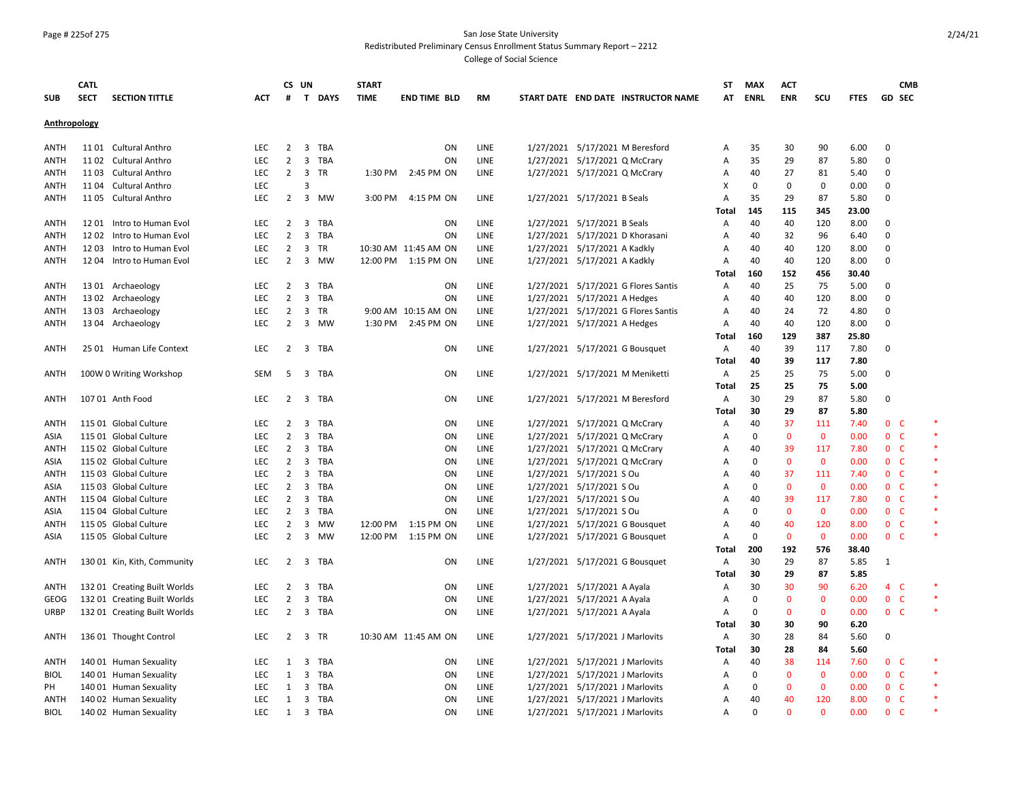#### Page # 225of 275 San Jose State University Redistributed Preliminary Census Enrollment Status Summary Report – 2212

|              | <b>CATL</b> |                              |            |                | CS UN                                 | <b>START</b> |                      |             |                                 |                                 |                                     | SΤ           | <b>MAX</b>  | <b>ACT</b>   |              |             | <b>CMB</b>                   |        |
|--------------|-------------|------------------------------|------------|----------------|---------------------------------------|--------------|----------------------|-------------|---------------------------------|---------------------------------|-------------------------------------|--------------|-------------|--------------|--------------|-------------|------------------------------|--------|
| SUB          | <b>SECT</b> | <b>SECTION TITTLE</b>        | <b>ACT</b> | #              | T DAYS                                | <b>TIME</b>  | <b>END TIME BLD</b>  | <b>RM</b>   |                                 |                                 | START DATE END DATE INSTRUCTOR NAME | АТ           | <b>ENRL</b> | <b>ENR</b>   | scu          | <b>FTES</b> | GD SEC                       |        |
| Anthropology |             |                              |            |                |                                       |              |                      |             |                                 |                                 |                                     |              |             |              |              |             |                              |        |
|              |             |                              |            |                |                                       |              |                      |             |                                 |                                 |                                     |              |             |              |              |             |                              |        |
| <b>ANTH</b>  |             | 1101 Cultural Anthro         | <b>LEC</b> | $\overline{2}$ | $\overline{3}$<br>TBA                 |              | ON                   | <b>LINE</b> |                                 |                                 | 1/27/2021 5/17/2021 M Beresford     | Α            | 35          | 30           | 90           | 6.00        | $\mathbf 0$                  |        |
| ANTH         |             | 1102 Cultural Anthro         | LEC        | $\overline{2}$ | $\overline{3}$<br>TBA                 |              | ON                   | LINE        |                                 | 1/27/2021 5/17/2021 Q McCrary   |                                     | А            | 35          | 29           | 87           | 5.80        | $\mathbf 0$                  |        |
| <b>ANTH</b>  |             | 1103 Cultural Anthro         | LEC        | $\overline{2}$ | 3 TR                                  | 1:30 PM      | 2:45 PM ON           | LINE        | 1/27/2021 5/17/2021 Q McCrary   |                                 |                                     | Α            | 40          | 27           | 81           | 5.40        | 0                            |        |
| ANTH         |             | 1104 Cultural Anthro         | <b>LEC</b> |                | 3                                     |              |                      |             |                                 |                                 |                                     | X            | $\mathbf 0$ | $\mathbf 0$  | 0            | 0.00        | 0                            |        |
| ANTH         |             | 1105 Cultural Anthro         | <b>LEC</b> | $\overline{2}$ | 3 MW                                  | 3:00 PM      | 4:15 PM ON           | LINE        |                                 | 1/27/2021 5/17/2021 B Seals     |                                     | Α            | 35          | 29           | 87           | 5.80        | 0                            |        |
|              |             |                              |            |                |                                       |              |                      |             |                                 |                                 |                                     | <b>Total</b> | 145         | 115          | 345          | 23.00       |                              |        |
| ANTH         |             | 1201 Intro to Human Evol     | <b>LEC</b> | 2              | 3<br>TBA                              |              | ON                   | LINE        | 1/27/2021 5/17/2021 B Seals     |                                 |                                     | А            | 40          | 40           | 120          | 8.00        | 0                            |        |
| ANTH         |             | 1202 Intro to Human Evol     | <b>LEC</b> | $\overline{2}$ | 3<br><b>TBA</b>                       |              | ON                   | LINE        |                                 |                                 | 1/27/2021 5/17/2021 D Khorasani     | А            | 40          | 32           | 96           | 6.40        | 0                            |        |
| ANTH         |             | 1203 Intro to Human Evol     | <b>LEC</b> | $\overline{2}$ | 3<br>TR                               |              | 10:30 AM 11:45 AM ON | LINE        | 1/27/2021 5/17/2021 A Kadkly    |                                 |                                     | А            | 40          | 40           | 120          | 8.00        | $\mathbf 0$                  |        |
| <b>ANTH</b>  |             | 12 04 Intro to Human Evol    | <b>LEC</b> | $\overline{2}$ | 3 MW                                  |              | 12:00 PM 1:15 PM ON  | LINE        | 1/27/2021 5/17/2021 A Kadkly    |                                 |                                     | А            | 40          | 40           | 120          | 8.00        | 0                            |        |
|              |             |                              |            |                |                                       |              |                      |             |                                 |                                 |                                     | <b>Total</b> | 160         | 152          | 456          | 30.40       |                              |        |
| ANTH         |             | 1301 Archaeology             | LEC        | $\overline{2}$ | 3 TBA                                 |              | ON                   | LINE        |                                 |                                 | 1/27/2021 5/17/2021 G Flores Santis | А            | 40          | 25           | 75           | 5.00        | 0                            |        |
| <b>ANTH</b>  |             | 1302 Archaeology             | <b>LEC</b> | $\overline{2}$ | $\overline{\mathbf{3}}$<br><b>TBA</b> |              | ON                   | LINE        | 1/27/2021 5/17/2021 A Hedges    |                                 |                                     | A            | 40          | 40           | 120          | 8.00        | 0                            |        |
| <b>ANTH</b>  |             | 1303 Archaeology             | LEC        | $\overline{2}$ | $\overline{3}$<br><b>TR</b>           |              | 9:00 AM 10:15 AM ON  | <b>LINE</b> |                                 |                                 | 1/27/2021 5/17/2021 G Flores Santis | A            | 40          | 24           | 72           | 4.80        | 0                            |        |
| ANTH         |             | 1304 Archaeology             | <b>LEC</b> | $\overline{2}$ | $\overline{\mathbf{3}}$<br>МW         | 1:30 PM      | 2:45 PM ON           | LINE        | 1/27/2021 5/17/2021 A Hedges    |                                 |                                     | А            | 40          | 40           | 120          | 8.00        | 0                            |        |
|              |             |                              |            |                |                                       |              |                      |             |                                 |                                 |                                     | Total        | 160         | 129          | 387          | 25.80       |                              |        |
| <b>ANTH</b>  |             | 25 01 Human Life Context     | <b>LEC</b> | 2              | 3 TBA                                 |              | ON                   | LINE        |                                 |                                 | 1/27/2021 5/17/2021 G Bousquet      | Α            | 40          | 39           | 117          | 7.80        | 0                            |        |
|              |             |                              |            |                |                                       |              |                      |             |                                 |                                 |                                     | <b>Total</b> | 40          | 39           | 117          | 7.80        |                              |        |
| <b>ANTH</b>  |             | 100W 0 Writing Workshop      | <b>SEM</b> | 5              | 3 TBA                                 |              | <b>ON</b>            | <b>LINE</b> |                                 |                                 | 1/27/2021 5/17/2021 M Meniketti     | Α            | 25          | 25           | 75           | 5.00        | 0                            |        |
|              |             |                              |            |                |                                       |              |                      |             |                                 |                                 |                                     | Total        | 25          | 25           | 75           | 5.00        |                              |        |
| <b>ANTH</b>  |             | 107 01 Anth Food             | LEC        | $2^{\circ}$    | 3 TBA                                 |              | ON                   | LINE        |                                 |                                 | 1/27/2021 5/17/2021 M Beresford     | Α            | 30          | 29           | 87           | 5.80        | 0                            |        |
|              |             |                              |            |                |                                       |              |                      |             |                                 |                                 |                                     | <b>Total</b> | 30          | 29           | 87           | 5.80        |                              |        |
| <b>ANTH</b>  |             | 115 01 Global Culture        | <b>LEC</b> | $\overline{2}$ | $\overline{\mathbf{3}}$<br>TBA        |              | ON                   | LINE        |                                 | 1/27/2021 5/17/2021 Q McCrary   |                                     | Α            | 40          | 37           | 111          | 7.40        | 0 <sub>c</sub>               |        |
| ASIA         |             | 115 01 Global Culture        | <b>LEC</b> | $\overline{2}$ | $\overline{3}$<br><b>TBA</b>          |              | ON                   | LINE        |                                 | 1/27/2021 5/17/2021 Q McCrary   |                                     | А            | $\Omega$    | $\mathbf{0}$ | $\mathbf{0}$ | 0.00        | 0 <sub>c</sub>               | $\ast$ |
| ANTH         |             | 115 02 Global Culture        | LEC        | $\overline{2}$ | $\overline{\mathbf{3}}$<br>TBA        |              | ON                   | LINE        |                                 | 1/27/2021 5/17/2021 Q McCrary   |                                     | А            | 40          | 39           | 117          | 7.80        | 0 <sub>c</sub>               | $\ast$ |
| ASIA         |             | 115 02 Global Culture        | <b>LEC</b> | $\overline{2}$ | 3<br><b>TBA</b>                       |              | ON                   | LINE        |                                 | 1/27/2021 5/17/2021 Q McCrary   |                                     | Α            | $\Omega$    | $\mathbf 0$  | $\mathbf 0$  | 0.00        | $\mathbf{0}$<br>- C          |        |
| ANTH         |             | 115 03 Global Culture        | <b>LEC</b> | 2              | $\overline{\mathbf{3}}$<br>TBA        |              | ON                   | LINE        | 1/27/2021 5/17/2021 S Ou        |                                 |                                     | А            | 40          | 37           | 111          | 7.40        | 0 <sub>c</sub>               |        |
| ASIA         |             | 115 03 Global Culture        | <b>LEC</b> | $\overline{2}$ | 3<br>TBA                              |              | ON                   | LINE        | 1/27/2021 5/17/2021 S Ou        |                                 |                                     | Α            | $\mathbf 0$ | $\mathbf 0$  | $\mathbf 0$  | 0.00        | 0 <sup>o</sup>               |        |
| <b>ANTH</b>  |             | 115 04 Global Culture        | <b>LEC</b> | $\overline{2}$ | $\overline{\mathbf{3}}$<br><b>TBA</b> |              | ON                   | LINE        | 1/27/2021 5/17/2021 S Ou        |                                 |                                     | Α            | 40          | 39           | 117          | 7.80        | - C<br>$\mathbf{0}$          |        |
| ASIA         |             | 115 04 Global Culture        | LEC        | 2              | $\overline{3}$<br>TBA                 |              | ON                   | LINE        | 1/27/2021 5/17/2021 S Ou        |                                 |                                     | А            | $\mathbf 0$ | $\mathbf{0}$ | $\mathbf{0}$ | 0.00        | $\mathsf{C}$<br>$\mathbf{0}$ | $\ast$ |
| <b>ANTH</b>  |             | 115 05 Global Culture        | LEC        | $\overline{2}$ | 3<br>MW                               | 12:00 PM     | 1:15 PM ON           | LINE        |                                 |                                 | 1/27/2021 5/17/2021 G Bousquet      | Α            | 40          | 40           | 120          | 8.00        | $\mathsf{C}$<br>$\mathbf{0}$ |        |
| ASIA         |             | 115 05 Global Culture        | <b>LEC</b> | $\overline{2}$ | 3 MW                                  | 12:00 PM     | 1:15 PM ON           | LINE        |                                 |                                 | 1/27/2021 5/17/2021 G Bousquet      | А            | $\mathbf 0$ | $\mathbf{0}$ | $\mathbf{0}$ | 0.00        | 0 <sub>c</sub>               |        |
|              |             |                              |            |                |                                       |              |                      |             |                                 |                                 |                                     | <b>Total</b> | 200         | 192          | 576          | 38.40       |                              |        |
| <b>ANTH</b>  |             | 130 01 Kin, Kith, Community  | <b>LEC</b> | $2^{\circ}$    | 3 TBA                                 |              | ON                   | LINE        |                                 |                                 | 1/27/2021 5/17/2021 G Bousquet      | Α            | 30          | 29           | 87           | 5.85        | 1                            |        |
|              |             |                              |            |                |                                       |              |                      |             |                                 |                                 |                                     | <b>Total</b> | 30          | 29           | 87           | 5.85        |                              |        |
| <b>ANTH</b>  |             | 132 01 Creating Built Worlds | <b>LEC</b> | $\overline{2}$ | $\overline{\mathbf{3}}$<br>TBA        |              | ON                   | LINE        | 1/27/2021 5/17/2021 A Ayala     |                                 |                                     | Α            | 30          | 30           | 90           | 6.20        | $4\quad C$                   |        |
| GEOG         |             | 132 01 Creating Built Worlds | <b>LEC</b> | 2              | 3<br>TBA                              |              | ON                   | LINE        | 1/27/2021 5/17/2021 A Ayala     |                                 |                                     | A            | $\mathbf 0$ | $\mathbf{0}$ | $\mathbf{0}$ | 0.00        | 0 <sub>c</sub>               |        |
| <b>URBP</b>  |             | 132 01 Creating Built Worlds | LEC        | $\overline{2}$ | 3 TBA                                 |              | ON                   | LINE        | 1/27/2021 5/17/2021 A Ayala     |                                 |                                     | Α            | $\mathbf 0$ | $\mathbf 0$  | $\mathbf 0$  | 0.00        | 0 <sup>o</sup>               |        |
|              |             |                              |            |                |                                       |              |                      |             |                                 |                                 |                                     | Total        | 30          | 30           | 90           | 6.20        |                              |        |
| ANTH         |             | 136 01 Thought Control       | <b>LEC</b> | $\overline{2}$ | 3 TR                                  |              | 10:30 AM 11:45 AM ON | LINE        | 1/27/2021 5/17/2021 J Marlovits |                                 |                                     | Α            | 30          | 28           | 84           | 5.60        | 0                            |        |
|              |             |                              |            |                |                                       |              |                      |             |                                 |                                 |                                     | <b>Total</b> | 30          | 28           | 84           | 5.60        |                              |        |
| ANTH         |             | 140 01 Human Sexuality       | <b>LEC</b> | 1              | 3<br>TBA                              |              | <b>ON</b>            | LINE        |                                 | 1/27/2021 5/17/2021 J Marlovits |                                     | А            | 40          | 38           | 114          | 7.60        | 0 <sup>o</sup>               |        |
| <b>BIOL</b>  |             | 140 01 Human Sexuality       | <b>LEC</b> | 1              | 3<br>TBA                              |              | ON                   | LINE        |                                 | 1/27/2021 5/17/2021 J Marlovits |                                     | А            | $\mathbf 0$ | $\mathbf 0$  | $\mathbf 0$  | 0.00        | 0 <sup>o</sup>               | $\ast$ |
| PH           |             | 140 01 Human Sexuality       | <b>LEC</b> | 1              | 3<br>TBA                              |              | ON                   | <b>LINE</b> |                                 | 1/27/2021 5/17/2021 J Marlovits |                                     | A            | $\mathbf 0$ | $\mathbf{0}$ | $\mathbf{0}$ | 0.00        | 0 <sub>c</sub>               |        |
| ANTH         |             | 140 02 Human Sexuality       | LEC        | 1              | 3 TBA                                 |              | ON                   | LINE        | 1/27/2021 5/17/2021 J Marlovits |                                 |                                     | А            | 40          | 40           | 120          | 8.00        | 0 <sup>o</sup>               |        |
| <b>BIOL</b>  |             | 140 02 Human Sexuality       | <b>LEC</b> | 1              | 3 TBA                                 |              | ON                   | LINE        | 1/27/2021 5/17/2021 J Marlovits |                                 |                                     | А            | $\Omega$    | $\Omega$     | $\Omega$     | 0.00        | $\Omega$<br>- C              |        |
|              |             |                              |            |                |                                       |              |                      |             |                                 |                                 |                                     |              |             |              |              |             |                              |        |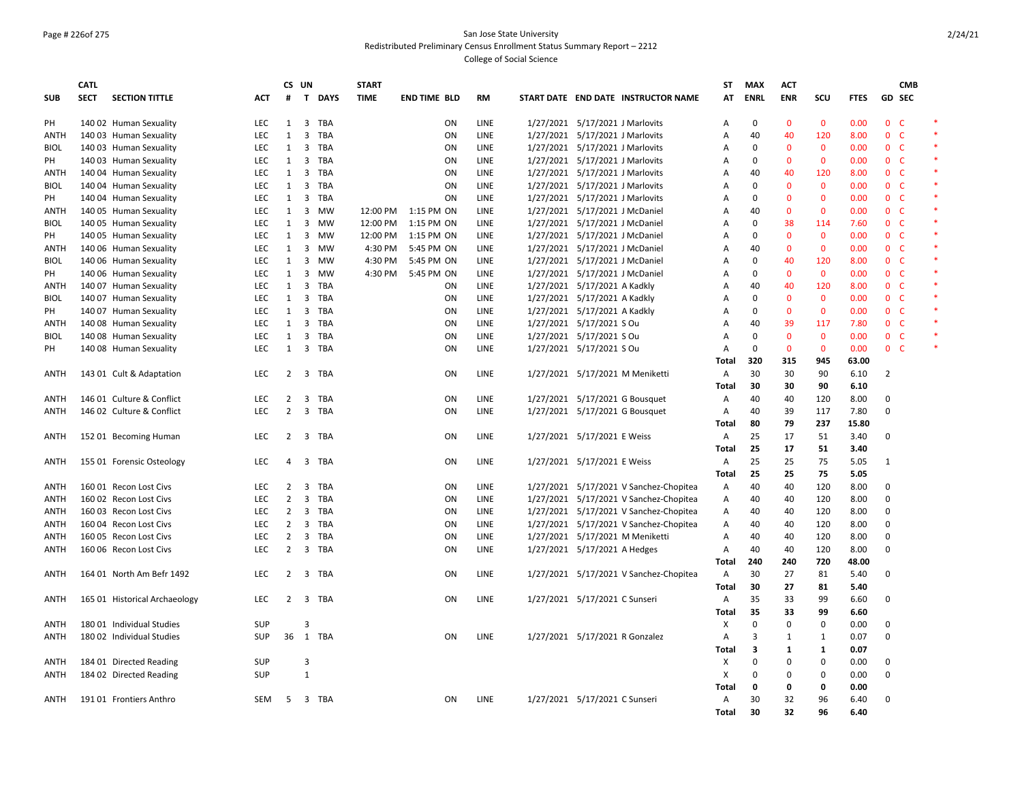### Page # 226of 275 San Jose State University Redistributed Preliminary Census Enrollment Status Summary Report – 2212

|             | <b>CATL</b> |                               |            | CS UN          |                                | <b>START</b> |                     |             |                                 |                                        | ST           | <b>MAX</b>   | <b>ACT</b>   |              |             |                | <b>CMB</b> |        |
|-------------|-------------|-------------------------------|------------|----------------|--------------------------------|--------------|---------------------|-------------|---------------------------------|----------------------------------------|--------------|--------------|--------------|--------------|-------------|----------------|------------|--------|
| <b>SUB</b>  | <b>SECT</b> | <b>SECTION TITTLE</b>         | ACT        | #              | T DAYS                         | <b>TIME</b>  | <b>END TIME BLD</b> | <b>RM</b>   |                                 | START DATE END DATE INSTRUCTOR NAME    | ΑТ           | <b>ENRL</b>  | <b>ENR</b>   | scu          | <b>FTES</b> | GD SEC         |            |        |
| PH          |             | 140 02 Human Sexuality        | <b>LEC</b> | $\mathbf{1}$   | $\overline{3}$<br><b>TBA</b>   |              | ON                  | LINE        | 1/27/2021 5/17/2021 J Marlovits |                                        | A            | $\mathbf{0}$ | $\mathbf{0}$ | $\mathbf{0}$ | 0.00        | 0 <sup>o</sup> |            |        |
| <b>ANTH</b> |             | 140 03 Human Sexuality        | <b>LEC</b> | $\mathbf{1}$   | 3<br>TBA                       |              | ON                  | LINE        | 1/27/2021 5/17/2021 J Marlovits |                                        | Α            | 40           | 40           | 120          | 8.00        | 0 <sup>o</sup> |            |        |
| <b>BIOL</b> |             | 140 03 Human Sexuality        | <b>LEC</b> | 1              | 3<br>TBA                       |              | ON                  | LINE        | 1/27/2021 5/17/2021 J Marlovits |                                        | Α            | 0            | $\mathbf{0}$ | $\mathbf{0}$ | 0.00        | 0 <sup>o</sup> |            |        |
| PH          |             | 140 03 Human Sexuality        | LEC        | 1              | 3<br><b>TBA</b>                |              | ON                  | LINE        | 1/27/2021 5/17/2021 J Marlovits |                                        | Α            | $\Omega$     | $\mathbf{0}$ | $\mathbf{0}$ | 0.00        | 0 <sup>o</sup> |            | *      |
| ANTH        |             | 140 04 Human Sexuality        | <b>LEC</b> | 1              | $\overline{\mathbf{3}}$<br>TBA |              | ON                  | LINE        | 1/27/2021 5/17/2021 J Marlovits |                                        | Α            | 40           | 40           | 120          | 8.00        | 0 <sup>o</sup> |            |        |
| <b>BIOL</b> |             | 140 04 Human Sexuality        | LEC        | 1              | 3<br><b>TBA</b>                |              | ON                  | <b>LINE</b> | 1/27/2021 5/17/2021 J Marlovits |                                        | Α            | $\Omega$     | $\mathbf{0}$ | $\Omega$     | 0.00        | 0 <sup>o</sup> |            | *      |
| PH          |             | 140 04 Human Sexuality        | LEC        | $\mathbf{1}$   | 3<br><b>TBA</b>                |              | ON                  | LINE        | 1/27/2021 5/17/2021 J Marlovits |                                        | Α            | $\mathbf 0$  | $\mathbf{0}$ | $\Omega$     | 0.00        | 0 <sub>c</sub> |            |        |
| ANTH        |             | 140 05 Human Sexuality        | <b>LEC</b> | 1              | 3<br>MW                        | 12:00 PM     | 1:15 PM ON          | <b>LINE</b> | 1/27/2021 5/17/2021 J McDaniel  |                                        | A            | 40           | $\mathbf{0}$ | $\Omega$     | 0.00        | 0 <sub>c</sub> |            | *      |
| <b>BIOL</b> |             | 140 05 Human Sexuality        | <b>LEC</b> | 1              | 3<br>MW                        | 12:00 PM     | 1:15 PM ON          | LINE        | 1/27/2021 5/17/2021 J McDaniel  |                                        | Α            | 0            | 38           | 114          | 7.60        | 0 <sub>c</sub> |            |        |
| PH          |             | 140 05 Human Sexuality        | LEC        | 1              | 3<br>MW                        | 12:00 PM     | 1:15 PM ON          | LINE        | 1/27/2021 5/17/2021 J McDaniel  |                                        | А            | 0            | $\mathbf{0}$ | $\mathbf{0}$ | 0.00        | 0 <sub>c</sub> |            | *      |
| <b>ANTH</b> |             | 140 06 Human Sexuality        | <b>LEC</b> | 1              | 3<br><b>MW</b>                 | 4:30 PM      | 5:45 PM ON          | LINE        | 1/27/2021 5/17/2021 J McDaniel  |                                        | Α            | 40           | $\mathbf{0}$ | $\mathbf{0}$ | 0.00        | 0 <sup>o</sup> |            |        |
| <b>BIOL</b> |             | 140 06 Human Sexuality        | <b>LEC</b> | 1              | $\overline{3}$<br>MW           | 4:30 PM      | 5:45 PM ON          | LINE        | 1/27/2021 5/17/2021 J McDaniel  |                                        | Α            | 0            | 40           | 120          | 8.00        | 0 <sub>c</sub> |            | *      |
| PH          |             | 140 06 Human Sexuality        | <b>LEC</b> | 1              | 3<br><b>MW</b>                 | 4:30 PM      | 5:45 PM ON          | LINE        | 1/27/2021 5/17/2021 J McDaniel  |                                        | Α            | $\Omega$     | $\mathbf{0}$ | $\mathbf{0}$ | 0.00        | 0 <sup>o</sup> |            |        |
| ANTH        |             | 140 07 Human Sexuality        | LEC        | $\mathbf{1}$   | $\overline{3}$<br><b>TBA</b>   |              | ON                  | LINE        | 1/27/2021 5/17/2021 A Kadkly    |                                        | Α            | 40           | 40           | 120          | 8.00        | 0 <sub>c</sub> |            |        |
| <b>BIOL</b> |             | 140 07 Human Sexuality        | <b>LEC</b> | 1              | 3<br><b>TBA</b>                |              | ON                  | LINE        | 1/27/2021 5/17/2021 A Kadkly    |                                        | A            | $\Omega$     | $\mathbf{0}$ | $\mathbf{0}$ | 0.00        | 0 <sup>o</sup> |            |        |
| PH          |             | 140 07 Human Sexuality        | LEC        | $\mathbf{1}$   | $\overline{3}$<br><b>TBA</b>   |              | ON                  | LINE        | 1/27/2021 5/17/2021 A Kadkly    |                                        | Α            | $\mathbf 0$  | $\mathbf{0}$ | $\mathbf{0}$ | 0.00        | 0 <sup>o</sup> |            | $\ast$ |
| ANTH        |             | 140 08 Human Sexuality        | <b>LEC</b> | 1              | 3<br>TBA                       |              | ON                  | LINE        | 1/27/2021 5/17/2021 S Ou        |                                        | Α            | 40           | 39           | 117          | 7.80        | 0 <sub>c</sub> |            |        |
| <b>BIOL</b> |             | 140 08 Human Sexuality        | LEC        | 1              | $\overline{3}$<br><b>TBA</b>   |              | ON                  | LINE        | 1/27/2021 5/17/2021 S Ou        |                                        | Α            | $\mathbf{0}$ | $\mathbf{0}$ | $\mathbf{0}$ | 0.00        | 0 <sup>o</sup> |            |        |
| PH          |             | 140 08 Human Sexuality        | <b>LEC</b> | 1              | $\overline{3}$<br><b>TBA</b>   |              | ON                  | LINE        | 1/27/2021 5/17/2021 S Ou        |                                        | Α            | $\mathbf 0$  | $\mathbf 0$  | $\mathbf 0$  | 0.00        | 0 <sub>c</sub> |            |        |
|             |             |                               |            |                |                                |              |                     |             |                                 |                                        | Total        | 320          | 315          | 945          | 63.00       |                |            |        |
| <b>ANTH</b> |             | 143 01 Cult & Adaptation      | LEC        | $\overline{2}$ | $\overline{3}$<br><b>TBA</b>   |              | ON                  | LINE        | 1/27/2021 5/17/2021 M Meniketti |                                        | Α            | 30           | 30           | 90           | 6.10        | $\overline{2}$ |            |        |
|             |             |                               |            |                |                                |              |                     |             |                                 |                                        | <b>Total</b> | 30           | 30           | 90           | 6.10        |                |            |        |
| <b>ANTH</b> |             | 146 01 Culture & Conflict     | <b>LEC</b> | $\overline{2}$ | 3<br>TBA                       |              | ON                  | LINE        | 1/27/2021 5/17/2021 G Bousquet  |                                        | Α            | 40           | 40           | 120          | 8.00        | 0              |            |        |
| ANTH        |             | 146 02 Culture & Conflict     | <b>LEC</b> | 2              | 3<br>TBA                       |              | ON                  | LINE        | 1/27/2021 5/17/2021 G Bousquet  |                                        | Α            | 40           | 39           | 117          | 7.80        | 0              |            |        |
|             |             |                               |            |                |                                |              |                     |             |                                 |                                        | <b>Total</b> | 80           | 79           | 237          | 15.80       |                |            |        |
| ANTH        |             | 152 01 Becoming Human         | LEC        | 2              | 3<br>TBA                       |              | ON                  | LINE        | 1/27/2021 5/17/2021 E Weiss     |                                        | Α            | 25           | 17           | 51           | 3.40        | $\Omega$       |            |        |
|             |             |                               |            |                |                                |              |                     |             |                                 |                                        | <b>Total</b> | 25           | 17           | 51           | 3.40        |                |            |        |
| ANTH        |             | 155 01 Forensic Osteology     | LEC        | 4              | 3 TBA                          |              | ON                  | LINE        | 1/27/2021 5/17/2021 E Weiss     |                                        | Α            | 25           | 25           | 75           | 5.05        | 1              |            |        |
|             |             |                               |            |                |                                |              |                     |             |                                 |                                        | Total        | 25           | 25           | 75           | 5.05        |                |            |        |
| <b>ANTH</b> |             | 160 01 Recon Lost Civs        | LEC.       | 2              | 3<br><b>TBA</b>                |              | ON                  | LINE        |                                 | 1/27/2021 5/17/2021 V Sanchez-Chopitea | Α            | 40           | 40           | 120          | 8.00        | $\Omega$       |            |        |
| ANTH        |             | 160 02 Recon Lost Civs        | <b>LEC</b> | $\overline{2}$ | $\overline{3}$<br>TBA          |              | ON                  | LINE        |                                 | 1/27/2021 5/17/2021 V Sanchez-Chopitea | Α            | 40           | 40           | 120          | 8.00        | 0              |            |        |
| <b>ANTH</b> |             | 160 03 Recon Lost Civs        | <b>LEC</b> | $\overline{2}$ | 3<br>TBA                       |              | ON                  | LINE        |                                 | 1/27/2021 5/17/2021 V Sanchez-Chopitea | A            | 40           | 40           | 120          | 8.00        | $\mathbf 0$    |            |        |
| ANTH        |             | 160 04 Recon Lost Civs        | <b>LEC</b> | $\overline{2}$ | $\overline{3}$<br><b>TBA</b>   |              | ON                  | LINE        |                                 | 1/27/2021 5/17/2021 V Sanchez-Chopitea | Α            | 40           | 40           | 120          | 8.00        | 0              |            |        |
| <b>ANTH</b> |             | 160 05 Recon Lost Civs        | <b>LEC</b> | $\overline{2}$ | 3<br><b>TBA</b>                |              | ON                  | LINE        | 1/27/2021 5/17/2021 M Meniketti |                                        | Α            | 40           | 40           | 120          | 8.00        | $\Omega$       |            |        |
| ANTH        |             | 160 06 Recon Lost Civs        | LEC        | $\overline{2}$ | 3 TBA                          |              | ON                  | LINE        | 1/27/2021 5/17/2021 A Hedges    |                                        | Α            | 40           | 40           | 120          | 8.00        | $\mathbf 0$    |            |        |
|             |             |                               |            |                |                                |              |                     |             |                                 |                                        | Total        | 240          | 240          | 720          | 48.00       |                |            |        |
| <b>ANTH</b> |             | 164 01 North Am Befr 1492     | LEC        | $\overline{2}$ | 3<br>TBA                       |              | ON                  | LINE        |                                 | 1/27/2021 5/17/2021 V Sanchez-Chopitea | Α            | 30           | 27           | 81           | 5.40        | $\mathbf 0$    |            |        |
|             |             |                               |            |                |                                |              |                     |             |                                 |                                        | Total        | 30           | 27           | 81           | 5.40        |                |            |        |
| <b>ANTH</b> |             | 165 01 Historical Archaeology | <b>LEC</b> | 2              | 3 TBA                          |              | ON                  | LINE        | 1/27/2021 5/17/2021 C Sunseri   |                                        | Α            | 35           | 33           | 99           | 6.60        | $\Omega$       |            |        |
|             |             |                               |            |                |                                |              |                     |             |                                 |                                        | <b>Total</b> | 35           | 33           | 99           | 6.60        |                |            |        |
| ANTH        |             | 180 01 Individual Studies     | SUP        |                | 3                              |              |                     |             |                                 |                                        | X            | $\Omega$     | 0            | 0            | 0.00        | $\Omega$       |            |        |
| <b>ANTH</b> |             | 180 02 Individual Studies     | <b>SUP</b> |                | 36 1 TBA                       |              | ON                  | LINE        | 1/27/2021 5/17/2021 R Gonzalez  |                                        | А            | 3            | $\mathbf{1}$ | $\mathbf{1}$ | 0.07        | 0              |            |        |
|             |             |                               |            |                |                                |              |                     |             |                                 |                                        | Total        | 3            | 1            | 1            | 0.07        |                |            |        |
| <b>ANTH</b> |             | 184 01 Directed Reading       | <b>SUP</b> |                | 3                              |              |                     |             |                                 |                                        | х            | $\Omega$     | $\Omega$     | 0            | 0.00        | 0              |            |        |
| ANTH        |             | 184 02 Directed Reading       | <b>SUP</b> |                | $\mathbf{1}$                   |              |                     |             |                                 |                                        | х            | $\Omega$     | 0            | $\Omega$     | 0.00        | 0              |            |        |
|             |             |                               |            |                |                                |              |                     |             |                                 |                                        | <b>Total</b> | $\Omega$     | 0            | $\Omega$     | 0.00        |                |            |        |
| ANTH        |             | 191 01 Frontiers Anthro       | <b>SEM</b> | -5             | 3 TBA                          |              | ON                  | LINE        | 1/27/2021 5/17/2021 C Sunseri   |                                        | A            | 30           | 32           | 96           | 6.40        | $\Omega$       |            |        |
|             |             |                               |            |                |                                |              |                     |             |                                 |                                        | Total        | 30           | 32           | 96           | 6.40        |                |            |        |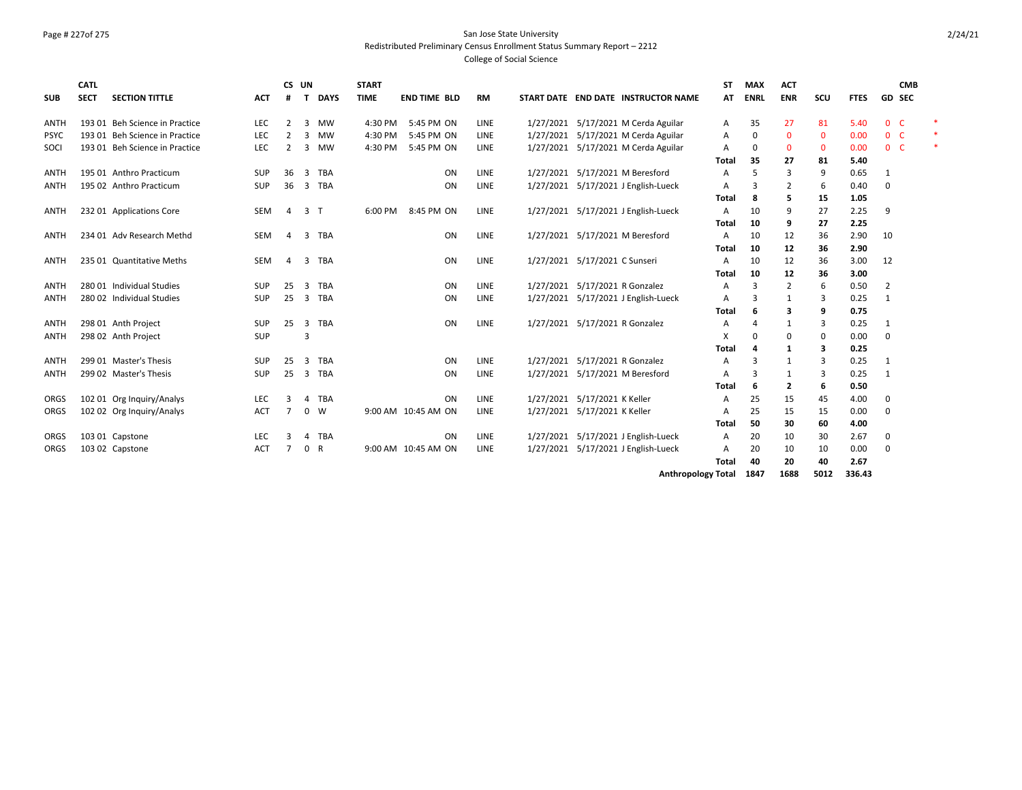## Page # 227of 275 San Jose State University Redistributed Preliminary Census Enrollment Status Summary Report – 2212

| <b>SUB</b>  | <b>CATL</b><br><b>SECT</b> | <b>SECTION TITTLE</b>          | <b>ACT</b> | CS UN<br>#     | <b>DAYS</b><br>т             | <b>START</b><br><b>TIME</b> | <b>END TIME BLD</b> | <b>RM</b>   |           |                                | START DATE END DATE INSTRUCTOR NAME | SΤ<br>AT | <b>MAX</b><br><b>ENRL</b> | <b>ACT</b><br><b>ENR</b> | SCU          | <b>FTES</b> |                | <b>CMB</b><br>GD SEC |        |
|-------------|----------------------------|--------------------------------|------------|----------------|------------------------------|-----------------------------|---------------------|-------------|-----------|--------------------------------|-------------------------------------|----------|---------------------------|--------------------------|--------------|-------------|----------------|----------------------|--------|
|             |                            |                                |            |                |                              |                             |                     |             |           |                                |                                     |          |                           |                          |              |             |                |                      |        |
| <b>ANTH</b> |                            | 193 01 Beh Science in Practice | <b>LEC</b> | 2              | 3<br>MW                      | 4:30 PM                     | 5:45 PM ON          | LINE        | 1/27/2021 |                                | 5/17/2021 M Cerda Aguilar           | Α        | 35                        | 27                       | 81           | 5.40        | $\mathbf{0}$   | -C                   |        |
| <b>PSYC</b> |                            | 193 01 Beh Science in Practice | <b>LEC</b> | $\mathcal{P}$  | 3<br>MW                      | 4:30 PM                     | 5:45 PM ON          | LINE        |           |                                | 1/27/2021 5/17/2021 M Cerda Aguilar | А        | $\mathbf 0$               | $\mathbf{0}$             | $\mathbf{0}$ | 0.00        | 0 <sup>o</sup> |                      | $\ast$ |
| SOCI        |                            | 193 01 Beh Science in Practice | <b>LEC</b> | $\overline{2}$ | $\overline{3}$<br><b>MW</b>  | 4:30 PM                     | 5:45 PM ON          | LINE        |           |                                | 1/27/2021 5/17/2021 M Cerda Aguilar | A        | $\Omega$                  | $\mathbf{0}$             | $\mathbf 0$  | 0.00        | 0 <sup>o</sup> |                      | *      |
|             |                            |                                |            |                |                              |                             |                     |             |           |                                |                                     | Total    | 35                        | 27                       | 81           | 5.40        |                |                      |        |
| ANTH        |                            | 195 01 Anthro Practicum        | SUP        | 36             | 3<br><b>TBA</b>              |                             | ON                  | LINE        |           |                                | 1/27/2021 5/17/2021 M Beresford     | А        | 5                         | 3                        | 9            | 0.65        | 1              |                      |        |
| <b>ANTH</b> |                            | 195 02 Anthro Practicum        | <b>SUP</b> | 36             | <b>TBA</b><br>$\overline{3}$ |                             | ON                  | LINE        | 1/27/2021 |                                | 5/17/2021 J English-Lueck           | Α        | 3                         | 2                        | 6            | 0.40        | $\mathbf 0$    |                      |        |
|             |                            |                                |            |                |                              |                             |                     |             |           |                                |                                     | Total    | 8                         | 5                        | 15           | 1.05        |                |                      |        |
| <b>ANTH</b> |                            | 232 01 Applications Core       | <b>SEM</b> | $\overline{a}$ | 3<br>$\top$                  | 6:00 PM                     | 8:45 PM ON          | LINE        |           |                                | 1/27/2021 5/17/2021 J English-Lueck | A        | 10                        | 9                        | 27           | 2.25        | 9              |                      |        |
|             |                            |                                |            |                |                              |                             |                     |             |           |                                |                                     | Total    | 10                        | 9                        | 27           | 2.25        |                |                      |        |
| <b>ANTH</b> |                            | 234 01 Adv Research Methd      | <b>SEM</b> | $\overline{a}$ | 3<br>TBA                     |                             | ON                  | LINE        |           |                                | 1/27/2021 5/17/2021 M Beresford     | Α        | 10                        | 12                       | 36           | 2.90        | 10             |                      |        |
|             |                            |                                |            |                |                              |                             |                     |             |           |                                |                                     | Total    | 10                        | 12                       | 36           | 2.90        |                |                      |        |
| <b>ANTH</b> |                            | 235 01 Quantitative Meths      | <b>SEM</b> | $\overline{4}$ | <b>TBA</b><br>3              |                             | ON                  | LINE        | 1/27/2021 | 5/17/2021 C Sunseri            |                                     | Α        | 10                        | 12                       | 36           | 3.00        | 12             |                      |        |
|             |                            |                                |            |                |                              |                             |                     |             |           |                                |                                     | Total    | 10                        | 12                       | 36           | 3.00        |                |                      |        |
| <b>ANTH</b> |                            | 280 01 Individual Studies      | SUP        | 25             | <b>TBA</b><br>3              |                             | ON                  | LINE        | 1/27/2021 | 5/17/2021 R Gonzalez           |                                     | А        | $\overline{3}$            | $\overline{2}$           | 6            | 0.50        | $\overline{2}$ |                      |        |
| <b>ANTH</b> |                            | 280 02 Individual Studies      | <b>SUP</b> | 25             | 3 TBA                        |                             | ON                  | LINE        |           |                                | 1/27/2021 5/17/2021 J English-Lueck | Α        | З                         | 1                        | 3            | 0.25        | $\mathbf{1}$   |                      |        |
|             |                            |                                |            |                |                              |                             |                     |             |           |                                |                                     | Total    | 6                         | 3                        | 9            | 0.75        |                |                      |        |
| <b>ANTH</b> |                            | 298 01 Anth Project            | <b>SUP</b> | 25             | $\overline{3}$<br><b>TBA</b> |                             | ON                  | <b>LINE</b> |           | 1/27/2021 5/17/2021 R Gonzalez |                                     | А        |                           | $\mathbf{1}$             | 3            | 0.25        | 1              |                      |        |
| ANTH        |                            | 298 02 Anth Project            | SUP        |                | 3                            |                             |                     |             |           |                                |                                     | х        | $\Omega$                  | 0                        | 0            | 0.00        | $\Omega$       |                      |        |
|             |                            |                                |            |                |                              |                             |                     |             |           |                                |                                     | Total    |                           | 1                        | 3            | 0.25        |                |                      |        |
| <b>ANTH</b> |                            | 299 01 Master's Thesis         | SUP        | 25             | <b>TBA</b><br>3              |                             | ON                  | <b>LINE</b> |           | 1/27/2021 5/17/2021 R Gonzalez |                                     | А        | 3                         | 1                        | 3            | 0.25        | 1              |                      |        |
| <b>ANTH</b> |                            | 299 02 Master's Thesis         | <b>SUP</b> | 25             | 3 TBA                        |                             | ON                  | LINE        |           |                                | 1/27/2021 5/17/2021 M Beresford     | Α        | 3                         | 1                        | 3            | 0.25        | $\mathbf{1}$   |                      |        |
|             |                            |                                |            |                |                              |                             |                     |             |           |                                |                                     | Total    | 6                         | 2                        | 6            | 0.50        |                |                      |        |
| ORGS        |                            | 102 01 Org Inquiry/Analys      | LEC        | з              | <b>TBA</b><br>$\Lambda$      |                             | ON                  | LINE        | 1/27/2021 | 5/17/2021 K Keller             |                                     | А        | 25                        | 15                       | 45           | 4.00        | 0              |                      |        |
| ORGS        |                            | 102 02 Org Inquiry/Analys      | <b>ACT</b> | $\overline{7}$ | $\mathbf 0$<br>W             |                             | 9:00 AM 10:45 AM ON | LINE        |           | 1/27/2021 5/17/2021 K Keller   |                                     | A        | 25                        | 15                       | 15           | 0.00        | $\mathbf 0$    |                      |        |
|             |                            |                                |            |                |                              |                             |                     |             |           |                                |                                     | Total    | 50                        | 30                       | 60           | 4.00        |                |                      |        |
| ORGS        |                            | 103 01 Capstone                | <b>LEC</b> |                | <b>TBA</b><br>Δ              |                             | ON                  | LINE        | 1/27/2021 |                                | 5/17/2021 J English-Lueck           | A        | 20                        | 10                       | 30           | 2.67        | 0              |                      |        |
| ORGS        |                            | 103 02 Capstone                | <b>ACT</b> | 7              | $\mathsf{R}$<br>0            |                             | 9:00 AM 10:45 AM ON | LINE        | 1/27/2021 |                                | 5/17/2021 J English-Lueck           | A        | 20                        | 10                       | 10           | 0.00        | 0              |                      |        |
|             |                            |                                |            |                |                              |                             |                     |             |           |                                |                                     | Total    | 40                        | 20                       | 40           | 2.67        |                |                      |        |
|             |                            |                                |            |                |                              |                             |                     |             |           |                                | <b>Anthropology Total</b>           |          | 1847                      | 1688                     | 5012         | 336.43      |                |                      |        |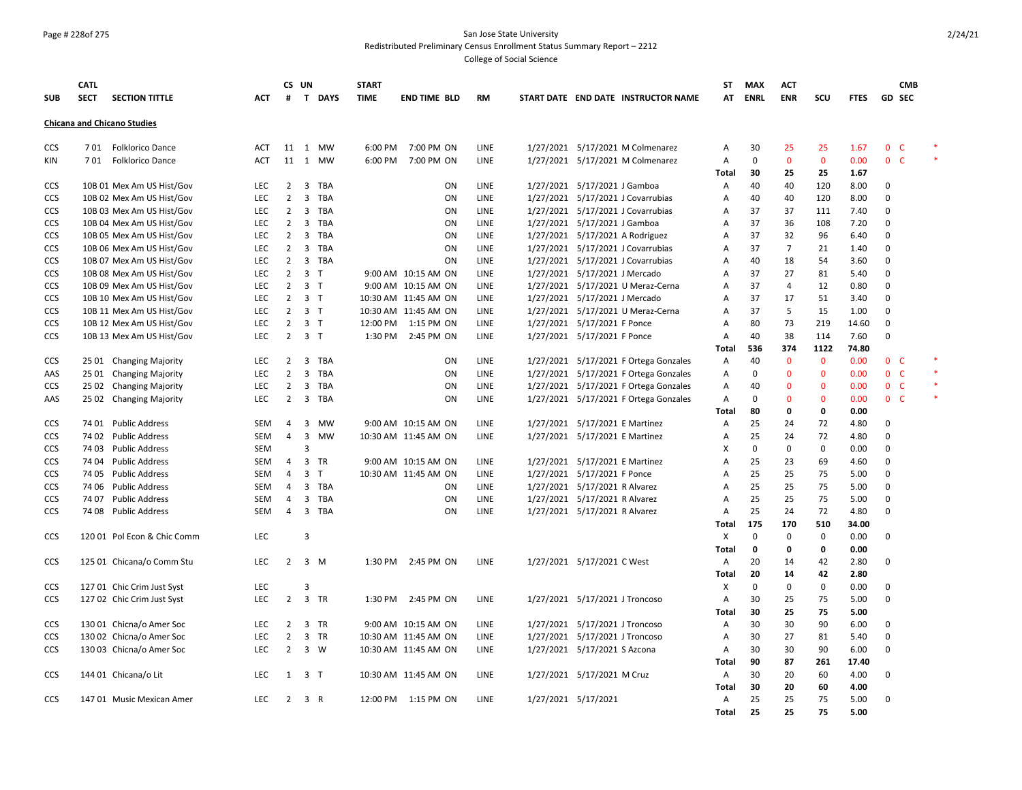#### Page # 228of 275 San Jose State University Redistributed Preliminary Census Enrollment Status Summary Report – 2212

|            | <b>CATL</b> |                                    |            |                | CS UN                   |              | <b>START</b> |                      |             |                     |                                |                                       | ST                | <b>MAX</b>        | ACT                |                    |              |                        | <b>CMB</b>    |  |
|------------|-------------|------------------------------------|------------|----------------|-------------------------|--------------|--------------|----------------------|-------------|---------------------|--------------------------------|---------------------------------------|-------------------|-------------------|--------------------|--------------------|--------------|------------------------|---------------|--|
| <b>SUB</b> | <b>SECT</b> | <b>SECTION TITTLE</b>              | ACT        | #              | $\mathbf{T}$            | <b>DAYS</b>  | <b>TIME</b>  | <b>END TIME BLD</b>  | RM          |                     |                                | START DATE END DATE INSTRUCTOR NAME   | AT                | <b>ENRL</b>       | <b>ENR</b>         | scu                | <b>FTES</b>  |                        | <b>GD SEC</b> |  |
|            |             | <b>Chicana and Chicano Studies</b> |            |                |                         |              |              |                      |             |                     |                                |                                       |                   |                   |                    |                    |              |                        |               |  |
|            |             |                                    |            |                |                         |              |              |                      |             |                     |                                |                                       |                   |                   |                    |                    |              |                        |               |  |
| <b>CCS</b> |             | 701 Folklorico Dance               | <b>ACT</b> | 11<br>11       |                         | 1 MW<br>1 MW | 6:00 PM      | 7:00 PM ON           | LINE        |                     |                                | 1/27/2021 5/17/2021 M Colmenarez      | Α                 | 30<br>$\mathbf 0$ | 25<br>$\mathbf{0}$ | 25<br>$\mathbf{0}$ | 1.67         | 0 <sub>c</sub><br>$0-$ |               |  |
| KIN        |             | 701 Folklorico Dance               | <b>ACT</b> |                |                         |              | 6:00 PM      | 7:00 PM ON           | LINE        |                     |                                | 1/27/2021 5/17/2021 M Colmenarez      | Α<br><b>Total</b> | 30                | 25                 | 25                 | 0.00         |                        |               |  |
| CCS        |             | 10B 01 Mex Am US Hist/Gov          | <b>LEC</b> | $\overline{2}$ | $\overline{3}$          | TBA          |              | ON                   | LINE        |                     | 1/27/2021 5/17/2021 J Gamboa   |                                       | Α                 | 40                | 40                 | 120                | 1.67<br>8.00 | 0                      |               |  |
| CCS        |             | 10B 02 Mex Am US Hist/Gov          | <b>LEC</b> | $\overline{2}$ | $\overline{3}$          | <b>TBA</b>   |              | ON                   | LINE        |                     |                                | 1/27/2021 5/17/2021 J Covarrubias     | Α                 | 40                | 40                 | 120                | 8.00         | 0                      |               |  |
| CCS        |             | 10B 03 Mex Am US Hist/Gov          | <b>LEC</b> | $\overline{2}$ |                         | 3 TBA        |              | ON                   | LINE        |                     |                                | 1/27/2021 5/17/2021 J Covarrubias     | Α                 | 37                | 37                 | 111                | 7.40         | 0                      |               |  |
| <b>CCS</b> |             | 10B 04 Mex Am US Hist/Gov          | <b>LEC</b> | $\overline{2}$ | 3                       | TBA          |              | ON                   | LINE        |                     | 1/27/2021 5/17/2021 J Gamboa   |                                       | Α                 | 37                | 36                 | 108                | 7.20         | 0                      |               |  |
| CCS        |             | 10B 05 Mex Am US Hist/Gov          | <b>LEC</b> | $\overline{2}$ | $\mathbf{3}$            | <b>TBA</b>   |              | ON                   | LINE        |                     |                                | 1/27/2021 5/17/2021 A Rodriguez       | Α                 | 37                | 32                 | 96                 | 6.40         | 0                      |               |  |
| CCS        |             | 10B 06 Mex Am US Hist/Gov          | <b>LEC</b> | $\overline{2}$ | $\overline{3}$          | <b>TBA</b>   |              | ON                   | LINE        |                     |                                | 1/27/2021 5/17/2021 J Covarrubias     | Α                 | 37                | $\overline{7}$     | 21                 | 1.40         | 0                      |               |  |
| CCS        |             | 10B 07 Mex Am US Hist/Gov          | <b>LEC</b> | $\overline{2}$ |                         | 3 TBA        |              | ON                   | LINE        |                     |                                | 1/27/2021 5/17/2021 J Covarrubias     | Α                 | 40                | 18                 | 54                 | 3.60         | 0                      |               |  |
| CCS        |             | 10B 08 Mex Am US Hist/Gov          | <b>LEC</b> | $\overline{2}$ | $\overline{3}$          | T            |              | 9:00 AM 10:15 AM ON  | LINE        |                     | 1/27/2021 5/17/2021 J Mercado  |                                       | Α                 | 37                | 27                 | 81                 | 5.40         | 0                      |               |  |
| <b>CCS</b> |             | 10B 09 Mex Am US Hist/Gov          | <b>LEC</b> | $\overline{2}$ | 3 <sub>1</sub>          |              |              | 9:00 AM 10:15 AM ON  | LINE        |                     |                                | 1/27/2021 5/17/2021 U Meraz-Cerna     | A                 | 37                | $\overline{4}$     | 12                 | 0.80         | 0                      |               |  |
| <b>CCS</b> |             | 10B 10 Mex Am US Hist/Gov          | <b>LEC</b> | $\overline{2}$ | 3 <sub>1</sub>          |              |              | 10:30 AM 11:45 AM ON | LINE        |                     | 1/27/2021 5/17/2021 J Mercado  |                                       | A                 | 37                | 17                 | 51                 | 3.40         | 0                      |               |  |
| CCS        |             | 10B 11 Mex Am US Hist/Gov          | LEC        | $\overline{2}$ | 3 <sub>1</sub>          |              |              | 10:30 AM 11:45 AM ON | LINE        |                     |                                | 1/27/2021 5/17/2021 U Meraz-Cerna     | Α                 | 37                | 5                  | 15                 | 1.00         | 0                      |               |  |
| CCS        |             | 10B 12 Mex Am US Hist/Gov          | <b>LEC</b> | $\overline{2}$ | 3 <sub>T</sub>          |              | 12:00 PM     | 1:15 PM ON           | LINE        |                     | 1/27/2021 5/17/2021 F Ponce    |                                       | Α                 | 80                | 73                 | 219                | 14.60        | 0                      |               |  |
| CCS        |             | 10B 13 Mex Am US Hist/Gov          | LEC        | $\overline{2}$ | 3 <sub>1</sub>          |              |              | 1:30 PM 2:45 PM ON   | LINE        |                     | 1/27/2021 5/17/2021 F Ponce    |                                       | Α                 | 40                | 38                 | 114                | 7.60         | 0                      |               |  |
|            |             |                                    |            |                |                         |              |              |                      |             |                     |                                |                                       | Total             | 536               | 374                | 1122               | 74.80        |                        |               |  |
| <b>CCS</b> |             | 25 01 Changing Majority            | <b>LEC</b> | $\overline{2}$ | $\overline{3}$          | <b>TBA</b>   |              | ON                   | <b>LINE</b> |                     |                                | 1/27/2021 5/17/2021 F Ortega Gonzales | Α                 | 40                | $\mathbf{0}$       | $\mathbf{0}$       | 0.00         | 0 <sup>o</sup>         |               |  |
| AAS        |             | 25 01 Changing Majority            | <b>LEC</b> | $\overline{2}$ | $\overline{3}$          | <b>TBA</b>   |              | ON                   | LINE        |                     |                                | 1/27/2021 5/17/2021 F Ortega Gonzales | Α                 | $\mathbf 0$       | $\overline{0}$     | $\mathbf 0$        | 0.00         | 0 <sup>o</sup>         |               |  |
| <b>CCS</b> |             | 25 02 Changing Majority            | <b>LEC</b> | $\overline{2}$ | 3                       | <b>TBA</b>   |              | ON                   | LINE        |                     |                                | 1/27/2021 5/17/2021 F Ortega Gonzales | Α                 | 40                | $\Omega$           | $\mathbf{0}$       | 0.00         | 0 <sup>o</sup>         |               |  |
| AAS        |             | 25 02 Changing Majority            | <b>LEC</b> | $\overline{2}$ | $\overline{3}$          | TBA          |              | ON                   | LINE        |                     |                                | 1/27/2021 5/17/2021 F Ortega Gonzales | Α                 | $\Omega$          | $\Omega$           | $\mathbf 0$        | 0.00         | 0 <sup>o</sup>         |               |  |
|            |             |                                    |            |                |                         |              |              |                      |             |                     |                                |                                       | Total             | 80                | 0                  | 0                  | 0.00         |                        |               |  |
| CCS        |             | 74 01 Public Address               | <b>SEM</b> | 4              | $\overline{3}$          | <b>MW</b>    |              | 9:00 AM 10:15 AM ON  | LINE        |                     | 1/27/2021 5/17/2021 E Martinez |                                       | Α                 | 25                | 24                 | 72                 | 4.80         | 0                      |               |  |
| CCS        |             | 74 02 Public Address               | SEM        | $\overline{4}$ | $\overline{\mathbf{3}}$ | <b>MW</b>    |              | 10:30 AM 11:45 AM ON | LINE        |                     | 1/27/2021 5/17/2021 E Martinez |                                       | Α                 | 25                | 24                 | 72                 | 4.80         | 0                      |               |  |
| CCS        |             | 74 03 Public Address               | <b>SEM</b> |                | $\overline{3}$          |              |              |                      |             |                     |                                |                                       | X                 | $\Omega$          | 0                  | $\mathbf 0$        | 0.00         | 0                      |               |  |
| CCS        |             | 74 04 Public Address               | SEM        | 4              |                         | 3 TR         |              | 9:00 AM 10:15 AM ON  | LINE        |                     | 1/27/2021 5/17/2021 E Martinez |                                       | Α                 | 25                | 23                 | 69                 | 4.60         | 0                      |               |  |
| CCS        |             | 74 05 Public Address               | SEM        | 4              | $\overline{3}$          | $\top$       |              | 10:30 AM 11:45 AM ON | LINE        |                     | 1/27/2021 5/17/2021 F Ponce    |                                       | Α                 | 25                | 25                 | 75                 | 5.00         | 0                      |               |  |
| CCS        |             | 74 06 Public Address               | <b>SEM</b> | 4              | 3                       | <b>TBA</b>   |              | ON                   | LINE        |                     | 1/27/2021 5/17/2021 R Alvarez  |                                       | A                 | 25                | 25                 | 75                 | 5.00         | 0                      |               |  |
| CCS        |             | 74 07 Public Address               | SEM        | 4              | $\overline{\mathbf{3}}$ | TBA          |              | ON                   | LINE        |                     | 1/27/2021 5/17/2021 R Alvarez  |                                       | Α                 | 25                | 25                 | 75                 | 5.00         | 0                      |               |  |
| <b>CCS</b> |             | 74 08 Public Address               | SEM        | $\overline{4}$ | $\mathbf{3}$            | TBA          |              | ON                   | LINE        |                     | 1/27/2021 5/17/2021 R Alvarez  |                                       | Α                 | 25                | 24                 | 72                 | 4.80         | 0                      |               |  |
|            |             |                                    |            |                |                         |              |              |                      |             |                     |                                |                                       | <b>Total</b>      | 175               | 170                | 510                | 34.00        |                        |               |  |
| <b>CCS</b> |             | 120 01 Pol Econ & Chic Comm        | <b>LEC</b> |                | $\overline{3}$          |              |              |                      |             |                     |                                |                                       | Х                 | $\mathbf 0$       | 0                  | $\mathbf 0$        | 0.00         | 0                      |               |  |
|            |             |                                    |            |                |                         |              |              |                      |             |                     |                                |                                       | Total             | $\mathbf{o}$      | 0                  | $\mathbf 0$        | 0.00         |                        |               |  |
| CCS        |             | 125 01 Chicana/o Comm Stu          | <b>LEC</b> | $\overline{2}$ |                         | 3 M          |              | 1:30 PM 2:45 PM ON   | LINE        |                     | 1/27/2021 5/17/2021 C West     |                                       | Α                 | 20                | 14                 | 42                 | 2.80         | 0                      |               |  |
|            |             |                                    |            |                |                         |              |              |                      |             |                     |                                |                                       | Total             | 20                | 14                 | 42                 | 2.80         |                        |               |  |
| <b>CCS</b> |             | 127 01 Chic Crim Just Syst         | <b>LEC</b> |                | $\overline{3}$          |              |              |                      |             |                     |                                |                                       | х                 | $\Omega$          | 0                  | $\mathbf 0$        | 0.00         | 0                      |               |  |
| <b>CCS</b> |             | 127 02 Chic Crim Just Syst         | <b>LEC</b> | $\overline{2}$ |                         | 3 TR         |              | 1:30 PM 2:45 PM ON   | LINE        |                     | 1/27/2021 5/17/2021 J Troncoso |                                       | Α                 | 30                | 25                 | 75                 | 5.00         | 0                      |               |  |
|            |             |                                    |            |                |                         |              |              |                      |             |                     |                                |                                       | <b>Total</b>      | 30                | 25                 | 75                 | 5.00         |                        |               |  |
| CCS        |             | 130 01 Chicna/o Amer Soc           | LEC        | $\overline{2}$ | 3                       | <b>TR</b>    |              | 9:00 AM 10:15 AM ON  | LINE        |                     | 1/27/2021 5/17/2021 J Troncoso |                                       | Α                 | 30                | 30                 | 90                 | 6.00         | 0                      |               |  |
| <b>CCS</b> |             | 130 02 Chicna/o Amer Soc           | <b>LEC</b> | $\overline{2}$ |                         | 3 TR         |              | 10:30 AM 11:45 AM ON | LINE        |                     | 1/27/2021 5/17/2021 J Troncoso |                                       | Α                 | 30                | 27                 | 81                 | 5.40         | 0                      |               |  |
| <b>CCS</b> |             | 130 03 Chicna/o Amer Soc           | <b>LEC</b> | 2              | 3 W                     |              |              | 10:30 AM 11:45 AM ON | LINE        |                     | 1/27/2021 5/17/2021 S Azcona   |                                       | Α                 | 30                | 30                 | 90                 | 6.00         | 0                      |               |  |
|            |             |                                    | <b>LEC</b> |                | $\overline{3}$          |              |              |                      |             |                     |                                |                                       | <b>Total</b>      | 90<br>30          | 87<br>20           | 261<br>60          | 17.40        |                        |               |  |
| <b>CCS</b> |             | 144 01 Chicana/o Lit               |            | 1              |                         | $\top$       |              | 10:30 AM 11:45 AM ON | LINE        |                     | 1/27/2021 5/17/2021 M Cruz     |                                       | Α                 | 30                | 20                 | 60                 | 4.00<br>4.00 | 0                      |               |  |
| <b>CCS</b> |             | 147 01 Music Mexican Amer          | <b>LEC</b> | 2              | 3 R                     |              |              | 12:00 PM 1:15 PM ON  | LINE        | 1/27/2021 5/17/2021 |                                |                                       | Total<br>A        | 25                | 25                 | 75                 | 5.00         | 0                      |               |  |
|            |             |                                    |            |                |                         |              |              |                      |             |                     |                                |                                       | <b>Total</b>      | 25                | 25                 | 75                 | 5.00         |                        |               |  |
|            |             |                                    |            |                |                         |              |              |                      |             |                     |                                |                                       |                   |                   |                    |                    |              |                        |               |  |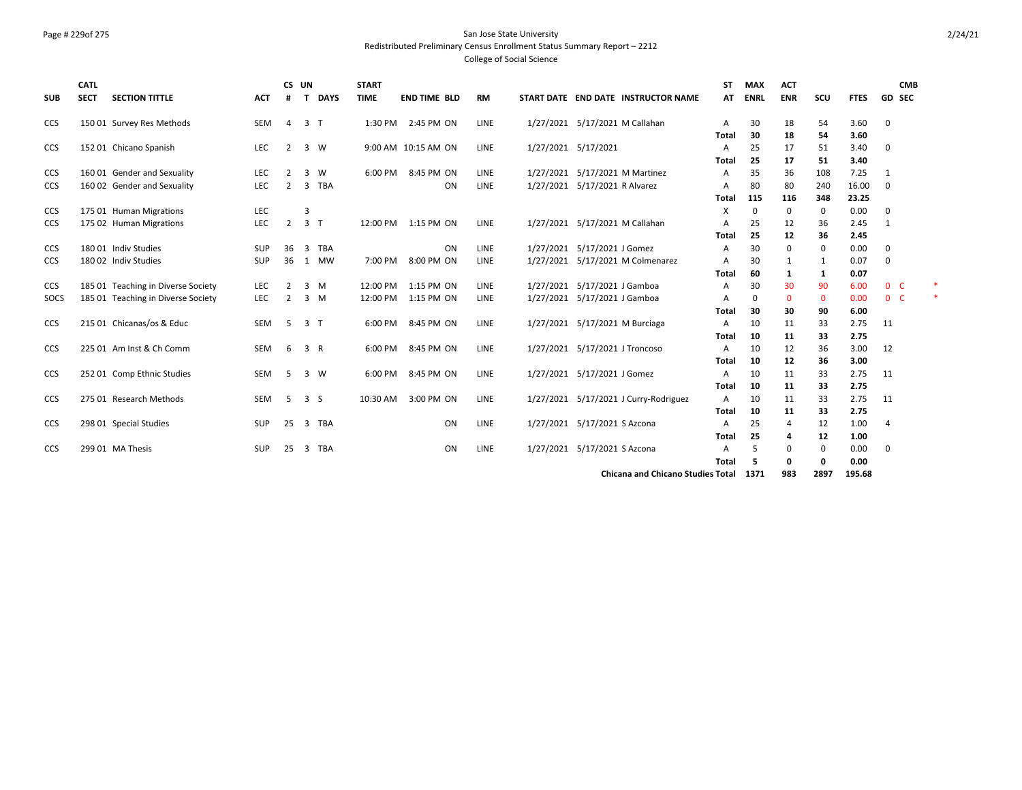#### Page # 229of 275 San Jose State University Redistributed Preliminary Census Enrollment Status Summary Report – 2212

| <b>SUB</b> | <b>CATL</b><br><b>SECT</b> | <b>SECTION TITTLE</b>              | <b>ACT</b> | <b>CS</b><br># | UN<br><b>DAYS</b><br>т     | <b>START</b><br><b>TIME</b> | <b>END TIME BLD</b> | <b>RM</b>   |                     | START DATE END DATE INSTRUCTOR NAME      | <b>ST</b><br>AT   | <b>MAX</b><br><b>ENRL</b> | <b>ACT</b><br><b>ENR</b> | scu          | <b>FTES</b>  | <b>CMB</b><br>GD SEC |  |
|------------|----------------------------|------------------------------------|------------|----------------|----------------------------|-----------------------------|---------------------|-------------|---------------------|------------------------------------------|-------------------|---------------------------|--------------------------|--------------|--------------|----------------------|--|
| <b>CCS</b> |                            | 150 01 Survey Res Methods          | SEM        | 4              | $\overline{3}$<br>$\top$   | 1:30 PM                     | 2:45 PM ON          | <b>LINE</b> |                     | 1/27/2021 5/17/2021 M Callahan           | Α                 | 30                        | 18                       | 54           | 3.60         | 0                    |  |
|            |                            |                                    |            |                |                            |                             |                     |             |                     |                                          | Total             | 30                        | 18                       | 54           | 3.60         |                      |  |
| <b>CCS</b> |                            | 152 01 Chicano Spanish             | LEC        | $\overline{2}$ | $\overline{3}$<br><b>W</b> |                             | 9:00 AM 10:15 AM ON | <b>LINE</b> | 1/27/2021 5/17/2021 |                                          | A<br>Total        | 25<br>25                  | 17<br>17                 | 51<br>51     | 3.40<br>3.40 | $\mathbf 0$          |  |
| <b>CCS</b> |                            | 160 01 Gender and Sexuality        | <b>LEC</b> | $\overline{2}$ | 3<br>W                     | 6:00 PM                     | 8:45 PM ON          | <b>LINE</b> |                     | 1/27/2021 5/17/2021 M Martinez           | A                 | 35                        | 36                       | 108          | 7.25         | $\mathbf{1}$         |  |
| <b>CCS</b> |                            | 160 02 Gender and Sexuality        | <b>LEC</b> | 2              | 3<br><b>TBA</b>            |                             | ON                  | <b>LINE</b> | 1/27/2021           | 5/17/2021 R Alvarez                      | A                 | 80                        | 80                       | 240          | 16.00        | 0                    |  |
|            |                            |                                    |            |                |                            |                             |                     |             |                     |                                          | Total             | 115                       | 116                      | 348          | 23.25        |                      |  |
| <b>CCS</b> |                            | 175 01 Human Migrations            | <b>LEC</b> |                | $\overline{3}$             |                             |                     |             |                     |                                          | х                 | 0                         | 0                        | 0            | 0.00         | 0                    |  |
| <b>CCS</b> |                            | 175 02 Human Migrations            | <b>LEC</b> | $\overline{2}$ | $\overline{3}$<br>$\top$   |                             | 12:00 PM 1:15 PM ON | <b>LINE</b> |                     | 1/27/2021 5/17/2021 M Callahan           | A                 | 25                        | 12                       | 36           | 2.45         | 1                    |  |
|            |                            |                                    |            |                |                            |                             |                     |             |                     |                                          | <b>Total</b>      | 25                        | 12                       | 36           | 2.45         |                      |  |
| <b>CCS</b> |                            | 180 01 Indiv Studies               | SUP        | 36             | 3<br><b>TBA</b>            |                             | ON                  | <b>LINE</b> |                     | 1/27/2021 5/17/2021 J Gomez              | A                 | 30                        | 0                        | $\mathbf{0}$ | 0.00         | $\mathbf 0$          |  |
| <b>CCS</b> |                            | 180 02 Indiv Studies               | <b>SUP</b> | 36             | <b>MW</b><br>1             | 7:00 PM                     | 8:00 PM ON          | <b>LINE</b> | 1/27/2021           | 5/17/2021 M Colmenarez                   | Α                 | 30                        | 1                        | 1            | 0.07         | $\mathbf 0$          |  |
|            |                            |                                    |            |                |                            |                             |                     |             |                     |                                          | Total             | 60                        | 1                        | 1            | 0.07         |                      |  |
| <b>CCS</b> |                            | 185 01 Teaching in Diverse Society | <b>LEC</b> | 2              | 3<br>M                     | 12:00 PM                    | 1:15 PM ON          | <b>LINE</b> |                     | 1/27/2021 5/17/2021 J Gamboa             | A                 | 30                        | 30                       | 90           | 6.00         | 0 <sub>c</sub>       |  |
| SOCS       |                            | 185 01 Teaching in Diverse Society | <b>LEC</b> | 2              | 3<br>M                     | 12:00 PM                    | 1:15 PM ON          | LINE        |                     | 1/27/2021 5/17/2021 J Gamboa             | A                 | 0                         | $\mathbf{0}$             | $\mathbf{0}$ | 0.00         | 0 <sub>c</sub>       |  |
|            |                            |                                    |            |                |                            |                             |                     |             |                     |                                          | Total             | 30                        | 30                       | 90           | 6.00         |                      |  |
| <b>CCS</b> |                            | 215 01 Chicanas/os & Educ          | <b>SEM</b> | 5              | $\overline{3}$<br>$\top$   | 6:00 PM                     | 8:45 PM ON          | <b>LINE</b> |                     | 1/27/2021 5/17/2021 M Burciaga           | Α                 | 10                        | 11                       | 33           | 2.75         | 11                   |  |
|            |                            |                                    |            |                |                            |                             |                     |             |                     |                                          | Total             | 10                        | 11                       | 33           | 2.75         |                      |  |
| <b>CCS</b> |                            | 225 01 Am Inst & Ch Comm           | <b>SEM</b> | 6              | 3 R                        | 6:00 PM                     | 8:45 PM ON          | <b>LINE</b> |                     | 1/27/2021 5/17/2021 J Troncoso           | A                 | 10                        | 12                       | 36           | 3.00         | 12                   |  |
|            |                            |                                    |            |                |                            |                             |                     |             |                     |                                          | Total             | 10                        | 12                       | 36           | 3.00         |                      |  |
| <b>CCS</b> |                            | 252 01 Comp Ethnic Studies         | SEM        | -5             | 3<br><b>W</b>              | 6:00 PM                     | 8:45 PM ON          | <b>LINE</b> |                     | 1/27/2021 5/17/2021 J Gomez              | Α<br><b>Total</b> | 10<br>10                  | 11<br>11                 | 33<br>33     | 2.75<br>2.75 | 11                   |  |
| <b>CCS</b> |                            | 275 01 Research Methods            | <b>SEM</b> | .5             | 3<br>S                     | 10:30 AM                    | 3:00 PM ON          | LINE        |                     | 1/27/2021 5/17/2021 J Curry-Rodriguez    | Α                 | 10                        | 11                       | 33           | 2.75         | 11                   |  |
|            |                            |                                    |            |                |                            |                             |                     |             |                     |                                          | Total             | 10                        | 11                       | 33           | 2.75         |                      |  |
| <b>CCS</b> |                            | 298 01 Special Studies             | <b>SUP</b> | 25             | 3 TBA                      |                             | ON                  | <b>LINE</b> |                     | 1/27/2021 5/17/2021 S Azcona             | A                 | 25                        | 4                        | 12           | 1.00         | $\overline{4}$       |  |
|            |                            |                                    |            |                |                            |                             |                     |             |                     |                                          | Total             | 25                        | 4                        | 12           | 1.00         |                      |  |
| <b>CCS</b> |                            | 299 01 MA Thesis                   | <b>SUP</b> | 25             | $\overline{3}$<br>TBA      |                             | ON                  | LINE        |                     | 1/27/2021 5/17/2021 S Azcona             | A                 | 5                         | 0                        | $\mathbf{0}$ | 0.00         | 0                    |  |
|            |                            |                                    |            |                |                            |                             |                     |             |                     |                                          | Total             | 5                         | 0                        | $\mathbf{0}$ | 0.00         |                      |  |
|            |                            |                                    |            |                |                            |                             |                     |             |                     | <b>Chicana and Chicano Studies Total</b> |                   | 1371                      | 983                      | 2897         | 195.68       |                      |  |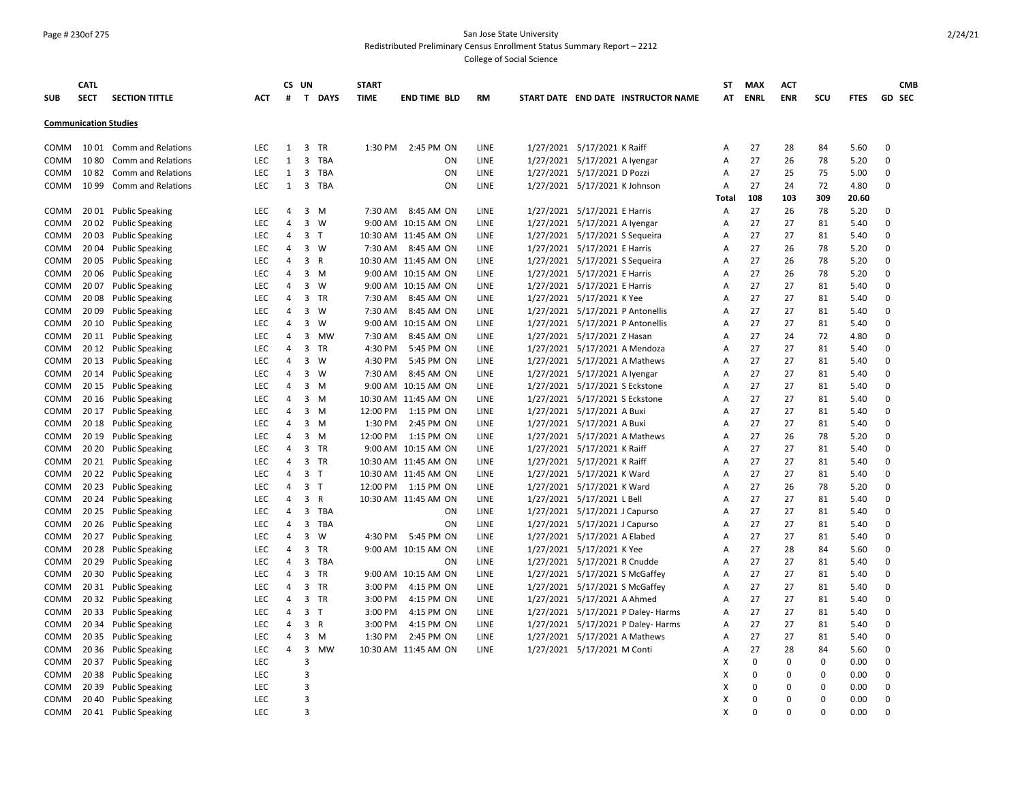#### Page # 230of 275 San Jose State University Redistributed Preliminary Census Enrollment Status Summary Report – 2212

|                              | <b>CATL</b> |                           |            |                | CS UN          |              | <b>START</b> |                      |           |                                     | ST    | <b>MAX</b> | <b>ACT</b>  |             |             | <b>CMB</b>    |
|------------------------------|-------------|---------------------------|------------|----------------|----------------|--------------|--------------|----------------------|-----------|-------------------------------------|-------|------------|-------------|-------------|-------------|---------------|
| <b>SUB</b>                   | <b>SECT</b> | <b>SECTION TITTLE</b>     | ACT        | #              |                | T DAYS       | <b>TIME</b>  | <b>END TIME BLD</b>  | <b>RM</b> | START DATE END DATE INSTRUCTOR NAME |       | AT ENRL    | <b>ENR</b>  | scu         | <b>FTES</b> | <b>GD SEC</b> |
|                              |             |                           |            |                |                |              |              |                      |           |                                     |       |            |             |             |             |               |
| <b>Communication Studies</b> |             |                           |            |                |                |              |              |                      |           |                                     |       |            |             |             |             |               |
| COMM                         |             | 1001 Comm and Relations   | LEC        | $\mathbf{1}$   | 3              | TR           | 1:30 PM      | 2:45 PM ON           | LINE      | 1/27/2021 5/17/2021 K Raiff         | Α     | 27         | 28          | 84          | 5.60        | 0             |
| COMM                         | 1080        | <b>Comm and Relations</b> | LEC        | $\mathbf{1}$   | $\overline{3}$ | TBA          |              | ON                   | LINE      | 1/27/2021 5/17/2021 A Iyengar       | A     | 27         | 26          | 78          | 5.20        | $\pmb{0}$     |
| COMM                         | 1082        | Comm and Relations        | <b>LEC</b> | $\mathbf{1}$   |                | 3 TBA        |              | ON                   | LINE      | 1/27/2021 5/17/2021 D Pozzi         | Α     | 27         | 25          | 75          | 5.00        | $\Omega$      |
| COMM                         | 1099        | <b>Comm and Relations</b> | <b>LEC</b> | 1              | $\mathbf{3}$   | TBA          |              | ON                   | LINE      | 1/27/2021 5/17/2021 K Johnson       | Α     | 27         | 24          | 72          | 4.80        | 0             |
|                              |             |                           |            |                |                |              |              |                      |           |                                     | Total | 108        | 103         | 309         | 20.60       |               |
| COMM                         |             | 2001 Public Speaking      | LEC        | 4              | 3              | M            | 7:30 AM      | 8:45 AM ON           | LINE      | 1/27/2021 5/17/2021 E Harris        | Α     | 27         | 26          | 78          | 5.20        | 0             |
| COMM                         | 20 02       | <b>Public Speaking</b>    | <b>LEC</b> | $\overline{4}$ | $\overline{3}$ | W            |              | 9:00 AM 10:15 AM ON  | LINE      | 1/27/2021 5/17/2021 A Iyengar       | Α     | 27         | 27          | 81          | 5.40        | $\Omega$      |
| COMM                         |             | 2003 Public Speaking      | LEC        | 4              | 3 <sub>T</sub> |              |              | 10:30 AM 11:45 AM ON | LINE      | 1/27/2021 5/17/2021 S Sequeira      | Α     | 27         | 27          | 81          | 5.40        | $\Omega$      |
| COMM                         |             | 20 04 Public Speaking     | <b>LEC</b> | $\overline{4}$ |                | $3 \quad W$  | 7:30 AM      | 8:45 AM ON           | LINE      | 1/27/2021 5/17/2021 E Harris        | Α     | 27         | 26          | 78          | 5.20        | $\Omega$      |
| COMM                         |             | 2005 Public Speaking      | <b>LEC</b> | $\overline{4}$ | 3 R            |              |              | 10:30 AM 11:45 AM ON | LINE      | 1/27/2021 5/17/2021 S Sequeira      | A     | 27         | 26          | 78          | 5.20        | $\mathbf 0$   |
| COMM                         | 2006        | <b>Public Speaking</b>    | LEC        | $\overline{4}$ |                | $3 \, M$     |              | 9:00 AM 10:15 AM ON  | LINE      | 1/27/2021 5/17/2021 E Harris        | Α     | 27         | 26          | 78          | 5.20        | 0             |
| COMM                         |             | 20 07 Public Speaking     | <b>LEC</b> | $\overline{4}$ |                | $3 \quad W$  |              | 9:00 AM 10:15 AM ON  | LINE      | 1/27/2021 5/17/2021 E Harris        | Α     | 27         | 27          | 81          | 5.40        | $\Omega$      |
| COMM                         | 2008        | <b>Public Speaking</b>    | <b>LEC</b> | 4              |                | 3 TR         | 7:30 AM      | 8:45 AM ON           | LINE      | 1/27/2021 5/17/2021 K Yee           | A     | 27         | 27          | 81          | 5.40        | $\Omega$      |
| COMM                         | 2009        | <b>Public Speaking</b>    | <b>LEC</b> | $\overline{4}$ | $\overline{3}$ | W            | 7:30 AM      | 8:45 AM ON           | LINE      | 1/27/2021 5/17/2021 P Antonellis    | A     | 27         | 27          | 81          | 5.40        | $\Omega$      |
| COMM                         | 20 10       | <b>Public Speaking</b>    | <b>LEC</b> | 4              | 3              | W            |              | 9:00 AM 10:15 AM ON  | LINE      | 1/27/2021 5/17/2021 P Antonellis    | Α     | 27         | 27          | 81          | 5.40        | $\Omega$      |
| COMM                         |             | 2011 Public Speaking      | <b>LEC</b> | 4              |                | 3 MW         | 7:30 AM      | 8:45 AM ON           | LINE      | 1/27/2021 5/17/2021 Z Hasan         | A     | 27         | 24          | 72          | 4.80        | 0             |
| COMM                         |             | 2012 Public Speaking      | LEC        | $\overline{4}$ |                | 3 TR         | 4:30 PM      | 5:45 PM ON           | LINE      | 1/27/2021 5/17/2021 A Mendoza       | Α     | 27         | 27          | 81          | 5.40        | 0             |
| COMM                         |             | 2013 Public Speaking      | <b>LEC</b> | 4              |                | $3 \quad W$  | 4:30 PM      | 5:45 PM ON           | LINE      | 1/27/2021 5/17/2021 A Mathews       | Α     | 27         | 27          | 81          | 5.40        | 0             |
| COMM                         |             | 2014 Public Speaking      | <b>LEC</b> | $\overline{4}$ | $\overline{3}$ | W            | 7:30 AM      | 8:45 AM ON           | LINE      | 1/27/2021 5/17/2021 A Iyengar       | Α     | 27         | 27          | 81          | 5.40        | 0             |
| COMM                         |             | 2015 Public Speaking      | <b>LEC</b> | 4              |                | $3 \, M$     |              | 9:00 AM 10:15 AM ON  | LINE      | 1/27/2021 5/17/2021 S Eckstone      | Α     | 27         | 27          | 81          | 5.40        | $\Omega$      |
| COMM                         |             | 2016 Public Speaking      | LEC        | 4              |                | $3 \, M$     |              | 10:30 AM 11:45 AM ON | LINE      | 1/27/2021 5/17/2021 S Eckstone      | Α     | 27         | 27          | 81          | 5.40        | $\Omega$      |
| COMM                         |             | 2017 Public Speaking      | LEC        | 4              |                | $3 \, M$     | 12:00 PM     | 1:15 PM ON           | LINE      | 1/27/2021 5/17/2021 A Buxi          | Α     | 27         | 27          | 81          | 5.40        | $\Omega$      |
| COMM                         |             | 2018 Public Speaking      | <b>LEC</b> | 4              |                | $3 \, M$     | 1:30 PM      | 2:45 PM ON           | LINE      | 1/27/2021 5/17/2021 A Buxi          | A     | 27         | 27          | 81          | 5.40        | $\Omega$      |
| COMM                         |             | 2019 Public Speaking      | <b>LEC</b> | 4              |                | $3 \, M$     | 12:00 PM     | 1:15 PM ON           | LINE      | 1/27/2021 5/17/2021 A Mathews       | A     | 27         | 26          | 78          | 5.20        | $\Omega$      |
| COMM                         |             | 20 20 Public Speaking     | LEC        | $\overline{4}$ |                | 3 TR         |              | 9:00 AM 10:15 AM ON  | LINE      | 1/27/2021 5/17/2021 K Raiff         | A     | 27         | 27          | 81          | 5.40        | 0             |
| COMM                         |             | 20 21 Public Speaking     | LEC        | 4              |                | 3 TR         |              | 10:30 AM 11:45 AM ON | LINE      | 1/27/2021 5/17/2021 K Raiff         | Α     | 27         | 27          | 81          | 5.40        | $\Omega$      |
| COMM                         |             | 2022 Public Speaking      | LEC        | $\overline{4}$ | 3 <sub>T</sub> |              |              | 10:30 AM 11:45 AM ON | LINE      | 1/27/2021 5/17/2021 K Ward          | A     | 27         | 27          | 81          | 5.40        | $\Omega$      |
| COMM                         | 20 23       | <b>Public Speaking</b>    | <b>LEC</b> | 4              | 3 <sub>1</sub> |              |              | 12:00 PM 1:15 PM ON  | LINE      | 1/27/2021 5/17/2021 K Ward          | A     | 27         | 26          | 78          | 5.20        | $\Omega$      |
| COMM                         |             | 20 24 Public Speaking     | <b>LEC</b> | 4              | 3 <sup>1</sup> | R            |              | 10:30 AM 11:45 AM ON | LINE      | 1/27/2021 5/17/2021 L Bell          | A     | 27         | 27          | 81          | 5.40        | $\Omega$      |
| COMM                         | 20 25       | <b>Public Speaking</b>    | <b>LEC</b> | 4              | 3              | <b>TBA</b>   |              | ON                   | LINE      | 1/27/2021 5/17/2021 J Capurso       | A     | 27         | 27          | 81          | 5.40        | $\Omega$      |
| COMM                         | 20 26       | <b>Public Speaking</b>    | LEC        | 4              |                | 3 TBA        |              | ON                   | LINE      | 1/27/2021 5/17/2021 J Capurso       | A     | 27         | 27          | 81          | 5.40        | 0             |
| COMM                         | 20 27       | <b>Public Speaking</b>    | LEC        | $\overline{4}$ | 3              | W            | 4:30 PM      | 5:45 PM ON           | LINE      | 1/27/2021 5/17/2021 A Elabed        | A     | 27         | 27          | 81          | 5.40        | 0             |
| COMM                         | 20 28       | <b>Public Speaking</b>    | LEC        | 4              |                | 3 TR         |              | 9:00 AM 10:15 AM ON  | LINE      | 1/27/2021 5/17/2021 K Yee           | Α     | 27         | 28          | 84          | 5.60        | 0             |
| COMM                         | 20 29       | <b>Public Speaking</b>    | <b>LEC</b> | $\overline{4}$ | 3              | TBA          |              | ON                   | LINE      | 1/27/2021 5/17/2021 R Cnudde        | A     | 27         | 27          | 81          | 5.40        | $\Omega$      |
| COMM                         |             | 20 30 Public Speaking     | LEC        | 4              | $\overline{3}$ | TR           |              | 9:00 AM 10:15 AM ON  | LINE      | 1/27/2021 5/17/2021 S McGaffey      | Α     | 27         | 27          | 81          | 5.40        | 0             |
| COMM                         |             | 20 31 Public Speaking     | <b>LEC</b> | $\overline{4}$ | 3              | TR           | 3:00 PM      | 4:15 PM ON           | LINE      | 1/27/2021 5/17/2021 S McGaffey      | A     | 27         | 27          | 81          | 5.40        | $\Omega$      |
| COMM                         |             | 20 32 Public Speaking     | LEC        | $\overline{4}$ |                | 3 TR         | 3:00 PM      | 4:15 PM ON           | LINE      | 1/27/2021 5/17/2021 A Ahmed         | Α     | 27         | 27          | 81          | 5.40        | $\Omega$      |
| COMM                         |             | 20 33 Public Speaking     | <b>LEC</b> | $\overline{4}$ | 3 <sub>1</sub> |              | 3:00 PM      | 4:15 PM ON           | LINE      | 1/27/2021 5/17/2021 P Daley- Harms  | A     | 27         | 27          | 81          | 5.40        | $\Omega$      |
| COMM                         |             | 20 34 Public Speaking     | LEC        | $\overline{4}$ | 3 <sup>1</sup> | $\mathsf{R}$ | 3:00 PM      | 4:15 PM ON           | LINE      | 1/27/2021 5/17/2021 P Daley- Harms  | А     | 27         | 27          | 81          | 5.40        | $\Omega$      |
| COMM                         |             | 20 35 Public Speaking     | <b>LEC</b> | $\overline{4}$ | $\overline{3}$ | M            | 1:30 PM      | 2:45 PM ON           | LINE      | 1/27/2021 5/17/2021 A Mathews       | Α     | 27         | 27          | 81          | 5.40        | $\Omega$      |
| COMM                         |             | 20 36 Public Speaking     | <b>LEC</b> | $\overline{4}$ | 3              | <b>MW</b>    |              | 10:30 AM 11:45 AM ON | LINE      | 1/27/2021 5/17/2021 M Conti         | A     | 27         | 28          | 84          | 5.60        | $\Omega$      |
| COMM                         |             | 20 37 Public Speaking     | <b>LEC</b> |                | $\overline{3}$ |              |              |                      |           |                                     | x     | 0          | $\mathbf 0$ | $\mathbf 0$ | 0.00        | $\Omega$      |
| COMM                         | 20 38       | <b>Public Speaking</b>    | LEC        |                | $\overline{3}$ |              |              |                      |           |                                     | X     | $\Omega$   | 0           | $\mathbf 0$ | 0.00        | 0             |
| COMM                         | 20 39       | <b>Public Speaking</b>    | LEC        |                | 3              |              |              |                      |           |                                     | x     | $\Omega$   | $\mathbf 0$ | 0           | 0.00        | $\Omega$      |
| COMM                         | 20 40       | <b>Public Speaking</b>    | LEC        |                | 3              |              |              |                      |           |                                     | X     | $\Omega$   | $\mathbf 0$ | $\mathbf 0$ | 0.00        | $\pmb{0}$     |
| COMM                         | 2041        | <b>Public Speaking</b>    | LEC        |                | 3              |              |              |                      |           |                                     | X     | $\Omega$   | $\Omega$    | $\Omega$    | 0.00        | $\Omega$      |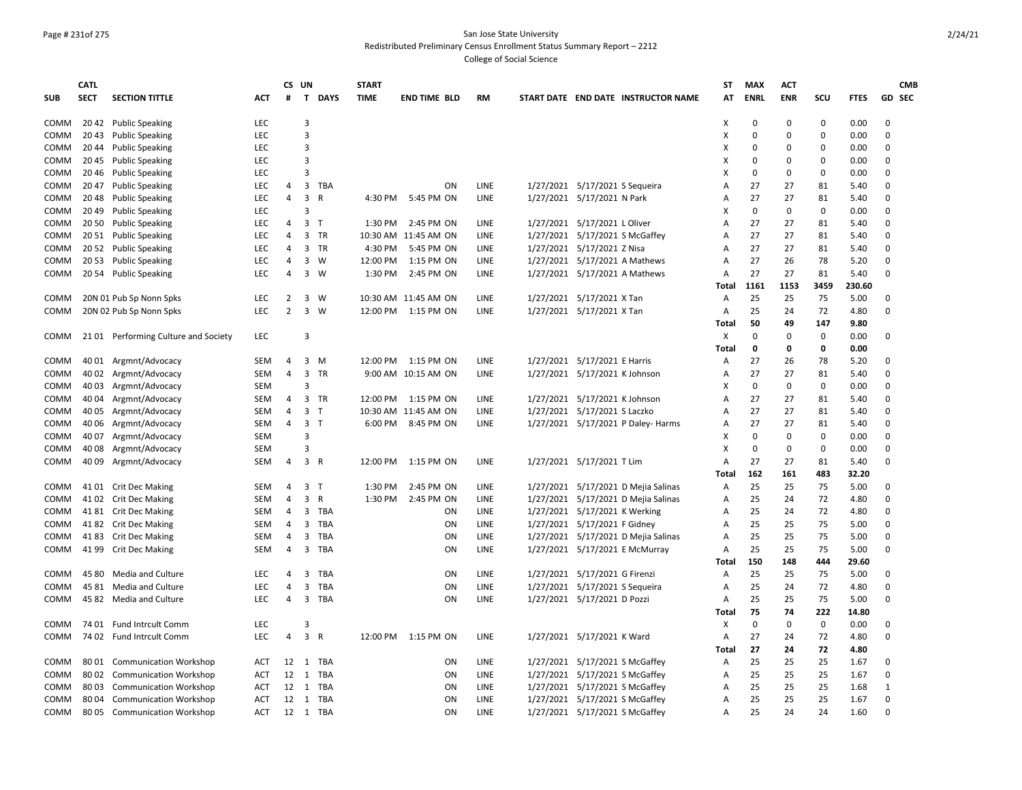#### Page # 231of 275 San Jose State University Redistributed Preliminary Census Enrollment Status Summary Report – 2212

|             | <b>CATL</b> |                                     |            |                | CS UN          |              | <b>START</b> |                       |           |                                     | ST         | <b>MAX</b>  | <b>ACT</b>  |             |               | <b>CMB</b>   |
|-------------|-------------|-------------------------------------|------------|----------------|----------------|--------------|--------------|-----------------------|-----------|-------------------------------------|------------|-------------|-------------|-------------|---------------|--------------|
| <b>SUB</b>  | <b>SECT</b> | <b>SECTION TITTLE</b>               | <b>ACT</b> | #              |                | T DAYS       | <b>TIME</b>  | <b>END TIME BLD</b>   | <b>RM</b> | START DATE END DATE INSTRUCTOR NAME | AT         | <b>ENRL</b> | <b>ENR</b>  | scu         | <b>FTES</b>   | GD SEC       |
| COMM        |             | 2042 Public Speaking                | <b>LEC</b> |                | 3              |              |              |                       |           |                                     | х          | 0           | 0           | 0           | 0.00          | $\Omega$     |
| COMM        |             | 2043 Public Speaking                | LEC        |                | $\overline{3}$ |              |              |                       |           |                                     | X          | $\Omega$    | $\Omega$    | $\Omega$    | 0.00          | $\Omega$     |
| COMM        |             | 2044 Public Speaking                | <b>LEC</b> |                | $\overline{3}$ |              |              |                       |           |                                     | х          | $\Omega$    | 0           | 0           | 0.00          | $\Omega$     |
| COMM        |             | 2045 Public Speaking                | LEC        |                | 3              |              |              |                       |           |                                     | х          | 0           | 0           | $\Omega$    | 0.00          | $\Omega$     |
| COMM        |             | 20 46 Public Speaking               | LEC        |                | $\overline{3}$ |              |              |                       |           |                                     | X          | 0           | $\Omega$    | $\mathbf 0$ | 0.00          | $\Omega$     |
| COMM        |             | 20 47 Public Speaking               | LEC        | 4              | 3              | TBA          |              | ON                    | LINE      | 1/27/2021 5/17/2021 S Sequeira      | А          | 27          | 27          | 81          | 5.40          | $\Omega$     |
| COMM        |             | 20 48 Public Speaking               | LEC        | $\overline{4}$ | $\overline{3}$ | $\mathsf{R}$ | 4:30 PM      | 5:45 PM ON            | LINE      | 1/27/2021 5/17/2021 N Park          | А          | 27          | 27          | 81          | 5.40          | $\Omega$     |
| COMM        |             | 2049 Public Speaking                | <b>LEC</b> |                | $\overline{3}$ |              |              |                       |           |                                     | x          | 0           | $\mathbf 0$ | $\Omega$    | 0.00          | $\Omega$     |
| COMM        |             | 20 50 Public Speaking               | <b>LEC</b> | 4              | 3              | $\top$       | 1:30 PM      | 2:45 PM ON            | LINE      | 1/27/2021 5/17/2021 L Oliver        | A          | 27          | 27          | 81          | 5.40          | $\Omega$     |
| COMM        |             | 2051 Public Speaking                | <b>LEC</b> | 4              |                | 3 TR         |              | 10:30 AM 11:45 AM ON  | LINE      | 1/27/2021 5/17/2021 S McGaffey      | A          | 27          | 27          | 81          | 5.40          | $\Omega$     |
| COMM        |             | 20 52 Public Speaking               | <b>LEC</b> | 4              |                | 3 TR         | 4:30 PM      | 5:45 PM ON            | LINE      | 1/27/2021 5/17/2021 Z Nisa          | A          | 27          | 27          | 81          | 5.40          | $\Omega$     |
| COMM        |             | 2053 Public Speaking                | <b>LEC</b> | 4              |                | $3 \quad W$  | 12:00 PM     | 1:15 PM ON            | LINE      | 1/27/2021 5/17/2021 A Mathews       | A          | 27          | 26          | 78          | 5.20          | $\mathbf 0$  |
| COMM        |             | 2054 Public Speaking                | LEC        | 4              | $\overline{3}$ | W            | 1:30 PM      | 2:45 PM ON            | LINE      | 1/27/2021 5/17/2021 A Mathews       | Α          | 27          | 27          | 81          | 5.40          | $\Omega$     |
|             |             |                                     |            |                |                |              |              |                       |           |                                     | Total      | 1161        | 1153        | 3459        | 230.60        |              |
| COMM        |             | 20N 01 Pub Sp Nonn Spks             | <b>LEC</b> | 2              |                | $3 \quad W$  |              | 10:30 AM 11:45 AM ON  | LINE      | 1/27/2021 5/17/2021 X Tan           | Α          | 25          | 25          | 75          | 5.00          | $\Omega$     |
| COMM        |             | 20N 02 Pub Sp Nonn Spks             | LEC        | $\overline{2}$ |                | $3 \quad W$  | 12:00 PM     | 1:15 PM ON            | LINE      | 1/27/2021 5/17/2021 X Tan           | Α          | 25          | 24          | 72          | 4.80          | $\Omega$     |
|             |             |                                     |            |                |                |              |              |                       |           |                                     | Total      | 50          | 49          | 147         | 9.80          |              |
| COMM        |             | 2101 Performing Culture and Society | <b>LEC</b> |                | $\overline{3}$ |              |              |                       |           |                                     | x          | $\Omega$    | $\mathbf 0$ | $\mathbf 0$ | 0.00          | $\Omega$     |
|             |             |                                     |            |                |                |              |              |                       |           |                                     | Total      | 0           | 0           | 0           | 0.00          |              |
| COMM        |             | 40 01 Argmnt/Advocacy               | <b>SEM</b> | 4              |                | $3 \, M$     |              | 12:00 PM 1:15 PM ON   | LINE      | 1/27/2021 5/17/2021 E Harris        | A          | 27          | 26          | 78          | 5.20          | $\Omega$     |
| COMM        |             | 40 02 Argmnt/Advocacy               | <b>SEM</b> | $\overline{4}$ |                | 3 TR         |              | 9:00 AM 10:15 AM ON   | LINE      | 1/27/2021 5/17/2021 K Johnson       | А          | 27          | 27          | 81          | 5.40          | $\Omega$     |
| COMM        |             | 40 03 Argmnt/Advocacy               | <b>SEM</b> |                | $\overline{3}$ |              |              |                       |           |                                     | x          | $\Omega$    | $\mathbf 0$ | 0           | 0.00          | $\Omega$     |
| COMM        |             | 40 04 Argmnt/Advocacy               | SEM        | $\overline{4}$ |                | 3 TR         |              | 12:00 PM   1:15 PM ON | LINE      | 1/27/2021 5/17/2021 K Johnson       | A          | 27          | 27          | 81          | 5.40          | $\Omega$     |
| COMM        |             | 40 05 Argmnt/Advocacy               | <b>SEM</b> | 4              | 3              | $\top$       |              | 10:30 AM 11:45 AM ON  | LINE      | 1/27/2021 5/17/2021 S Laczko        | A          | 27          | 27          | 81          | 5.40          | $\Omega$     |
| COMM        |             | 40 06 Argmnt/Advocacy               | SEM        | 4              | 3 <sub>1</sub> |              | 6:00 PM      | 8:45 PM ON            | LINE      | 1/27/2021 5/17/2021 P Daley- Harms  | A          | 27          | 27          | 81          | 5.40          | $\Omega$     |
| COMM        | 40 07       | Argmnt/Advocacy                     | <b>SEM</b> |                | 3              |              |              |                       |           |                                     | X          | 0           | 0           | $\Omega$    | 0.00          | $\Omega$     |
| COMM        | 40 08       | Argmnt/Advocacy                     | <b>SEM</b> |                | $\overline{3}$ |              |              |                       |           |                                     | X          | 0           | 0           | $\Omega$    | 0.00          | $\Omega$     |
| COMM        | 40 09       | Argmnt/Advocacy                     | SEM        | 4              | 3 R            |              | 12:00 PM     | 1:15 PM ON            | LINE      | 1/27/2021 5/17/2021 T Lim           | A<br>Total | 27<br>162   | 27<br>161   | 81<br>483   | 5.40<br>32.20 | $\Omega$     |
| COMM        |             | 41 01 Crit Dec Making               | SEM        | $\overline{4}$ | 3 <sub>1</sub> |              | 1:30 PM      | 2:45 PM ON            | LINE      | 1/27/2021 5/17/2021 D Mejia Salinas | Α          | 25          | 25          | 75          | 5.00          | $\Omega$     |
| COMM        |             | 41 02 Crit Dec Making               | <b>SEM</b> | 4              | 3 R            |              | 1:30 PM      | 2:45 PM ON            | LINE      | 1/27/2021 5/17/2021 D Mejia Salinas | Α          | 25          | 24          | 72          | 4.80          | $\Omega$     |
| COMM        |             | 4181 Crit Dec Making                | SEM        | 4              |                | 3 TBA        |              | ON                    | LINE      | 1/27/2021 5/17/2021 K Werking       | Α          | 25          | 24          | 72          | 4.80          | $\Omega$     |
| COMM        |             | 4182 Crit Dec Making                | <b>SEM</b> | 4              |                | 3 TBA        |              | ON                    | LINE      | 1/27/2021 5/17/2021 F Gidney        | Α          | 25          | 25          | 75          | 5.00          | $\Omega$     |
| COMM        |             | 4183 Crit Dec Making                | <b>SEM</b> | 4              |                | 3 TBA        |              | ON                    | LINE      | 1/27/2021 5/17/2021 D Mejia Salinas | A          | 25          | 25          | 75          | 5.00          | $\Omega$     |
| COMM        |             | 41 99 Crit Dec Making               | <b>SEM</b> | 4              |                | 3 TBA        |              | ON                    | LINE      | 1/27/2021 5/17/2021 E McMurray      | Α          | 25          | 25          | 75          | 5.00          | $\Omega$     |
|             |             |                                     |            |                |                |              |              |                       |           |                                     | Total      | 150         | 148         | 444         | 29.60         |              |
| COMM        | 45 80       | Media and Culture                   | <b>LEC</b> | $\overline{4}$ | 3              | TBA          |              | ON                    | LINE      | 1/27/2021 5/17/2021 G Firenzi       | Α          | 25          | 25          | 75          | 5.00          | $\Omega$     |
| <b>COMM</b> |             | 45 81 Media and Culture             | <b>LEC</b> | 4              | $\mathbf{3}$   | TBA          |              | ON                    | LINE      | 1/27/2021 5/17/2021 S Sequeira      | Α          | 25          | 24          | 72          | 4.80          | $\Omega$     |
| COMM        |             | 45 82 Media and Culture             | <b>LEC</b> | 4              |                | 3 TBA        |              | <b>ON</b>             | LINE      | 1/27/2021 5/17/2021 D Pozzi         | Α          | 25          | 25          | 75          | 5.00          | $\Omega$     |
|             |             |                                     |            |                |                |              |              |                       |           |                                     | Total      | 75          | 74          | 222         | 14.80         |              |
| COMM        | 74 01       | <b>Fund Intrcult Comm</b>           | LEC        |                | 3              |              |              |                       |           |                                     | X          | $\mathbf 0$ | 0           | $\mathsf 0$ | 0.00          | 0            |
| COMM        |             | 74 02 Fund Intrcult Comm            | LEC        | $\overline{4}$ | 3 R            |              |              | 12:00 PM 1:15 PM ON   | LINE      | 1/27/2021 5/17/2021 K Ward          | Α          | 27          | 24          | 72          | 4.80          | $\Omega$     |
|             |             |                                     |            |                |                |              |              |                       |           |                                     | Total      | 27          | 24          | 72          | 4.80          |              |
| COMM        |             | 80 01 Communication Workshop        | ACT        | 12             | 1              | TBA          |              | ON                    | LINE      | 1/27/2021 5/17/2021 S McGaffey      | Α          | 25          | 25          | 25          | 1.67          | 0            |
| COMM        | 8002        | <b>Communication Workshop</b>       | <b>ACT</b> | 12             | 1              | TBA          |              | ON                    | LINE      | 1/27/2021 5/17/2021 S McGaffey      | A          | 25          | 25          | 25          | 1.67          | $\Omega$     |
| COMM        | 8003        | <b>Communication Workshop</b>       | <b>ACT</b> | 12             |                | 1 TBA        |              | ON                    | LINE      | 1/27/2021 5/17/2021 S McGaffey      | Α          | 25          | 25          | 25          | 1.68          | $\mathbf{1}$ |
| <b>COMM</b> | 80 04       | <b>Communication Workshop</b>       | <b>ACT</b> | 12             |                | 1 TBA        |              | ON                    | LINE      | 1/27/2021 5/17/2021 S McGaffey      | A          | 25          | 25          | 25          | 1.67          | $\Omega$     |
| COMM        | 8005        | <b>Communication Workshop</b>       | <b>ACT</b> | 12             |                | 1 TBA        |              | ON                    | LINE      | 1/27/2021 5/17/2021 S McGaffey      | Α          | 25          | 24          | 24          | 1.60          | $\Omega$     |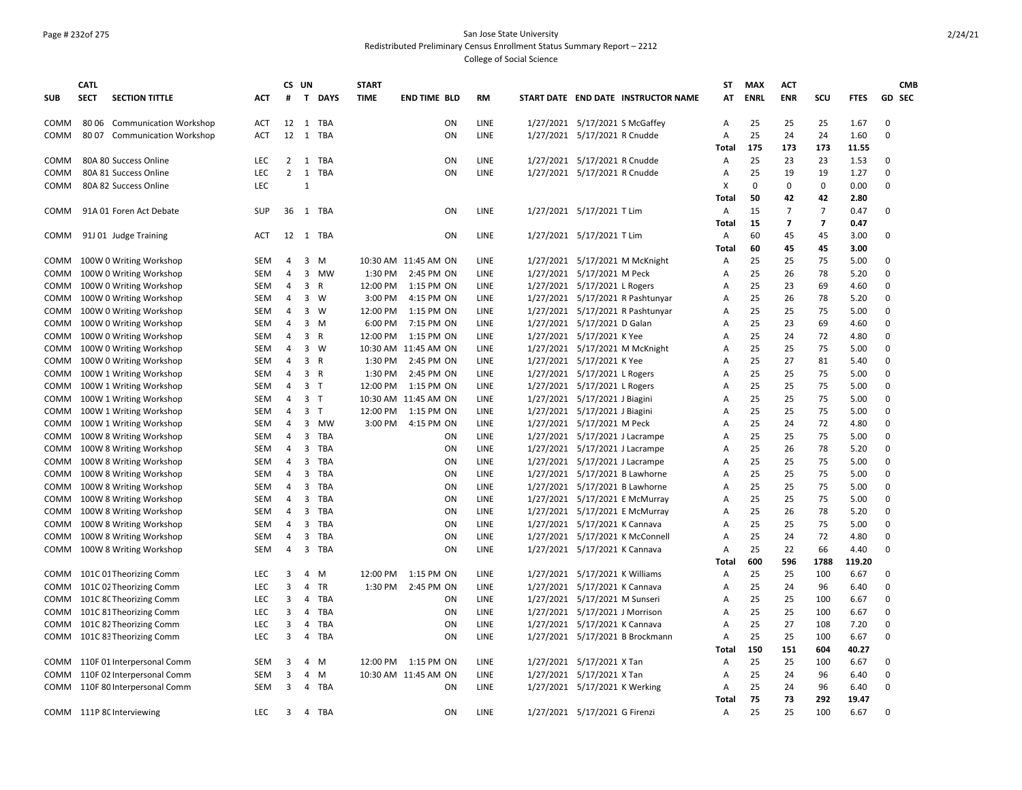## Page # 232of 275 San Jose State University Redistributed Preliminary Census Enrollment Status Summary Report – 2212

|            | <b>CATL</b> |                              |            | CS UN          |                         |             | <b>START</b> |                      |             |                                |                                     | ST             | <b>MAX</b>  | <b>ACT</b>              |                         |             | <b>CMB</b>    |
|------------|-------------|------------------------------|------------|----------------|-------------------------|-------------|--------------|----------------------|-------------|--------------------------------|-------------------------------------|----------------|-------------|-------------------------|-------------------------|-------------|---------------|
| <b>SUB</b> | <b>SECT</b> | <b>SECTION TITTLE</b>        | <b>ACT</b> | #              |                         | T DAYS      | <b>TIME</b>  | <b>END TIME BLD</b>  | RM          |                                | START DATE END DATE INSTRUCTOR NAME | AT             | <b>ENRL</b> | <b>ENR</b>              | scu                     | <b>FTES</b> | <b>GD SEC</b> |
| COMM       |             | 80 06 Communication Workshop | <b>ACT</b> | 12             |                         | 1 TBA       |              | ON                   | LINE        |                                | 1/27/2021 5/17/2021 S McGaffey      | Α              | 25          | 25                      | 25                      | 1.67        | 0             |
| COMM       |             | 8007 Communication Workshop  | ACT        | 12             | 1                       | TBA         |              | ON                   | LINE        | 1/27/2021 5/17/2021 R Cnudde   |                                     | Α              | 25          | 24                      | 24                      | 1.60        | $\mathbf 0$   |
|            |             |                              |            |                |                         |             |              |                      |             |                                |                                     | Total          | 175         | 173                     | 173                     | 11.55       |               |
| COMM       |             | 80A 80 Success Online        | <b>LEC</b> | $\overline{2}$ | 1                       | <b>TBA</b>  |              | ON                   | LINE        | 1/27/2021 5/17/2021 R Cnudde   |                                     | A              | 25          | 23                      | 23                      | 1.53        | 0             |
| COMM       |             | 80A 81 Success Online        | LEC        | $\overline{2}$ | $\mathbf{1}$            | TBA         |              | ON                   | LINE        | 1/27/2021 5/17/2021 R Cnudde   |                                     | A              | 25          | 19                      | 19                      | 1.27        | $\mathbf 0$   |
| COMM       |             | 80A 82 Success Online        | <b>LEC</b> |                | $\mathbf{1}$            |             |              |                      |             |                                |                                     | X              | $\Omega$    | $\mathbf 0$             | $\mathbf 0$             | 0.00        | $\mathbf 0$   |
|            |             |                              |            |                |                         |             |              |                      |             |                                |                                     | Total          | 50          | 42                      | 42                      | 2.80        |               |
| COMM       |             | 91A 01 Foren Act Debate      | SUP        | 36             |                         | 1 TBA       |              | ON                   | LINE        | 1/27/2021 5/17/2021 T Lim      |                                     | A              | 15          | 7                       | $\overline{7}$          | 0.47        | 0             |
|            |             |                              |            |                |                         |             |              |                      |             |                                |                                     | Total          | 15          | $\overline{\mathbf{z}}$ | $\overline{\mathbf{z}}$ | 0.47        |               |
| COMM       |             | 91J 01 Judge Training        | <b>ACT</b> |                |                         | 12 1 TBA    |              | ON                   | LINE        | 1/27/2021 5/17/2021 T Lim      |                                     | Α              | 60          | 45                      | 45                      | 3.00        | $\Omega$      |
|            |             |                              |            |                |                         |             |              |                      |             |                                |                                     | Total          | 60          | 45                      | 45                      | 3.00        |               |
| COMM       |             | 100W 0 Writing Workshop      | SEM        | 4              |                         | 3 M         |              | 10:30 AM 11:45 AM ON | LINE        |                                | 1/27/2021 5/17/2021 M McKnight      | Α              | 25          | 25                      | 75                      | 5.00        | $\mathbf 0$   |
| COMM       |             | 100W 0 Writing Workshop      | <b>SEM</b> | 4              | 3                       | MW          | 1:30 PM      | 2:45 PM ON           | <b>LINE</b> | 1/27/2021 5/17/2021 M Peck     |                                     | $\overline{A}$ | 25          | 26                      | 78                      | 5.20        | $\mathbf 0$   |
| COMM       |             | 100W 0 Writing Workshop      | SEM        | 4              | 3 R                     |             | 12:00 PM     | 1:15 PM ON           | LINE        | 1/27/2021 5/17/2021 L Rogers   |                                     | Α              | 25          | 23                      | 69                      | 4.60        | 0             |
| COMM       |             | 100W 0 Writing Workshop      | <b>SEM</b> | 4              | $\overline{3}$          | W           | 3:00 PM      | 4:15 PM ON           | LINE        |                                | 1/27/2021 5/17/2021 R Pashtunyar    | $\overline{A}$ | 25          | 26                      | 78                      | 5.20        | $\mathbf 0$   |
| COMM       |             | 100W 0 Writing Workshop      | <b>SEM</b> | 4              |                         | $3 \quad W$ | 12:00 PM     | 1:15 PM ON           | LINE        |                                | 1/27/2021 5/17/2021 R Pashtunyar    | Α              | 25          | 25                      | 75                      | 5.00        | 0             |
| COMM       |             | 100W 0 Writing Workshop      | <b>SEM</b> | 4              |                         | $3 \, M$    | 6:00 PM      | 7:15 PM ON           | LINE        | 1/27/2021 5/17/2021 D Galan    |                                     | $\overline{A}$ | 25          | 23                      | 69                      | 4.60        | $\mathbf 0$   |
| COMM       |             | 100W 0 Writing Workshop      | <b>SEM</b> | 4              | 3 R                     |             | 12:00 PM     | 1:15 PM ON           | LINE        | 1/27/2021 5/17/2021 K Yee      |                                     | $\overline{A}$ | 25          | 24                      | 72                      | 4.80        | 0             |
| COMM       |             | 100W 0 Writing Workshop      | <b>SEM</b> | 4              |                         | 3 W         |              | 10:30 AM 11:45 AM ON | LINE        |                                | 1/27/2021 5/17/2021 M McKnight      | A              | 25          | 25                      | 75                      | 5.00        | 0             |
| COMM       |             | 100W 0 Writing Workshop      | <b>SEM</b> | 4              | 3 R                     |             | 1:30 PM      | 2:45 PM ON           | LINE        | 1/27/2021 5/17/2021 K Yee      |                                     | Α              | 25          | 27                      | 81                      | 5.40        | $\mathbf 0$   |
| COMM       |             | 100W 1 Writing Workshop      | <b>SEM</b> | 4              | 3 R                     |             | 1:30 PM      | 2:45 PM ON           | LINE        | 1/27/2021 5/17/2021 L Rogers   |                                     | A              | 25          | 25                      | 75                      | 5.00        | 0             |
| COMM       |             | 100W 1 Writing Workshop      | <b>SEM</b> | 4              | 3 <sub>1</sub>          |             | 12:00 PM     | 1:15 PM ON           | LINE        | 1/27/2021 5/17/2021 L Rogers   |                                     | A              | 25          | 25                      | 75                      | 5.00        | $\mathbf 0$   |
| COMM       |             | 100W 1 Writing Workshop      | <b>SEM</b> | 4              | 3 <sub>7</sub>          |             |              | 10:30 AM 11:45 AM ON | LINE        | 1/27/2021 5/17/2021 J Biagini  |                                     | Α              | 25          | 25                      | 75                      | 5.00        | $\mathbf 0$   |
| COMM       |             | 100W 1 Writing Workshop      | <b>SEM</b> | 4              | 3 <sub>1</sub>          |             | 12:00 PM     | 1:15 PM ON           | LINE        | 1/27/2021 5/17/2021 J Biagini  |                                     | $\overline{A}$ | 25          | 25                      | 75                      | 5.00        | $\mathbf 0$   |
| COMM       |             | 100W 1 Writing Workshop      | SEM        | 4              |                         | 3 MW        | 3:00 PM      | 4:15 PM ON           | LINE        | 1/27/2021 5/17/2021 M Peck     |                                     | A              | 25          | 24                      | 72                      | 4.80        | 0             |
| COMM       |             | 100W 8 Writing Workshop      | <b>SEM</b> | 4              | 3                       | TBA         |              | ON                   | LINE        | 1/27/2021 5/17/2021 J Lacrampe |                                     | A              | 25          | 25                      | 75                      | 5.00        | 0             |
| COMM       |             | 100W 8 Writing Workshop      | <b>SEM</b> | 4              | 3                       | TBA         |              | ON                   | LINE        | 1/27/2021 5/17/2021 J Lacrampe |                                     | A              | 25          | 26                      | 78                      | 5.20        | $\mathbf 0$   |
| COMM       |             | 100W 8 Writing Workshop      | <b>SEM</b> | 4              | 3                       | TBA         |              | ON                   | LINE        |                                | 1/27/2021 5/17/2021 J Lacrampe      | A              | 25          | 25                      | 75                      | 5.00        | 0             |
| COMM       |             | 100W 8 Writing Workshop      | SEM        | 4              | 3                       | TBA         |              | ON                   | LINE        |                                | 1/27/2021 5/17/2021 B Lawhorne      | Α              | 25          | 25                      | 75                      | 5.00        | 0             |
| COMM       |             | 100W 8 Writing Workshop      | SEM        | 4              | 3                       | TBA         |              | ON                   | LINE        |                                | 1/27/2021 5/17/2021 B Lawhorne      | A              | 25          | 25                      | 75                      | 5.00        | 0             |
| COMM       |             | 100W 8 Writing Workshop      | <b>SEM</b> | 4              | 3                       | TBA         |              | ON                   | LINE        |                                | 1/27/2021 5/17/2021 E McMurray      | $\overline{A}$ | 25          | 25                      | 75                      | 5.00        | $\mathbf 0$   |
| COMM       |             | 100W 8 Writing Workshop      | <b>SEM</b> | 4              | $\mathbf{3}$            | TBA         |              | ON                   | LINE        |                                | 1/27/2021 5/17/2021 E McMurray      | A              | 25          | 26                      | 78                      | 5.20        | 0             |
| COMM       |             | 100W 8 Writing Workshop      | <b>SEM</b> | 4              | $\overline{3}$          | <b>TBA</b>  |              | ON                   | LINE        | 1/27/2021 5/17/2021 K Cannava  |                                     | $\overline{A}$ | 25          | 25                      | 75                      | 5.00        | $\mathbf 0$   |
| COMM       |             | 100W 8 Writing Workshop      | <b>SEM</b> | 4              | $\overline{\mathbf{3}}$ | <b>TBA</b>  |              | ON                   | LINE        |                                | 1/27/2021 5/17/2021 K McConnell     | A              | 25          | 24                      | 72                      | 4.80        | $\mathbf 0$   |
| COMM       |             | 100W 8 Writing Workshop      | <b>SEM</b> | 4              |                         | 3 TBA       |              | ON                   | LINE        | 1/27/2021 5/17/2021 K Cannava  |                                     | A              | 25          | 22                      | 66                      | 4.40        | $\Omega$      |
|            |             |                              |            |                |                         |             |              |                      |             |                                |                                     | Total          | 600         | 596                     | 1788                    | 119.20      |               |
| COMM       |             | 101C 01 Theorizing Comm      | LEC        | 3              | 4                       | M           | 12:00 PM     | 1:15 PM ON           | LINE        | 1/27/2021 5/17/2021 K Williams |                                     | Α              | 25          | 25                      | 100                     | 6.67        | $\Omega$      |
| COMM       |             | 101C 02 Theorizing Comm      | LEC        | 3              | $\overline{4}$          | TR          | 1:30 PM      | 2:45 PM ON           | LINE        | 1/27/2021 5/17/2021 K Cannava  |                                     | $\overline{A}$ | 25          | 24                      | 96                      | 6.40        | $\mathbf 0$   |
| COMM       |             | 101C 8C Theorizing Comm      | LEC        | 3              | 4                       | <b>TBA</b>  |              | ON                   | LINE        | 1/27/2021 5/17/2021 M Sunseri  |                                     | A              | 25          | 25                      | 100                     | 6.67        | 0             |
| COMM       |             | 101C 81 Theorizing Comm      | LEC        | 3              | $\overline{4}$          | <b>TBA</b>  |              | ON                   | LINE        | 1/27/2021 5/17/2021 J Morrison |                                     | $\overline{A}$ | 25          | 25                      | 100                     | 6.67        | $\mathbf 0$   |
| COMM       |             | 101C 82 Theorizing Comm      | LEC        | 3              | $\overline{4}$          | <b>TBA</b>  |              | ON                   | LINE        | 1/27/2021 5/17/2021 K Cannava  |                                     | A              | 25          | 27                      | 108                     | 7.20        | 0             |
| COMM       |             | 101C 83 Theorizing Comm      | <b>LEC</b> | 3              |                         | 4 TBA       |              | ON                   | LINE        |                                | 1/27/2021 5/17/2021 B Brockmann     | Α              | 25          | 25                      | 100                     | 6.67        | 0             |
|            |             |                              |            |                |                         |             |              |                      |             |                                |                                     | Total          | 150         | 151                     | 604                     | 40.27       |               |
| COMM       |             | 110F 01 Interpersonal Comm   | <b>SEM</b> | 3              | 4                       | M           |              | 12:00 PM 1:15 PM ON  | LINE        | 1/27/2021 5/17/2021 X Tan      |                                     | $\overline{A}$ | 25          | 25                      | 100                     | 6.67        | 0             |
| COMM       |             | 110F 02 Interpersonal Comm   | <b>SEM</b> | 3              | 4                       | M           |              | 10:30 AM 11:45 AM ON | LINE        | 1/27/2021 5/17/2021 X Tan      |                                     | Α              | 25          | 24                      | 96                      | 6.40        | $\mathbf 0$   |
| COMM       |             | 110F 80 Interpersonal Comm   | <b>SEM</b> | 3              | $\overline{4}$          | <b>TBA</b>  |              | ΟN                   | LINE        | 1/27/2021 5/17/2021 K Werking  |                                     | $\overline{A}$ | 25          | 24                      | 96                      | 6.40        | $\mathbf 0$   |
|            |             |                              |            |                |                         |             |              |                      |             |                                |                                     | Total          | 75          | 73                      | 292                     | 19.47       |               |
|            |             | COMM 111P 8C Interviewing    | LEC        | 3              |                         | 4 TBA       |              | ON                   | LINE        | 1/27/2021 5/17/2021 G Firenzi  |                                     | A              | 25          | 25                      | 100                     | 6.67        | $\Omega$      |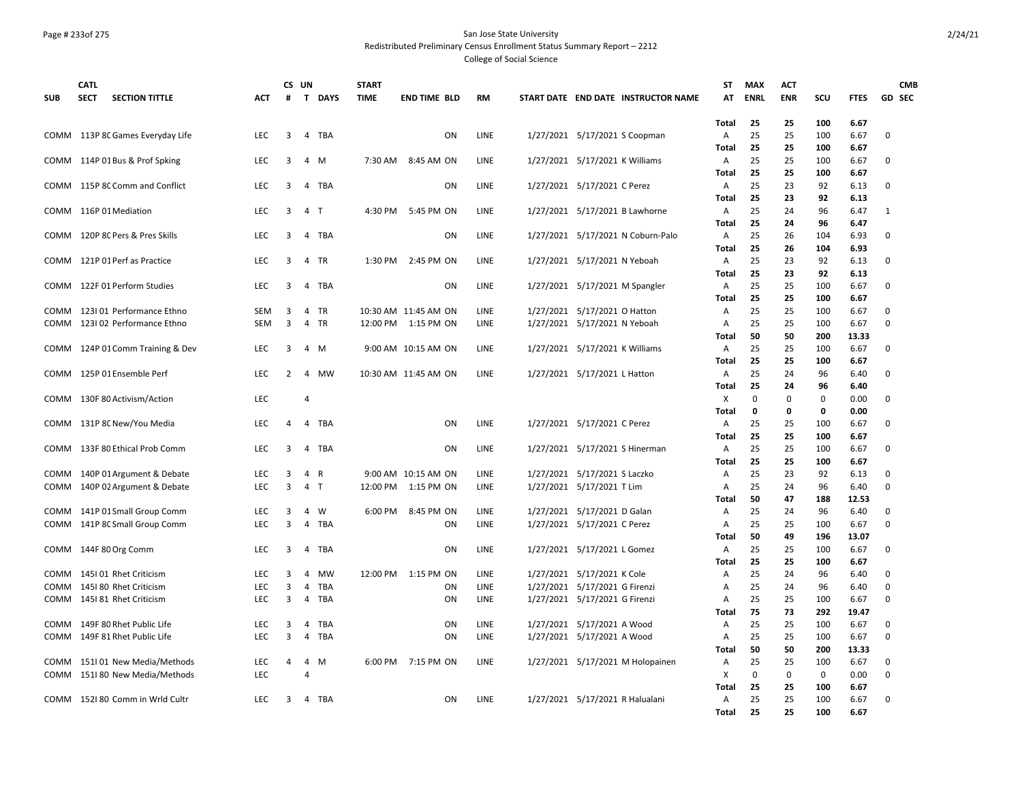### Page # 233of 275 San Jose State University Redistributed Preliminary Census Enrollment Status Summary Report – 2212

|             | <b>CATL</b>                          |            |   | CS UN          |            | <b>START</b> |                      |             |                                     | ST           | <b>MAX</b>  | <b>ACT</b> |             |             | <b>CMB</b>    |
|-------------|--------------------------------------|------------|---|----------------|------------|--------------|----------------------|-------------|-------------------------------------|--------------|-------------|------------|-------------|-------------|---------------|
| <b>SUB</b>  | <b>SECT</b><br><b>SECTION TITTLE</b> | <b>ACT</b> | # |                | T DAYS     | <b>TIME</b>  | <b>END TIME BLD</b>  | <b>RM</b>   | START DATE END DATE INSTRUCTOR NAME | AT           | <b>ENRL</b> | <b>ENR</b> | SCU         | <b>FTES</b> | <b>GD SEC</b> |
|             |                                      |            |   |                |            |              |                      |             |                                     |              |             |            |             |             |               |
|             |                                      |            |   |                |            |              |                      |             |                                     | <b>Total</b> | 25          | 25         | 100         | 6.67        |               |
| COMM        | 113P 8C Games Everyday Life          | <b>LEC</b> | 3 | 4              | TBA        |              | <b>ON</b>            | LINE        | 1/27/2021 5/17/2021 S Coopman       | Α            | 25          | 25         | 100         | 6.67        | $\Omega$      |
|             |                                      |            |   |                |            |              |                      |             |                                     | Total        | 25          | 25         | 100         | 6.67        |               |
| COMM        | 114P 01 Bus & Prof Spking            | LEC        | 3 | 4              | M          | 7:30 AM      | 8:45 AM ON           | LINE        | 1/27/2021 5/17/2021 K Williams      | Α            | 25          | 25         | 100         | 6.67        | 0             |
|             |                                      |            |   |                |            |              |                      |             |                                     | Total        | 25          | 25         | 100         | 6.67        |               |
|             | COMM 115P 8C Comm and Conflict       | LEC        | 3 | 4              | TBA        |              | ON                   | LINE        | 1/27/2021 5/17/2021 C Perez         | Α            | 25          | 23         | 92          | 6.13        | 0             |
|             |                                      |            |   |                |            |              |                      |             |                                     | Total        | 25          | 23         | 92          | 6.13        |               |
|             | COMM 116P 01 Mediation               | LEC        | 3 | 4 <sub>1</sub> |            | 4:30 PM      | 5:45 PM ON           | LINE        | 1/27/2021 5/17/2021 B Lawhorne      | Α            | 25          | 24         | 96          | 6.47        | 1             |
|             |                                      |            |   |                |            |              |                      |             |                                     | Total        | 25          | 24         | 96          | 6.47        |               |
| COMM        | 120P 8C Pers & Pres Skills           | <b>LEC</b> | 3 | 4              | TBA        |              | ON                   | LINE        | 1/27/2021 5/17/2021 N Coburn-Palo   | A            | 25          | 26         | 104         | 6.93        | 0             |
|             |                                      |            |   |                |            |              |                      |             |                                     | Total        | 25          | 26         | 104         | 6.93        |               |
| COMM        | 121P 01 Perf as Practice             | <b>LEC</b> | 3 |                | 4 TR       | 1:30 PM      | 2:45 PM ON           | LINE        | 1/27/2021 5/17/2021 N Yeboah        | A            | 25          | 23         | 92          | 6.13        | 0             |
|             |                                      |            |   |                |            |              |                      |             |                                     | Total        | 25          | 23         | 92          | 6.13        |               |
| COMM        | 122F 01 Perform Studies              | <b>LEC</b> | 3 | 4              | TBA        |              | ON                   | LINE        | 1/27/2021 5/17/2021 M Spangler      | Α            | 25          | 25         | 100         | 6.67        | $\mathbf 0$   |
|             |                                      |            |   |                |            |              |                      |             |                                     | Total        | 25          | 25         | 100         | 6.67        |               |
| COMM        | 123101 Performance Ethno             | <b>SEM</b> | 3 | 4              | TR         |              | 10:30 AM 11:45 AM ON | LINE        | 1/27/2021 5/17/2021 O Hatton        | A            | 25          | 25         | 100         | 6.67        | 0             |
| COMM        | 1231 02 Performance Ethno            | <b>SEM</b> | 3 | 4              | TR         |              | 12:00 PM 1:15 PM ON  | LINE        | 1/27/2021 5/17/2021 N Yeboah        | Α            | 25          | 25         | 100         | 6.67        | 0             |
|             |                                      |            |   |                |            |              |                      |             |                                     | <b>Total</b> | 50          | 50         | 200         | 13.33       |               |
| COMM        | 124P 01 Comm Training & Dev          | <b>LEC</b> | 3 | 4 M            |            |              | 9:00 AM 10:15 AM ON  | <b>LINE</b> | 1/27/2021 5/17/2021 K Williams      | Α            | 25          | 25         | 100         | 6.67        | 0             |
|             |                                      |            |   |                |            |              |                      |             |                                     | Total        | 25          | 25         | 100         | 6.67        |               |
| COMM        | 125P 01 Ensemble Perf                | <b>LEC</b> | 2 | 4              | MW         |              | 10:30 AM 11:45 AM ON | <b>LINE</b> | 1/27/2021 5/17/2021 L Hatton        | Α            | 25          | 24         | 96          | 6.40        | $\Omega$      |
|             |                                      |            |   |                |            |              |                      |             |                                     | Total        | 25          | 24         | 96          | 6.40        |               |
| COMM        | 130F 80 Activism/Action              | <b>LEC</b> |   | 4              |            |              |                      |             |                                     | X            | $\mathbf 0$ | 0          | $\mathbf 0$ | 0.00        | 0             |
|             |                                      |            |   |                |            |              |                      |             |                                     | Total        | $\mathbf 0$ | 0          | $\mathbf 0$ | 0.00        |               |
| COMM        | 131P 8C New/You Media                | LEC        | 4 | 4              | TBA        |              | ON                   | LINE        | 1/27/2021 5/17/2021 C Perez         | Α            | 25          | 25         | 100         | 6.67        | 0             |
|             |                                      |            |   |                |            |              |                      |             |                                     | Total        | 25          | 25         | 100         | 6.67        |               |
|             | COMM 133F 80 Ethical Prob Comm       | <b>LEC</b> | 3 | 4              | <b>TBA</b> |              | ON                   | LINE        | 1/27/2021 5/17/2021 S Hinerman      | Α            | 25          | 25         | 100         | 6.67        | 0             |
|             |                                      |            |   |                |            |              |                      |             |                                     | Total        | 25          | 25         | 100         | 6.67        |               |
| COMM        | 140P 01 Argument & Debate            | LEC        | 3 | $\overline{4}$ | R          |              | 9:00 AM 10:15 AM ON  | LINE        | 1/27/2021 5/17/2021 S Laczko        | Α            | 25          | 23         | 92          | 6.13        | $\Omega$      |
| COMM        | 140P 02 Argument & Debate            | LEC        | 3 | 4              | $\top$     | 12:00 PM     | 1:15 PM ON           | LINE        | 1/27/2021 5/17/2021 T Lim           | А            | 25          | 24         | 96          | 6.40        | 0             |
|             |                                      |            |   |                |            |              |                      |             |                                     | Total        | 50          | 47         | 188         | 12.53       |               |
| <b>COMM</b> | 141P 01 Small Group Comm             | <b>LEC</b> | 3 | 4              | W          | 6:00 PM      | 8:45 PM ON           | LINE        | 1/27/2021 5/17/2021 D Galan         | Α            | 25          | 24         | 96          | 6.40        | $\mathbf 0$   |
| <b>COMM</b> | 141P 8C Small Group Comm             | LEC        | 3 | 4              | TBA        |              | ON                   | LINE        | 1/27/2021 5/17/2021 C Perez         | Α            | 25          | 25         | 100         | 6.67        | $\mathbf 0$   |
|             |                                      |            |   |                |            |              |                      |             |                                     | Total        | 50          | 49         | 196         | 13.07       |               |
| COMM        | 144F 80 Org Comm                     | LEC        | 3 | 4              | TBA        |              | ON                   | LINE        | 1/27/2021 5/17/2021 L Gomez         | Α            | 25          | 25         | 100         | 6.67        | $\mathbf 0$   |
|             |                                      |            |   |                |            |              |                      |             |                                     | Total        | 25          | 25         | 100         | 6.67        |               |
| COMM        | 1451 01 Rhet Criticism               | <b>LEC</b> | 3 | 4              | MW         |              | 12:00 PM 1:15 PM ON  | <b>LINE</b> | 1/27/2021 5/17/2021 K Cole          | Α            | 25          | 24         | 96          | 6.40        | $\Omega$      |
| COMM        | 1451 80 Rhet Criticism               | LEC        | 3 | 4              | <b>TBA</b> |              | ON                   | LINE        | 1/27/2021 5/17/2021 G Firenzi       | А            | 25          | 24         | 96          | 6.40        | 0             |
| COMM        | 1451 81 Rhet Criticism               | <b>LEC</b> | 3 | 4              | TBA        |              | ON                   | LINE        | 1/27/2021 5/17/2021 G Firenzi       | Α            | 25          | 25         | 100         | 6.67        | $\Omega$      |
|             |                                      |            |   |                |            |              |                      |             |                                     | <b>Total</b> | 75          | 73         | 292         | 19.47       |               |
| <b>COMM</b> | 149F 80 Rhet Public Life             | LEC        | 3 | 4              | <b>TBA</b> |              | ON                   | LINE        | 1/27/2021 5/17/2021 A Wood          | Α            | 25          | 25         | 100         | 6.67        | 0             |
| COMM        | 149F 81 Rhet Public Life             | LEC        | 3 | 4              | TBA        |              | ON                   | LINE        | 1/27/2021 5/17/2021 A Wood          | Α            | 25          | 25         | 100         | 6.67        | 0             |
|             |                                      |            |   |                |            |              |                      |             |                                     | Total        | 50          | 50         | 200         | 13.33       |               |
| COMM        | 151101 New Media/Methods             | LEC        | 4 | 4              | M          |              | 6:00 PM 7:15 PM ON   | LINE        | 1/27/2021 5/17/2021 M Holopainen    | Α            | 25          | 25         | 100         | 6.67        | 0             |
| COMM        | 151180 New Media/Methods             | <b>LEC</b> |   | $\overline{4}$ |            |              |                      |             |                                     | Χ            | 0           | $\Omega$   | $\mathbf 0$ | 0.00        | $\mathbf 0$   |
|             |                                      |            |   |                |            |              |                      |             |                                     | Total        | 25          | 25         | 100         | 6.67        |               |
|             | COMM 152180 Comm in Wrld Cultr       | <b>LEC</b> | 3 |                | 4 TBA      |              | <b>ON</b>            | LINE        | 1/27/2021 5/17/2021 R Halualani     | A            | 25          | 25         | 100         | 6.67        | $\Omega$      |
|             |                                      |            |   |                |            |              |                      |             |                                     | Total        | 25          | 25         | 100         | 6.67        |               |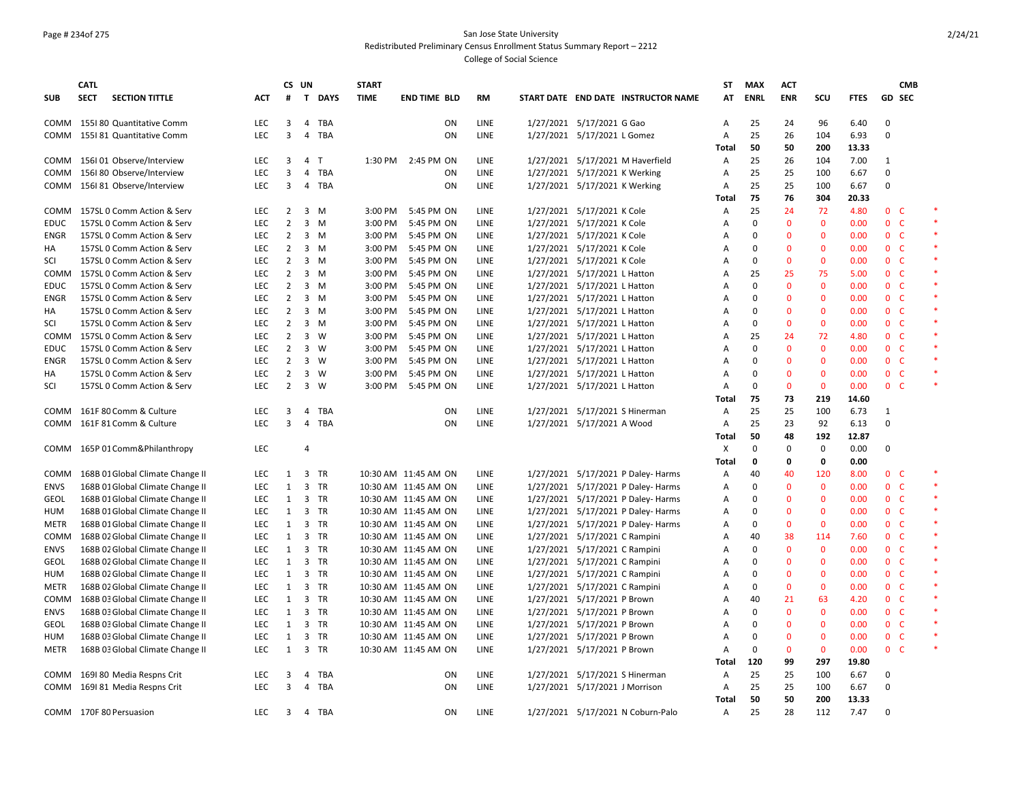### Page # 234of 275 San Jose State University Redistributed Preliminary Census Enrollment Status Summary Report – 2212

|             | <b>CATL</b> |                                  |            | CS UN          |                         |              | <b>START</b> |                      |           |                                |                                     | <b>ST</b>                    | <b>MAX</b>  | <b>ACT</b>   |              |              |                | <b>CMB</b>   |         |
|-------------|-------------|----------------------------------|------------|----------------|-------------------------|--------------|--------------|----------------------|-----------|--------------------------------|-------------------------------------|------------------------------|-------------|--------------|--------------|--------------|----------------|--------------|---------|
| <b>SUB</b>  | <b>SECT</b> | <b>SECTION TITTLE</b>            | <b>ACT</b> | #              |                         | T DAYS       | <b>TIME</b>  | <b>END TIME BLD</b>  | <b>RM</b> |                                | START DATE END DATE INSTRUCTOR NAME | AT                           | <b>ENRL</b> | <b>ENR</b>   | SCU          | <b>FTES</b>  |                | GD SEC       |         |
|             |             | COMM 155180 Quantitative Comm    | <b>LEC</b> | 3              | $\overline{4}$          | <b>TBA</b>   |              | ON                   | LINE      | 1/27/2021 5/17/2021 G Gao      |                                     | Α                            | 25          | 24           | 96           | 6.40         | $\mathbf 0$    |              |         |
| COMM        |             | 1551 81 Quantitative Comm        | <b>LEC</b> | 3              | $\overline{4}$          | <b>TBA</b>   |              | <b>ON</b>            | LINE      | 1/27/2021 5/17/2021 L Gomez    |                                     | $\overline{A}$               | 25          | 26           | 104          | 6.93         | $\mathbf 0$    |              |         |
|             |             |                                  |            |                |                         |              |              |                      |           |                                |                                     | Total                        | 50          | 50           | 200          | 13.33        |                |              |         |
| COMM        |             | 156I 01 Observe/Interview        | LEC        | 3              | 4                       | $\mathsf{T}$ | 1:30 PM      | 2:45 PM ON           | LINE      |                                | 1/27/2021 5/17/2021 M Haverfield    | $\mathsf{A}$                 | 25          | 26           | 104          | 7.00         | 1              |              |         |
| COMM        |             | 156180 Observe/Interview         | LEC        | 3              | 4                       | <b>TBA</b>   |              | ON                   | LINE      | 1/27/2021 5/17/2021 K Werking  |                                     | Α                            | 25          | 25           | 100          | 6.67         | 0              |              |         |
| COMM        |             | 156I 81 Observe/Interview        | <b>LEC</b> | 3              | $\overline{4}$          | TBA          |              | ON                   | LINE      | 1/27/2021 5/17/2021 K Werking  |                                     | $\mathsf{A}$                 | 25          | 25           | 100          | 6.67         | 0              |              |         |
|             |             |                                  |            |                |                         |              |              |                      |           |                                |                                     | Total                        | 75          | 76           | 304          | 20.33        |                |              |         |
|             |             | COMM 157SL 0 Comm Action & Serv  | <b>LEC</b> | 2              |                         | 3 M          | 3:00 PM      | 5:45 PM ON           | LINE      | 1/27/2021 5/17/2021 K Cole     |                                     | A                            | 25          | 24           | 72           | 4.80         | 0 <sup>o</sup> |              | $\ast$  |
| EDUC        |             | 157SL 0 Comm Action & Serv       | LEC        | $\overline{2}$ | $\overline{\mathbf{3}}$ | M            | 3:00 PM      | 5:45 PM ON           | LINE      | 1/27/2021 5/17/2021 K Cole     |                                     | Α                            | 0           | $\mathbf 0$  | $\mathbf 0$  | 0.00         | $\mathbf{0}$   | $\mathsf{C}$ |         |
| ENGR        |             | 157SL 0 Comm Action & Serv       | LEC        | $\overline{2}$ |                         | $3 \, M$     | 3:00 PM      | 5:45 PM ON           | LINE      | 1/27/2021 5/17/2021 K Cole     |                                     | Α                            | $\Omega$    | $\mathbf{0}$ | $\mathbf{0}$ | 0.00         | 0 <sup>o</sup> |              |         |
| НA          |             | 157SL 0 Comm Action & Serv       | <b>LEC</b> | $\overline{2}$ |                         | $3 \, M$     | 3:00 PM      | 5:45 PM ON           | LINE      | 1/27/2021 5/17/2021 K Cole     |                                     | Α                            | $\Omega$    | $\mathbf 0$  | $\mathbf 0$  | 0.00         | 0 <sup>o</sup> |              |         |
| SCI         |             | 157SL 0 Comm Action & Serv       | <b>LEC</b> | $\overline{2}$ |                         | 3 M          | 3:00 PM      | 5:45 PM ON           | LINE      | 1/27/2021 5/17/2021 K Cole     |                                     | Α                            | $\Omega$    | $\mathbf{0}$ | $\mathbf{0}$ | 0.00         | 0 <sub>c</sub> |              |         |
| COMM        |             | 157SL 0 Comm Action & Serv       | <b>LEC</b> | 2              | $\overline{\mathbf{3}}$ | M            | 3:00 PM      | 5:45 PM ON           | LINE      | 1/27/2021 5/17/2021 L Hatton   |                                     | Α                            | 25          | 25           | 75           | 5.00         | 0 <sup>o</sup> |              |         |
| <b>EDUC</b> |             | 157SL 0 Comm Action & Serv       | <b>LEC</b> | $\overline{2}$ |                         | 3 M          | 3:00 PM      | 5:45 PM ON           | LINE      | 1/27/2021 5/17/2021 L Hatton   |                                     | A                            | $\Omega$    | $\mathbf{0}$ | $\mathbf{0}$ | 0.00         | 0 <sup>o</sup> |              |         |
| ENGR        |             | 157SL 0 Comm Action & Serv       | <b>LEC</b> | $\overline{2}$ | $\overline{3}$          | M            | 3:00 PM      | 5:45 PM ON           | LINE      | 1/27/2021 5/17/2021 L Hatton   |                                     | A                            | $\Omega$    | $\mathbf 0$  | $\mathbf{0}$ | 0.00         | 0 <sup>o</sup> |              |         |
| HA          |             | 157SL 0 Comm Action & Serv       | <b>LEC</b> | $\overline{2}$ |                         | 3 M          | 3:00 PM      | 5:45 PM ON           | LINE      | 1/27/2021 5/17/2021 L Hatton   |                                     | A                            | 0           | $\mathbf{0}$ | $\mathbf{0}$ | 0.00         | 0 <sub>c</sub> |              |         |
| SCI         |             | 157SL 0 Comm Action & Serv       | LEC        | $\overline{2}$ |                         | 3 M          | 3:00 PM      | 5:45 PM ON           | LINE      | 1/27/2021 5/17/2021 L Hatton   |                                     | Α                            | 0           | $\mathbf 0$  | $\mathbf 0$  | 0.00         | 0 <sup>o</sup> |              |         |
| COMM        |             | 157SL 0 Comm Action & Serv       | <b>LEC</b> | $\overline{2}$ | $\mathbf{3}$            | w            | 3:00 PM      | 5:45 PM ON           | LINE      | 1/27/2021 5/17/2021 L Hatton   |                                     | Α                            | 25          | 24           | 72           | 4.80         | 0 <sub>c</sub> |              |         |
| EDUC        |             | 157SL 0 Comm Action & Serv       | <b>LEC</b> | $\overline{2}$ |                         | $3 \quad W$  | 3:00 PM      | 5:45 PM ON           | LINE      | 1/27/2021 5/17/2021 L Hatton   |                                     | Α                            | $\Omega$    | $\mathbf 0$  | $\mathbf{0}$ | 0.00         | 0 <sup>o</sup> |              | $\star$ |
| ENGR        |             | 157SL 0 Comm Action & Serv       | <b>LEC</b> | $\overline{2}$ |                         | $3 \quad W$  | 3:00 PM      | 5:45 PM ON           | LINE      | 1/27/2021 5/17/2021 L Hatton   |                                     | A                            | $\Omega$    | $\mathbf{0}$ | $\mathbf{0}$ | 0.00         | 0 <sup>o</sup> |              |         |
| HA          |             | 157SL 0 Comm Action & Serv       | LEC        | $\overline{2}$ |                         | $3 \quad W$  | 3:00 PM      | 5:45 PM ON           | LINE      | 1/27/2021 5/17/2021 L Hatton   |                                     | Α                            | $\Omega$    | $\mathbf{0}$ | $\mathbf 0$  | 0.00         | 0 <sub>c</sub> |              |         |
| SCI         |             | 157SL 0 Comm Action & Serv       | <b>LEC</b> | $\overline{2}$ | 3                       | W            | 3:00 PM      | 5:45 PM ON           | LINE      | 1/27/2021 5/17/2021 L Hatton   |                                     | A                            | $\Omega$    | $\mathbf{0}$ | $\mathbf{0}$ | 0.00         | $\mathbf{0}$   | <sub>c</sub> |         |
|             |             |                                  |            |                |                         |              |              |                      |           |                                |                                     | Total                        | 75          | 73           | 219          | 14.60        |                |              |         |
|             |             | COMM 161F 80 Comm & Culture      | LEC        | 3              | 4                       | TBA          |              | ON                   | LINE      |                                | 1/27/2021 5/17/2021 S Hinerman      | A                            | 25          | 25           | 100          | 6.73         | 1              |              |         |
| COMM        |             | 161F 81 Comm & Culture           | <b>LEC</b> | 3              | $\overline{4}$          | TBA          |              | ON                   | LINE      | 1/27/2021 5/17/2021 A Wood     |                                     | A                            | 25          | 23           | 92           | 6.13         | $\mathbf 0$    |              |         |
|             |             |                                  |            |                |                         |              |              |                      |           |                                |                                     | <b>Total</b>                 | 50          | 48           | 192          | 12.87        |                |              |         |
|             |             |                                  | <b>LEC</b> |                | $\overline{4}$          |              |              |                      |           |                                |                                     |                              | $\Omega$    | $\mathbf 0$  | 0            | 0.00         | 0              |              |         |
|             |             | COMM 165P 01 Comm&Philanthropy   |            |                |                         |              |              |                      |           |                                |                                     | х                            | 0           | $\mathbf 0$  |              |              |                |              |         |
| COMM        |             | 168B 01 Global Climate Change II | LEC        | 1              | $\overline{\mathbf{3}}$ | TR           |              | 10:30 AM 11:45 AM ON | LINE      |                                | 1/27/2021 5/17/2021 P Daley- Harms  | <b>Total</b><br>$\mathsf{A}$ | 40          | 40           | 0<br>120     | 0.00<br>8.00 | 0 <sub>c</sub> |              |         |
| ENVS        |             | 168B 01 Global Climate Change II | LEC        | $\mathbf{1}$   | 3                       | TR           |              | 10:30 AM 11:45 AM ON | LINE      |                                | 1/27/2021 5/17/2021 P Daley- Harms  | Α                            | $\Omega$    | $\mathbf 0$  | $\mathbf 0$  | 0.00         | 0 <sup>o</sup> |              | $\ast$  |
| <b>GEOL</b> |             | 168B 01 Global Climate Change II | LEC        | 1              |                         | 3 TR         |              | 10:30 AM 11:45 AM ON | LINE      |                                | 1/27/2021 5/17/2021 P Daley- Harms  | Α                            | 0           | $\mathbf 0$  | $\mathbf{0}$ | 0.00         | 0 <sub>c</sub> |              |         |
| <b>HUM</b>  |             | 168B 01 Global Climate Change II | LEC        | $\mathbf{1}$   |                         | 3 TR         |              | 10:30 AM 11:45 AM ON | LINE      |                                | 1/27/2021 5/17/2021 P Daley- Harms  | Α                            | $\Omega$    | $\mathbf 0$  | $\mathbf 0$  | 0.00         | 0 <sup>o</sup> |              |         |
| METR        |             | 168B 01 Global Climate Change II | <b>LEC</b> | 1              |                         | 3 TR         |              | 10:30 AM 11:45 AM ON | LINE      |                                | 1/27/2021 5/17/2021 P Daley- Harms  | Α                            | $\Omega$    | $\mathbf 0$  | $\mathbf{0}$ | 0.00         | 0 <sub>c</sub> |              |         |
| COMM        |             |                                  | LEC        | $\mathbf{1}$   |                         | 3 TR         |              | 10:30 AM 11:45 AM ON | LINE      |                                |                                     | Α                            | 40          | 38           | 114          | 7.60         | 0 <sup>o</sup> |              | $\ast$  |
|             |             | 168B 02 Global Climate Change II |            |                |                         |              |              |                      |           | 1/27/2021 5/17/2021 C Rampini  |                                     |                              | $\Omega$    | $\mathbf{0}$ | $\mathbf{0}$ |              |                | - C          |         |
| <b>ENVS</b> |             | 168B 02 Global Climate Change II | <b>LEC</b> | $\mathbf{1}$   |                         | 3 TR         |              | 10:30 AM 11:45 AM ON | LINE      | 1/27/2021 5/17/2021 C Rampini  |                                     | $\mathsf{A}$                 |             |              |              | 0.00         | $\mathbf{0}$   |              |         |
| <b>GEOL</b> |             | 168B 02 Global Climate Change II | LEC        | $\mathbf{1}$   |                         | 3 TR         |              | 10:30 AM 11:45 AM ON | LINE      | 1/27/2021 5/17/2021 C Rampini  |                                     | Α                            | $\Omega$    | $\mathbf 0$  | $\mathbf 0$  | 0.00         | 0 <sup>o</sup> |              |         |
| HUM         |             | 168B 02 Global Climate Change II | <b>LEC</b> | $\mathbf{1}$   |                         | 3 TR         |              | 10:30 AM 11:45 AM ON | LINE      | 1/27/2021 5/17/2021 C Rampini  |                                     | Α                            | $\Omega$    | $\mathbf{0}$ | $\mathbf{0}$ | 0.00         | 0 <sub>c</sub> |              |         |
| METR        |             | 168B 02 Global Climate Change II | LEC        | $\mathbf{1}$   |                         | 3 TR         |              | 10:30 AM 11:45 AM ON | LINE      | 1/27/2021 5/17/2021 C Rampini  |                                     | Α                            | 0           | $\mathbf 0$  | $\mathbf 0$  | 0.00         | 0 <sup>o</sup> |              |         |
| COMM        |             | 168B 03 Global Climate Change II | <b>LEC</b> | $\mathbf{1}$   |                         | 3 TR         |              | 10:30 AM 11:45 AM ON | LINE      | 1/27/2021 5/17/2021 P Brown    |                                     | Α                            | 40          | 21           | 63           | 4.20         | 0 <sub>c</sub> |              |         |
| <b>ENVS</b> |             | 168B 03 Global Climate Change II | <b>LEC</b> | 1              |                         | 3 TR         |              | 10:30 AM 11:45 AM ON | LINE      | 1/27/2021 5/17/2021 P Brown    |                                     | Α                            | $\Omega$    | $\mathbf 0$  | $\mathbf{0}$ | 0.00         | 0 <sup>o</sup> |              |         |
| <b>GEOL</b> |             | 168B 03 Global Climate Change II | <b>LEC</b> | $\mathbf{1}$   | 3                       | <b>TR</b>    |              | 10:30 AM 11:45 AM ON | LINE      | 1/27/2021 5/17/2021 P Brown    |                                     | $\mathsf{A}$                 | $\Omega$    | $\mathbf{0}$ | $\mathbf{0}$ | 0.00         | 0 <sub>c</sub> |              |         |
| HUM         |             | 168B 03 Global Climate Change II | LEC        | $\mathbf{1}$   |                         | 3 TR         |              | 10:30 AM 11:45 AM ON | LINE      | 1/27/2021 5/17/2021 P Brown    |                                     | Α                            | 0           | $\mathbf 0$  | $\mathbf 0$  | 0.00         | 0 <sup>o</sup> |              |         |
| METR        |             | 168B 03 Global Climate Change II | <b>LEC</b> | $\mathbf{1}$   | $\overline{3}$          | TR           |              | 10:30 AM 11:45 AM ON | LINE      | 1/27/2021 5/17/2021 P Brown    |                                     | A                            | 0           | $\mathbf{0}$ | $\mathbf{0}$ | 0.00         | 0 <sup>o</sup> |              |         |
|             |             |                                  |            |                |                         |              |              |                      |           |                                |                                     | Total                        | 120         | 99           | 297          | 19.80        |                |              |         |
| COMM        |             | 1691 80 Media Respns Crit        | LEC        | 3              | $\overline{4}$          | TBA          |              | ON                   | LINE      |                                | 1/27/2021 5/17/2021 S Hinerman      | A                            | 25          | 25           | 100          | 6.67         | 0              |              |         |
|             |             | COMM 169181 Media Respns Crit    | <b>LEC</b> | 3              | 4                       | TBA          |              | <b>ON</b>            | LINE      | 1/27/2021 5/17/2021 J Morrison |                                     | $\mathsf{A}$                 | 25          | 25           | 100          | 6.67         | 0              |              |         |
|             |             |                                  |            |                |                         |              |              |                      |           |                                |                                     | Total                        | 50          | 50           | 200          | 13.33        |                |              |         |
|             |             | COMM 170F 80 Persuasion          | <b>LEC</b> |                |                         | 3 4 TBA      |              | ON                   | LINE      |                                | 1/27/2021 5/17/2021 N Coburn-Palo   | $\overline{A}$               | 25          | 28           | 112          | 7.47         | 0              |              |         |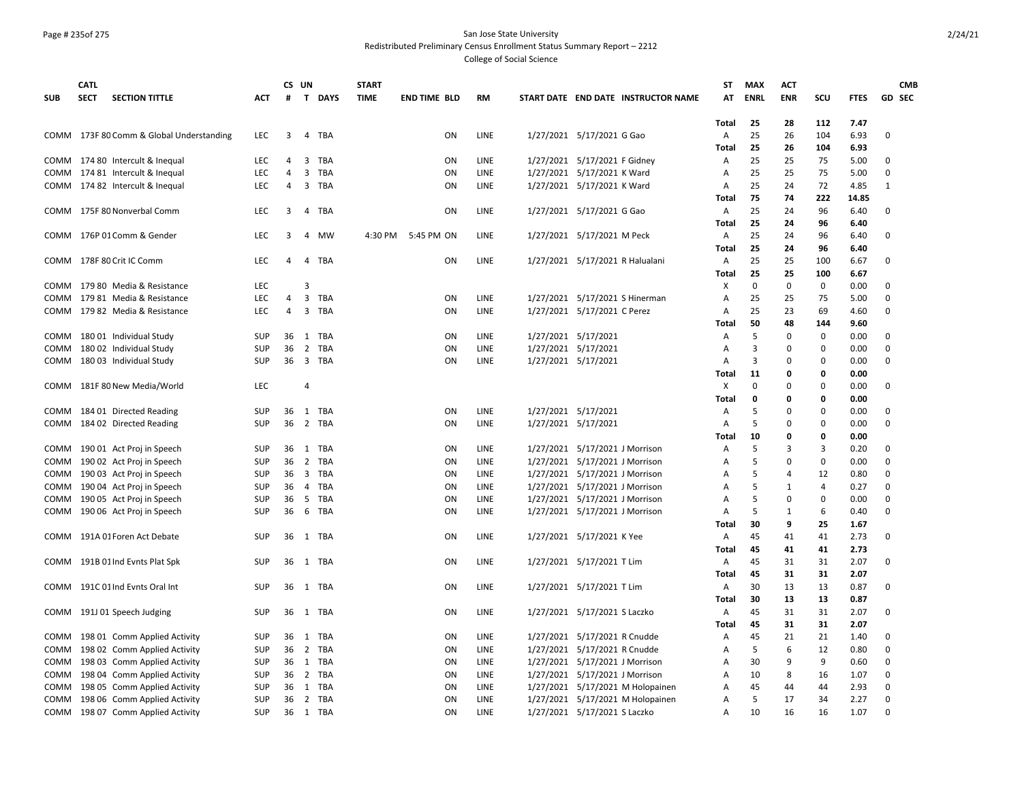#### Page # 235of 275 San Jose State University Redistributed Preliminary Census Enrollment Status Summary Report – 2212

|            | <b>CATL</b> |                                          |            | CS UN          |                |               | <b>START</b> |                     |      |                     |                                     | ST           | <b>MAX</b>  | <b>ACT</b>     |                |             | <b>CMB</b>    |
|------------|-------------|------------------------------------------|------------|----------------|----------------|---------------|--------------|---------------------|------|---------------------|-------------------------------------|--------------|-------------|----------------|----------------|-------------|---------------|
| <b>SUB</b> | <b>SECT</b> | <b>SECTION TITTLE</b>                    | ACT        | #              |                | <b>T DAYS</b> | <b>TIME</b>  | <b>END TIME BLD</b> | RM   |                     | START DATE END DATE INSTRUCTOR NAME | AT           | ENRL        | <b>ENR</b>     | scu            | <b>FTES</b> | <b>GD SEC</b> |
|            |             |                                          |            |                |                |               |              |                     |      |                     |                                     |              |             |                |                |             |               |
|            |             |                                          |            |                |                |               |              |                     |      |                     |                                     | Total        | 25          | 28             | 112            | 7.47        | $\mathbf 0$   |
|            |             | COMM 173F 80 Comm & Global Understanding | LEC        | 3              | 4              | <b>TBA</b>    |              | ON                  | LINE |                     | 1/27/2021 5/17/2021 G Gao           | Α            | 25          | 26             | 104            | 6.93        |               |
|            |             |                                          |            |                |                |               |              |                     |      |                     |                                     | Total        | 25          | 26             | 104            | 6.93        |               |
|            |             | COMM 174 80 Intercult & Inequal          | LEC        | 4              | 3              | TBA           |              | ON                  | LINE |                     | 1/27/2021 5/17/2021 F Gidney        | Α            | 25          | 25             | 75             | 5.00        | $\Omega$      |
|            |             | COMM 174 81 Intercult & Inequal          | <b>LEC</b> | $\overline{4}$ | 3              | TBA           |              | ON                  | LINE |                     | 1/27/2021 5/17/2021 K Ward          | Α            | 25          | 25             | 75             | 5.00        | $\Omega$      |
|            |             | COMM 174 82 Intercult & Inequal          | <b>LEC</b> | 4              |                | 3 TBA         |              | ON                  | LINE |                     | 1/27/2021 5/17/2021 K Ward          | A            | 25          | 24             | 72             | 4.85        | $\mathbf{1}$  |
|            |             |                                          |            |                |                |               |              |                     |      |                     |                                     | Total        | 75          | 74             | 222            | 14.85       |               |
|            |             | COMM 175F 80 Nonverbal Comm              | <b>LEC</b> | 3              |                | 4 TBA         |              | ON                  | LINE |                     | 1/27/2021 5/17/2021 G Gao           | Α            | 25          | 24             | 96             | 6.40        | $\Omega$      |
|            |             |                                          |            |                |                |               |              |                     |      |                     |                                     | Total        | 25          | 24             | 96             | 6.40        |               |
|            |             | COMM 176P 01 Comm & Gender               | <b>LEC</b> | 3              |                | 4 MW          | 4:30 PM      | 5:45 PM ON          | LINE |                     | 1/27/2021 5/17/2021 M Peck          | Α            | 25          | 24             | 96             | 6.40        | $\Omega$      |
|            |             |                                          |            |                |                |               |              |                     |      |                     |                                     | <b>Total</b> | 25          | 24             | 96             | 6.40        |               |
|            |             | COMM 178F 80 Crit IC Comm                | <b>LEC</b> | $\overline{4}$ |                | 4 TBA         |              | ON                  | LINE |                     | 1/27/2021 5/17/2021 R Halualani     | Α            | 25          | 25             | 100            | 6.67        | $\Omega$      |
|            |             |                                          |            |                |                |               |              |                     |      |                     |                                     | Total        | 25          | 25             | 100            | 6.67        |               |
| COMM       |             | 179 80 Media & Resistance                | LEC        |                | 3              |               |              |                     |      |                     |                                     | х            | $\mathbf 0$ | 0              | $\mathbf 0$    | 0.00        | $\Omega$      |
| COMM       |             | 179 81 Media & Resistance                | LEC        | 4              | 3              | TBA           |              | ON                  | LINE |                     | 1/27/2021 5/17/2021 S Hinerman      | A            | 25          | 25             | 75             | 5.00        | $\mathbf 0$   |
|            |             | COMM 179 82 Media & Resistance           | <b>LEC</b> | 4              |                | 3 TBA         |              | ON                  | LINE |                     | 1/27/2021 5/17/2021 C Perez         | A            | 25          | 23             | 69             | 4.60        | $\Omega$      |
|            |             |                                          |            |                |                |               |              |                     |      |                     |                                     | Total        | 50          | 48             | 144            | 9.60        |               |
|            |             | COMM 180 01 Individual Study             | <b>SUP</b> | 36             | 1              | TBA           |              | ON                  | LINE |                     | 1/27/2021 5/17/2021                 | Α            | 5           | $\Omega$       | 0              | 0.00        | $\Omega$      |
| COMM       |             | 180 02 Individual Study                  | <b>SUP</b> | 36             | $\overline{2}$ | TBA           |              | ON                  | LINE | 1/27/2021 5/17/2021 |                                     | A            | 3           | $\Omega$       | $\Omega$       | 0.00        | $\Omega$      |
|            |             |                                          | SUP        |                |                | 36 3 TBA      |              | ON                  | LINE |                     |                                     |              | 3           | 0              | 0              | 0.00        | $\Omega$      |
| COMM       |             | 180 03 Individual Study                  |            |                |                |               |              |                     |      |                     | 1/27/2021 5/17/2021                 | Α            |             | $\mathbf 0$    | $\mathbf 0$    |             |               |
|            |             |                                          |            |                |                |               |              |                     |      |                     |                                     | <b>Total</b> | 11          |                |                | 0.00        |               |
| COMM       |             | 181F 80 New Media/World                  | LEC        |                | $\overline{a}$ |               |              |                     |      |                     |                                     | х            | $\mathbf 0$ | $\Omega$       | 0              | 0.00        | $\Omega$      |
|            |             |                                          |            |                |                |               |              |                     |      |                     |                                     | Total        | 0           | $\Omega$       | $\mathbf 0$    | 0.00        |               |
|            |             | COMM 184 01 Directed Reading             | <b>SUP</b> |                |                | 36 1 TBA      |              | ON                  | LINE | 1/27/2021 5/17/2021 |                                     | Α            | 5           | $\Omega$       | $\Omega$       | 0.00        | $\Omega$      |
|            |             | COMM 184 02 Directed Reading             | SUP        |                |                | 36 2 TBA      |              | ON                  | LINE | 1/27/2021 5/17/2021 |                                     | A            | 5           | $\Omega$       | $\Omega$       | 0.00        | $\Omega$      |
|            |             |                                          |            |                |                |               |              |                     |      |                     |                                     | Total        | 10          | 0              | $\mathbf 0$    | 0.00        |               |
|            |             | COMM 190 01 Act Proj in Speech           | SUP        |                |                | 36 1 TBA      |              | <b>ON</b>           | LINE |                     | 1/27/2021 5/17/2021 J Morrison      | A            | 5           | 3              | 3              | 0.20        | $\Omega$      |
| COMM       |             | 190 02 Act Proj in Speech                | <b>SUP</b> | 36             |                | 2 TBA         |              | ON                  | LINE |                     | 1/27/2021 5/17/2021 J Morrison      | Α            | 5           | $\mathbf 0$    | $\mathbf 0$    | 0.00        | $\Omega$      |
| COMM       |             | 190 03 Act Proj in Speech                | SUP        | 36             |                | 3 TBA         |              | ON                  | LINE |                     | 1/27/2021 5/17/2021 J Morrison      | A            | 5           | $\overline{4}$ | 12             | 0.80        | $\Omega$      |
| COMM       |             | 190 04 Act Proj in Speech                | SUP        | 36             |                | 4 TBA         |              | ON                  | LINE |                     | 1/27/2021 5/17/2021 J Morrison      | A            | 5           | 1              | $\overline{4}$ | 0.27        | $\Omega$      |
| COMM       |             | 190 05 Act Proj in Speech                | SUP        | 36             |                | 5 TBA         |              | ON                  | LINE |                     | 1/27/2021 5/17/2021 J Morrison      | Α            | 5           | 0              | $\Omega$       | 0.00        | $\Omega$      |
| COMM       |             | 190 06 Act Proj in Speech                | SUP        | 36             |                | 6 TBA         |              | ON                  | LINE |                     | 1/27/2021 5/17/2021 J Morrison      | A            | 5           | $\mathbf{1}$   | 6              | 0.40        | $\Omega$      |
|            |             |                                          |            |                |                |               |              |                     |      |                     |                                     | Total        | 30          | 9              | 25             | 1.67        |               |
| COMM       |             | 191A 01 Foren Act Debate                 | <b>SUP</b> | 36             |                | 1 TBA         |              | ON                  | LINE |                     | 1/27/2021 5/17/2021 K Yee           | Α            | 45          | 41             | 41             | 2.73        | $\Omega$      |
|            |             |                                          |            |                |                |               |              |                     |      |                     |                                     | Total        | 45          | 41             | 41             | 2.73        |               |
|            |             | COMM 191B 01 Ind Evnts Plat Spk          | SUP        | 36             |                | 1 TBA         |              | ON                  | LINE |                     | 1/27/2021 5/17/2021 T Lim           | Α            | 45          | 31             | 31             | 2.07        | $\Omega$      |
|            |             |                                          |            |                |                |               |              |                     |      |                     |                                     | Total        | 45          | 31             | 31             | 2.07        |               |
|            |             | COMM 191C 01 Ind Evnts Oral Int          | SUP        |                |                | 36 1 TBA      |              | <b>ON</b>           | LINE |                     | 1/27/2021 5/17/2021 T Lim           | Α            | 30          | 13             | 13             | 0.87        | $\Omega$      |
|            |             |                                          |            |                |                |               |              |                     |      |                     |                                     |              |             |                |                |             |               |
|            |             |                                          |            |                |                |               |              |                     |      |                     |                                     | Total        | 30          | 13             | 13             | 0.87        |               |
|            |             | COMM 191J 01 Speech Judging              | SUP        |                |                | 36 1 TBA      |              | <b>ON</b>           | LINE |                     | 1/27/2021 5/17/2021 S Laczko        | Α            | 45          | 31             | 31             | 2.07        | $\Omega$      |
|            |             |                                          |            |                |                |               |              |                     |      |                     |                                     | <b>Total</b> | 45          | 31             | 31             | 2.07        |               |
| COMM       |             | 198 01 Comm Applied Activity             | SUP        | 36             |                | 1 TBA         |              | ON                  | LINE |                     | 1/27/2021 5/17/2021 R Cnudde        | Α            | 45          | 21             | 21             | 1.40        | $\Omega$      |
| COMM       |             | 198 02 Comm Applied Activity             | SUP        | 36             |                | 2 TBA         |              | ON                  | LINE |                     | 1/27/2021 5/17/2021 R Cnudde        | Α            | 5           | 6              | 12             | 0.80        | $\Omega$      |
| COMM       |             | 198 03 Comm Applied Activity             | SUP        |                |                | 36 1 TBA      |              | ON                  | LINE |                     | 1/27/2021 5/17/2021 J Morrison      | Α            | 30          | 9              | 9              | 0.60        | $\Omega$      |
| COMM       |             | 198 04 Comm Applied Activity             | SUP        | 36             |                | 2 TBA         |              | ON                  | LINE |                     | 1/27/2021 5/17/2021 J Morrison      | Α            | 10          | 8              | 16             | 1.07        | $\Omega$      |
| COMM       |             | 198 05 Comm Applied Activity             | SUP        |                |                | 36 1 TBA      |              | ON                  | LINE |                     | 1/27/2021 5/17/2021 M Holopainen    | Α            | 45          | 44             | 44             | 2.93        | $\mathbf 0$   |
| COMM       |             | 198 06 Comm Applied Activity             | <b>SUP</b> | 36             |                | 2 TBA         |              | ON                  | LINE |                     | 1/27/2021 5/17/2021 M Holopainen    | A            | 5           | 17             | 34             | 2.27        | $\Omega$      |
|            |             | COMM 198 07 Comm Applied Activity        | <b>SUP</b> | 36             |                | 1 TBA         |              | ON                  | LINE |                     | 1/27/2021 5/17/2021 S Laczko        | A            | 10          | 16             | 16             | 1.07        | $\Omega$      |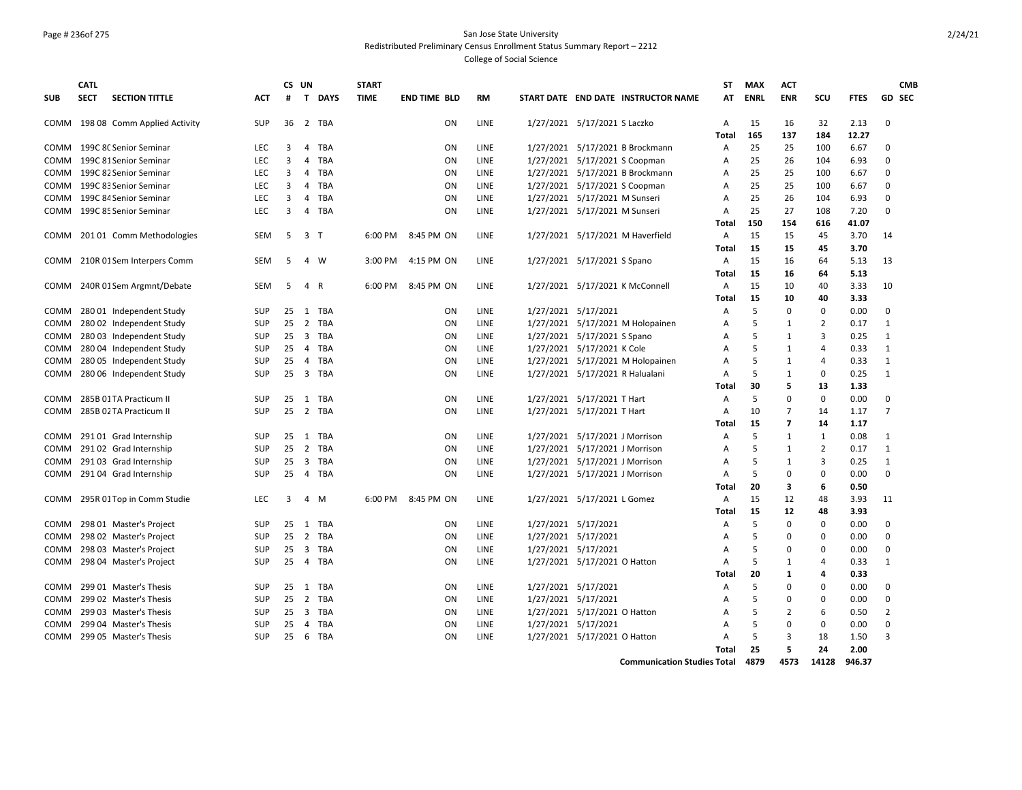### Page # 236of 275 San Jose State University Redistributed Preliminary Census Enrollment Status Summary Report – 2212

College of Social Science

|             | <b>CATL</b> |                              |            | CS UN          |                         |             | <b>START</b> |                     |             |                                 |                              |                                     | ST             | <b>MAX</b> | <b>ACT</b>               |                |             |                | <b>CMB</b>    |
|-------------|-------------|------------------------------|------------|----------------|-------------------------|-------------|--------------|---------------------|-------------|---------------------------------|------------------------------|-------------------------------------|----------------|------------|--------------------------|----------------|-------------|----------------|---------------|
| <b>SUB</b>  | <b>SECT</b> | <b>SECTION TITTLE</b>        | ACT        | #              | $\mathbf{T}$            | <b>DAYS</b> | <b>TIME</b>  | <b>END TIME BLD</b> | <b>RM</b>   |                                 |                              | START DATE END DATE INSTRUCTOR NAME | AT             | ENRL       | <b>ENR</b>               | scu            | <b>FTES</b> |                | <b>GD SEC</b> |
| COMM        |             | 198 08 Comm Applied Activity | <b>SUP</b> | 36             | 2                       | TBA         |              | <b>ON</b>           | LINE        | 1/27/2021 5/17/2021 S Laczko    |                              |                                     | A              | 15         | 16                       | 32             | 2.13        | 0              |               |
|             |             |                              |            |                |                         |             |              |                     |             |                                 |                              |                                     | Total          | 165        | 137                      | 184            | 12.27       |                |               |
| COMM        |             | 199C 8C Senior Seminar       | <b>LEC</b> | 3              | 4                       | <b>TBA</b>  |              | ON                  | LINE        |                                 |                              | 1/27/2021 5/17/2021 B Brockmann     | A              | 25         | 25                       | 100            | 6.67        | $\Omega$       |               |
| COMM        |             | 199C 81 Senior Seminar       | <b>LEC</b> | 3              | 4                       | <b>TBA</b>  |              | <b>ON</b>           | LINE        |                                 |                              | 1/27/2021 5/17/2021 S Coopman       | Α              | 25         | 26                       | 104            | 6.93        | 0              |               |
| <b>COMM</b> |             | 199C 82 Senior Seminar       | <b>LEC</b> | 3              | 4                       | <b>TBA</b>  |              | ON                  | <b>LINE</b> |                                 |                              | 1/27/2021 5/17/2021 B Brockmann     | $\overline{A}$ | 25         | 25                       | 100            | 6.67        | $\Omega$       |               |
| <b>COMM</b> |             | 199C 83 Senior Seminar       | <b>LEC</b> | 3              | 4                       | <b>TBA</b>  |              | <b>ON</b>           | <b>LINE</b> |                                 |                              | 1/27/2021 5/17/2021 S Coopman       | $\overline{A}$ | 25         | 25                       | 100            | 6.67        | $\Omega$       |               |
| COMM        |             | 199C 84 Senior Seminar       | <b>LEC</b> | 3              | 4                       | <b>TBA</b>  |              | ON                  | LINE        | 1/27/2021 5/17/2021 M Sunseri   |                              |                                     | $\overline{A}$ | 25         | 26                       | 104            | 6.93        | $\mathbf 0$    |               |
| COMM        |             | 199C 85 Senior Seminar       | <b>LEC</b> | $\overline{3}$ | 4                       | TBA         |              | ON                  | LINE        | 1/27/2021 5/17/2021 M Sunseri   |                              |                                     | $\overline{A}$ | 25         | 27                       | 108            | 7.20        | $\Omega$       |               |
|             |             |                              |            |                |                         |             |              |                     |             |                                 |                              |                                     | Total          | 150        | 154                      | 616            | 41.07       |                |               |
| COMM        |             | 201 01 Comm Methodologies    | SEM        | 5              | 3 T                     |             | 6:00 PM      | 8:45 PM ON          | LINE        |                                 |                              | 1/27/2021 5/17/2021 M Haverfield    | Α              | 15         | 15                       | 45             | 3.70        | 14             |               |
|             |             |                              |            |                |                         |             |              |                     |             |                                 |                              |                                     | Total          | 15         | 15                       | 45             | 3.70        |                |               |
| COMM        |             | 210R 01Sem Interpers Comm    | <b>SEM</b> | 5              |                         | 4 W         | 3:00 PM      | 4:15 PM ON          | LINE        | 1/27/2021 5/17/2021 S Spano     |                              |                                     | Α              | 15         | 16                       | 64             | 5.13        | 13             |               |
|             |             |                              |            |                |                         |             |              |                     |             |                                 |                              |                                     | Total          | 15         | 16                       | 64             | 5.13        |                |               |
| COMM        |             | 240R 01 Sem Argmnt/Debate    | <b>SEM</b> | 5              |                         | 4 R         | 6:00 PM      | 8:45 PM ON          | LINE        |                                 |                              | 1/27/2021 5/17/2021 K McConnell     | $\overline{A}$ | 15         | 10                       | 40             | 3.33        | 10             |               |
|             |             |                              |            |                |                         |             |              |                     |             |                                 |                              |                                     | Total          | 15         | 10                       | 40             | 3.33        |                |               |
| <b>COMM</b> |             | 280 01 Independent Study     | <b>SUP</b> | 25             | 1                       | <b>TBA</b>  |              | <b>ON</b>           | LINE        | 1/27/2021 5/17/2021             |                              |                                     | A              | 5          | 0                        | 0              | 0.00        | $\mathbf 0$    |               |
| COMM        |             | 280 02 Independent Study     | <b>SUP</b> | 25             | 2                       | TBA         |              | ON                  | <b>LINE</b> |                                 |                              | 1/27/2021 5/17/2021 M Holopainen    | A              | 5          | $\mathbf{1}$             | $\overline{2}$ | 0.17        | 1              |               |
| COMM        |             | 280 03 Independent Study     | <b>SUP</b> | 25             | $\overline{\mathbf{3}}$ | TBA         |              | ON                  | LINE        | 1/27/2021 5/17/2021 S Spano     |                              |                                     | A              | 5          | $\mathbf{1}$             | 3              | 0.25        | $\mathbf{1}$   |               |
| <b>COMM</b> |             | 280 04 Independent Study     | <b>SUP</b> | 25             | $\overline{4}$          | <b>TBA</b>  |              | <b>ON</b>           | LINE        | 1/27/2021 5/17/2021 K Cole      |                              |                                     | A              | 5          | $\mathbf{1}$             | $\overline{a}$ | 0.33        | $\mathbf{1}$   |               |
| COMM        |             | 280 05 Independent Study     | SUP        | 25             |                         | 4 TBA       |              | ON                  | <b>LINE</b> |                                 |                              | 1/27/2021 5/17/2021 M Holopainen    | $\overline{A}$ | 5          | 1                        | $\overline{4}$ | 0.33        | $\mathbf{1}$   |               |
| COMM        |             | 280 06 Independent Study     | <b>SUP</b> | 25             |                         | 3 TBA       |              | ΟN                  | LINE        | 1/27/2021 5/17/2021 R Halualani |                              |                                     | Α              | 5          | 1                        | 0              | 0.25        | $\mathbf{1}$   |               |
|             |             |                              |            |                |                         |             |              |                     |             |                                 |                              |                                     | Total          | 30         | 5                        | 13             | 1.33        |                |               |
| <b>COMM</b> |             | 285B 01TA Practicum II       | <b>SUP</b> | 25             |                         | 1 TBA       |              | ON                  | LINE        | 1/27/2021 5/17/2021 T Hart      |                              |                                     | Α              | 5          | $\Omega$                 | $\mathbf 0$    | 0.00        | $\Omega$       |               |
| <b>COMM</b> |             | 285B 02 TA Practicum II      | <b>SUP</b> | 25             |                         | 2 TBA       |              | ON                  | LINE        | 1/27/2021 5/17/2021 T Hart      |                              |                                     | Α              | 10         | 7                        | 14             | 1.17        | $\overline{7}$ |               |
|             |             |                              |            |                |                         |             |              |                     |             |                                 |                              |                                     | Total          | 15         | $\overline{\phantom{a}}$ | 14             | 1.17        |                |               |
| COMM        |             | 291 01 Grad Internship       | <b>SUP</b> | 25             | 1                       | TBA         |              | ON                  | LINE        | 1/27/2021 5/17/2021 J Morrison  |                              |                                     | Α              | 5          | 1                        | 1              | 0.08        | $\mathbf{1}$   |               |
| <b>COMM</b> |             | 291 02 Grad Internship       | <b>SUP</b> | 25             | $\overline{2}$          | TBA         |              | ON                  | <b>LINE</b> | 1/27/2021 5/17/2021 J Morrison  |                              |                                     | A              | 5          | $\mathbf{1}$             | $\overline{2}$ | 0.17        | 1              |               |
| COMM        |             | 291 03 Grad Internship       | <b>SUP</b> | 25             |                         | 3 TBA       |              | ON                  | LINE        | 1/27/2021 5/17/2021 J Morrison  |                              |                                     | $\overline{A}$ | 5          | 1                        | 3              | 0.25        | $\mathbf{1}$   |               |
| COMM        |             | 291 04 Grad Internship       | <b>SUP</b> | 25             |                         | 4 TBA       |              | ON                  | LINE        | 1/27/2021 5/17/2021 J Morrison  |                              |                                     | $\overline{A}$ | 5          | 0                        | $\mathbf 0$    | 0.00        | $\mathbf 0$    |               |
|             |             |                              |            |                |                         |             |              |                     |             |                                 |                              |                                     | Total          | 20         | 3                        | 6              | 0.50        |                |               |
| COMM        |             | 295R 01Top in Comm Studie    | <b>LEC</b> | 3              |                         | 4 M         | 6:00 PM      | 8:45 PM ON          | LINE        | 1/27/2021 5/17/2021 L Gomez     |                              |                                     | Α              | 15         | 12                       | 48             | 3.93        | 11             |               |
|             |             |                              |            |                |                         |             |              |                     |             |                                 |                              |                                     | <b>Total</b>   | 15         | 12                       | 48             | 3.93        |                |               |
| COMM        |             | 298 01 Master's Project      | <b>SUP</b> | 25             |                         | 1 TBA       |              | ON                  | LINE        | 1/27/2021 5/17/2021             |                              |                                     | Α              | 5          | 0                        | 0              | 0.00        | 0              |               |
| COMM        |             | 298 02 Master's Project      | <b>SUP</b> | 25             | $\overline{2}$          | TBA         |              | ON                  | LINE        | 1/27/2021 5/17/2021             |                              |                                     | A              | 5          | 0                        | 0              | 0.00        | $\mathbf 0$    |               |
| COMM        |             | 298 03 Master's Project      | <b>SUP</b> | 25             | $\overline{\mathbf{3}}$ | <b>TBA</b>  |              | ON                  | LINE        | 1/27/2021 5/17/2021             |                              |                                     | Α              | 5          | 0                        | 0              | 0.00        | 0              |               |
| COMM        |             | 298 04 Master's Project      | <b>SUP</b> | 25             |                         | 4 TBA       |              | <b>ON</b>           | LINE        | 1/27/2021 5/17/2021 O Hatton    |                              |                                     | $\overline{A}$ | 5          | 1                        | 4              | 0.33        | 1              |               |
|             |             |                              |            |                |                         |             |              |                     |             |                                 |                              |                                     | Total          | 20         | 1                        | 4              | 0.33        |                |               |
| <b>COMM</b> |             | 299 01 Master's Thesis       | <b>SUP</b> | 25             |                         | 1 TBA       |              | <b>ON</b>           | LINE        | 1/27/2021 5/17/2021             |                              |                                     | A              | 5          | 0                        | $\mathbf 0$    | 0.00        | $\mathbf 0$    |               |
| COMM        |             | 299 02 Master's Thesis       | <b>SUP</b> | 25             | 2                       | <b>TBA</b>  |              | ON                  | LINE        | 1/27/2021 5/17/2021             |                              |                                     | A              | 5          | 0                        | $\mathbf 0$    | 0.00        | $\mathbf 0$    |               |
| <b>COMM</b> |             | 299 03 Master's Thesis       | <b>SUP</b> | 25             | $\overline{3}$          | TBA         |              | <b>ON</b>           | <b>LINE</b> | 1/27/2021 5/17/2021 O Hatton    |                              |                                     | A              | 5          | $\overline{2}$           | 6              | 0.50        | 2              |               |
| COMM        |             | 299 04 Master's Thesis       | SUP        | 25             | $\overline{4}$          | <b>TBA</b>  |              | ON                  | LINE        | 1/27/2021 5/17/2021             |                              |                                     | $\overline{A}$ | 5          | $\Omega$                 | $\mathbf 0$    | 0.00        | $\Omega$       |               |
| COMM        |             | 299 05 Master's Thesis       | <b>SUP</b> | 25             | 6                       | <b>TBA</b>  |              | ON                  | LINE        |                                 | 1/27/2021 5/17/2021 O Hatton |                                     | $\overline{A}$ | 5          | 3                        | 18             | 1.50        | 3              |               |
|             |             |                              |            |                |                         |             |              |                     |             |                                 |                              |                                     | Total          | 25         | 5.                       | 24             | 2.00        |                |               |
|             |             |                              |            |                |                         |             |              |                     |             |                                 |                              |                                     |                |            |                          |                |             |                |               |

**Communication Studies Total 4879 4573 14128 946.37**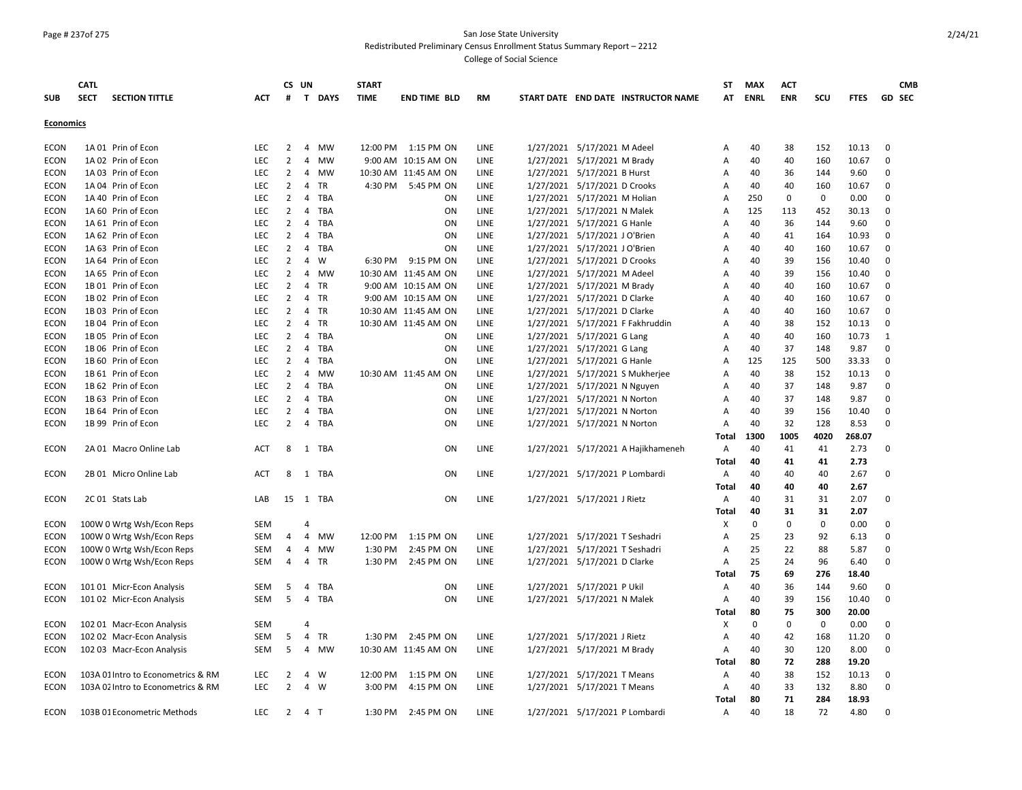#### Page # 237of 275 San Jose State University Redistributed Preliminary Census Enrollment Status Summary Report – 2212

|                            | <b>CATL</b>                                            |                          |                | CS UN          |              | <b>START</b> |                      |              |                                     | ST           | <b>MAX</b> | <b>ACT</b> |            |               | <b>CMB</b>    |
|----------------------------|--------------------------------------------------------|--------------------------|----------------|----------------|--------------|--------------|----------------------|--------------|-------------------------------------|--------------|------------|------------|------------|---------------|---------------|
| <b>SUB</b>                 | <b>SECT</b><br><b>SECTION TITTLE</b>                   | <b>ACT</b>               | #              |                | T DAYS       | <b>TIME</b>  | <b>END TIME BLD</b>  | <b>RM</b>    | START DATE END DATE INSTRUCTOR NAME |              | AT ENRL    | <b>ENR</b> | SCU        | <b>FTES</b>   | <b>GD SEC</b> |
| <b>Economics</b>           |                                                        |                          |                |                |              |              |                      |              |                                     |              |            |            |            |               |               |
|                            |                                                        |                          |                |                |              |              |                      |              |                                     |              |            |            |            |               |               |
| <b>ECON</b>                | 1A 01 Prin of Econ                                     | <b>LEC</b>               | 2              | 4              | MW           |              | 12:00 PM 1:15 PM ON  | LINE         | 1/27/2021 5/17/2021 M Adeel         | Α            | 40         | 38         | 152        | 10.13         | 0             |
| <b>ECON</b>                | 1A 02 Prin of Econ                                     | <b>LEC</b>               | 2              | 4              | MW           |              | 9:00 AM 10:15 AM ON  | LINE         | 1/27/2021 5/17/2021 M Brady         | A            | 40         | 40         | 160        | 10.67         | 0             |
| <b>ECON</b>                | 1A 03 Prin of Econ                                     | <b>LEC</b>               | 2              |                | 4 MW         |              | 10:30 AM 11:45 AM ON | LINE         | 1/27/2021 5/17/2021 B Hurst         | Α            | 40         | 36         | 144        | 9.60          | $\Omega$      |
| <b>ECON</b>                | 1A 04 Prin of Econ                                     | <b>LEC</b>               | 2              |                | 4 TR         |              | 4:30 PM 5:45 PM ON   | LINE         | 1/27/2021 5/17/2021 D Crooks        | Α            | 40         | 40         | 160        | 10.67         | 0             |
| <b>ECON</b>                | 1A 40 Prin of Econ                                     | <b>LEC</b>               | $\overline{2}$ |                | 4 TBA        |              | ON                   | LINE         | 1/27/2021 5/17/2021 M Holian        | Α            | 250        | 0          | 0          | 0.00          | $\Omega$      |
| <b>ECON</b>                | 1A 60 Prin of Econ                                     | <b>LEC</b>               | 2              | 4              | TBA          |              | <b>ON</b>            | LINE         | 1/27/2021 5/17/2021 N Malek         | A            | 125        | 113        | 452        | 30.13         | 0             |
| <b>ECON</b>                | 1A 61 Prin of Econ                                     | LEC                      | $\overline{2}$ | 4              | TBA          |              | ON                   | LINE         | 1/27/2021 5/17/2021 G Hanle         | Α            | 40         | 36         | 144        | 9.60          | $\Omega$      |
| ECON                       | 1A 62 Prin of Econ                                     | <b>LEC</b>               | $\overline{2}$ | 4              | TBA          |              | ON                   | LINE         | 1/27/2021 5/17/2021 J O'Brien       | Α            | 40         | 41         | 164        | 10.93         | $\mathbf 0$   |
| <b>ECON</b>                | 1A 63 Prin of Econ                                     | <b>LEC</b>               | $\overline{2}$ |                | 4 TBA        |              | ON                   | LINE         | 1/27/2021 5/17/2021 J O'Brien       | Α            | 40         | 40         | 160        | 10.67         | $\mathbf 0$   |
| <b>ECON</b>                | 1A 64 Prin of Econ                                     | <b>LEC</b>               | $\overline{2}$ |                | 4 W          |              | 6:30 PM 9:15 PM ON   | LINE         | 1/27/2021 5/17/2021 D Crooks        | Α            | 40         | 39         | 156        | 10.40         | $\mathbf 0$   |
| <b>ECON</b>                | 1A 65 Prin of Econ                                     | <b>LEC</b>               | $\overline{2}$ |                | 4 MW         |              | 10:30 AM 11:45 AM ON | LINE         | 1/27/2021 5/17/2021 M Adeel         | Α            | 40         | 39         | 156        | 10.40         | 0             |
| <b>ECON</b>                | 1B 01 Prin of Econ                                     | <b>LEC</b>               | $\overline{2}$ |                | 4 TR         |              | 9:00 AM 10:15 AM ON  | LINE         | 1/27/2021 5/17/2021 M Brady         | Α            | 40         | 40         | 160        | 10.67         | $\mathbf 0$   |
| <b>ECON</b>                | 1B 02 Prin of Econ                                     | <b>LEC</b>               | $\overline{2}$ |                | 4 TR         |              | 9:00 AM 10:15 AM ON  | LINE         | 1/27/2021 5/17/2021 D Clarke        | Α            | 40         | 40         | 160        | 10.67         | $\Omega$      |
| <b>ECON</b>                | 1B 03 Prin of Econ                                     | <b>LEC</b>               | 2              |                | 4 TR         |              | 10:30 AM 11:45 AM ON | LINE         | 1/27/2021 5/17/2021 D Clarke        | A            | 40         | 40         | 160        | 10.67         | $\Omega$      |
| <b>ECON</b>                | 1B 04 Prin of Econ                                     | <b>LEC</b>               | $\overline{2}$ | 4              | TR           |              | 10:30 AM 11:45 AM ON | LINE         | 1/27/2021 5/17/2021 F Fakhruddin    | Α            | 40         | 38         | 152        | 10.13         | 0             |
| <b>ECON</b>                | 1B 05 Prin of Econ                                     | <b>LEC</b>               | 2              |                | 4 TBA        |              | ON                   | LINE         | 1/27/2021 5/17/2021 G Lang          | A            | 40         | 40         | 160        | 10.73         | 1             |
| <b>ECON</b>                | 1B 06 Prin of Econ                                     | <b>LEC</b>               | $\overline{2}$ | 4              | TBA          |              | ON                   | LINE         | 1/27/2021 5/17/2021 G Lang          | Α            | 40         | 37         | 148        | 9.87          | 0             |
| <b>ECON</b>                | 1B 60 Prin of Econ                                     | <b>LEC</b>               | 2              |                | 4 TBA        |              | ON                   | LINE         | 1/27/2021 5/17/2021 G Hanle         | Α            | 125        | 125        | 500        | 33.33         | 0             |
| <b>ECON</b>                | 1B 61 Prin of Econ                                     | <b>LEC</b>               | $\overline{2}$ |                | 4 MW         |              | 10:30 AM 11:45 AM ON | LINE         | 1/27/2021 5/17/2021 S Mukherjee     | A            | 40         | 38         | 152        | 10.13         | 0             |
| <b>ECON</b>                | 1B 62 Prin of Econ                                     | <b>LEC</b>               | 2              |                | 4 TBA        |              | ON                   | LINE         | 1/27/2021 5/17/2021 N Nguyen        | Α            | 40         | 37         | 148        | 9.87          | $\Omega$      |
| <b>ECON</b>                | 1B 63 Prin of Econ                                     | <b>LEC</b>               | $\overline{2}$ | $\overline{4}$ | TBA          |              | ON                   | LINE         | 1/27/2021 5/17/2021 N Norton        | Α            | 40         | 37         | 148        | 9.87          | $\Omega$      |
| <b>ECON</b>                | 1B 64 Prin of Econ                                     | LEC                      | $\overline{2}$ | 4              | TBA          |              | ON                   | LINE         | 1/27/2021 5/17/2021 N Norton        | Α            | 40         | 39         | 156        | 10.40         | $\mathbf 0$   |
| <b>ECON</b>                | 1B 99 Prin of Econ                                     | LEC                      | $\overline{2}$ |                | 4 TBA        |              | ON                   | LINE         | 1/27/2021 5/17/2021 N Norton        | Α            | 40         | 32         | 128        | 8.53          | $\Omega$      |
|                            |                                                        |                          |                |                |              |              |                      |              |                                     | Total        | 1300       | 1005       | 4020       | 268.07        |               |
| <b>ECON</b>                | 2A 01 Macro Online Lab                                 | <b>ACT</b>               | 8              |                | 1 TBA        |              | ON                   | LINE         | 1/27/2021 5/17/2021 A Hajikhameneh  | Α            | 40         | 41         | 41         | 2.73          | $\Omega$      |
|                            |                                                        |                          |                |                |              |              |                      |              |                                     | Total        | 40         | 41         | 41         | 2.73          |               |
| <b>ECON</b>                | 2B 01 Micro Online Lab                                 | <b>ACT</b>               | 8              |                | 1 TBA        |              | ON                   | LINE         | 1/27/2021 5/17/2021 P Lombardi      | Α            | 40         | 40         | 40         | 2.67          | $\Omega$      |
|                            |                                                        |                          |                |                |              |              |                      |              |                                     | Total        | 40         | 40         | 40         | 2.67          |               |
| <b>ECON</b>                | 2C 01 Stats Lab                                        | LAB                      |                |                | 15 1 TBA     |              | ON                   | LINE         | 1/27/2021 5/17/2021 J Rietz         | Α            | 40         | 31         | 31         | 2.07          | $\Omega$      |
|                            |                                                        |                          |                |                |              |              |                      |              |                                     | Total        | 40         | 31         | 31         | 2.07          | $\Omega$      |
| <b>ECON</b>                | 100W 0 Wrtg Wsh/Econ Reps                              | SEM                      |                | $\overline{4}$ |              |              |                      |              |                                     | Χ            | 0          | 0          | 0          | 0.00          |               |
| <b>ECON</b>                | 100W 0 Wrtg Wsh/Econ Reps                              | SEM                      | $\overline{4}$ |                | 4 MW         | 12:00 PM     | 1:15 PM ON           | LINE         | 1/27/2021 5/17/2021 T Seshadri      | A            | 25         | 23         | 92         | 6.13          | 0<br>$\Omega$ |
| <b>ECON</b>                | 100W 0 Wrtg Wsh/Econ Reps                              | SEM                      | $\overline{4}$ |                | 4 MW         | 1:30 PM      | 2:45 PM ON           | LINE         | 1/27/2021 5/17/2021 T Seshadri      | Α            | 25         | 22         | 88         | 5.87          | $\Omega$      |
| <b>ECON</b>                | 100W 0 Wrtg Wsh/Econ Reps                              | <b>SEM</b>               | $\overline{4}$ |                | 4 TR         | 1:30 PM      | 2:45 PM ON           | LINE         | 1/27/2021 5/17/2021 D Clarke        | Α            | 25<br>75   | 24<br>69   | 96<br>276  | 6.40<br>18.40 |               |
|                            |                                                        |                          |                |                |              |              | ON                   |              |                                     | Total        | 40         | 36         |            |               | $\Omega$      |
| <b>ECON</b>                | 101 01 Micr-Econ Analysis                              | <b>SEM</b><br><b>SEM</b> | 5<br>5         | 4              | TBA<br>4 TBA |              | ON                   | LINE<br>LINE | 1/27/2021 5/17/2021 P Ukil          | Α            | 40         | 39         | 144<br>156 | 9.60<br>10.40 | $\Omega$      |
| <b>ECON</b>                | 101 02 Micr-Econ Analysis                              |                          |                |                |              |              |                      |              | 1/27/2021 5/17/2021 N Malek         | Α            | 80         | 75         | 300        | 20.00         |               |
|                            |                                                        | <b>SEM</b>               |                | 4              |              |              |                      |              |                                     | Total<br>X   | $\Omega$   | $\Omega$   | 0          | 0.00          | $\Omega$      |
| <b>ECON</b><br><b>ECON</b> | 102 01 Macr-Econ Analysis<br>102 02 Macr-Econ Analysis | SEM                      | 5              | 4              | TR           |              | 1:30 PM 2:45 PM ON   | LINE         | 1/27/2021 5/17/2021 J Rietz         | Α            | 40         | 42         | 168        | 11.20         | $\Omega$      |
| <b>ECON</b>                | 102 03 Macr-Econ Analysis                              | <b>SEM</b>               | 5              | $\overline{4}$ | MW           |              | 10:30 AM 11:45 AM ON | LINE         | 1/27/2021 5/17/2021 M Brady         |              | 40         | 30         | 120        | 8.00          | $\Omega$      |
|                            |                                                        |                          |                |                |              |              |                      |              |                                     | Α<br>Total   | 80         | 72         | 288        | 19.20         |               |
| <b>ECON</b>                | 103A 01 Intro to Econometrics & RM                     | LEC                      | 2              | 4              | W            | 12:00 PM     | 1:15 PM ON           | LINE         | 1/27/2021 5/17/2021 T Means         | Α            | 40         | 38         | 152        | 10.13         | $\Omega$      |
| <b>ECON</b>                | 103A 02 Intro to Econometrics & RM                     | <b>LEC</b>               | 2              |                | 4 W          | 3:00 PM      | 4:15 PM ON           | LINE         | 1/27/2021 5/17/2021 T Means         | Α            | 40         | 33         | 132        | 8.80          | $\Omega$      |
|                            |                                                        |                          |                |                |              |              |                      |              |                                     | <b>Total</b> | 80         | 71         | 284        | 18.93         |               |
| <b>ECON</b>                | 103B 01 Econometric Methods                            | LEC.                     | $\overline{2}$ |                | 4 T          | 1:30 PM      | 2:45 PM ON           | LINE         | 1/27/2021 5/17/2021 P Lombardi      | A            | 40         | 18         | 72         | 4.80          | $\Omega$      |
|                            |                                                        |                          |                |                |              |              |                      |              |                                     |              |            |            |            |               |               |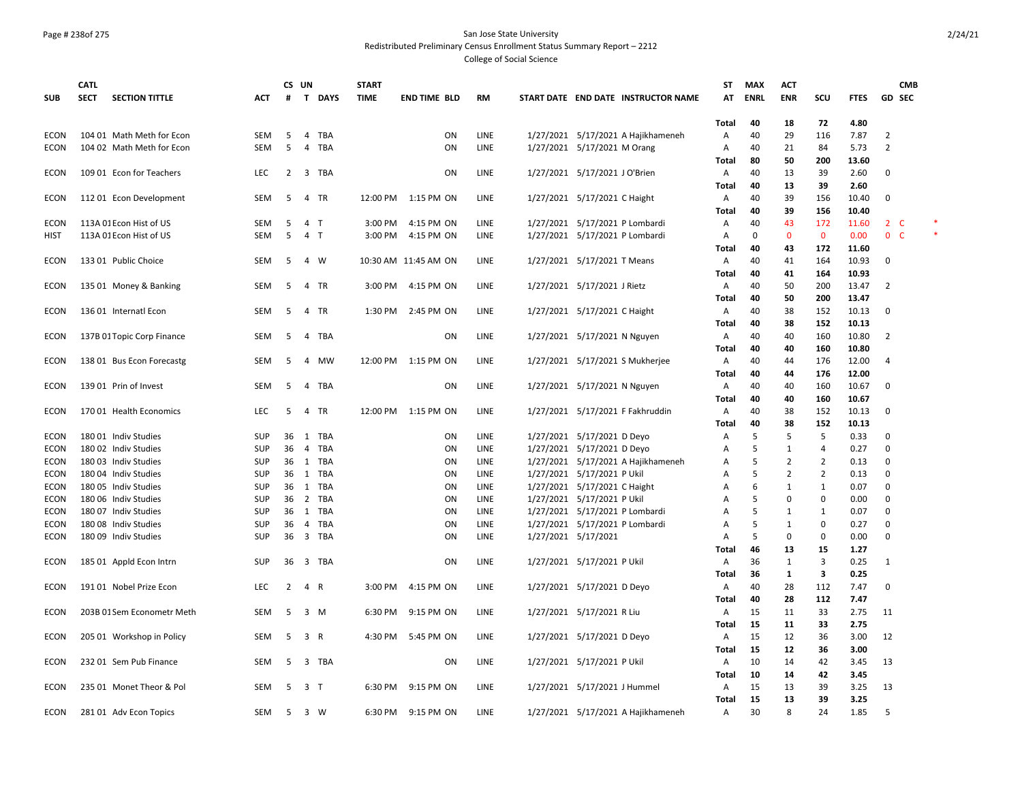#### Page # 238of 275 San Jose State University Redistributed Preliminary Census Enrollment Status Summary Report – 2212

|             | CATL        |                            |            | CS UN          |                                | <b>START</b> |                      |      |                                     | ST           | <b>MAX</b>  | <b>ACT</b>   |                |             | <b>CMB</b>     |        |
|-------------|-------------|----------------------------|------------|----------------|--------------------------------|--------------|----------------------|------|-------------------------------------|--------------|-------------|--------------|----------------|-------------|----------------|--------|
| <b>SUB</b>  | <b>SECT</b> | <b>SECTION TITTLE</b>      | <b>ACT</b> | #              | <b>T DAYS</b>                  | <b>TIME</b>  | <b>END TIME BLD</b>  | RM   | START DATE END DATE INSTRUCTOR NAME | AT           | <b>ENRL</b> | <b>ENR</b>   | SCU            | <b>FTES</b> | <b>GD SEC</b>  |        |
|             |             |                            |            |                |                                |              |                      |      |                                     |              |             |              |                |             |                |        |
|             |             |                            |            |                |                                |              |                      |      |                                     | Total        | 40          | 18           | 72             | 4.80        |                |        |
| <b>ECON</b> |             | 104 01 Math Meth for Econ  | <b>SEM</b> | 5              | $\overline{4}$<br><b>TBA</b>   |              | ON                   | LINE | 1/27/2021 5/17/2021 A Hajikhameneh  | Α            | 40          | 29           | 116            | 7.87        | $\overline{2}$ |        |
| ECON        |             | 104 02 Math Meth for Econ  | <b>SEM</b> | -5             | TBA<br>4                       |              | ON                   | LINE | 1/27/2021 5/17/2021 M Orang         | Α            | 40          | 21           | 84             | 5.73        | 2              |        |
|             |             |                            |            |                |                                |              |                      |      |                                     | Total        | 80          | 50           | 200            | 13.60       |                |        |
| ECON        |             | 109 01 Econ for Teachers   | <b>LEC</b> | 2              | 3 TBA                          |              | ON                   | LINE | 1/27/2021 5/17/2021 J O'Brien       | Α            | 40          | 13           | 39             | 2.60        | $\mathbf 0$    |        |
|             |             |                            |            |                |                                |              |                      |      |                                     | Total        | 40          | 13           | 39             | 2.60        |                |        |
| <b>ECON</b> |             | 112 01 Econ Development    | SEM        | 5              | <b>TR</b><br>$\overline{4}$    | 12:00 PM     | 1:15 PM ON           | LINE | 1/27/2021 5/17/2021 C Haight        | Α            | 40          | 39           | 156            | 10.40       | $\mathbf 0$    |        |
|             |             |                            |            |                |                                |              |                      |      |                                     | <b>Total</b> | 40          | 39           | 156            | 10.40       |                |        |
| <b>ECON</b> |             | 113A 01Econ Hist of US     | <b>SEM</b> | -5             | $\overline{4}$<br>$\top$       | 3:00 PM      | 4:15 PM ON           | LINE | 1/27/2021 5/17/2021 P Lombardi      | Α            | 40          | 43           | 172            | 11.60       | 2 <sub>c</sub> | $\ast$ |
| HIST        |             | 113A 01Econ Hist of US     | <b>SEM</b> | 5              | 4 <sub>1</sub>                 | 3:00 PM      | 4:15 PM ON           | LINE | 1/27/2021 5/17/2021 P Lombardi      | Α            | 0           | $\mathbf{0}$ | $\mathbf 0$    | 0.00        | 0 <sup>o</sup> |        |
|             |             |                            |            |                |                                |              |                      |      |                                     | <b>Total</b> | 40          | 43           | 172            | 11.60       |                |        |
| ECON        |             | 133 01 Public Choice       | <b>SEM</b> | 5              | 4 W                            |              | 10:30 AM 11:45 AM ON | LINE | 1/27/2021 5/17/2021 T Means         | Α            | 40          | 41           | 164            | 10.93       | $\mathbf 0$    |        |
|             |             |                            |            |                |                                |              |                      |      |                                     | Total        | 40          | 41           | 164            | 10.93       |                |        |
| ECON        |             | 135 01 Money & Banking     | SEM        | 5              | 4 TR                           | 3:00 PM      | 4:15 PM ON           | LINE | 1/27/2021 5/17/2021 J Rietz         | Α            | 40          | 50           | 200            | 13.47       | $\overline{2}$ |        |
|             |             |                            |            |                |                                |              |                      |      |                                     | Total        | 40          | 50           | 200            | 13.47       |                |        |
| <b>ECON</b> |             | 136 01 Internatl Econ      | SEM        | 5              | 4 TR                           | 1:30 PM      | 2:45 PM ON           | LINE | 1/27/2021 5/17/2021 C Haight        | Α            | 40          | 38           | 152            | 10.13       | $\mathbf 0$    |        |
|             |             |                            |            |                |                                |              |                      |      |                                     | <b>Total</b> | 40          | 38           | 152            | 10.13       |                |        |
| <b>ECON</b> |             | 137B 01 Topic Corp Finance | SEM        | 5              | $\overline{4}$<br><b>TBA</b>   |              | ON                   | LINE | 1/27/2021 5/17/2021 N Nguyen        | Α            | 40          | 40           | 160            | 10.80       | $\overline{2}$ |        |
|             |             |                            |            |                |                                |              |                      |      |                                     | Total        | 40          | 40           | 160            | 10.80       |                |        |
| ECON        |             | 138 01 Bus Econ Forecastg  | SEM        | -5             | <b>MW</b><br>4                 |              | 12:00 PM 1:15 PM ON  | LINE | 1/27/2021 5/17/2021 S Mukherjee     | Α            | 40          | 44           | 176            | 12.00       | 4              |        |
|             |             |                            |            |                |                                |              |                      |      |                                     | Total        | 40          | 44           | 176            | 12.00       |                |        |
| ECON        |             | 139 01 Prin of Invest      | <b>SEM</b> | 5              | $\overline{4}$<br><b>TBA</b>   |              | ON                   | LINE | 1/27/2021 5/17/2021 N Nguyen        | Α            | 40          | 40           | 160            | 10.67       | $\mathbf 0$    |        |
|             |             |                            |            |                |                                |              |                      |      |                                     | Total        | 40          | 40           | 160            | 10.67       |                |        |
| ECON        |             | 170 01 Health Economics    | <b>LEC</b> | -5             | 4 TR                           | 12:00 PM     | 1:15 PM ON           | LINE | 1/27/2021 5/17/2021 F Fakhruddin    | A            | 40          | 38           | 152            | 10.13       | 0              |        |
|             |             |                            |            |                |                                |              |                      |      |                                     | Total        | 40          | 38           | 152            | 10.13       |                |        |
| ECON        |             | 18001 Indiv Studies        | <b>SUP</b> | 36             | TBA<br>1                       |              | ON                   | LINE | 1/27/2021 5/17/2021 D Deyo          | Α            | 5           | 5            | 5              | 0.33        | 0              |        |
| ECON        |             | 180 02 Indiv Studies       | <b>SUP</b> | 36             | 4 TBA                          |              | ON                   | LINE | 1/27/2021 5/17/2021 D Deyo          | Α            | 5           | 1            | $\overline{4}$ | 0.27        | $\mathbf 0$    |        |
| ECON        |             | 180 03 Indiv Studies       | <b>SUP</b> | 36             | 1 TBA                          |              | ON                   | LINE | 1/27/2021 5/17/2021 A Hajikhameneh  | Α            | 5           | 2            | $\overline{2}$ | 0.13        | 0              |        |
| ECON        |             | 180 04 Indiv Studies       | SUP        | 36             | 1 TBA                          |              | ON                   | LINE | 1/27/2021 5/17/2021 P Ukil          | Α            | 5           | 2            | $\overline{2}$ | 0.13        | $\mathbf 0$    |        |
| <b>ECON</b> |             | 180 05 Indiv Studies       | <b>SUP</b> | 36             | 1<br>TBA                       |              | ON                   | LINE | 1/27/2021 5/17/2021 C Haight        | Α            | 6           | 1            | $\mathbf{1}$   | 0.07        | 0              |        |
| <b>ECON</b> |             | 180 06 Indiv Studies       | <b>SUP</b> | 36             | 2 TBA                          |              | ON                   | LINE | 1/27/2021 5/17/2021 P Ukil          | A            | 5           | 0            | $\mathbf 0$    | 0.00        | $\mathbf 0$    |        |
| ECON        |             | 180 07 Indiv Studies       | <b>SUP</b> | 36             | 1 TBA                          |              | ON                   | LINE | 1/27/2021 5/17/2021 P Lombardi      | A            | 5           | 1            | $\mathbf{1}$   | 0.07        | 0              |        |
| ECON        |             | 18008 Indiv Studies        | <b>SUP</b> | 36             | TBA<br>4                       |              | ON                   | LINE | 1/27/2021 5/17/2021 P Lombardi      | Α            | 5           | 1            | $\mathbf 0$    | 0.27        | $\mathbf 0$    |        |
| ECON        |             | 180 09 Indiv Studies       | <b>SUP</b> | 36             | 3 TBA                          |              | ON                   | LINE | 1/27/2021 5/17/2021                 | A            | 5           | $\mathbf 0$  | $\mathsf 0$    | 0.00        | $\mathsf 0$    |        |
|             |             |                            |            |                |                                |              |                      |      |                                     | Total        | 46          | 13           | 15             | 1.27        |                |        |
| <b>ECON</b> |             | 185 01 Appld Econ Intrn    | <b>SUP</b> | 36             | 3 TBA                          |              | ON                   | LINE | 1/27/2021 5/17/2021 P Ukil          | Α            | 36          | 1            | 3              | 0.25        | $\mathbf{1}$   |        |
|             |             |                            |            |                |                                |              |                      |      |                                     | <b>Total</b> | 36          | 1            | 3              | 0.25        |                |        |
| ECON        |             | 191 01 Nobel Prize Econ    | <b>LEC</b> | $\overline{2}$ | 4 R                            | 3:00 PM      | 4:15 PM ON           | LINE | 1/27/2021 5/17/2021 D Deyo          | Α            | 40          | 28           | 112            | 7.47        | $\mathbf 0$    |        |
|             |             |                            |            |                |                                |              |                      |      |                                     | <b>Total</b> | 40          | 28           | 112            | 7.47        |                |        |
| ECON        |             | 203B 01 Sem Econometr Meth | <b>SEM</b> | 5              | 3 M                            | 6:30 PM      | 9:15 PM ON           | LINE | 1/27/2021 5/17/2021 R Liu           | Α            | 15          | 11           | 33             | 2.75        | 11             |        |
|             |             |                            |            |                |                                |              |                      |      |                                     | Total        | 15          | 11           | 33             | 2.75        |                |        |
| ECON        |             | 205 01 Workshop in Policy  | SEM        | 5              | 3 R                            | 4:30 PM      | 5:45 PM ON           | LINE | 1/27/2021 5/17/2021 D Deyo          | Α            | 15          | 12           | 36             | 3.00        | 12             |        |
|             |             |                            |            |                |                                |              |                      |      |                                     | Total        | 15          | 12           | 36             | 3.00        |                |        |
| ECON        |             | 232 01 Sem Pub Finance     | SEM        | 5              | $\overline{\mathbf{3}}$<br>TBA |              | ON                   | LINE | 1/27/2021 5/17/2021 P Ukil          | Α            | 10          | 14           | 42             | 3.45        | 13             |        |
|             |             |                            |            |                |                                |              |                      |      |                                     | <b>Total</b> | 10          | 14           | 42             | 3.45        |                |        |
| <b>ECON</b> |             | 235 01 Monet Theor & Pol   | SEM        | 5              | 3 <sub>T</sub>                 | 6:30 PM      | 9:15 PM ON           | LINE | 1/27/2021 5/17/2021 J Hummel        | Α            | 15          | 13           | 39             | 3.25        | 13             |        |
|             |             |                            |            |                |                                |              |                      |      |                                     | Total        | 15          | 13           | 39             | 3.25        |                |        |
| <b>ECON</b> |             | 281 01 Adv Econ Topics     | SEM        | 5              | 3 W                            | 6:30 PM      | 9:15 PM ON           | LINE | 1/27/2021 5/17/2021 A Hajikhameneh  | А            | 30          | 8            | 24             | 1.85        | 5              |        |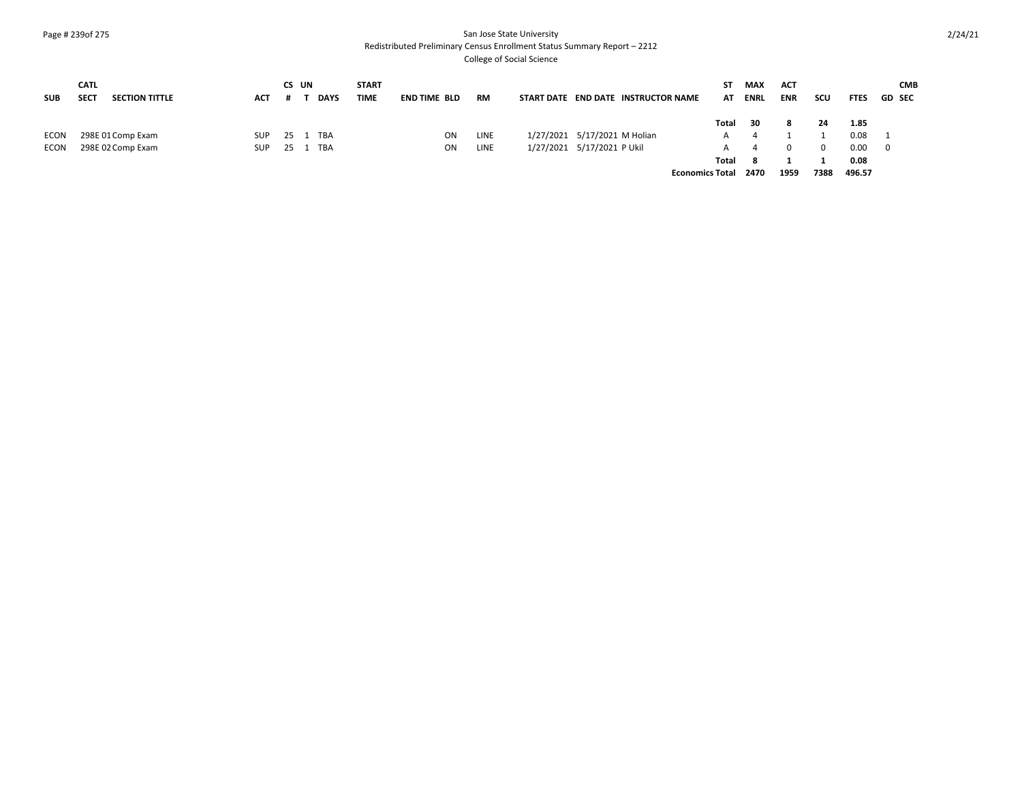#### Page # 239of 275 San Jose State University Redistributed Preliminary Census Enrollment Status Summary Report – 2212

| <b>SUB</b> | <b>CATL</b><br><b>SECT</b> | <b>SECTION TITTLE</b> | ACT        | CS UN    | <b>DAYS</b> | <b>START</b><br>TIME | <b>END TIME BLD</b> | <b>RM</b> | START DATE END DATE INSTRUCTOR NAME | SΤ<br>AT               | MAX<br><b>ENRL</b> | ACT<br><b>ENR</b> | scu      | <b>FTES</b> | <b>CMB</b><br><b>GD SEC</b> |
|------------|----------------------------|-----------------------|------------|----------|-------------|----------------------|---------------------|-----------|-------------------------------------|------------------------|--------------------|-------------------|----------|-------------|-----------------------------|
|            |                            |                       |            |          |             |                      |                     |           |                                     | Total                  | - 30               | 8                 | 24       | 1.85        |                             |
| ECON       |                            | 298E 01 Comp Exam     | <b>SUP</b> | 25 1 TBA |             |                      | ON.                 | LINE      | 1/27/2021 5/17/2021 M Holian        | А                      | 4                  |                   |          | 0.08        |                             |
| ECON       |                            | 298E 02 Comp Exam     | <b>SUP</b> | 25       | TBA         |                      | ON                  | LINE      | 1/27/2021 5/17/2021 P Ukil          | А                      | 4                  | 0                 | $\Omega$ | 0.00        | - 0                         |
|            |                            |                       |            |          |             |                      |                     |           |                                     | Total                  | - 8                |                   |          | 0.08        |                             |
|            |                            |                       |            |          |             |                      |                     |           |                                     | <b>Economics Total</b> | 2470               | 1959              | 7388     | 496.57      |                             |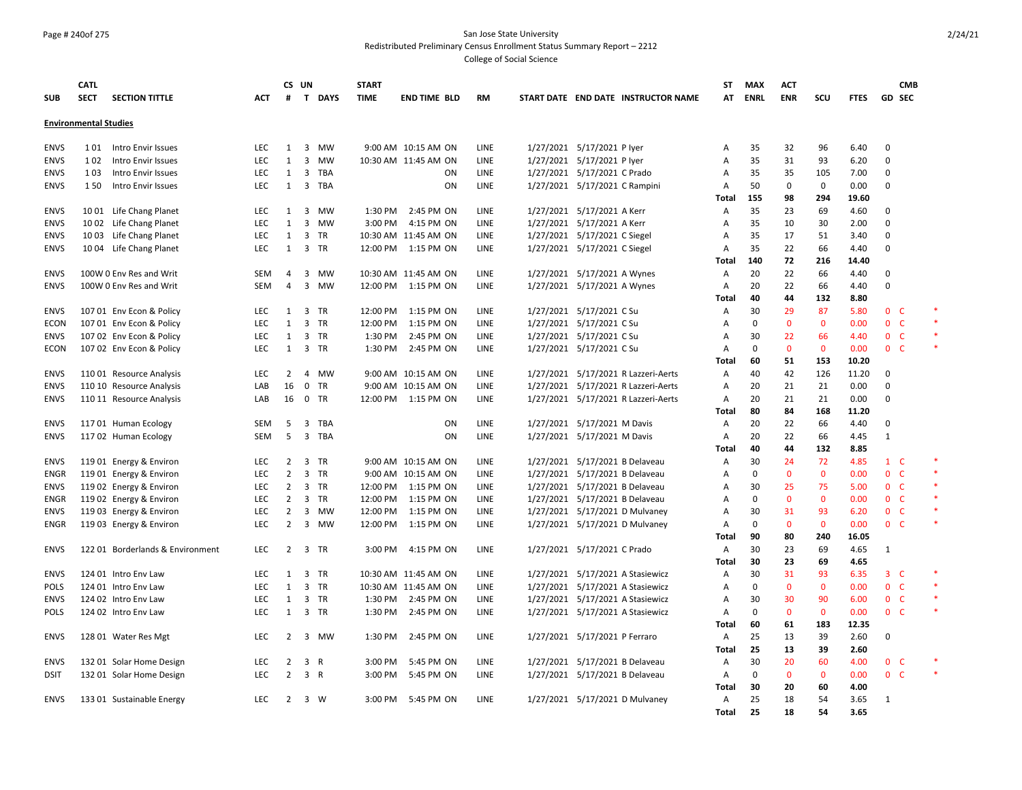#### Page # 240of 275 San Jose State University Redistributed Preliminary Census Enrollment Status Summary Report – 2212

|                            | <b>CATL</b>                  |                                                    |            |                     | CS UN                   |           | <b>START</b> |                                            |              |                                     | <b>ST</b>    | <b>MAX</b>  | <b>ACT</b>   |              |              |                              | <b>CMB</b> |        |
|----------------------------|------------------------------|----------------------------------------------------|------------|---------------------|-------------------------|-----------|--------------|--------------------------------------------|--------------|-------------------------------------|--------------|-------------|--------------|--------------|--------------|------------------------------|------------|--------|
| <b>SUB</b>                 | <b>SECT</b>                  | <b>SECTION TITTLE</b>                              | ACT        | #                   |                         | T DAYS    | <b>TIME</b>  | <b>END TIME BLD</b>                        | <b>RM</b>    | START DATE END DATE INSTRUCTOR NAME | AT           | <b>ENRL</b> | <b>ENR</b>   | scu          | <b>FTES</b>  | <b>GD SEC</b>                |            |        |
|                            | <b>Environmental Studies</b> |                                                    |            |                     |                         |           |              |                                            |              |                                     |              |             |              |              |              |                              |            |        |
|                            |                              |                                                    |            |                     |                         |           |              |                                            |              |                                     |              |             |              |              |              |                              |            |        |
| <b>ENVS</b>                | 1 0 1                        | Intro Envir Issues                                 | <b>LEC</b> | 1                   | $\overline{\mathbf{3}}$ | MW        |              | 9:00 AM 10:15 AM ON                        | LINE         | 1/27/2021 5/17/2021 P lyer          | Α            | 35          | 32           | 96           | 6.40         | 0                            |            |        |
| <b>ENVS</b>                | 1 0 2                        | Intro Envir Issues                                 | LEC        | 1                   | 3                       | <b>MW</b> |              | 10:30 AM 11:45 AM ON                       | LINE         | 1/27/2021 5/17/2021 P lyer          | Α            | 35          | 31           | 93           | 6.20         | $\mathsf 0$                  |            |        |
| <b>ENVS</b>                | 1 0 3                        | Intro Envir Issues                                 | LEC        | 1                   | $\overline{3}$          | TBA       |              | <b>ON</b>                                  | LINE         | 1/27/2021 5/17/2021 C Prado         | Α            | 35          | 35           | 105          | 7.00         | $\mathbf 0$                  |            |        |
| <b>ENVS</b>                | 150                          | Intro Envir Issues                                 | LEC        | 1                   | $\overline{3}$          | TBA       |              | ON                                         | LINE         | 1/27/2021 5/17/2021 C Rampini       | Α            | 50          | 0            | $\mathsf 0$  | 0.00         | $\mathbf 0$                  |            |        |
|                            |                              |                                                    |            |                     |                         |           |              |                                            |              |                                     | Total        | 155         | 98           | 294          | 19.60        |                              |            |        |
| <b>ENVS</b>                |                              | 1001 Life Chang Planet                             | <b>LEC</b> | 1                   |                         | 3 MW      | 1:30 PM      | 2:45 PM ON                                 | LINE         | 1/27/2021 5/17/2021 A Kerr          | Α            | 35          | 23           | 69           | 4.60         | 0                            |            |        |
| <b>ENVS</b>                |                              | 1002 Life Chang Planet                             | <b>LEC</b> | $\mathbf{1}$        | 3                       | <b>MW</b> | 3:00 PM      | 4:15 PM ON                                 | LINE         | 1/27/2021 5/17/2021 A Kerr          | Α            | 35          | 10           | 30           | 2.00         | $\mathbf 0$                  |            |        |
| <b>ENVS</b>                |                              | 1003 Life Chang Planet                             | LEC        | $\mathbf{1}$        | $\mathbf{3}$            | TR        |              | 10:30 AM 11:45 AM ON                       | LINE         | 1/27/2021 5/17/2021 C Siegel        | Α            | 35          | 17           | 51           | 3.40         | 0                            |            |        |
| <b>ENVS</b>                |                              | 10 04 Life Chang Planet                            | LEC        | $\mathbf{1}$        | 3                       | TR        | 12:00 PM     | 1:15 PM ON                                 | LINE         | 1/27/2021 5/17/2021 C Siegel        | A            | 35          | 22           | 66           | 4.40         | $\mathbf 0$                  |            |        |
|                            |                              |                                                    |            |                     |                         |           |              |                                            |              |                                     | Total        | 140         | 72           | 216          | 14.40        |                              |            |        |
| <b>ENVS</b>                |                              | 100W 0 Env Res and Writ                            | SEM        | 4                   | 3                       | MW        |              | 10:30 AM 11:45 AM ON                       | LINE         | 1/27/2021 5/17/2021 A Wynes         | Α            | 20          | 22           | 66           | 4.40         | $\mathbf 0$                  |            |        |
| <b>ENVS</b>                |                              | 100W 0 Env Res and Writ                            | <b>SEM</b> | $\overline{a}$      | 3                       | MW        | 12:00 PM     | 1:15 PM ON                                 | LINE         | 1/27/2021 5/17/2021 A Wynes         | Α            | 20          | 22           | 66           | 4.40         | $\mathsf 0$                  |            |        |
|                            |                              |                                                    |            |                     |                         |           |              |                                            |              |                                     | Total        | 40          | 44           | 132          | 8.80         |                              |            |        |
| <b>ENVS</b>                |                              | 107 01 Env Econ & Policy                           | LEC        | $\mathbf{1}$        |                         | 3 TR      | 12:00 PM     | 1:15 PM ON                                 | LINE         | 1/27/2021 5/17/2021 C Su            | Α            | 30          | 29           | 87           | 5.80         | 0 <sub>c</sub>               |            |        |
| ECON                       |                              | 107 01 Env Econ & Policy                           | <b>LEC</b> | 1                   | 3                       | <b>TR</b> | 12:00 PM     | 1:15 PM ON                                 | LINE         | 1/27/2021 5/17/2021 C Su            | A            | $\mathbf 0$ | 0            | $\mathbf{0}$ | 0.00         | 0 <sup>o</sup>               |            | $\ast$ |
| <b>ENVS</b>                |                              | 107 02 Env Econ & Policy                           | <b>LEC</b> | 1                   |                         | 3 TR      | 1:30 PM      | 2:45 PM ON                                 | <b>LINE</b>  | 1/27/2021 5/17/2021 C Su            | A            | 30          | 22           | 66           | 4.40         | 0 <sup>o</sup>               |            | $\ast$ |
| ECON                       |                              | 107 02 Env Econ & Policy                           | <b>LEC</b> | 1                   | $\mathbf{3}$            | TR        | 1:30 PM      | 2:45 PM ON                                 | LINE         | 1/27/2021 5/17/2021 C Su            | Α            | $\mathbf 0$ | $\mathbf 0$  | $\mathbf 0$  | 0.00         | 0 <sub>c</sub>               |            | $\ast$ |
|                            |                              |                                                    |            |                     |                         |           |              |                                            |              |                                     | Total        | 60          | 51           | 153          | 10.20        |                              |            |        |
| <b>ENVS</b>                |                              | 110 01 Resource Analysis                           | LEC        | $\overline{2}$      | $\overline{4}$          | <b>MW</b> |              | 9:00 AM 10:15 AM ON                        | LINE         | 1/27/2021 5/17/2021 R Lazzeri-Aerts | А            | 40          | 42           | 126          | 11.20        | 0                            |            |        |
| <b>ENVS</b>                |                              | 110 10 Resource Analysis                           | LAB        | 16                  | $\mathbf 0$             | <b>TR</b> |              | 9:00 AM 10:15 AM ON                        | LINE         | 1/27/2021 5/17/2021 R Lazzeri-Aerts | Α            | 20          | 21           | 21           | 0.00         | $\mathbf 0$                  |            |        |
| <b>ENVS</b>                |                              | 110 11 Resource Analysis                           | LAB        | 16                  | $\mathsf{O}$            | TR        |              | 12:00 PM 1:15 PM ON                        | LINE         | 1/27/2021 5/17/2021 R Lazzeri-Aerts | Α            | 20          | 21           | 21           | 0.00         | $\mathbf 0$                  |            |        |
|                            |                              |                                                    |            |                     |                         |           |              |                                            |              |                                     | Total        | 80          | 84           | 168          | 11.20        |                              |            |        |
| <b>ENVS</b>                |                              | 11701 Human Ecology                                | SEM        | 5                   | 3                       | TBA       |              | ON                                         | LINE         | 1/27/2021 5/17/2021 M Davis         | Α            | 20          | 22           | 66           | 4.40         | 0                            |            |        |
| <b>ENVS</b>                |                              | 117 02 Human Ecology                               | <b>SEM</b> | 5                   | 3                       | TBA       |              | ON                                         | LINE         | 1/27/2021 5/17/2021 M Davis         | Α            | 20<br>40    | 22           | 66           | 4.45         | $\mathbf{1}$                 |            |        |
|                            |                              |                                                    | <b>LEC</b> |                     |                         | TR        |              |                                            |              | 1/27/2021 5/17/2021 B Delaveau      | Total        | 30          | 44<br>24     | 132<br>72    | 8.85<br>4.85 |                              |            |        |
| <b>ENVS</b><br><b>ENGR</b> |                              | 119 01 Energy & Environ<br>119 01 Energy & Environ | <b>LEC</b> | 2<br>$\overline{2}$ | 3                       | 3 TR      |              | 9:00 AM 10:15 AM ON<br>9:00 AM 10:15 AM ON | LINE<br>LINE | 1/27/2021 5/17/2021 B Delaveau      | Α<br>Α       | $\Omega$    | $\mathbf{0}$ | $\mathbf{0}$ | 0.00         | $1\quad C$<br>0 <sup>o</sup> |            | $\ast$ |
| <b>ENVS</b>                |                              | 119 02 Energy & Environ                            | <b>LEC</b> | 2                   |                         | 3 TR      |              | 12:00 PM 1:15 PM ON                        | LINE         | 1/27/2021 5/17/2021 B Delaveau      | Α            | 30          | 25           | 75           | 5.00         | 0 <sub>c</sub>               |            | $\ast$ |
| ENGR                       |                              | 119 02 Energy & Environ                            | <b>LEC</b> | $\overline{2}$      |                         | 3 TR      | 12:00 PM     | 1:15 PM ON                                 | LINE         | 1/27/2021 5/17/2021 B Delaveau      | Α            | $\Omega$    | $\mathbf{0}$ | $\mathbf{0}$ | 0.00         | 0 <sup>o</sup>               |            | $\ast$ |
| <b>ENVS</b>                |                              | 119 03 Energy & Environ                            | <b>LEC</b> | 2                   | 3                       | MW        | 12:00 PM     | 1:15 PM ON                                 | LINE         | 1/27/2021 5/17/2021 D Mulvaney      | A            | 30          | 31           | 93           | 6.20         | 0 <sub>c</sub>               |            | $\ast$ |
| <b>ENGR</b>                |                              | 119 03 Energy & Environ                            | <b>LEC</b> | $\overline{2}$      |                         | 3 MW      | 12:00 PM     | 1:15 PM ON                                 | LINE         | 1/27/2021 5/17/2021 D Mulvaney      | A            | $\mathbf 0$ | $\mathbf{0}$ | $\mathbf{0}$ | 0.00         | 0 <sup>o</sup>               |            | $\ast$ |
|                            |                              |                                                    |            |                     |                         |           |              |                                            |              |                                     | Total        | 90          | 80           | 240          | 16.05        |                              |            |        |
| <b>ENVS</b>                |                              | 122 01 Borderlands & Environment                   | <b>LEC</b> |                     | 2 3 TR                  |           | 3:00 PM      | 4:15 PM ON                                 | LINE         | 1/27/2021 5/17/2021 C Prado         | Α            | 30          | 23           | 69           | 4.65         | 1                            |            |        |
|                            |                              |                                                    |            |                     |                         |           |              |                                            |              |                                     | Total        | 30          | 23           | 69           | 4.65         |                              |            |        |
| <b>ENVS</b>                |                              | 124 01 Intro Env Law                               | <b>LEC</b> | 1                   | 3                       | <b>TR</b> |              | 10:30 AM 11:45 AM ON                       | LINE         | 1/27/2021 5/17/2021 A Stasiewicz    | Α            | 30          | 31           | 93           | 6.35         | $3-$                         |            |        |
| <b>POLS</b>                |                              | 124 01 Intro Env Law                               | LEC        | $\mathbf{1}$        |                         | 3 TR      |              | 10:30 AM 11:45 AM ON                       | LINE         | 1/27/2021 5/17/2021 A Stasiewicz    | Α            | $\mathbf 0$ | 0            | $\mathbf 0$  | 0.00         | 0 <sub>c</sub>               |            | $\ast$ |
| <b>ENVS</b>                |                              | 124 02 Intro Env Law                               | LEC        | 1                   |                         | 3 TR      | 1:30 PM      | 2:45 PM ON                                 | LINE         | 1/27/2021 5/17/2021 A Stasiewicz    | Α            | 30          | 30           | 90           | 6.00         | 0 <sub>c</sub>               |            | $\ast$ |
| <b>POLS</b>                |                              | 124 02 Intro Env Law                               | <b>LEC</b> | $\mathbf{1}$        |                         | 3 TR      | 1:30 PM      | 2:45 PM ON                                 | LINE         | 1/27/2021 5/17/2021 A Stasiewicz    | Α            | $\mathbf 0$ | 0            | $\mathbf 0$  | 0.00         | 0 <sup>o</sup>               |            | $\ast$ |
|                            |                              |                                                    |            |                     |                         |           |              |                                            |              |                                     | <b>Total</b> | 60          | 61           | 183          | 12.35        |                              |            |        |
| <b>ENVS</b>                |                              | 128 01 Water Res Mgt                               | <b>LEC</b> | 2                   |                         | 3 MW      | 1:30 PM      | 2:45 PM ON                                 | LINE         | 1/27/2021 5/17/2021 P Ferraro       | A            | 25          | 13           | 39           | 2.60         | $\mathbf 0$                  |            |        |
|                            |                              |                                                    |            |                     |                         |           |              |                                            |              |                                     | Total        | 25          | 13           | 39           | 2.60         |                              |            |        |
| <b>ENVS</b>                |                              | 132 01 Solar Home Design                           | LEC        | $\overline{2}$      | 3 R                     |           | 3:00 PM      | 5:45 PM ON                                 | LINE         | 1/27/2021 5/17/2021 B Delaveau      | Α            | 30          | 20           | 60           | 4.00         | 0 <sup>o</sup>               |            |        |
| <b>DSIT</b>                |                              | 132 01 Solar Home Design                           | <b>LEC</b> | $\overline{2}$      | 3 R                     |           | 3:00 PM      | 5:45 PM ON                                 | LINE         | 1/27/2021 5/17/2021 B Delaveau      | Α            | $\mathbf 0$ | 0            | $\mathbf{0}$ | 0.00         | 0 <sub>c</sub>               |            | $\ast$ |
|                            |                              |                                                    |            |                     |                         |           |              |                                            |              |                                     | <b>Total</b> | 30          | 20           | 60           | 4.00         |                              |            |        |
| <b>ENVS</b>                |                              | 133 01 Sustainable Energy                          | <b>LEC</b> | 2                   | 3 W                     |           | 3:00 PM      | 5:45 PM ON                                 | LINE         | 1/27/2021 5/17/2021 D Mulvaney      | A            | 25          | 18           | 54           | 3.65         | 1                            |            |        |
|                            |                              |                                                    |            |                     |                         |           |              |                                            |              |                                     | <b>Total</b> | 25          | 18           | 54           | 3.65         |                              |            |        |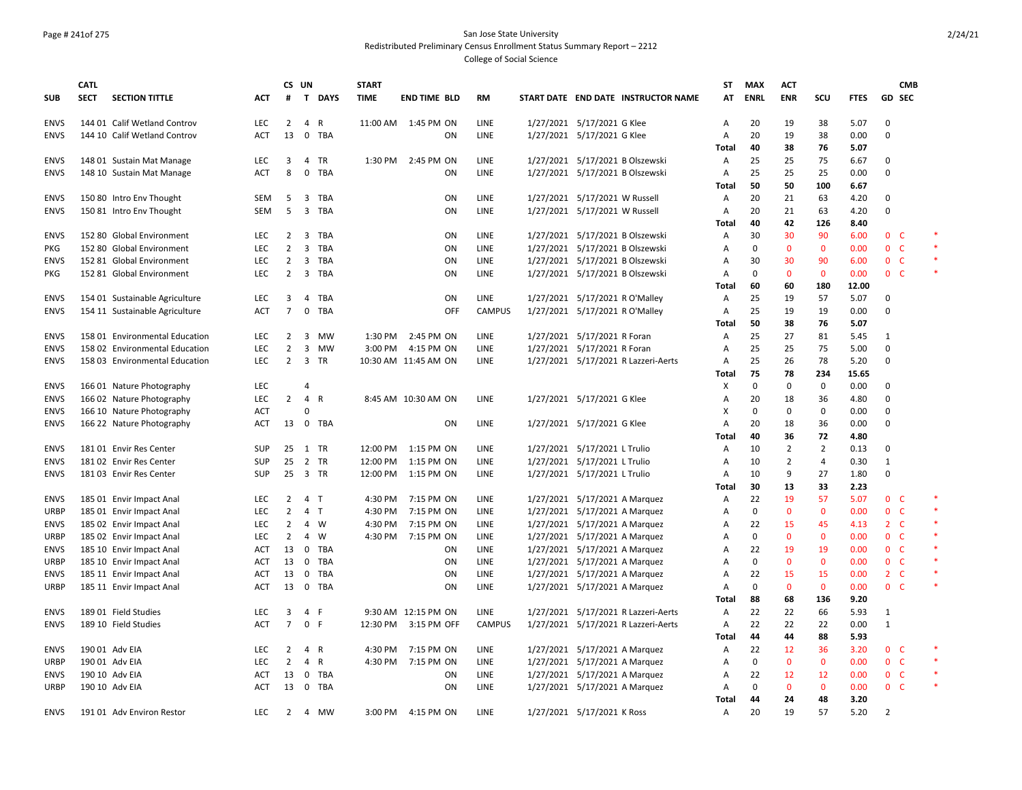## Page # 241of 275 San Jose State University Redistributed Preliminary Census Enrollment Status Summary Report – 2212

|                     | <b>CATL</b> |                                                      |                          | CS UN          |                         |              | <b>START</b> |                      |               |                                                                |                                     | <b>ST</b>               | <b>MAX</b>   | <b>ACT</b>          |                |              |                              | <b>CMB</b>   |        |
|---------------------|-------------|------------------------------------------------------|--------------------------|----------------|-------------------------|--------------|--------------|----------------------|---------------|----------------------------------------------------------------|-------------------------------------|-------------------------|--------------|---------------------|----------------|--------------|------------------------------|--------------|--------|
| <b>SUB</b>          | <b>SECT</b> | <b>SECTION TITTLE</b>                                | <b>ACT</b>               | #              |                         | T DAYS       | <b>TIME</b>  | <b>END TIME BLD</b>  | <b>RM</b>     |                                                                | START DATE END DATE INSTRUCTOR NAME | AT                      | <b>ENRL</b>  | <b>ENR</b>          | SCU            | <b>FTES</b>  | GD SEC                       |              |        |
| <b>ENVS</b>         |             | 144 01 Calif Wetland Controv                         | <b>LEC</b>               | $\overline{2}$ | $\overline{4}$          | $\mathsf{R}$ |              | 11:00 AM  1:45 PM ON | LINE          | 1/27/2021 5/17/2021 G Klee                                     |                                     | A                       | 20           | 19                  | 38             | 5.07         | 0                            |              |        |
| <b>ENVS</b>         |             | 144 10 Calif Wetland Controv                         | ACT                      | 13             | 0                       | TBA          |              | ΟN                   | LINE          | 1/27/2021 5/17/2021 G Klee                                     |                                     | Α                       | 20           | 19                  | 38             | 0.00         | 0                            |              |        |
|                     |             |                                                      |                          |                |                         |              |              |                      |               |                                                                |                                     | Total                   | 40           | 38                  | 76             | 5.07         |                              |              |        |
| <b>ENVS</b>         |             | 148 01 Sustain Mat Manage                            | <b>LEC</b>               | 3              | 4                       | TR           | 1:30 PM      | 2:45 PM ON           | LINE          |                                                                | 1/27/2021 5/17/2021 B Olszewski     | Α                       | 25           | 25                  | 75             | 6.67         | $\Omega$                     |              |        |
| <b>ENVS</b>         |             | 148 10 Sustain Mat Manage                            | <b>ACT</b>               | 8              | 0                       | <b>TBA</b>   |              | ON                   | LINE          |                                                                | 1/27/2021 5/17/2021 B Olszewski     | Α                       | 25           | 25                  | 25             | 0.00         | $\Omega$                     |              |        |
|                     |             |                                                      |                          |                |                         |              |              |                      |               |                                                                |                                     | <b>Total</b>            | 50           | 50                  | 100            | 6.67         |                              |              |        |
| <b>ENVS</b>         |             | 150 80 Intro Env Thought                             | SEM                      | 5              | 3                       | TBA          |              | ON                   | LINE          | 1/27/2021 5/17/2021 W Russell                                  |                                     | Α                       | 20           | 21                  | 63             | 4.20         | $\Omega$                     |              |        |
| <b>ENVS</b>         |             | 150 81 Intro Env Thought                             | SEM                      | 5              | $\overline{\mathbf{3}}$ | TBA          |              | ON                   | LINE          | 1/27/2021 5/17/2021 W Russell                                  |                                     | Α                       | 20           | 21                  | 63             | 4.20         | 0                            |              |        |
|                     |             |                                                      |                          |                |                         |              |              |                      |               |                                                                |                                     | Total                   | 40           | 42                  | 126            | 8.40         |                              |              |        |
| <b>ENVS</b>         |             | 152 80 Global Environment                            | <b>LEC</b>               | 2              | 3                       | <b>TBA</b>   |              | ON                   | LINE          |                                                                | 1/27/2021 5/17/2021 B Olszewski     | Α                       | 30           | 30                  | 90             | 6.00         | $\mathbf{0}$                 | - C          |        |
| <b>PKG</b>          |             | 152 80 Global Environment                            | <b>LEC</b>               | 2              | $\overline{3}$          | TBA          |              | ON                   | LINE          |                                                                | 1/27/2021 5/17/2021 B Olszewski     | A                       | $\mathbf 0$  | $\mathbf{0}$        | $\mathbf{0}$   | 0.00         | $\mathbf{0}$                 | - C          | $\ast$ |
| <b>ENVS</b>         |             | 152 81 Global Environment                            | <b>LEC</b>               | $\overline{2}$ | $\overline{\mathbf{3}}$ | <b>TBA</b>   |              | ON                   | LINE          |                                                                | 1/27/2021 5/17/2021 B Olszewski     | A                       | 30           | 30                  | 90             | 6.00         | 0 <sup>o</sup>               |              |        |
| PKG                 |             | 152 81 Global Environment                            | <b>LEC</b>               | $\overline{2}$ | 3                       | TBA          |              | ΟN                   | LINE          |                                                                | 1/27/2021 5/17/2021 B Olszewski     | Α                       | $\mathbf 0$  | $\mathbf{0}$        | $\mathbf{0}$   | 0.00         | $\mathbf{0}$                 | <sub>c</sub> |        |
|                     |             |                                                      |                          |                |                         |              |              |                      |               |                                                                |                                     | Total                   | 60           | 60                  | 180            | 12.00        |                              |              |        |
| <b>ENVS</b>         |             | 154 01 Sustainable Agriculture                       | LEC                      | 3              | $\overline{4}$          | <b>TBA</b>   |              | ON                   | LINE          | 1/27/2021 5/17/2021 R O'Malley                                 |                                     | A                       | 25           | 19                  | 57             | 5.07         | $\Omega$                     |              |        |
| <b>ENVS</b>         |             | 154 11 Sustainable Agriculture                       | ACT                      | $\overline{7}$ | 0                       | TBA          |              | OFF                  | <b>CAMPUS</b> | 1/27/2021 5/17/2021 R O'Malley                                 |                                     | Α                       | 25           | 19                  | 19             | 0.00         | $\Omega$                     |              |        |
|                     |             |                                                      |                          |                |                         |              |              |                      |               |                                                                |                                     | Total                   | 50           | 38                  | 76             | 5.07         |                              |              |        |
| <b>ENVS</b>         |             | 158 01 Environmental Education                       | <b>LEC</b>               | 2              | 3                       | MW           | 1:30 PM      | 2:45 PM ON           | LINE          | 1/27/2021 5/17/2021 R Foran                                    |                                     | Α                       | 25           | 27                  | 81             | 5.45         | 1                            |              |        |
| <b>ENVS</b>         |             | 158 02 Environmental Education                       | <b>LEC</b>               | $\overline{2}$ | 3                       | MW           | 3:00 PM      | 4:15 PM ON           | LINE          | 1/27/2021 5/17/2021 R Foran                                    |                                     | Α                       | 25           | 25                  | 75             | 5.00         | 0                            |              |        |
| <b>ENVS</b>         |             | 158 03 Environmental Education                       | LEC                      | $\overline{2}$ |                         | 3 TR         |              | 10:30 AM 11:45 AM ON | LINE          |                                                                | 1/27/2021 5/17/2021 R Lazzeri-Aerts | Α                       | 25           | 26                  | 78             | 5.20         | 0                            |              |        |
|                     |             |                                                      |                          |                |                         |              |              |                      |               |                                                                |                                     | Total                   | 75           | 78                  | 234            | 15.65        |                              |              |        |
| <b>ENVS</b>         |             | 166 01 Nature Photography                            | <b>LEC</b>               |                | 4                       |              |              |                      |               |                                                                |                                     | X                       | 0            | 0                   | 0              | 0.00         | $\Omega$                     |              |        |
| <b>ENVS</b>         |             | 166 02 Nature Photography                            | <b>LEC</b>               | $\overline{2}$ | $\overline{4}$          | $\mathsf{R}$ |              | 8:45 AM 10:30 AM ON  | LINE          | 1/27/2021 5/17/2021 G Klee                                     |                                     | Α                       | 20           | 18                  | 36             | 4.80         | 0                            |              |        |
| <b>ENVS</b>         |             | 166 10 Nature Photography                            | ACT                      |                | $\Omega$                |              |              |                      |               |                                                                |                                     | X                       | $\mathbf 0$  | $\mathbf 0$         | $\mathbf 0$    | 0.00         | $\Omega$                     |              |        |
| <b>ENVS</b>         |             | 166 22 Nature Photography                            | ACT                      | 13             | $\mathbf 0$             | TBA          |              | ΟN                   | LINE          | 1/27/2021 5/17/2021 G Klee                                     |                                     | Α                       | 20           | 18                  | 36             | 0.00         | 0                            |              |        |
|                     |             |                                                      |                          |                |                         |              |              |                      |               |                                                                |                                     | Total                   | 40           | 36                  | 72             | 4.80         |                              |              |        |
| <b>ENVS</b>         |             | 181 01 Envir Res Center                              | <b>SUP</b>               | 25             | 1 TR                    |              | 12:00 PM     | 1:15 PM ON           | LINE          | 1/27/2021 5/17/2021 L Trulio                                   |                                     | A                       | 10           | 2                   | $\overline{2}$ | 0.13         | $\Omega$                     |              |        |
| <b>ENVS</b>         |             | 181 02 Envir Res Center                              | <b>SUP</b>               | 25             |                         | 2 TR         | 12:00 PM     | 1:15 PM ON           | LINE          | 1/27/2021 5/17/2021 L Trulio                                   |                                     | Α                       | 10           | $\overline{2}$<br>9 | 4<br>27        | 0.30         | 1<br>$\Omega$                |              |        |
| <b>ENVS</b>         |             | 18103 Envir Res Center                               | SUP                      | 25             | 3 TR                    |              | 12:00 PM     | 1:15 PM ON           | LINE          | 1/27/2021 5/17/2021 L Trulio                                   |                                     | Α                       | 10<br>30     |                     | 33             | 1.80         |                              |              |        |
|                     |             |                                                      | LEC                      | $\overline{2}$ | $\overline{4}$          | $\mathsf{T}$ | 4:30 PM      | 7:15 PM ON           | LINE          |                                                                |                                     | Total<br>$\overline{A}$ | 22           | 13<br>19            | 57             | 2.23<br>5.07 | $\mathbf{0}$                 | - C          |        |
| <b>ENVS</b>         |             | 185 01 Envir Impact Anal                             |                          | $\overline{2}$ | $\overline{4}$          | T            | 4:30 PM      | 7:15 PM ON           |               |                                                                | 1/27/2021 5/17/2021 A Marquez       |                         | $\Omega$     | $\mathbf 0$         | $\mathbf 0$    |              | 0 <sub>c</sub>               |              | $\ast$ |
| <b>URBP</b>         |             | 185 01 Envir Impact Anal                             | <b>LEC</b><br><b>LEC</b> | $\overline{2}$ | 4                       | W            | 4:30 PM      | 7:15 PM ON           | LINE<br>LINE  | 1/27/2021 5/17/2021 A Marquez                                  |                                     | Α<br>A                  | 22           | 15                  | 45             | 0.00<br>4.13 | $2\quad C$                   |              | $\ast$ |
| <b>ENVS</b><br>URBP |             | 185 02 Envir Impact Anal<br>185 02 Envir Impact Anal | <b>LEC</b>               | $\overline{2}$ | 4                       | W            | 4:30 PM      | 7:15 PM ON           | LINE          | 1/27/2021 5/17/2021 A Marquez<br>1/27/2021 5/17/2021 A Marquez |                                     | Α                       | $\mathbf 0$  | $\mathbf{0}$        | $\mathbf 0$    | 0.00         | 0 <sup>o</sup>               |              |        |
| <b>ENVS</b>         |             | 185 10 Envir Impact Anal                             | <b>ACT</b>               | 13             | 0                       | TBA          |              | ON                   | LINE          | 1/27/2021 5/17/2021 A Marquez                                  |                                     | Α                       | 22           | 19                  | 19             | 0.00         | 0 <sub>c</sub>               |              |        |
| URBP                |             | 185 10 Envir Impact Anal                             | ACT                      | 13             | $\mathbf 0$             | TBA          |              | ON                   | LINE          | 1/27/2021 5/17/2021 A Marquez                                  |                                     | Α                       | $\mathbf{0}$ | $\mathbf 0$         | $\mathbf 0$    | 0.00         | 0 <sub>c</sub>               |              |        |
| <b>ENVS</b>         |             | 185 11 Envir Impact Anal                             | <b>ACT</b>               | 13             | 0                       | TBA          |              | ΟN                   | LINE          | 1/27/2021 5/17/2021 A Marquez                                  |                                     | Α                       | 22           | 15                  | 15             | 0.00         | $2\degree$ C                 |              |        |
| URBP                |             | 185 11 Envir Impact Anal                             | <b>ACT</b>               | 13             |                         | 0 TBA        |              | ON                   | LINE          | 1/27/2021 5/17/2021 A Marquez                                  |                                     | Α                       | $\Omega$     | $\mathbf 0$         | $\mathbf 0$    | 0.00         | 0 <sub>c</sub>               |              |        |
|                     |             |                                                      |                          |                |                         |              |              |                      |               |                                                                |                                     | <b>Total</b>            | 88           | 68                  | 136            | 9.20         |                              |              |        |
| <b>ENVS</b>         |             | 189 01 Field Studies                                 | LEC                      | 3              | 4                       | F.           |              | 9:30 AM 12:15 PM ON  | LINE          |                                                                | 1/27/2021 5/17/2021 R Lazzeri-Aerts | Α                       | 22           | 22                  | 66             | 5.93         | 1                            |              |        |
| <b>ENVS</b>         |             | 189 10 Field Studies                                 | <b>ACT</b>               | $\overline{7}$ | 0 F                     |              | 12:30 PM     | 3:15 PM OFF          | <b>CAMPUS</b> |                                                                | 1/27/2021 5/17/2021 R Lazzeri-Aerts | Α                       | 22           | 22                  | 22             | 0.00         | $\mathbf{1}$                 |              |        |
|                     |             |                                                      |                          |                |                         |              |              |                      |               |                                                                |                                     | <b>Total</b>            | 44           | 44                  | 88             | 5.93         |                              |              |        |
| <b>ENVS</b>         |             | 190 01 Adv EIA                                       | LEC                      | $\overline{2}$ | $\overline{4}$          | $\mathsf{R}$ | 4:30 PM      | 7:15 PM ON           | LINE          |                                                                | 1/27/2021 5/17/2021 A Marquez       | Α                       | 22           | 12                  | 36             | 3.20         | 0 <sub>c</sub>               |              | $\ast$ |
| <b>URBP</b>         |             | 190 01 Adv EIA                                       | <b>LEC</b>               | $\overline{2}$ | $\overline{4}$          | $\mathsf{R}$ | 4:30 PM      | 7:15 PM ON           | LINE          | 1/27/2021 5/17/2021 A Marquez                                  |                                     | A                       | $\Omega$     | $\mathbf{0}$        | $\mathbf{0}$   | 0.00         | $\mathbf{0}$<br>$\mathsf{C}$ |              | $\ast$ |
| <b>ENVS</b>         |             | 190 10 Adv EIA                                       | <b>ACT</b>               | 13             | $\mathbf 0$             | TBA          |              | ΟN                   | LINE          |                                                                | 1/27/2021 5/17/2021 A Marquez       | Α                       | 22           | 12                  | 12             | 0.00         | 0 <sub>c</sub>               |              |        |
| URBP                |             | 190 10 Adv EIA                                       | <b>ACT</b>               | 13             | $\mathbf 0$             | TBA          |              | ON                   | LINE          |                                                                | 1/27/2021 5/17/2021 A Marquez       | Α                       | $\mathbf 0$  | $\mathbf 0$         | $\mathbf 0$    | 0.00         | 0 <sub>c</sub>               |              | $\ast$ |
|                     |             |                                                      |                          |                |                         |              |              |                      |               |                                                                |                                     | Total                   | 44           | 24                  | 48             | 3.20         |                              |              |        |
| <b>ENVS</b>         |             | 191 01 Adv Environ Restor                            | <b>LEC</b>               | 2              |                         | 4 MW         |              | 3:00 PM 4:15 PM ON   | LINE          | 1/27/2021 5/17/2021 K Ross                                     |                                     | Α                       | 20           | 19                  | 57             | 5.20         | 2                            |              |        |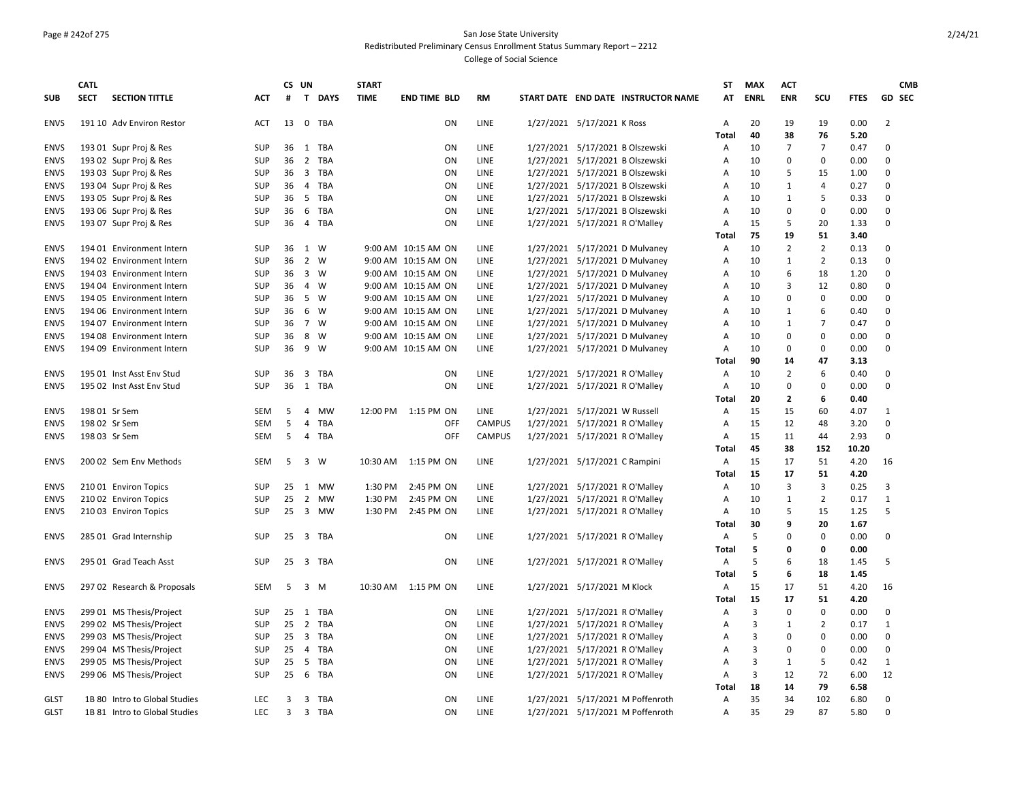## Page # 242of 275 San Jose State University Redistributed Preliminary Census Enrollment Status Summary Report – 2212

|             | <b>CATL</b> |                               |            | CS UN          |                |                     | <b>START</b> |                     |               |                                |                                     | <b>ST</b>      | <b>MAX</b>  | <b>ACT</b>     |                               |              | <b>CMB</b>                  |
|-------------|-------------|-------------------------------|------------|----------------|----------------|---------------------|--------------|---------------------|---------------|--------------------------------|-------------------------------------|----------------|-------------|----------------|-------------------------------|--------------|-----------------------------|
| <b>SUB</b>  | <b>SECT</b> | <b>SECTION TITTLE</b>         | <b>ACT</b> | #              |                | T DAYS              | <b>TIME</b>  | <b>END TIME BLD</b> | <b>RM</b>     |                                | START DATE END DATE INSTRUCTOR NAME | AT             | <b>ENRL</b> | <b>ENR</b>     | SCU                           | <b>FTES</b>  | <b>GD SEC</b>               |
| <b>ENVS</b> |             | 191 10 Adv Environ Restor     | ACT        | 13             |                | 0 TBA               |              | ON                  | LINE          | 1/27/2021 5/17/2021 K Ross     |                                     | Α              | 20          | 19             | 19                            | 0.00         | 2                           |
|             |             |                               |            |                |                |                     |              |                     |               |                                |                                     | Total          | 40          | 38             | 76                            | 5.20         |                             |
| <b>ENVS</b> |             | 193 01 Supr Proj & Res        | <b>SUP</b> | 36             |                | 1 TBA               |              | ON                  | LINE          |                                | 1/27/2021 5/17/2021 B Olszewski     | Α              | 10          | $\overline{7}$ | $\overline{7}$                | 0.47         | 0                           |
| <b>ENVS</b> |             | 193 02 Supr Proj & Res        | <b>SUP</b> | 36             | 2              | TBA                 |              | ON                  | LINE          |                                | 1/27/2021 5/17/2021 B Olszewski     | A              | 10          | 0              | $\mathbf{0}$                  | 0.00         | 0                           |
| <b>ENVS</b> |             | 193 03 Supr Proj & Res        | SUP        | 36             |                | 3 TBA               |              | ON                  | LINE          |                                | 1/27/2021 5/17/2021 B Olszewski     | A              | 10          | 5              | 15                            | 1.00         | 0                           |
| <b>ENVS</b> |             | 193 04 Supr Proj & Res        | <b>SUP</b> | 36             |                | 4 TBA               |              | ON                  | LINE          |                                | 1/27/2021 5/17/2021 B Olszewski     | $\overline{A}$ | 10          | 1              | $\overline{4}$                | 0.27         | 0                           |
| <b>ENVS</b> |             | 193 05 Supr Proj & Res        | SUP        | 36             |                | 5 TBA               |              | ON                  | LINE          |                                | 1/27/2021 5/17/2021 B Olszewski     | A              | 10          | $\mathbf{1}$   | 5                             | 0.33         | $\mathbf 0$                 |
| <b>ENVS</b> |             | 193 06 Supr Proj & Res        | SUP        | 36             | 6              | TBA                 |              | ON                  | LINE          |                                | 1/27/2021 5/17/2021 B Olszewski     | A              | 10          | 0              | $\mathbf{0}$                  | 0.00         | $\mathbf 0$                 |
| <b>ENVS</b> |             | 193 07 Supr Proj & Res        | SUP        | 36             |                | 4 TBA               |              | ON                  | LINE          |                                | 1/27/2021 5/17/2021 R O'Malley      | A              | 15          | 5              | 20                            | 1.33         | $\mathbf 0$                 |
|             |             |                               |            |                |                |                     |              |                     |               |                                |                                     | Total          | 75          | 19             | 51                            | 3.40         |                             |
| <b>ENVS</b> |             | 194 01 Environment Intern     | SUP        | 36             | 1 W            |                     |              | 9:00 AM 10:15 AM ON | LINE          |                                | 1/27/2021 5/17/2021 D Mulvaney      | Α              | 10          | $\overline{2}$ | $\overline{2}$                | 0.13         | $\mathbf 0$                 |
| <b>ENVS</b> |             | 194 02 Environment Intern     | SUP        | 36             |                | 2 W                 |              | 9:00 AM 10:15 AM ON | LINE          |                                | 1/27/2021 5/17/2021 D Mulvaney      | $\overline{A}$ | 10          | 1              | $\overline{2}$                | 0.13         | $\mathbf 0$                 |
| <b>ENVS</b> |             | 194 03 Environment Intern     | SUP        | 36             |                | 3 W                 |              | 9:00 AM 10:15 AM ON | LINE          |                                | 1/27/2021 5/17/2021 D Mulvaney      | $\overline{A}$ | 10          | 6              | 18                            | 1.20         | $\mathbf 0$                 |
| <b>ENVS</b> |             | 194 04 Environment Intern     | SUP        | 36             |                | 4 W                 |              | 9:00 AM 10:15 AM ON | LINE          |                                | 1/27/2021 5/17/2021 D Mulvaney      | $\overline{A}$ | 10          | 3              | 12                            | 0.80         | $\mathbf 0$                 |
| <b>ENVS</b> |             | 194 05 Environment Intern     | SUP        | 36             |                | 5 W                 |              | 9:00 AM 10:15 AM ON | LINE          |                                | 1/27/2021 5/17/2021 D Mulvaney      | A              | 10          | 0              | $\mathsf 0$                   | 0.00         | $\mathbf 0$                 |
| <b>ENVS</b> |             | 194 06 Environment Intern     | SUP        | 36             |                | 6 W                 |              | 9:00 AM 10:15 AM ON | LINE          |                                | 1/27/2021 5/17/2021 D Mulvaney      | $\overline{A}$ | 10          | $\mathbf{1}$   | 6                             | 0.40         | $\mathbf 0$                 |
| <b>ENVS</b> |             | 194 07 Environment Intern     | SUP        | 36             | 7 W            |                     |              | 9:00 AM 10:15 AM ON | LINE          |                                | 1/27/2021 5/17/2021 D Mulvaney      | A              | 10          | $\mathbf{1}$   | $\overline{7}$                | 0.47         | 0                           |
| <b>ENVS</b> |             | 194 08 Environment Intern     | <b>SUP</b> | 36             |                | 8 W                 |              | 9:00 AM 10:15 AM ON | LINE          |                                | 1/27/2021 5/17/2021 D Mulvaney      | A              | 10          | 0              | $\mathbf 0$                   | 0.00         | $\mathbf 0$                 |
| <b>ENVS</b> |             | 194 09 Environment Intern     | SUP        | 36             | 9              | W                   |              | 9:00 AM 10:15 AM ON | LINE          |                                | 1/27/2021 5/17/2021 D Mulvaney      | A              | 10          | 0              | $\mathbf 0$                   | 0.00         | 0                           |
|             |             |                               |            |                |                |                     |              |                     |               |                                |                                     | Total          | 90          | 14             | 47                            | 3.13         |                             |
| <b>ENVS</b> |             | 195 01 Inst Asst Env Stud     | <b>SUP</b> | 36             |                | 3 TBA               |              | ON                  | LINE          |                                | 1/27/2021 5/17/2021 R O'Malley      | A              | 10          | $\overline{2}$ | 6                             | 0.40         | 0                           |
| <b>ENVS</b> |             | 195 02 Inst Asst Env Stud     | SUP        | 36             |                | 1 TBA               |              | ON                  | LINE          |                                | 1/27/2021 5/17/2021 R O'Malley      | $\overline{A}$ | 10          | 0              | $\mathbf{0}$                  | 0.00         | $\mathbf 0$                 |
|             |             |                               |            |                |                |                     |              |                     |               |                                |                                     | Total          | 20          | $\mathbf{z}$   | 6                             | 0.40         |                             |
| <b>ENVS</b> |             | 198 01 Sr Sem                 | <b>SEM</b> | 5              | 4              | <b>MW</b>           |              | 12:00 PM 1:15 PM ON | LINE          | 1/27/2021 5/17/2021 W Russell  |                                     | Α              | 15          | 15             | 60                            | 4.07         | $\mathbf{1}$                |
| <b>ENVS</b> |             | 198 02 Sr Sem                 | SEM        | 5              | 4              | TBA                 |              | OFF                 | <b>CAMPUS</b> | 1/27/2021 5/17/2021 R O'Malley |                                     | A              | 15          | 12             | 48                            | 3.20         | $\mathbf 0$                 |
| <b>ENVS</b> |             | 198 03 Sr Sem                 | <b>SEM</b> | 5              | $\overline{4}$ | <b>TBA</b>          |              | OFF                 | CAMPUS        | 1/27/2021 5/17/2021 R O'Malley |                                     | A              | 15          | 11             | 44                            | 2.93         | $\Omega$                    |
|             |             |                               |            |                |                |                     |              |                     |               |                                |                                     | <b>Total</b>   | 45          | 38             | 152                           | 10.20        |                             |
| <b>ENVS</b> |             | 200 02 Sem Env Methods        | SEM        | 5              | 3              | W                   | 10:30 AM     | 1:15 PM ON          | LINE          | 1/27/2021 5/17/2021 C Rampini  |                                     | Α              | 15          | 17             | 51                            | 4.20         | 16                          |
|             |             |                               |            |                |                |                     |              |                     |               |                                |                                     | Total          | 15          | 17             | 51                            | 4.20         |                             |
| <b>ENVS</b> |             | 210 01 Environ Topics         | SUP        | 25             | 1              | <b>MW</b>           | 1:30 PM      | 2:45 PM ON          | LINE          |                                | 1/27/2021 5/17/2021 R O'Malley      | A              | 10          | 3              | 3                             | 0.25         | 3                           |
| <b>ENVS</b> |             | 210 02 Environ Topics         | <b>SUP</b> | 25             |                | 2 MW                | 1:30 PM      | 2:45 PM ON          | LINE          |                                | 1/27/2021 5/17/2021 R O'Malley      | A              | 10          | 1              | $\overline{2}$                | 0.17         | $\mathbf{1}$                |
| <b>ENVS</b> |             | 210 03 Environ Topics         | SUP        | 25             |                | 3 MW                | 1:30 PM      | 2:45 PM ON          | LINE          |                                | 1/27/2021 5/17/2021 R O'Malley      | A              | 10          | 5              | 15                            | 1.25         | 5                           |
|             |             |                               |            |                |                |                     |              |                     |               |                                |                                     | Total          | 30          | 9              | 20                            | 1.67         |                             |
| <b>ENVS</b> |             | 285 01 Grad Internship        | <b>SUP</b> | 25             |                | 3 TBA               |              | ON                  | LINE          |                                | 1/27/2021 5/17/2021 R O'Malley      | A              | 5           | 0              | $\mathsf 0$                   | 0.00         | 0                           |
|             |             |                               |            | 25             |                |                     |              |                     | LINE          |                                |                                     | Total          | 5<br>5      | 0              | 0                             | 0.00         |                             |
| <b>ENVS</b> |             | 295 01 Grad Teach Asst        | SUP        |                |                | 3 TBA               |              | ON                  |               | 1/27/2021 5/17/2021 R O'Malley |                                     | Α              |             | 6              | 18                            | 1.45         | 5                           |
|             |             |                               |            |                |                |                     |              |                     |               |                                |                                     | Total          | 5           | 6              | 18                            | 1.45         |                             |
| <b>ENVS</b> |             | 297 02 Research & Proposals   | SEM        | -5             |                | 3 M                 |              | 10:30 AM 1:15 PM ON | LINE          | 1/27/2021 5/17/2021 M Klock    |                                     | Α              | 15          | 17             | 51                            | 4.20         | 16                          |
|             |             |                               |            |                |                |                     |              |                     |               |                                |                                     | Total          | 15          | 17             | 51                            | 4.20         |                             |
| <b>ENVS</b> |             | 299 01 MS Thesis/Project      | <b>SUP</b> | 25             |                | 1 TBA               |              | ON                  | LINE          |                                | 1/27/2021 5/17/2021 R O'Malley      | A              | 3           | 0              | $\mathsf 0$                   | 0.00         | $\mathbf 0$                 |
| <b>ENVS</b> |             | 299 02 MS Thesis/Project      | SUP        | 25<br>25       | $\overline{2}$ | <b>TBA</b><br>3 TBA |              | ON                  | <b>LINE</b>   |                                | 1/27/2021 5/17/2021 R O'Malley      | $\overline{A}$ | 3<br>3      | 1<br>0         | $\overline{2}$<br>$\mathsf 0$ | 0.17<br>0.00 | $\mathbf{1}$<br>$\mathbf 0$ |
| <b>ENVS</b> |             | 299 03 MS Thesis/Project      | SUP        |                |                |                     |              | ON                  | LINE          |                                | 1/27/2021 5/17/2021 R O'Malley      | A              |             |                |                               |              |                             |
| <b>ENVS</b> |             | 299 04 MS Thesis/Project      | SUP        | 25             | $\overline{4}$ | TBA                 |              | ON                  | LINE          | 1/27/2021 5/17/2021 R O'Malley |                                     | A              | 3           | 0              | $\mathbf 0$                   | 0.00         | 0                           |
| <b>ENVS</b> |             | 299 05 MS Thesis/Project      | SUP        | 25             |                | 5 TBA               |              | ON                  | LINE          |                                | 1/27/2021 5/17/2021 R O'Malley      | A              | 3<br>3      | $\mathbf{1}$   | 5<br>72                       | 0.42         | $\mathbf{1}$                |
| <b>ENVS</b> |             | 299 06 MS Thesis/Project      | SUP        | 25             | 6              | TBA                 |              | ON                  | LINE          |                                | 1/27/2021 5/17/2021 R O'Malley      | Α<br>Total     |             | 12             | 79                            | 6.00         | 12                          |
|             |             |                               |            |                |                | <b>TBA</b>          |              |                     |               |                                |                                     |                | 18<br>35    | 14<br>34       | 102                           | 6.58         | $\mathbf 0$                 |
| <b>GLST</b> |             | 1B 80 Intro to Global Studies | <b>LEC</b> | 3              | 3              |                     |              | ON                  | LINE          |                                | 1/27/2021 5/17/2021 M Poffenroth    | $\overline{A}$ |             |                |                               | 6.80         |                             |
| <b>GLST</b> |             | 1B 81 Intro to Global Studies | LEC        | $\overline{3}$ |                | 3 TBA               |              | ON                  | LINE          |                                | 1/27/2021 5/17/2021 M Poffenroth    | $\overline{A}$ | 35          | 29             | 87                            | 5.80         | $\mathbf 0$                 |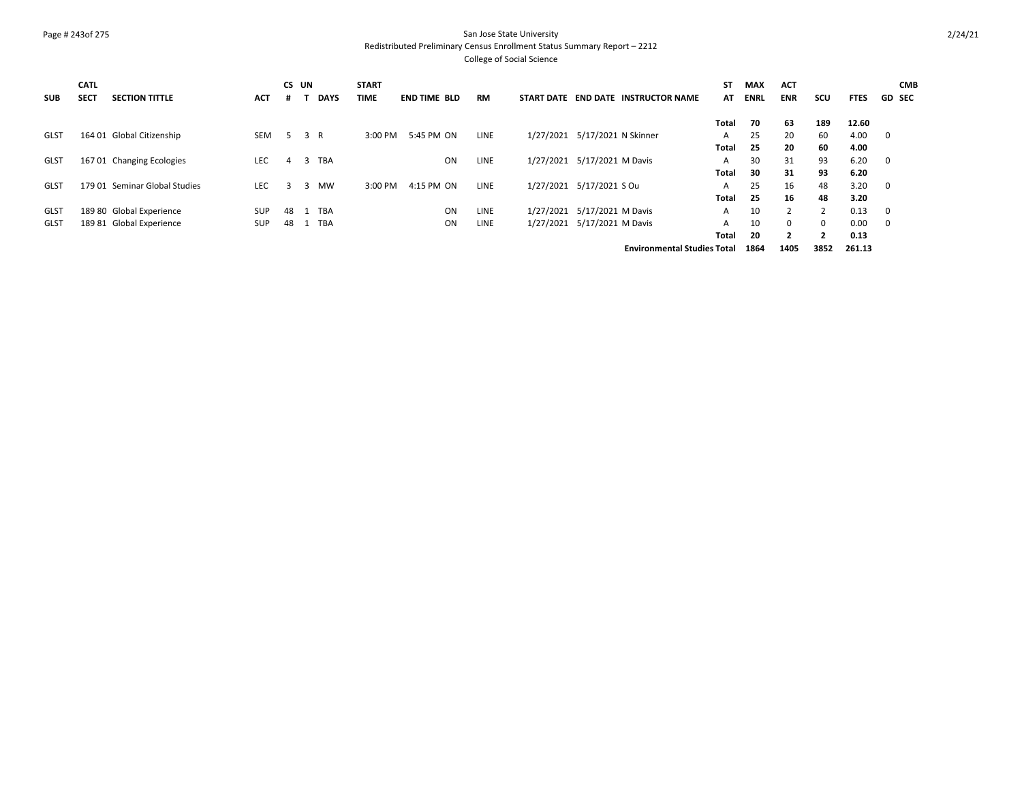#### Page # 243of 275 San Jose State University Redistributed Preliminary Census Enrollment Status Summary Report – 2212

| <b>SUB</b>  | <b>CATL</b><br><b>SECT</b> | <b>SECTION TITTLE</b>         | <b>ACT</b> | CS UN |     | <b>DAYS</b> | <b>START</b><br><b>TIME</b> | <b>END TIME BLD</b> | <b>RM</b>   | <b>START DATE</b> | END DATE<br><b>INSTRUCTOR NAME</b> | SΤ<br>AT | <b>MAX</b><br><b>ENRL</b> | <b>ACT</b><br><b>ENR</b> | scu            | <b>FTES</b> | <b>CMB</b><br><b>GD SEC</b> |
|-------------|----------------------------|-------------------------------|------------|-------|-----|-------------|-----------------------------|---------------------|-------------|-------------------|------------------------------------|----------|---------------------------|--------------------------|----------------|-------------|-----------------------------|
|             |                            |                               |            |       |     |             |                             |                     |             |                   |                                    | Total    | 70                        | 63                       | 189            | 12.60       |                             |
| <b>GLST</b> |                            | 164 01 Global Citizenship     | <b>SEM</b> | 5     | 3 R |             | 3:00 PM                     | 5:45 PM ON          | LINE        | 1/27/2021         | 5/17/2021 N Skinner                | A        | 25                        | 20                       | 60             | 4.00        | 0                           |
|             |                            |                               |            |       |     |             |                             |                     |             |                   |                                    | Total    | 25                        | 20                       | 60             | 4.00        |                             |
| <b>GLST</b> |                            | 167 01 Changing Ecologies     | <b>LEC</b> | 4     | 3   | <b>TBA</b>  |                             | ON                  | LINE        | 1/27/2021         | 5/17/2021 M Davis                  | A        | 30                        | 31                       | 93             | 6.20        | 0                           |
|             |                            |                               |            |       |     |             |                             |                     |             |                   |                                    | Total    | 30                        | 31                       | 93             | 6.20        |                             |
| <b>GLST</b> |                            | 179 01 Seminar Global Studies | LEC.       | з     | 3   | <b>MW</b>   | 3:00 PM                     | 4:15 PM ON          | LINE        | 1/27/2021         | 5/17/2021 S Ou                     | A        | 25                        | 16                       | 48             | 3.20        | 0                           |
|             |                            |                               |            |       |     |             |                             |                     |             |                   |                                    | Total    | 25                        | 16                       | 48             | 3.20        |                             |
| <b>GLST</b> |                            | 189 80 Global Experience      | <b>SUP</b> | 48    |     | <b>TBA</b>  |                             | <b>ON</b>           | <b>LINE</b> | 1/27/2021         | 5/17/2021 M Davis                  | A        | 10                        | $\overline{2}$           |                | 0.13        | 0                           |
| <b>GLST</b> |                            | 189 81 Global Experience      | <b>SUP</b> | 48    |     | <b>TBA</b>  |                             | ON                  | <b>LINE</b> | 1/27/2021         | 5/17/2021 M Davis                  | A        | 10                        | $\Omega$                 | $\Omega$       | 0.00        | $\Omega$                    |
|             |                            |                               |            |       |     |             |                             |                     |             |                   |                                    | Total    | 20                        | $\overline{2}$           | $\overline{2}$ | 0.13        |                             |
|             |                            |                               |            |       |     |             |                             |                     |             |                   | <b>Environmental Studies Total</b> |          | 1864                      | 1405                     | 3852           | 261.13      |                             |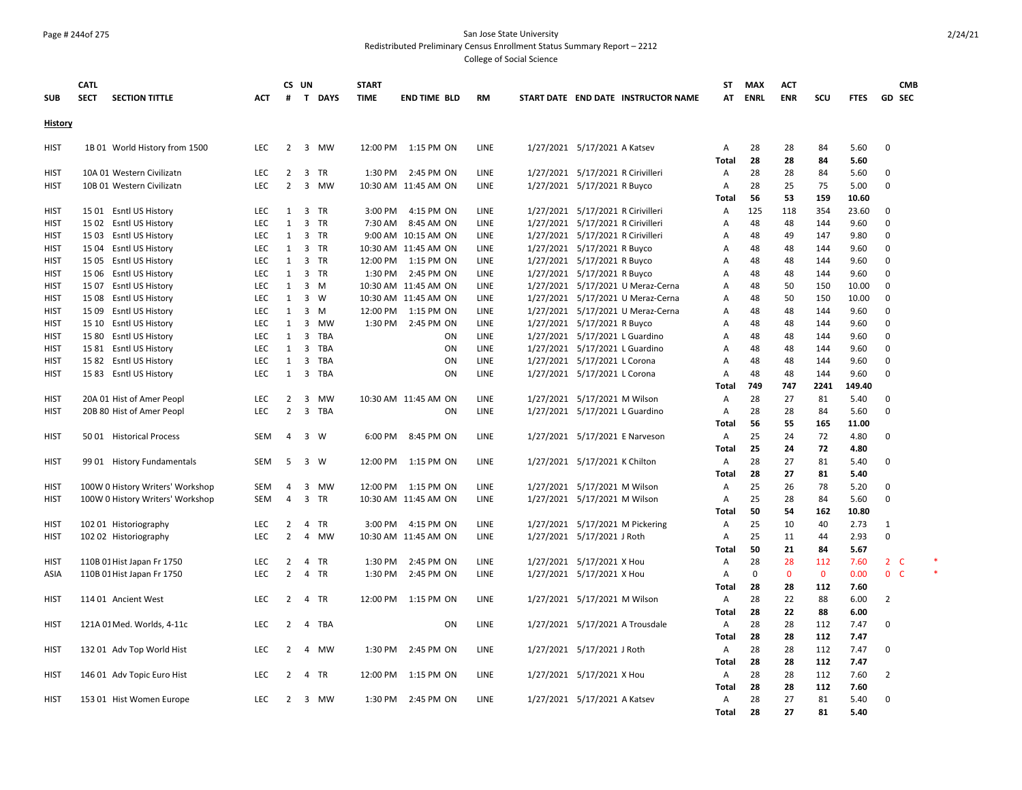#### Page # 244of 275 San Jose State University Redistributed Preliminary Census Enrollment Status Summary Report – 2212

| <b>SUB</b>     | CATL<br><b>SECT</b><br><b>SECTION TITTLE</b> | ACT        | #              | CS UN          | T DAYS     | <b>START</b><br><b>TIME</b> | <b>END TIME BLD</b>  | <b>RM</b>   |                                   | START DATE END DATE INSTRUCTOR NAME | <b>ST</b><br>AT              | <b>MAX</b><br><b>ENRL</b> | <b>ACT</b><br><b>ENR</b> | scu          | <b>FTES</b>  | <b>CMB</b><br>GD SEC |  |
|----------------|----------------------------------------------|------------|----------------|----------------|------------|-----------------------------|----------------------|-------------|-----------------------------------|-------------------------------------|------------------------------|---------------------------|--------------------------|--------------|--------------|----------------------|--|
|                |                                              |            |                |                |            |                             |                      |             |                                   |                                     |                              |                           |                          |              |              |                      |  |
| <b>History</b> |                                              |            |                |                |            |                             |                      |             |                                   |                                     |                              |                           |                          |              |              |                      |  |
| <b>HIST</b>    | 1B 01 World History from 1500                | LEC        | $\overline{2}$ |                | 3 MW       |                             | 12:00 PM 1:15 PM ON  | LINE        | 1/27/2021 5/17/2021 A Katsev      |                                     | Α<br>Total                   | 28<br>28                  | 28<br>28                 | 84<br>84     | 5.60<br>5.60 | $\Omega$             |  |
| <b>HIST</b>    | 10A 01 Western Civilizatn                    | <b>LEC</b> | $\mathbf{2}$   |                | 3 TR       | 1:30 PM                     | 2:45 PM ON           | LINE        | 1/27/2021 5/17/2021 R Cirivilleri |                                     | A                            | 28                        | 28                       | 84           | 5.60         | $\Omega$             |  |
| <b>HIST</b>    | 10B 01 Western Civilizatn                    | LEC        | $\overline{2}$ | 3              | MW         |                             | 10:30 AM 11:45 AM ON | LINE        | 1/27/2021 5/17/2021 R Buyco       |                                     | $\mathsf{A}$                 | 28                        | 25                       | 75           | 5.00         | $\mathbf 0$          |  |
|                |                                              |            |                |                |            |                             |                      |             |                                   |                                     | Total                        | 56                        | 53                       | 159          | 10.60        |                      |  |
| <b>HIST</b>    | 15 01 Esntl US History                       | LEC        | 1              |                | 3 TR       | 3:00 PM                     | 4:15 PM ON           | LINE        | 1/27/2021 5/17/2021 R Cirivilleri |                                     | Α                            | 125                       | 118                      | 354          | 23.60        | $\mathbf 0$          |  |
| <b>HIST</b>    | 15 02 Esntl US History                       | <b>LEC</b> | 1              |                | 3 TR       | 7:30 AM                     | 8:45 AM ON           | LINE        | 1/27/2021 5/17/2021 R Cirivilleri |                                     | A                            | 48                        | 48                       | 144          | 9.60         | $\Omega$             |  |
| <b>HIST</b>    | 15 03 Esntl US History                       | <b>LEC</b> | 1              |                | 3 TR       |                             | 9:00 AM 10:15 AM ON  | LINE        | 1/27/2021 5/17/2021 R Cirivilleri |                                     | A                            | 48                        | 49                       | 147          | 9.80         | $\mathbf 0$          |  |
| <b>HIST</b>    | 15 04 Esntl US History                       | <b>LEC</b> | 1              |                | 3 TR       |                             | 10:30 AM 11:45 AM ON | LINE        | 1/27/2021 5/17/2021 R Buyco       |                                     | $\overline{A}$               | 48                        | 48                       | 144          | 9.60         | $\Omega$             |  |
| <b>HIST</b>    | 15 05 Esntl US History                       | <b>LEC</b> | $\mathbf{1}$   |                | 3 TR       | 12:00 PM                    | 1:15 PM ON           | LINE        | 1/27/2021 5/17/2021 R Buyco       |                                     | A                            | 48                        | 48                       | 144          | 9.60         | $\mathbf 0$          |  |
| <b>HIST</b>    | 15 06 Esntl US History                       | <b>LEC</b> | 1              |                | 3 TR       | 1:30 PM                     | 2:45 PM ON           | LINE        | 1/27/2021 5/17/2021 R Buyco       |                                     | A                            | 48                        | 48                       | 144          | 9.60         | $\Omega$             |  |
| <b>HIST</b>    | 15 07 Esntl US History                       | <b>LEC</b> | $\mathbf{1}$   |                | $3 \, M$   |                             | 10:30 AM 11:45 AM ON | LINE        |                                   | 1/27/2021 5/17/2021 U Meraz-Cerna   | Α                            | 48                        | 50                       | 150          | 10.00        | $\mathbf 0$          |  |
| <b>HIST</b>    | 15 08 Esntl US History                       | <b>LEC</b> | 1              |                | 3 W        |                             | 10:30 AM 11:45 AM ON | LINE        |                                   | 1/27/2021 5/17/2021 U Meraz-Cerna   | A                            | 48                        | 50                       | 150          | 10.00        | $\Omega$             |  |
| <b>HIST</b>    | 15 09 Esntl US History                       | <b>LEC</b> | $\mathbf{1}$   |                | $3 \, M$   | 12:00 PM                    | 1:15 PM ON           | LINE        |                                   | 1/27/2021 5/17/2021 U Meraz-Cerna   | A                            | 48                        | 48                       | 144          | 9.60         | $\Omega$             |  |
| HIST           | 15 10 Esntl US History                       | <b>LEC</b> | 1              | 3              | MW         | 1:30 PM                     | 2:45 PM ON           | LINE        | 1/27/2021 5/17/2021 R Buyco       |                                     | $\mathsf{A}$                 | 48                        | 48                       | 144          | 9.60         | $\Omega$             |  |
| <b>HIST</b>    | 15 80 Esntl US History                       | <b>LEC</b> | 1              | 3              | <b>TBA</b> |                             | ON                   | LINE        | 1/27/2021 5/17/2021 L Guardino    |                                     | $\overline{A}$               | 48                        | 48                       | 144          | 9.60         | $\Omega$             |  |
| HIST           | 15 81 Esntl US History                       | LEC        | 1              | 3              | TBA        |                             | ON                   | LINE        | 1/27/2021 5/17/2021 L Guardino    |                                     | A                            | 48                        | 48                       | 144          | 9.60         | $\mathbf 0$          |  |
| <b>HIST</b>    | 15 82 Esntl US History                       | <b>LEC</b> | 1              | 3              | TBA        |                             | ON                   | LINE        | 1/27/2021 5/17/2021 L Corona      |                                     | A                            | 48                        | 48                       | 144          | 9.60         | $\Omega$             |  |
| <b>HIST</b>    | 15 83 Esntl US History                       | <b>LEC</b> | 1              | 3              | TBA        |                             | ON                   | LINE        | 1/27/2021 5/17/2021 L Corona      |                                     | Α                            | 48                        | 48                       | 144          | 9.60         | $\Omega$             |  |
|                |                                              |            |                |                |            |                             |                      |             |                                   |                                     | <b>Total</b>                 | 749                       | 747                      | 2241         | 149.40       |                      |  |
| <b>HIST</b>    | 20A 01 Hist of Amer Peopl                    | <b>LEC</b> | $\overline{2}$ | 3              | MW         |                             | 10:30 AM 11:45 AM ON | LINE        | 1/27/2021 5/17/2021 M Wilson      |                                     | Α                            | 28                        | 27                       | 81           | 5.40         | $\mathbf 0$          |  |
| <b>HIST</b>    | 20B 80 Hist of Amer Peopl                    | <b>LEC</b> | $\overline{2}$ |                | 3 TBA      |                             | ON                   | LINE        | 1/27/2021 5/17/2021 L Guardino    |                                     | Α                            | 28                        | 28                       | 84           | 5.60         | $\Omega$             |  |
|                |                                              |            |                |                |            |                             |                      |             |                                   |                                     | <b>Total</b>                 | 56                        | 55                       | 165          | 11.00        |                      |  |
| <b>HIST</b>    | 5001 Historical Process                      | <b>SEM</b> | 4              |                | 3 W        | 6:00 PM                     | 8:45 PM ON           | LINE        | 1/27/2021 5/17/2021 E Narveson    |                                     | $\mathsf{A}$                 | 25                        | 24                       | 72           | 4.80         | $\Omega$             |  |
|                |                                              |            |                |                |            |                             |                      |             |                                   |                                     | Total                        | 25                        | 24                       | 72           | 4.80         |                      |  |
| <b>HIST</b>    | 99 01 History Fundamentals                   | SEM        | -5             |                | 3 W        | 12:00 PM                    | 1:15 PM ON           | LINE        | 1/27/2021 5/17/2021 K Chilton     |                                     | $\mathsf{A}$                 | 28                        | 27                       | 81           | 5.40         | $\Omega$             |  |
|                |                                              |            |                |                |            |                             |                      |             |                                   |                                     | <b>Total</b>                 | 28                        | 27                       | 81           | 5.40         |                      |  |
| HIST           | 100W 0 History Writers' Workshop             | <b>SEM</b> | 4              | 3              | MW         | 12:00 PM                    | 1:15 PM ON           | LINE        | 1/27/2021 5/17/2021 M Wilson      |                                     | A                            | 25                        | 26                       | 78           | 5.20         | $\Omega$             |  |
| <b>HIST</b>    | 100W 0 History Writers' Workshop             | <b>SEM</b> | $\overline{4}$ |                | 3 TR       |                             | 10:30 AM 11:45 AM ON | LINE        | 1/27/2021 5/17/2021 M Wilson      |                                     | $\overline{A}$               | 25                        | 28                       | 84           | 5.60         | $\Omega$             |  |
|                |                                              |            |                |                |            |                             |                      |             |                                   |                                     | <b>Total</b>                 | 50                        | 54                       | 162          | 10.80        |                      |  |
| <b>HIST</b>    | 102 01 Historiography                        | LEC        | $\overline{2}$ | $\overline{4}$ | <b>TR</b>  | 3:00 PM                     | 4:15 PM ON           | <b>LINE</b> |                                   | 1/27/2021 5/17/2021 M Pickering     | A                            | 25                        | 10                       | 40           | 2.73         | 1                    |  |
| <b>HIST</b>    | 102 02 Historiography                        | LEC        | $\overline{2}$ | 4              | мw         |                             | 10:30 AM 11:45 AM ON | LINE        | 1/27/2021 5/17/2021 J Roth        |                                     | A                            | 25                        | 11                       | 44           | 2.93         | $\Omega$             |  |
|                |                                              |            |                |                |            |                             |                      |             |                                   |                                     | Total                        | 50                        | 21                       | 84           | 5.67         |                      |  |
| <b>HIST</b>    | 110B 01 Hist Japan Fr 1750                   | <b>LEC</b> | 2              |                | 4 TR       | 1:30 PM                     | 2:45 PM ON           | LINE        | 1/27/2021 5/17/2021 X Hou         |                                     | Α                            | 28                        | 28                       | 112          | 7.60         | 2 <sub>c</sub>       |  |
| <b>ASIA</b>    | 110B 01 Hist Japan Fr 1750                   | <b>LEC</b> | $\overline{2}$ |                | 4 TR       | 1:30 PM                     | 2:45 PM ON           | LINE        | 1/27/2021 5/17/2021 X Hou         |                                     | Α                            | 0                         | $\mathbf{0}$             | $\mathbf{0}$ | 0.00         | 0 <sup>o</sup>       |  |
|                |                                              |            |                |                |            |                             |                      |             |                                   |                                     | <b>Total</b>                 | 28                        | 28                       | 112          | 7.60         |                      |  |
| <b>HIST</b>    | 114 01 Ancient West                          | <b>LEC</b> | $\overline{2}$ |                | 4 TR       |                             | 12:00 PM 1:15 PM ON  | <b>LINE</b> | 1/27/2021 5/17/2021 M Wilson      |                                     | $\mathsf{A}$                 | 28                        | 22                       | 88           | 6.00         | 2                    |  |
|                |                                              |            |                |                |            |                             |                      |             |                                   |                                     | Total                        | 28<br>28                  | 22<br>28                 | 88<br>112    | 6.00         | $\Omega$             |  |
| <b>HIST</b>    | 121A 01 Med. Worlds, 4-11c                   | LEC        | 2              | 4              | TBA        |                             | ON                   | LINE        |                                   | 1/27/2021 5/17/2021 A Trousdale     | $\mathsf{A}$<br>Total        | 28                        | 28                       | 112          | 7.47<br>7.47 |                      |  |
| <b>HIST</b>    |                                              | <b>LEC</b> | 2              | 4              | MW         | 1:30 PM                     | 2:45 PM ON           | LINE        | 1/27/2021 5/17/2021 J Roth        |                                     | $\mathsf{A}$                 | 28                        | 28                       | 112          | 7.47         | $\Omega$             |  |
|                | 132 01 Adv Top World Hist                    |            |                |                |            |                             |                      |             |                                   |                                     |                              |                           | 28                       | 112          |              |                      |  |
|                |                                              | LEC        | 2              | 4              | TR         | 12:00 PM                    | 1:15 PM ON           | LINE        | 1/27/2021 5/17/2021 X Hou         |                                     | <b>Total</b><br>$\mathsf{A}$ | 28<br>28                  | 28                       | 112          | 7.47<br>7.60 | 2                    |  |
| HIST           | 146 01 Adv Topic Euro Hist                   |            |                |                |            |                             |                      |             |                                   |                                     | Total                        | 28                        | 28                       | 112          | 7.60         |                      |  |
| <b>HIST</b>    | 153 01 Hist Women Europe                     | <b>LEC</b> | 2              |                | 3 MW       | 1:30 PM                     | 2:45 PM ON           | LINE        | 1/27/2021 5/17/2021 A Katsev      |                                     | $\overline{A}$               | 28                        | 27                       | 81           | 5.40         | $\Omega$             |  |
|                |                                              |            |                |                |            |                             |                      |             |                                   |                                     | Total                        | 28                        | 27                       | 81           | 5.40         |                      |  |
|                |                                              |            |                |                |            |                             |                      |             |                                   |                                     |                              |                           |                          |              |              |                      |  |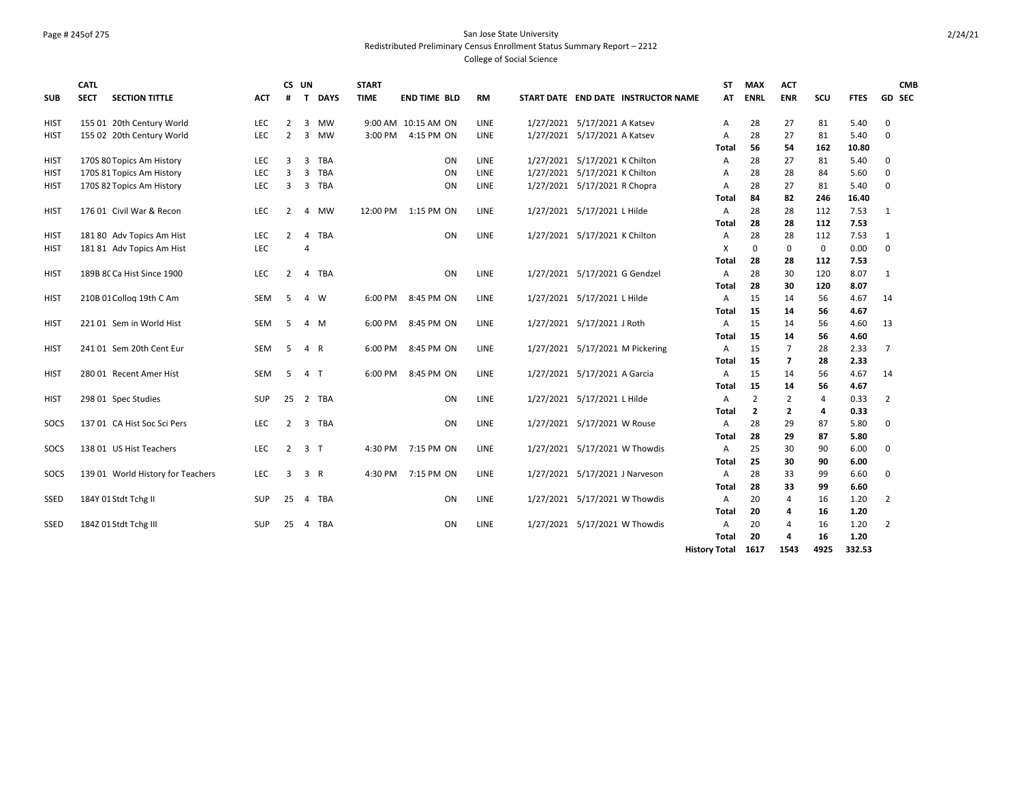## Page # 245of 275 San Jose State University Redistributed Preliminary Census Enrollment Status Summary Report – 2212

|             | <b>CATL</b> |                                   |            | CS UN          |                |             | <b>START</b> |                     |    |             |                               |                                     | <b>ST</b>            | <b>MAX</b>     | <b>ACT</b>               |                |             | <b>CMB</b>     |
|-------------|-------------|-----------------------------------|------------|----------------|----------------|-------------|--------------|---------------------|----|-------------|-------------------------------|-------------------------------------|----------------------|----------------|--------------------------|----------------|-------------|----------------|
| <b>SUB</b>  | <b>SECT</b> | <b>SECTION TITTLE</b>             | ACT        | #              | T.             | <b>DAYS</b> | <b>TIME</b>  | <b>END TIME BLD</b> |    | <b>RM</b>   |                               | START DATE END DATE INSTRUCTOR NAME | AT                   | <b>ENRL</b>    | <b>ENR</b>               | scu            | <b>FTES</b> | <b>GD SEC</b>  |
|             |             |                                   |            |                |                |             |              |                     |    |             |                               |                                     |                      |                |                          |                |             |                |
| <b>HIST</b> |             | 155 01 20th Century World         | <b>LEC</b> | 2              | 3              | <b>MW</b>   |              | 9:00 AM 10:15 AM ON |    | <b>LINE</b> | 1/27/2021 5/17/2021 A Katsev  |                                     | Α                    | 28             | 27                       | 81             | 5.40        | $\mathbf 0$    |
| HIST        |             | 155 02 20th Century World         | LEC        | $\overline{2}$ | 3              | MW          |              | 3:00 PM 4:15 PM ON  |    | LINE        | 1/27/2021 5/17/2021 A Katsev  |                                     | A                    | 28             | 27                       | 81             | 5.40        | 0              |
|             |             |                                   |            |                |                |             |              |                     |    |             |                               |                                     | Total                | 56             | 54                       | 162            | 10.80       |                |
| <b>HIST</b> |             | 170S 80 Topics Am History         | LEC        | 3              | 3              | TBA         |              |                     | ON | LINE        | 1/27/2021 5/17/2021 K Chilton |                                     | Α                    | 28             | 27                       | 81             | 5.40        | 0              |
| HIST        |             | 170S 81 Topics Am History         | <b>LEC</b> | 3              | 3              | <b>TBA</b>  |              |                     | ON | LINE        | 1/27/2021 5/17/2021 K Chilton |                                     | A                    | 28             | 28                       | 84             | 5.60        | $\mathbf 0$    |
| HIST        |             | 170S 82 Topics Am History         | <b>LEC</b> | 3              |                | 3 TBA       |              |                     | ON | <b>LINE</b> | 1/27/2021 5/17/2021 R Chopra  |                                     | A                    | 28             | 27                       | 81             | 5.40        | $\mathbf 0$    |
|             |             |                                   |            |                |                |             |              |                     |    |             |                               |                                     | Total                | 84             | 82                       | 246            | 16.40       |                |
| hist        |             | 176 01 Civil War & Recon          | <b>LEC</b> | 2              | 4              | <b>MW</b>   |              | 12:00 PM 1:15 PM ON |    | LINE        | 1/27/2021 5/17/2021 L Hilde   |                                     | Α                    | 28             | 28                       | 112            | 7.53        | 1              |
|             |             |                                   |            |                |                |             |              |                     |    |             |                               |                                     | <b>Total</b>         | 28             | 28                       | 112            | 7.53        |                |
| HIST        |             | 181 80 Adv Topics Am Hist         | LEC        | $\overline{2}$ | 4              | TBA         |              |                     | ON | LINE        | 1/27/2021 5/17/2021 K Chilton |                                     | A                    | 28             | 28                       | 112            | 7.53        | 1              |
| <b>HIST</b> |             | 181 81 Adv Topics Am Hist         | <b>LEC</b> |                | 4              |             |              |                     |    |             |                               |                                     | X                    | $\Omega$       | $\mathbf 0$              | $\mathbf 0$    | 0.00        | $\mathbf 0$    |
|             |             |                                   |            |                |                |             |              |                     |    |             |                               |                                     | Total                | 28             | 28                       | 112            | 7.53        |                |
| HIST        |             | 189B 8C Ca Hist Since 1900        | LEC        | $\overline{2}$ | 4              | <b>TBA</b>  |              |                     | ON | <b>LINE</b> | 1/27/2021 5/17/2021 G Gendzel |                                     | Α                    | 28             | 30                       | 120            | 8.07        | 1              |
|             |             |                                   |            |                |                |             |              |                     |    |             |                               |                                     | <b>Total</b>         | 28             | 30                       | 120            | 8.07        |                |
| HIST        |             | 210B 01 Collog 19th C Am          | SEM        | 5              |                | 4 W         | 6:00 PM      | 8:45 PM ON          |    | LINE        | 1/27/2021 5/17/2021 L Hilde   |                                     | Α                    | 15             | 14                       | 56             | 4.67        | 14             |
|             |             |                                   |            |                |                |             |              |                     |    |             |                               |                                     | <b>Total</b>         | 15             | 14                       | 56             | 4.67        |                |
| HIST        |             | 221 01 Sem in World Hist          | SEM        | 5              |                | 4 M         | 6:00 PM      | 8:45 PM ON          |    | LINE        | 1/27/2021 5/17/2021 J Roth    |                                     | Α                    | 15             | 14                       | 56             | 4.60        | 13             |
|             |             |                                   |            |                |                |             |              |                     |    |             |                               |                                     | Total                | 15             | 14                       | 56             | 4.60        |                |
| HIST        |             | 241 01 Sem 20th Cent Eur          | <b>SEM</b> | 5              | 4 R            |             | 6:00 PM      | 8:45 PM ON          |    | LINE        |                               | 1/27/2021 5/17/2021 M Pickering     | Α                    | 15             | $\overline{7}$           | 28             | 2.33        | $\overline{7}$ |
|             |             |                                   |            |                |                |             |              |                     |    |             |                               |                                     | Total                | 15             | $\overline{\phantom{a}}$ | 28             | 2.33        |                |
| HIST        |             | 280 01 Recent Amer Hist           | <b>SEM</b> | 5              | 4 T            |             | 6:00 PM      | 8:45 PM ON          |    | LINE        | 1/27/2021 5/17/2021 A Garcia  |                                     | Α                    | 15             | 14                       | 56             | 4.67        | 14             |
|             |             |                                   |            |                |                |             |              |                     |    |             |                               |                                     | <b>Total</b>         | 15             | 14                       | 56             | 4.67        |                |
| HIST        |             | 298 01 Spec Studies               | SUP        | 25             |                | 2 TBA       |              |                     | ON | LINE        | 1/27/2021 5/17/2021 L Hilde   |                                     | Α                    | $\overline{2}$ | 2                        | $\overline{4}$ | 0.33        | 2              |
|             |             |                                   |            |                |                |             |              |                     |    |             |                               |                                     | Total                | $\overline{2}$ | $\overline{2}$           | 4              | 0.33        |                |
| SOCS        |             | 137 01 CA Hist Soc Sci Pers       | <b>LEC</b> | $\overline{2}$ |                | 3 TBA       |              |                     | ON | LINE        | 1/27/2021 5/17/2021 W Rouse   |                                     | A                    | 28             | 29                       | 87             | 5.80        | $\mathbf 0$    |
|             |             |                                   |            |                |                |             |              |                     |    |             |                               |                                     | Total                | 28             | 29                       | 87             | 5.80        |                |
| SOCS        |             | 138 01 US Hist Teachers           | LEC        | $\overline{2}$ | 3 <sub>1</sub> |             |              | 4:30 PM 7:15 PM ON  |    | <b>LINE</b> |                               | 1/27/2021 5/17/2021 W Thowdis       | Α                    | 25             | 30                       | 90             | 6.00        | $\mathbf 0$    |
|             |             |                                   |            |                |                |             |              |                     |    |             |                               |                                     | <b>Total</b>         | 25             | 30                       | 90             | 6.00        |                |
| SOCS        |             | 139 01 World History for Teachers | <b>LEC</b> | 3              | 3 R            |             |              | 4:30 PM 7:15 PM ON  |    | LINE        |                               | 1/27/2021 5/17/2021 J Narveson      | Α                    | 28             | 33                       | 99             | 6.60        | $\mathbf 0$    |
|             |             |                                   |            |                |                |             |              |                     |    |             |                               |                                     | Total                | 28             | 33                       | 99             | 6.60        |                |
| SSED        |             | 184Y 01 Stdt Tchg II              | <b>SUP</b> | 25             |                | 4 TBA       |              |                     | ON | LINE        |                               | 1/27/2021 5/17/2021 W Thowdis       | Α                    | 20             | 4                        | 16             | 1.20        | 2              |
|             |             |                                   |            |                |                |             |              |                     |    |             |                               |                                     | <b>Total</b>         | 20             | 4                        | 16             | 1.20        |                |
| <b>SSED</b> |             | 184Z 01 Stdt Tchg III             | <b>SUP</b> | 25             | 4              | TBA         |              |                     | ON | LINE        |                               | 1/27/2021 5/17/2021 W Thowdis       | A                    | 20             | 4                        | 16             | 1.20        | 2              |
|             |             |                                   |            |                |                |             |              |                     |    |             |                               |                                     | <b>Total</b>         | 20             | 4                        | 16             | 1.20        |                |
|             |             |                                   |            |                |                |             |              |                     |    |             |                               |                                     | <b>History Total</b> | 1617           | 1543                     | 4925           | 332.53      |                |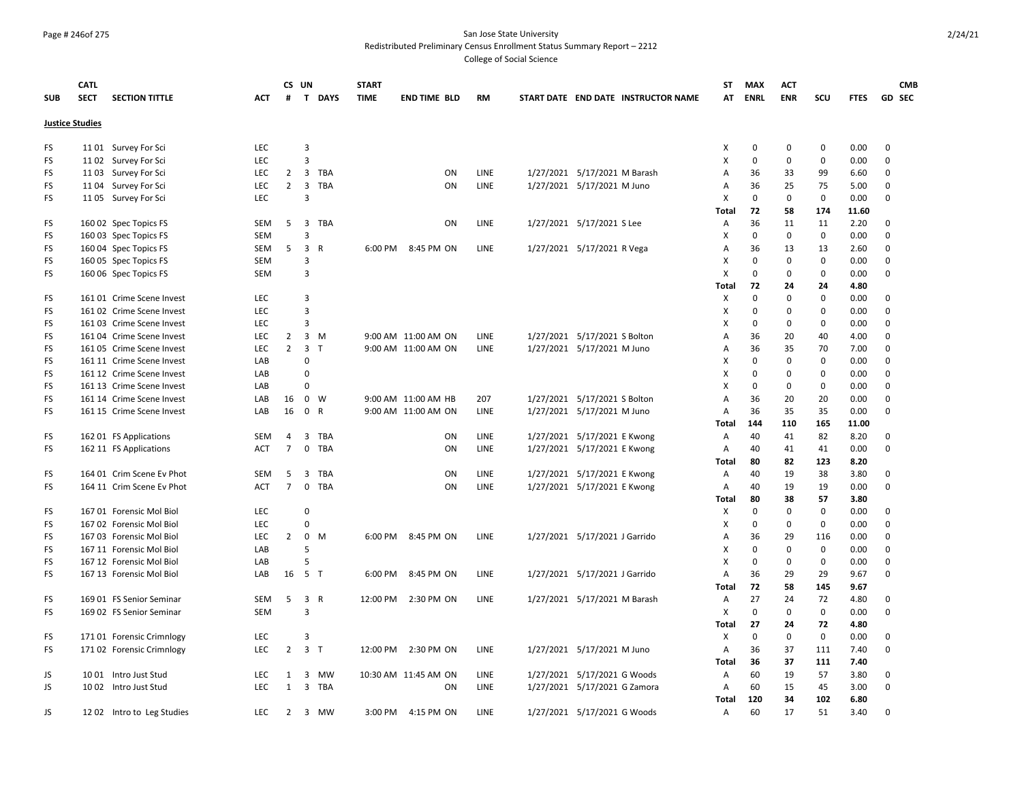#### Page # 246of 275 San Jose State University Redistributed Preliminary Census Enrollment Status Summary Report – 2212

|            | <b>CATL</b>            |                           |            |                | CS UN                   |              | <b>START</b> |                      |           |                                     | ST           | <b>MAX</b>  | <b>ACT</b>  |             |              | <b>CMB</b>  |  |
|------------|------------------------|---------------------------|------------|----------------|-------------------------|--------------|--------------|----------------------|-----------|-------------------------------------|--------------|-------------|-------------|-------------|--------------|-------------|--|
| <b>SUB</b> | <b>SECT</b>            | <b>SECTION TITTLE</b>     | ACT        | #              |                         | T DAYS       | <b>TIME</b>  | <b>END TIME BLD</b>  | <b>RM</b> | START DATE END DATE INSTRUCTOR NAME | AT           | <b>ENRL</b> | <b>ENR</b>  | SCU         | <b>FTES</b>  | GD SEC      |  |
|            |                        |                           |            |                |                         |              |              |                      |           |                                     |              |             |             |             |              |             |  |
|            | <b>Justice Studies</b> |                           |            |                |                         |              |              |                      |           |                                     |              |             |             |             |              |             |  |
| FS         |                        | 1101 Survey For Sci       | <b>LEC</b> |                | 3                       |              |              |                      |           |                                     | Χ            | $\pmb{0}$   | $\mathbf 0$ | $\pmb{0}$   | 0.00         | $\mathbf 0$ |  |
| FS         |                        | 1102 Survey For Sci       | <b>LEC</b> |                | 3                       |              |              |                      |           |                                     | X            | $\mathbf 0$ | $\mathbf 0$ | $\mathbf 0$ | 0.00         | 0           |  |
| FS         |                        | 1103 Survey For Sci       | LEC        | $\overline{2}$ |                         | 3 TBA        |              | ON                   | LINE      | 1/27/2021 5/17/2021 M Barash        | Α            | 36          | 33          | 99          | 6.60         | 0           |  |
| FS         |                        | 1104 Survey For Sci       | <b>LEC</b> | $\overline{2}$ | $\overline{\mathbf{3}}$ | <b>TBA</b>   |              | ON                   | LINE      | 1/27/2021 5/17/2021 M Juno          | A            | 36          | 25          | 75          | 5.00         | 0           |  |
| FS         |                        | 1105 Survey For Sci       | LEC        |                | 3                       |              |              |                      |           |                                     | X            | $\mathbf 0$ | $\mathsf 0$ | $\mathsf 0$ | 0.00         | 0           |  |
|            |                        |                           |            |                |                         |              |              |                      |           |                                     | <b>Total</b> | 72          | 58          | 174         | 11.60        |             |  |
| FS         |                        | 160 02 Spec Topics FS     | <b>SEM</b> | 5              | $\overline{3}$          | TBA          |              | <b>ON</b>            | LINE      | 1/27/2021 5/17/2021 S Lee           | Α            | 36          | 11          | 11          | 2.20         | 0           |  |
| FS         |                        | 160 03 Spec Topics FS     | <b>SEM</b> |                | 3                       |              |              |                      |           |                                     | X            | $\mathbf 0$ | $\mathbf 0$ | $\mathbf 0$ | 0.00         | 0           |  |
| FS         |                        | 160 04 Spec Topics FS     | SEM        | 5              | $\overline{3}$          | $\mathsf{R}$ | 6:00 PM      | 8:45 PM ON           | LINE      | 1/27/2021 5/17/2021 R Vega          | Α            | 36          | 13          | 13          | 2.60         | $\mathbf 0$ |  |
| FS         |                        | 160 05 Spec Topics FS     | <b>SEM</b> |                | 3                       |              |              |                      |           |                                     | X            | $\mathbf 0$ | $\mathbf 0$ | $\mathbf 0$ | 0.00         | 0           |  |
| FS         |                        | 160 06 Spec Topics FS     | SEM        |                | 3                       |              |              |                      |           |                                     | X            | $\mathbf 0$ | $\mathbf 0$ | $\mathbf 0$ | 0.00         | 0           |  |
|            |                        |                           |            |                |                         |              |              |                      |           |                                     | <b>Total</b> | 72          | 24          | 24          | 4.80         |             |  |
| FS         |                        | 161 01 Crime Scene Invest | <b>LEC</b> |                | $\overline{3}$          |              |              |                      |           |                                     | х            | $\mathbf 0$ | $\Omega$    | $\mathbf 0$ | 0.00         | 0           |  |
| FS         |                        | 161 02 Crime Scene Invest | LEC        |                | $\overline{3}$          |              |              |                      |           |                                     | Χ            | $\pmb{0}$   | $\Omega$    | 0           | 0.00         | $\Omega$    |  |
| FS         |                        | 16103 Crime Scene Invest  | LEC        |                | 3                       |              |              |                      |           |                                     | X            | $\mathbf 0$ | 0           | $\mathbf 0$ | 0.00         | 0           |  |
| FS         |                        | 161 04 Crime Scene Invest | <b>LEC</b> | $\overline{2}$ |                         | $3 \, M$     |              | 9:00 AM 11:00 AM ON  | LINE      | 1/27/2021 5/17/2021 S Bolton        | A            | 36          | 20          | 40          | 4.00         | 0           |  |
| FS         |                        | 16105 Crime Scene Invest  | LEC        | $2^{\circ}$    | 3 <sub>1</sub>          |              |              | 9:00 AM 11:00 AM ON  | LINE      | 1/27/2021 5/17/2021 M Juno          | Α            | 36          | 35          | 70          | 7.00         | 0           |  |
| FS         |                        | 161 11 Crime Scene Invest | LAB        |                | 0                       |              |              |                      |           |                                     | х            | 0           | $\mathbf 0$ | $\mathsf 0$ | 0.00         | 0           |  |
| FS         |                        | 161 12 Crime Scene Invest | LAB        |                | $\Omega$                |              |              |                      |           |                                     | X            | $\mathbf 0$ | $\mathbf 0$ | $\mathbf 0$ | 0.00         | $\mathbf 0$ |  |
| FS         |                        | 161 13 Crime Scene Invest | LAB        |                | $\Omega$                |              |              |                      |           |                                     | Χ            | $\Omega$    | $\Omega$    | $\pmb{0}$   | 0.00         | $\Omega$    |  |
| FS         |                        | 161 14 Crime Scene Invest | LAB        | 16             |                         | $0 \quad W$  |              | 9:00 AM 11:00 AM HB  | 207       | 1/27/2021 5/17/2021 S Bolton        | Α            | 36          | 20          | 20          | 0.00         | $\mathbf 0$ |  |
| FS         |                        | 161 15 Crime Scene Invest | LAB        | 16             | 0 R                     |              |              | 9:00 AM 11:00 AM ON  | LINE      | 1/27/2021 5/17/2021 M Juno          | A            | 36          | 35          | 35          | 0.00         | 0           |  |
|            |                        |                           |            |                |                         |              |              |                      |           |                                     | Total        | 144         | 110         | 165         | 11.00        |             |  |
| FS         |                        | 162 01 FS Applications    | <b>SEM</b> | $\overline{4}$ | 3                       | TBA          |              | ON                   | LINE      | 1/27/2021 5/17/2021 E Kwong         | A            | 40          | 41          | 82          | 8.20         | 0           |  |
| FS         |                        | 162 11 FS Applications    | <b>ACT</b> | $7^{\circ}$    |                         | 0 TBA        |              | ON                   | LINE      | 1/27/2021 5/17/2021 E Kwong         | A            | 40          | 41          | 41          | 0.00         | 0           |  |
|            |                        |                           |            |                |                         |              |              |                      |           |                                     | <b>Total</b> | 80          | 82          | 123         | 8.20         |             |  |
| FS         |                        | 164 01 Crim Scene Ev Phot | <b>SEM</b> | 5              | 3                       | TBA          |              | ON                   | LINE      | 1/27/2021 5/17/2021 E Kwong         | Α            | 40          | 19          | 38          | 3.80         | 0           |  |
| FS         |                        | 164 11 Crim Scene Ev Phot | ACT        | $\overline{7}$ | $\mathbf 0$             | TBA          |              | ON                   | LINE      | 1/27/2021 5/17/2021 E Kwong         | A            | 40          | 19          | 19          | 0.00         | 0           |  |
|            |                        |                           |            |                |                         |              |              |                      |           |                                     | <b>Total</b> | 80          | 38          | 57          | 3.80         |             |  |
| FS         |                        | 167 01 Forensic Mol Biol  | LEC        |                | 0                       |              |              |                      |           |                                     | X            | $\pmb{0}$   | $\mathbf 0$ | $\mathsf 0$ | 0.00         | 0           |  |
| FS         |                        | 167 02 Forensic Mol Biol  | <b>LEC</b> |                | 0                       |              |              |                      |           |                                     | X            | $\mathbf 0$ | $\mathbf 0$ | $\mathbf 0$ | 0.00         | 0           |  |
| FS         |                        | 167 03 Forensic Mol Biol  | <b>LEC</b> | $\overline{2}$ |                         | $0$ M        | 6:00 PM      | 8:45 PM ON           | LINE      | 1/27/2021 5/17/2021 J Garrido       | A            | 36          | 29          | 116         | 0.00         | 0           |  |
| FS         |                        | 167 11 Forensic Mol Biol  | LAB        |                | 5                       |              |              |                      |           |                                     | X            | $\mathbf 0$ | $\mathbf 0$ | $\mathbf 0$ | 0.00         | 0           |  |
| FS         |                        | 167 12 Forensic Mol Biol  | LAB        |                | 5                       |              |              |                      |           |                                     | X            | $\mathbf 0$ | 0           | $\mathbf 0$ | 0.00         | 0           |  |
| <b>FS</b>  |                        | 167 13 Forensic Mol Biol  | LAB        | 16             | 5 T                     |              | 6:00 PM      | 8:45 PM ON           | LINE      | 1/27/2021 5/17/2021 J Garrido       | A            | 36          | 29          | 29          | 9.67         | $\Omega$    |  |
|            |                        |                           |            |                |                         |              |              |                      |           |                                     | Total        | 72          | 58          | 145         | 9.67         |             |  |
| FS         |                        | 169 01 FS Senior Seminar  | <b>SEM</b> | 5              | 3 R                     |              | 12:00 PM     | 2:30 PM ON           | LINE      | 1/27/2021 5/17/2021 M Barash        | Α            | 27          | 24          | 72          | 4.80         | 0           |  |
| FS         |                        | 169 02 FS Senior Seminar  | <b>SEM</b> |                | $\overline{3}$          |              |              |                      |           |                                     | X            | $\mathbf 0$ | $\mathbf 0$ | $\mathbf 0$ | 0.00         | 0           |  |
|            |                        |                           |            |                |                         |              |              |                      |           |                                     | <b>Total</b> | 27          | 24          | 72          | 4.80         |             |  |
| FS         |                        | 171 01 Forensic Crimnlogy | <b>LEC</b> |                | $\overline{3}$          |              |              |                      |           |                                     | х            | $\mathbf 0$ | 0           | $\mathbf 0$ | 0.00         | 0           |  |
| <b>FS</b>  |                        |                           | <b>LEC</b> | $\overline{2}$ | 3 <sub>T</sub>          |              | 12:00 PM     | 2:30 PM ON           | LINE      |                                     | A            | 36          | 37          | 111         | 7.40         | 0           |  |
|            |                        | 171 02 Forensic Crimnlogy |            |                |                         |              |              |                      |           | 1/27/2021 5/17/2021 M Juno          |              | 36          | 37          | 111         | 7.40         |             |  |
|            |                        |                           | <b>LEC</b> | 1              |                         | <b>MW</b>    |              |                      | LINE      |                                     | Total        | 60          | 19          |             |              | 0           |  |
| JS<br>JS   |                        | 10 01 Intro Just Stud     | <b>LEC</b> | 1              | 3                       | 3 TBA        |              | 10:30 AM 11:45 AM ON |           | 1/27/2021 5/17/2021 G Woods         | Α            | 60          | 15          | 57<br>45    | 3.80<br>3.00 | 0           |  |
|            |                        | 10 02 Intro Just Stud     |            |                |                         |              |              | ON                   | LINE      | 1/27/2021 5/17/2021 G Zamora        | Α            | 120         | 34          |             |              |             |  |
|            |                        |                           |            |                |                         |              |              |                      |           |                                     | <b>Total</b> |             |             | 102         | 6.80         | $\Omega$    |  |
| JS.        |                        | 1202 Intro to Leg Studies | <b>LEC</b> | 2              |                         | 3 MW         | 3:00 PM      | 4:15 PM ON           | LINE      | 1/27/2021 5/17/2021 G Woods         | A            | 60          | 17          | 51          | 3.40         |             |  |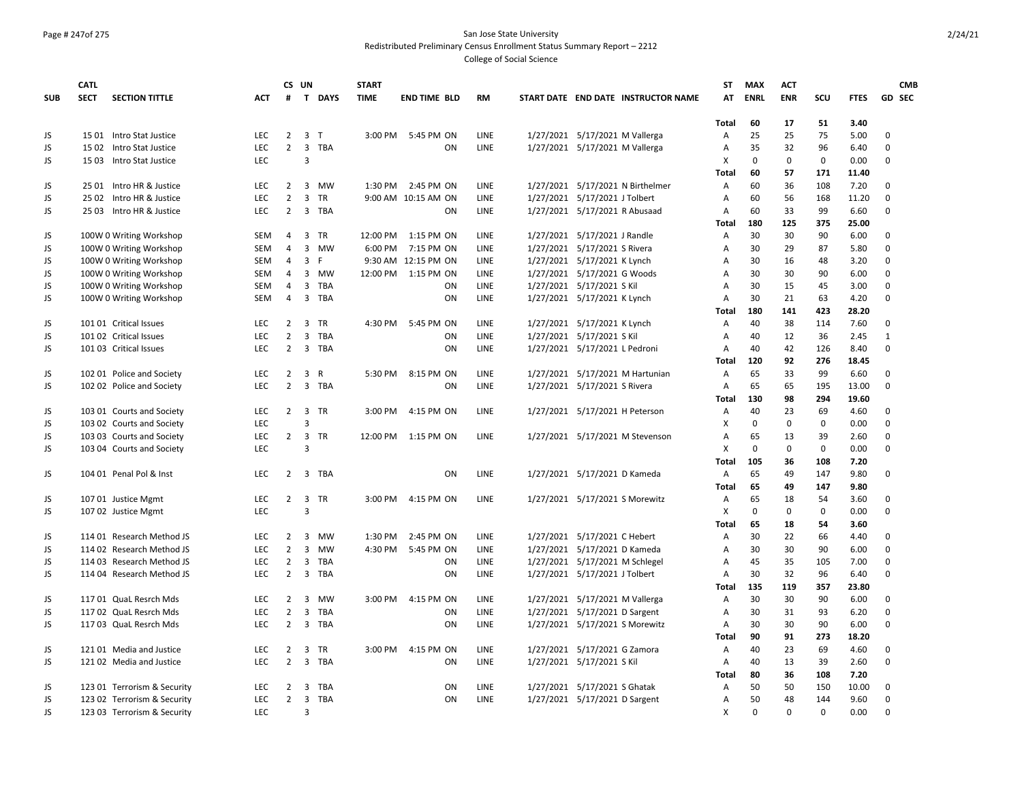#### Page # 247of 275 San Jose State University Redistributed Preliminary Census Enrollment Status Summary Report – 2212

|            | <b>CATL</b> |                             |            |                | CS UN                   |            | <b>START</b> |                     |           |                                     | ST           | <b>MAX</b>  | <b>ACT</b>  |              |             | <b>CMB</b>   |
|------------|-------------|-----------------------------|------------|----------------|-------------------------|------------|--------------|---------------------|-----------|-------------------------------------|--------------|-------------|-------------|--------------|-------------|--------------|
| <b>SUB</b> | <b>SECT</b> | <b>SECTION TITTLE</b>       | <b>ACT</b> | #              |                         | T DAYS     | <b>TIME</b>  | <b>END TIME BLD</b> | <b>RM</b> | START DATE END DATE INSTRUCTOR NAME | AT           | <b>ENRL</b> | <b>ENR</b>  | scu          | <b>FTES</b> | GD SEC       |
|            |             |                             |            |                |                         |            |              |                     |           |                                     | <b>Total</b> | 60          | 17          | 51           | 3.40        |              |
| JS         |             | 15 01 Intro Stat Justice    | LEC        | $\overline{2}$ | 3 <sub>T</sub>          |            | 3:00 PM      | 5:45 PM ON          | LINE      | 1/27/2021 5/17/2021 M Vallerga      | Α            | 25          | 25          | 75           | 5.00        | $\Omega$     |
| JS         |             | 15 02 Intro Stat Justice    | <b>LEC</b> | $\overline{2}$ |                         | 3 TBA      |              | ON                  | LINE      | 1/27/2021 5/17/2021 M Vallerga      | Α            | 35          | 32          | 96           | 6.40        | $\Omega$     |
| JS         |             | 15 03 Intro Stat Justice    | <b>LEC</b> |                | $\overline{3}$          |            |              |                     |           |                                     | x            | $\mathbf 0$ | $\mathbf 0$ | $\mathbf 0$  | 0.00        | $\Omega$     |
|            |             |                             |            |                |                         |            |              |                     |           |                                     | <b>Total</b> | 60          | 57          | 171          | 11.40       |              |
| JS         |             | 25 01 Intro HR & Justice    | <b>LEC</b> | $\overline{2}$ |                         | 3 MW       | 1:30 PM      | 2:45 PM ON          | LINE      | 1/27/2021 5/17/2021 N Birthelmer    | А            | 60          | 36          | 108          | 7.20        | $\Omega$     |
| <b>JS</b>  |             | 25 02 Intro HR & Justice    | <b>LEC</b> | $\overline{2}$ | $\overline{3}$          | <b>TR</b>  |              | 9:00 AM 10:15 AM ON | LINE      | 1/27/2021 5/17/2021 J Tolbert       | A            | 60          | 56          | 168          | 11.20       | $\mathbf 0$  |
| <b>JS</b>  |             | 25 03 Intro HR & Justice    | <b>LEC</b> | $\overline{2}$ |                         | 3 TBA      |              | ON                  | LINE      | 1/27/2021 5/17/2021 R Abusaad       | Α            | 60          | 33          | 99           | 6.60        | $\mathbf 0$  |
|            |             |                             |            |                |                         |            |              |                     |           |                                     | <b>Total</b> | 180         | 125         | 375          | 25.00       |              |
| JS         |             | 100W 0 Writing Workshop     | SEM        | 4              |                         | 3 TR       | 12:00 PM     | 1:15 PM ON          | LINE      | 1/27/2021 5/17/2021 J Randle        | А            | 30          | 30          | 90           | 6.00        | 0            |
| JS         |             | 100W 0 Writing Workshop     | SEM        | $\overline{4}$ |                         | 3 MW       | 6:00 PM      | 7:15 PM ON          | LINE      | 1/27/2021 5/17/2021 S Rivera        | Α            | 30          | 29          | 87           | 5.80        | $\Omega$     |
| JS         |             | 100W 0 Writing Workshop     | SEM        | $\overline{4}$ | 3 F                     |            |              | 9:30 AM 12:15 PM ON | LINE      | 1/27/2021 5/17/2021 K Lynch         | A            | 30          | 16          | 48           | 3.20        | $\mathbf 0$  |
| JS         |             | 100W 0 Writing Workshop     | <b>SEM</b> | $\overline{4}$ |                         | 3 MW       |              | 12:00 PM 1:15 PM ON | LINE      | 1/27/2021 5/17/2021 G Woods         | A            | 30          | 30          | 90           | 6.00        | $\Omega$     |
| JS         |             | 100W 0 Writing Workshop     | SEM        | $\overline{4}$ |                         | 3 TBA      |              | ON                  | LINE      | 1/27/2021 5/17/2021 S Kil           | А            | 30          | 15          | 45           | 3.00        | $\Omega$     |
| JS         |             | 100W 0 Writing Workshop     | <b>SEM</b> | 4              | $\overline{3}$          | TBA        |              | ON                  | LINE      | 1/27/2021 5/17/2021 K Lynch         | A            | 30          | 21          | 63           | 4.20        | $\Omega$     |
|            |             |                             |            |                |                         |            |              |                     |           |                                     | Total        | 180         | 141         | 423          | 28.20       |              |
| JS         |             | 101 01 Critical Issues      | LEC        | $\overline{2}$ | 3                       | TR         | 4:30 PM      | 5:45 PM ON          | LINE      | 1/27/2021 5/17/2021 K Lynch         | Α            | 40          | 38          | 114          | 7.60        | $\mathbf 0$  |
| JS         |             | 101 02 Critical Issues      | <b>LEC</b> | $\overline{2}$ |                         | 3 TBA      |              | ON                  | LINE      | 1/27/2021 5/17/2021 S Kil           | A            | 40          | 12          | 36           | 2.45        | $\mathbf{1}$ |
| JS         |             | 101 03 Critical Issues      | <b>LEC</b> | $\overline{2}$ | $\overline{3}$          | TBA        |              | ON                  | LINE      | 1/27/2021 5/17/2021 L Pedroni       | Α            | 40          | 42          | 126          | 8.40        | $\Omega$     |
|            |             |                             |            |                |                         |            |              |                     |           |                                     | Total        | 120         | 92          | 276          | 18.45       |              |
| JS         |             | 102 01 Police and Society   | <b>LEC</b> | $\overline{2}$ |                         | 3 R        | 5:30 PM      | 8:15 PM ON          | LINE      | 1/27/2021 5/17/2021 M Hartunian     | Α            | 65          | 33          | 99           | 6.60        | 0            |
| JS         |             | 102 02 Police and Society   | <b>LEC</b> | $\overline{2}$ |                         | 3 TBA      |              | ON                  | LINE      | 1/27/2021 5/17/2021 S Rivera        | Α            | 65          | 65          | 195          | 13.00       | $\Omega$     |
|            |             |                             |            |                |                         |            |              |                     |           |                                     | Total        | 130         | 98          | 294          | 19.60       |              |
| JS         |             | 103 01 Courts and Society   | <b>LEC</b> | $\overline{2}$ |                         | 3 TR       | 3:00 PM      | 4:15 PM ON          | LINE      | 1/27/2021 5/17/2021 H Peterson      | A            | 40          | 23          | 69           | 4.60        | $\mathbf 0$  |
| JS         |             | 103 02 Courts and Society   | LEC        |                | 3                       |            |              |                     |           |                                     | X            | $\mathbf 0$ | $\mathbf 0$ | $\mathbf{0}$ | 0.00        | $\mathbf 0$  |
| JS         |             | 103 03 Courts and Society   | LEC        | $\overline{2}$ | $\overline{\mathbf{3}}$ | <b>TR</b>  | 12:00 PM     | 1:15 PM ON          | LINE      | 1/27/2021 5/17/2021 M Stevenson     | A            | 65          | 13          | 39           | 2.60        | $\Omega$     |
| JS         |             | 103 04 Courts and Society   | <b>LEC</b> |                | $\overline{3}$          |            |              |                     |           |                                     | х            | $\Omega$    | $\mathbf 0$ | $\mathbf{0}$ | 0.00        | $\mathbf 0$  |
|            |             |                             |            |                |                         |            |              |                     |           |                                     | <b>Total</b> | 105         | 36          | 108          | 7.20        |              |
| JS         |             | 104 01 Penal Pol & Inst     | LEC        | $\overline{2}$ |                         | 3 TBA      |              | ON                  | LINE      | 1/27/2021 5/17/2021 D Kameda        | А            | 65          | 49          | 147          | 9.80        | $\Omega$     |
|            |             |                             |            |                |                         |            |              |                     |           |                                     | <b>Total</b> | 65          | 49          | 147          | 9.80        |              |
| JS         |             | 107 01 Justice Mgmt         | LEC        | $\overline{2}$ |                         | 3 TR       | 3:00 PM      | 4:15 PM ON          | LINE      | 1/27/2021 5/17/2021 S Morewitz      | Α            | 65          | 18          | 54           | 3.60        | $\mathbf 0$  |
| JS         |             | 107 02 Justice Mgmt         | LEC        |                | $\overline{3}$          |            |              |                     |           |                                     | X            | $\Omega$    | $\mathbf 0$ | $\mathbf 0$  | 0.00        | $\mathbf 0$  |
|            |             |                             |            |                |                         |            |              |                     |           |                                     | <b>Total</b> | 65          | 18          | 54           | 3.60        |              |
| JS         |             | 114 01 Research Method JS   | LEC.       | 2              |                         | 3 MW       | 1:30 PM      | 2:45 PM ON          | LINE      | 1/27/2021 5/17/2021 C Hebert        | Α            | 30          | 22          | 66           | 4.40        | $\mathbf 0$  |
| JS         |             | 114 02 Research Method JS   | <b>LEC</b> | $\overline{2}$ | $\overline{3}$          | <b>MW</b>  | 4:30 PM      | 5:45 PM ON          | LINE      | 1/27/2021 5/17/2021 D Kameda        | А            | 30          | 30          | 90           | 6.00        | $\Omega$     |
| JS         |             | 114 03 Research Method JS   | <b>LEC</b> | $\overline{2}$ | 3                       | TBA        |              | ON                  | LINE      | 1/27/2021 5/17/2021 M Schlegel      | Α            | 45          | 35          | 105          | 7.00        | $\Omega$     |
| JS         |             | 114 04 Research Method JS   | <b>LEC</b> | $\overline{2}$ | $\overline{3}$          | TBA        |              | ON                  | LINE      | 1/27/2021 5/17/2021 J Tolbert       | Α            | 30          | 32          | 96           | 6.40        | $\Omega$     |
|            |             |                             |            |                |                         |            |              |                     |           |                                     | <b>Total</b> | 135         | 119         | 357          | 23.80       |              |
| JS         |             | 117 01 QuaL Resrch Mds      | LEC        | $\overline{2}$ | $\overline{3}$          | MW         | 3:00 PM      | 4:15 PM ON          | LINE      | 1/27/2021 5/17/2021 M Vallerga      | А            | 30          | 30          | 90           | 6.00        | $\mathbf 0$  |
| JS         |             | 117 02 QuaL Resrch Mds      | <b>LEC</b> | $\overline{2}$ | $\overline{3}$          | TBA        |              | ON                  | LINE      | 1/27/2021 5/17/2021 D Sargent       | Α            | 30          | 31          | 93           | 6.20        | $\mathbf 0$  |
| JS         |             | 117 03 QuaL Resrch Mds      | <b>LEC</b> | $\overline{2}$ | $\overline{3}$          | TBA        |              | ON                  | LINE      | 1/27/2021 5/17/2021 S Morewitz      | Α            | 30          | 30          | 90           | 6.00        | $\mathbf 0$  |
|            |             |                             |            |                |                         |            |              |                     |           |                                     | <b>Total</b> | 90          | 91          | 273          | 18.20       |              |
| JS         |             | 12101 Media and Justice     | LEC        | $\overline{2}$ | 3                       | TR         | 3:00 PM      | 4:15 PM ON          | LINE      | 1/27/2021 5/17/2021 G Zamora        | А            | 40          | 23          | 69           | 4.60        | $\Omega$     |
| JS         |             | 121 02 Media and Justice    | <b>LEC</b> | $\overline{2}$ |                         | 3 TBA      |              | ON                  | LINE      | 1/27/2021 5/17/2021 S Kil           | Α            | 40          | 13          | 39           | 2.60        | $\Omega$     |
|            |             |                             |            |                |                         |            |              |                     |           |                                     | <b>Total</b> | 80          | 36          | 108          | 7.20        |              |
| JS         |             | 123 01 Terrorism & Security | <b>LEC</b> | $\overline{2}$ |                         | 3 TBA      |              | ON                  | LINE      | 1/27/2021 5/17/2021 S Ghatak        | Α            | 50          | 50          | 150          | 10.00       | $\Omega$     |
| JS         |             | 123 02 Terrorism & Security | <b>LEC</b> | $\overline{2}$ | $\overline{\mathbf{3}}$ | <b>TBA</b> |              | ON                  | LINE      | 1/27/2021 5/17/2021 D Sargent       | Α            | 50          | 48          | 144          | 9.60        | $\Omega$     |
| JS.        |             | 123 03 Terrorism & Security | <b>LEC</b> |                | 3                       |            |              |                     |           |                                     | X            | $\Omega$    | $\Omega$    | $\Omega$     | 0.00        | $\Omega$     |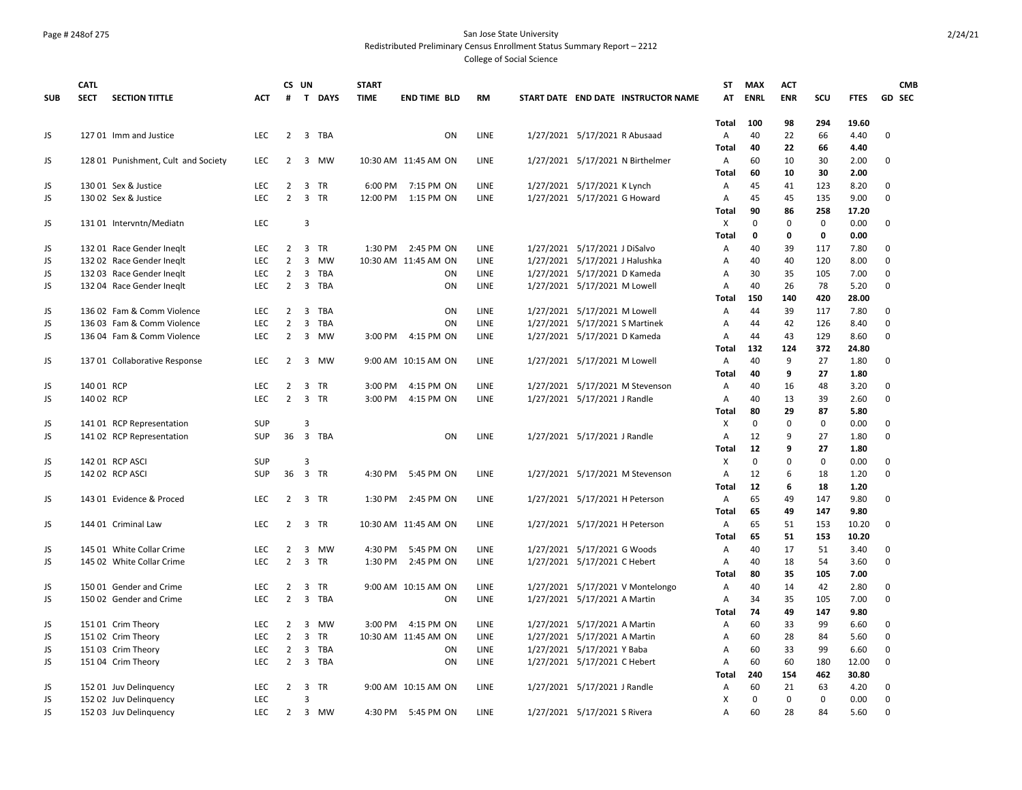#### Page # 248of 275 San Jose State University Redistributed Preliminary Census Enrollment Status Summary Report – 2212

|            | <b>CATL</b> |                                     |            |                                  | CS UN          |           | <b>START</b> |                      |           |                                     | <b>ST</b>    | MAX         | <b>ACT</b>   |             |              | <b>CMB</b>           |
|------------|-------------|-------------------------------------|------------|----------------------------------|----------------|-----------|--------------|----------------------|-----------|-------------------------------------|--------------|-------------|--------------|-------------|--------------|----------------------|
| <b>SUB</b> | <b>SECT</b> | <b>SECTION TITTLE</b>               | <b>ACT</b> | #                                |                | T DAYS    | <b>TIME</b>  | <b>END TIME BLD</b>  | <b>RM</b> | START DATE END DATE INSTRUCTOR NAME | AT           | <b>ENRL</b> | <b>ENR</b>   | scu         | <b>FTES</b>  | <b>GD SEC</b>        |
|            |             |                                     |            |                                  |                |           |              |                      |           |                                     | Total        | 100         | 98           | 294         | 19.60        |                      |
| JS         |             | 127 01 Imm and Justice              | LEC        | $\overline{2}$                   |                | 3 TBA     |              | ON                   | LINE      | 1/27/2021 5/17/2021 R Abusaad       | Α            | 40          | 22           | 66          | 4.40         | 0                    |
|            |             |                                     |            |                                  |                |           |              |                      |           |                                     | <b>Total</b> | 40          | 22           | 66          | 4.40         |                      |
| JS         |             | 128 01 Punishment, Cult and Society | <b>LEC</b> | 2                                |                | 3 MW      |              | 10:30 AM 11:45 AM ON | LINE      | 1/27/2021 5/17/2021 N Birthelmer    | Α            | 60          | 10           | 30          | 2.00         | 0                    |
|            |             |                                     |            |                                  |                |           |              |                      |           |                                     | Total        | 60          | 10           | 30          | 2.00         |                      |
| JS         |             | 130 01 Sex & Justice                | <b>LEC</b> | $\overline{2}$                   |                | 3 TR      | 6:00 PM      | 7:15 PM ON           | LINE      | 1/27/2021 5/17/2021 K Lynch         | Α            | 45          | 41           | 123         | 8.20         | 0                    |
| JS         |             | 130 02 Sex & Justice                | <b>LEC</b> | $\overline{2}$                   |                | 3 TR      | 12:00 PM     | 1:15 PM ON           | LINE      | 1/27/2021 5/17/2021 G Howard        | Α            | 45          | 45           | 135         | 9.00         | 0                    |
|            |             |                                     |            |                                  |                |           |              |                      |           |                                     | Total        | 90          | 86           | 258         | 17.20        |                      |
| JS         |             | 131 01 Intervntn/Mediatn            | <b>LEC</b> |                                  | 3              |           |              |                      |           |                                     | X            | $\mathbf 0$ | $\mathbf 0$  | $\mathsf 0$ | 0.00         | 0                    |
|            |             |                                     |            |                                  |                |           |              |                      |           |                                     | <b>Total</b> | $\mathbf 0$ | $\mathbf{0}$ | 0           | 0.00         |                      |
| JS         |             | 132 01 Race Gender Ineglt           | <b>LEC</b> | 2                                | 3              | <b>TR</b> |              | 1:30 PM 2:45 PM ON   | LINE      | 1/27/2021 5/17/2021 J DiSalvo       | Α            | 40          | 39           | 117         | 7.80         | $\Omega$<br>$\Omega$ |
| JS         |             | 132 02 Race Gender Ineglt           | LEC        | $\overline{2}$                   |                | 3 MW      |              | 10:30 AM 11:45 AM ON | LINE      | 1/27/2021 5/17/2021 J Halushka      | A            | 40          | 40           | 120         | 8.00         |                      |
| JS         |             | 132 03 Race Gender Ineglt           | <b>LEC</b> | $\overline{2}$                   |                | 3 TBA     |              | ON                   | LINE      | 1/27/2021 5/17/2021 D Kameda        | Α            | 30          | 35           | 105         | 7.00         | 0<br>$\Omega$        |
| JS         |             | 132 04 Race Gender Ineglt           | LEC        | $\overline{2}$                   |                | 3 TBA     |              | ON                   | LINE      | 1/27/2021 5/17/2021 M Lowell        | Α            | 40          | 26           | 78          | 5.20         |                      |
|            |             |                                     |            |                                  |                |           |              |                      |           |                                     | Total        | 150         | 140          | 420         | 28.00        |                      |
| JS         |             | 136 02 Fam & Comm Violence          | <b>LEC</b> | $\overline{2}$<br>$\overline{2}$ | 3              | TBA       |              | ON<br>ON             | LINE      | 1/27/2021 5/17/2021 M Lowell        | Α            | 44<br>44    | 39           | 117         | 7.80         | $\Omega$<br>$\Omega$ |
| JS         |             | 136 03 Fam & Comm Violence          | LEC        | $\overline{2}$                   | 3              | TBA       |              |                      | LINE      | 1/27/2021 5/17/2021 S Martinek      | Α            |             | 42           | 126         | 8.40         | $\Omega$             |
| JS         |             | 136 04 Fam & Comm Violence          | LEC        |                                  |                | 3 MW      | 3:00 PM      | 4:15 PM ON           | LINE      | 1/27/2021 5/17/2021 D Kameda        | Α            | 44<br>132   | 43<br>124    | 129         | 8.60         |                      |
|            |             |                                     |            |                                  |                |           |              |                      |           |                                     | Total        | 40          | 9            | 372<br>27   | 24.80        | 0                    |
| JS         |             | 137 01 Collaborative Response       | <b>LEC</b> | $\overline{2}$                   |                | 3 MW      |              | 9:00 AM 10:15 AM ON  | LINE      | 1/27/2021 5/17/2021 M Lowell        | Α            | 40          | 9            | 27          | 1.80<br>1.80 |                      |
| JS         | 140 01 RCP  |                                     | <b>LEC</b> | 2                                |                | 3 TR      | 3:00 PM      | 4:15 PM ON           | LINE      | 1/27/2021 5/17/2021 M Stevenson     | Total<br>Α   | 40          | 16           | 48          | 3.20         | 0                    |
| JS.        | 140 02 RCP  |                                     | <b>LEC</b> | $\overline{2}$                   |                | 3 TR      | 3:00 PM      | 4:15 PM ON           | LINE      | 1/27/2021 5/17/2021 J Randle        | Α            | 40          | 13           | 39          | 2.60         | $\Omega$             |
|            |             |                                     |            |                                  |                |           |              |                      |           |                                     | Total        | 80          | 29           | 87          | 5.80         |                      |
| JS         |             | 141 01 RCP Representation           | <b>SUP</b> |                                  | 3              |           |              |                      |           |                                     | X            | $\mathbf 0$ | $\mathbf 0$  | $\mathbf 0$ | 0.00         | 0                    |
| JS         |             | 141 02 RCP Representation           | SUP        | 36                               |                | 3 TBA     |              | ON                   | LINE      | 1/27/2021 5/17/2021 J Randle        | Α            | 12          | 9            | 27          | 1.80         | $\pmb{0}$            |
|            |             |                                     |            |                                  |                |           |              |                      |           |                                     | <b>Total</b> | 12          | 9            | 27          | 1.80         |                      |
| JS         |             | 142 01 RCP ASCI                     | SUP        |                                  | 3              |           |              |                      |           |                                     | X            | 0           | 0            | 0           | 0.00         | 0                    |
| JS         |             | 142 02 RCP ASCI                     | <b>SUP</b> | 36                               |                | 3 TR      | 4:30 PM      | 5:45 PM ON           | LINE      | 1/27/2021 5/17/2021 M Stevenson     | Α            | 12          | 6            | 18          | 1.20         | $\Omega$             |
|            |             |                                     |            |                                  |                |           |              |                      |           |                                     | <b>Total</b> | 12          | 6            | 18          | 1.20         |                      |
| JS         |             | 143 01 Evidence & Proced            | <b>LEC</b> | $\overline{2}$                   |                | 3 TR      | 1:30 PM      | 2:45 PM ON           | LINE      | 1/27/2021 5/17/2021 H Peterson      | Α            | 65          | 49           | 147         | 9.80         | 0                    |
|            |             |                                     |            |                                  |                |           |              |                      |           |                                     | Total        | 65          | 49           | 147         | 9.80         |                      |
| JS         |             | 144 01 Criminal Law                 | LEC        | $\overline{2}$                   |                | 3 TR      |              | 10:30 AM 11:45 AM ON | LINE      | 1/27/2021 5/17/2021 H Peterson      | Α            | 65          | 51           | 153         | 10.20        | 0                    |
|            |             |                                     |            |                                  |                |           |              |                      |           |                                     | Total        | 65          | 51           | 153         | 10.20        |                      |
| JS         |             | 145 01 White Collar Crime           | <b>LEC</b> | $\overline{2}$                   |                | 3 MW      | 4:30 PM      | 5:45 PM ON           | LINE      | 1/27/2021 5/17/2021 G Woods         | Α            | 40          | 17           | 51          | 3.40         | 0                    |
| JS.        |             | 145 02 White Collar Crime           | LEC.       | $\overline{2}$                   |                | 3 TR      | 1:30 PM      | 2:45 PM ON           | LINE      | 1/27/2021 5/17/2021 C Hebert        | Α            | 40          | 18           | 54          | 3.60         | 0                    |
|            |             |                                     |            |                                  |                |           |              |                      |           |                                     | <b>Total</b> | 80          | 35           | 105         | 7.00         |                      |
| JS         |             | 150 01 Gender and Crime             | <b>LEC</b> | 2                                |                | 3 TR      |              | 9:00 AM 10:15 AM ON  | LINE      | 1/27/2021 5/17/2021 V Montelongo    | Α            | 40          | 14           | 42          | 2.80         | $\Omega$             |
| JS.        |             | 150 02 Gender and Crime             | LEC        | $\overline{2}$                   |                | 3 TBA     |              | ON                   | LINE      | 1/27/2021 5/17/2021 A Martin        | Α            | 34          | 35           | 105         | 7.00         | $\mathbf 0$          |
|            |             |                                     |            |                                  |                |           |              |                      |           |                                     | Total        | 74          | 49           | 147         | 9.80         |                      |
| JS         |             | 15101 Crim Theory                   | <b>LEC</b> | $\overline{2}$                   |                | 3 MW      | 3:00 PM      | 4:15 PM ON           | LINE      | 1/27/2021 5/17/2021 A Martin        | Α            | 60          | 33           | 99          | 6.60         | $\pmb{0}$            |
| JS         |             | 151 02 Crim Theory                  | <b>LEC</b> | $\overline{2}$                   | $\mathbf{3}$   | <b>TR</b> |              | 10:30 AM 11:45 AM ON | LINE      | 1/27/2021 5/17/2021 A Martin        | Α            | 60          | 28           | 84          | 5.60         | 0                    |
| JS         |             | 151 03 Crim Theory                  | <b>LEC</b> | $\overline{2}$                   | 3              | TBA       |              | ON                   | LINE      | 1/27/2021 5/17/2021 Y Baba          | Α            | 60          | 33           | 99          | 6.60         | $\Omega$             |
| JS         |             | 151 04 Crim Theory                  | <b>LEC</b> | $\overline{2}$                   |                | 3 TBA     |              | ON                   | LINE      | 1/27/2021 5/17/2021 C Hebert        | A            | 60          | 60           | 180         | 12.00        | $\mathbf 0$          |
|            |             |                                     |            |                                  |                |           |              |                      |           |                                     | Total        | 240         | 154          | 462         | 30.80        |                      |
| JS         |             | 152 01 Juv Delinquency              | <b>LEC</b> | $\overline{2}$                   |                | 3 TR      |              | 9:00 AM 10:15 AM ON  | LINE      | 1/27/2021 5/17/2021 J Randle        | Α            | 60          | 21           | 63          | 4.20         | 0                    |
| JS         |             | 152 02 Juv Delinguency              | LEC        |                                  | $\overline{3}$ |           |              |                      |           |                                     | х            | $\mathbf 0$ | $\mathbf 0$  | $\mathbf 0$ | 0.00         | 0                    |
| JS         |             | 152 03 Juv Delinguency              | <b>LEC</b> | $\overline{2}$                   |                | 3 MW      |              | 4:30 PM 5:45 PM ON   | LINE      | 1/27/2021 5/17/2021 S Rivera        | Α            | 60          | 28           | 84          | 5.60         | $\mathbf 0$          |
|            |             |                                     |            |                                  |                |           |              |                      |           |                                     |              |             |              |             |              |                      |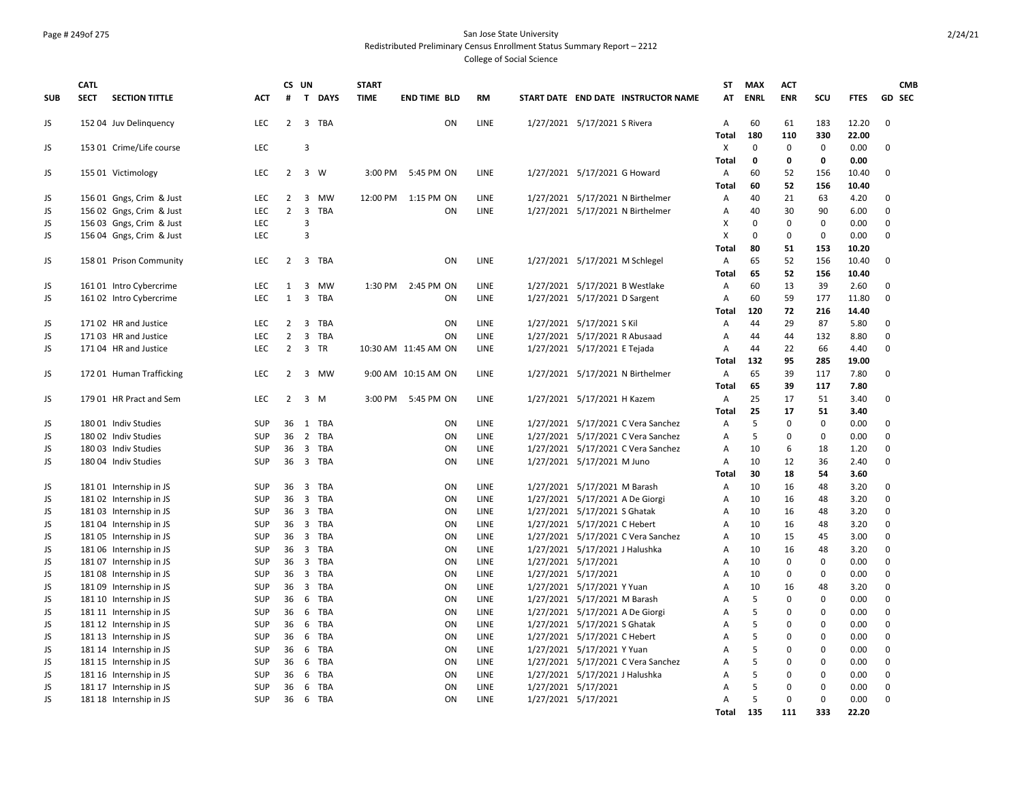#### Page # 249of 275 San Jose State University Redistributed Preliminary Census Enrollment Status Summary Report – 2212

|            | <b>CATL</b> |                          |            |                   | CS UN                   |            | <b>START</b> |                      |             |                     |                                     | ST                | <b>MAX</b>           | <b>ACT</b>  |              |               | <b>CMB</b>       |
|------------|-------------|--------------------------|------------|-------------------|-------------------------|------------|--------------|----------------------|-------------|---------------------|-------------------------------------|-------------------|----------------------|-------------|--------------|---------------|------------------|
| <b>SUB</b> | <b>SECT</b> | <b>SECTION TITTLE</b>    | <b>ACT</b> | #                 |                         | T DAYS     | <b>TIME</b>  | <b>END TIME BLD</b>  | <b>RM</b>   |                     | START DATE END DATE INSTRUCTOR NAME | AT                | <b>ENRL</b>          | <b>ENR</b>  | SCU          | <b>FTES</b>   | GD SEC           |
| JS         |             | 152 04 Juv Delinguency   | <b>LEC</b> | $2^{\circ}$       |                         | 3 TBA      |              | ON                   | LINE        |                     | 1/27/2021 5/17/2021 S Rivera        | А                 | 60                   | 61          | 183          | 12.20         | $\Omega$         |
|            |             |                          |            |                   |                         |            |              |                      |             |                     |                                     | <b>Total</b>      | 180                  | 110         | 330          | 22.00         |                  |
| JS         |             | 153 01 Crime/Life course | <b>LEC</b> |                   | $\overline{3}$          |            |              |                      |             |                     |                                     | X                 | $\Omega$             | $\mathbf 0$ | $\mathbf{0}$ | 0.00          | $\Omega$         |
|            |             |                          |            |                   |                         |            |              |                      |             |                     |                                     | <b>Total</b>      | 0                    | $\mathbf 0$ | 0            | 0.00          |                  |
| JS         |             | 155 01 Victimology       | LEC        | 2                 |                         | 3 W        |              | 3:00 PM 5:45 PM ON   | LINE        |                     | 1/27/2021 5/17/2021 G Howard        | Α                 | 60                   | 52          | 156          | 10.40         | $\Omega$         |
|            |             |                          |            |                   |                         |            |              |                      |             |                     |                                     | <b>Total</b>      | 60                   | 52          | 156          | 10.40         |                  |
| JS         |             | 156 01 Gngs, Crim & Just | <b>LEC</b> | 2                 | $\overline{\mathbf{3}}$ | MW         |              | 12:00 PM 1:15 PM ON  | LINE        |                     | 1/27/2021 5/17/2021 N Birthelmer    | Α                 | 40                   | 21          | 63           | 4.20          | $\Omega$         |
| JS         |             | 156 02 Gngs, Crim & Just | <b>LEC</b> | $\overline{2}$    | $\overline{3}$          | <b>TBA</b> |              | ON                   | <b>LINE</b> |                     | 1/27/2021 5/17/2021 N Birthelmer    | Α                 | 40                   | 30          | 90           | 6.00          | $\Omega$         |
| JS         |             | 156 03 Gngs, Crim & Just | <b>LEC</b> |                   | 3<br>$\overline{3}$     |            |              |                      |             |                     |                                     | X                 | $\Omega$<br>$\Omega$ | $\mathbf 0$ | $\mathbf 0$  | 0.00          | $\Omega$         |
| <b>JS</b>  |             | 156 04 Gngs, Crim & Just | <b>LEC</b> |                   |                         |            |              |                      |             |                     |                                     | X                 |                      | $\mathbf 0$ | $\mathbf 0$  | 0.00          | $\Omega$         |
|            |             |                          |            |                   |                         |            |              |                      |             |                     |                                     | Total             | 80                   | 51<br>52    | 153          | 10.20         |                  |
| JS         |             | 158 01 Prison Community  | <b>LEC</b> | $2^{\circ}$       |                         | 3 TBA      |              | ON                   | LINE        |                     | 1/27/2021 5/17/2021 M Schlegel      | А                 | 65                   |             | 156          | 10.40         | $\mathbf 0$      |
|            |             |                          |            |                   |                         |            |              |                      |             |                     |                                     | Total             | 65                   | 52          | 156          | 10.40         |                  |
| JS         |             | 161 01 Intro Cybercrime  | LEC        | 1<br>$\mathbf{1}$ | $\overline{\mathbf{3}}$ | 3 MW       |              | 1:30 PM 2:45 PM ON   | LINE        |                     | 1/27/2021 5/17/2021 B Westlake      | A                 | 60<br>60             | 13<br>59    | 39           | 2.60<br>11.80 | 0<br>$\mathbf 0$ |
| JS         |             | 161 02 Intro Cybercrime  | LEC        |                   |                         | TBA        |              | ON                   | LINE        |                     | 1/27/2021 5/17/2021 D Sargent       | A                 | 120                  |             | 177<br>216   |               |                  |
| JS         |             | 171 02 HR and Justice    | <b>LEC</b> | $\overline{2}$    | $\overline{3}$          | <b>TBA</b> |              | ON                   | LINE        |                     | 1/27/2021 5/17/2021 S Kil           | <b>Total</b><br>A | 44                   | 72<br>29    | 87           | 14.40<br>5.80 | $\Omega$         |
| <b>JS</b>  |             | 17103 HR and Justice     | <b>LEC</b> | $\overline{2}$    | $\overline{3}$          | TBA        |              | ON                   | LINE        |                     | 1/27/2021 5/17/2021 R Abusaad       | Α                 | 44                   | 44          | 132          | 8.80          | $\Omega$         |
| <b>JS</b>  |             | 171 04 HR and Justice    | <b>LEC</b> | $\overline{2}$    |                         | 3 TR       |              | 10:30 AM 11:45 AM ON | LINE        |                     | 1/27/2021 5/17/2021 E Tejada        | A                 | 44                   | 22          | 66           | 4.40          | $\Omega$         |
|            |             |                          |            |                   |                         |            |              |                      |             |                     |                                     | <b>Total</b>      | 132                  | 95          | 285          | 19.00         |                  |
| JS         |             | 172 01 Human Trafficking | <b>LEC</b> | 2                 |                         | 3 MW       |              | 9:00 AM 10:15 AM ON  | LINE        |                     | 1/27/2021 5/17/2021 N Birthelmer    | Α                 | 65                   | 39          | 117          | 7.80          | $\Omega$         |
|            |             |                          |            |                   |                         |            |              |                      |             |                     |                                     | <b>Total</b>      | 65                   | 39          | 117          | 7.80          |                  |
| JS         |             | 179 01 HR Pract and Sem  | <b>LEC</b> | $\overline{2}$    |                         | $3 \, M$   | 3:00 PM      | 5:45 PM ON           | LINE        |                     | 1/27/2021 5/17/2021 H Kazem         | Α                 | 25                   | 17          | 51           | 3.40          | $\Omega$         |
|            |             |                          |            |                   |                         |            |              |                      |             |                     |                                     | <b>Total</b>      | 25                   | 17          | 51           | 3.40          |                  |
| JS         |             | 18001 Indiv Studies      | <b>SUP</b> | 36                |                         | 1 TBA      |              | <b>ON</b>            | LINE        |                     | 1/27/2021 5/17/2021 C Vera Sanchez  | Α                 | 5                    | $\mathbf 0$ | $\mathbf 0$  | 0.00          | $\Omega$         |
| JS         |             | 180 02 Indiv Studies     | SUP        | 36                |                         | 2 TBA      |              | ON                   | LINE        |                     | 1/27/2021 5/17/2021 C Vera Sanchez  | Α                 | 5                    | 0           | $\pmb{0}$    | 0.00          | $\Omega$         |
| JS         |             | 180 03 Indiv Studies     | <b>SUP</b> | 36                |                         | 3 TBA      |              | ON                   | LINE        |                     | 1/27/2021 5/17/2021 C Vera Sanchez  | Α                 | 10                   | 6           | 18           | 1.20          | $\mathbf 0$      |
| JS         |             | 180 04 Indiv Studies     | <b>SUP</b> |                   |                         | 36 3 TBA   |              | ON                   | <b>LINE</b> |                     | 1/27/2021 5/17/2021 M Juno          | А                 | 10                   | 12          | 36           | 2.40          | $\Omega$         |
|            |             |                          |            |                   |                         |            |              |                      |             |                     |                                     | <b>Total</b>      | 30                   | 18          | 54           | 3.60          |                  |
| JS         |             | 181 01 Internship in JS  | <b>SUP</b> | 36                | $\overline{3}$          | <b>TBA</b> |              | ON                   | LINE        |                     | 1/27/2021 5/17/2021 M Barash        | A                 | 10                   | 16          | 48           | 3.20          | $\Omega$         |
| JS         |             | 181 02 Internship in JS  | SUP        |                   |                         | 36 3 TBA   |              | ON                   | LINE        |                     | 1/27/2021 5/17/2021 A De Giorgi     | A                 | 10                   | 16          | 48           | 3.20          | $\Omega$         |
| <b>JS</b>  |             | 181 03 Internship in JS  | <b>SUP</b> |                   |                         | 36 3 TBA   |              | <b>ON</b>            | LINE        |                     | 1/27/2021 5/17/2021 S Ghatak        | A                 | 10                   | 16          | 48           | 3.20          | $\Omega$         |
| JS         |             | 181 04 Internship in JS  | <b>SUP</b> |                   |                         | 36 3 TBA   |              | ON                   | LINE        |                     | 1/27/2021 5/17/2021 C Hebert        | Α                 | 10                   | 16          | 48           | 3.20          | $\Omega$         |
| <b>JS</b>  |             | 18105 Internship in JS   | <b>SUP</b> | 36                |                         | 3 TBA      |              | ON                   | LINE        |                     | 1/27/2021 5/17/2021 C Vera Sanchez  | Α                 | 10                   | 15          | 45           | 3.00          | $\Omega$         |
| JS         |             | 181 06 Internship in JS  | <b>SUP</b> |                   |                         | 36 3 TBA   |              | ON                   | LINE        |                     | 1/27/2021 5/17/2021 J Halushka      | A                 | 10                   | 16          | 48           | 3.20          | $\Omega$         |
| JS         |             | 18107 Internship in JS   | <b>SUP</b> | 36                |                         | 3 TBA      |              | ON                   | LINE        |                     | 1/27/2021 5/17/2021                 | Α                 | 10                   | $\mathbf 0$ | 0            | 0.00          | $\Omega$         |
| JS         |             | 181 08 Internship in JS  | SUP        |                   |                         | 36 3 TBA   |              | ON                   | LINE        | 1/27/2021 5/17/2021 |                                     | A                 | 10                   | $\mathbf 0$ | $\mathbf 0$  | 0.00          | $\Omega$         |
| JS         |             | 181 09 Internship in JS  | <b>SUP</b> | 36                |                         | 3 TBA      |              | ON                   | LINE        |                     | 1/27/2021 5/17/2021 Y Yuan          | A                 | 10                   | 16          | 48           | 3.20          | $\mathbf 0$      |
| JS         |             | 181 10 Internship in JS  | <b>SUP</b> | 36                |                         | 6 TBA      |              | ON                   | LINE        |                     | 1/27/2021 5/17/2021 M Barash        | A                 | 5                    | $\mathbf 0$ | $\mathbf 0$  | 0.00          | $\Omega$         |
| JS         |             | 181 11 Internship in JS  | SUP        | 36                |                         | 6 TBA      |              | ON                   | LINE        |                     | 1/27/2021 5/17/2021 A De Giorgi     | Α                 | 5                    | $\Omega$    | $\pmb{0}$    | 0.00          | $\Omega$         |
| <b>JS</b>  |             | 181 12 Internship in JS  | <b>SUP</b> | 36                | 6                       | <b>TBA</b> |              | <b>ON</b>            | LINE        |                     | 1/27/2021 5/17/2021 S Ghatak        | A                 | 5                    | $\Omega$    | $\Omega$     | 0.00          | $\Omega$         |
| JS         |             | 181 13 Internship in JS  | SUP        | 36                |                         | 6 TBA      |              | ON                   | LINE        |                     | 1/27/2021 5/17/2021 C Hebert        | A                 | 5                    | $\mathbf 0$ | $\pmb{0}$    | 0.00          | $\mathbf 0$      |
| <b>JS</b>  |             | 181 14 Internship in JS  | SUP        | 36                |                         | 6 TBA      |              | ON                   | LINE        |                     | 1/27/2021 5/17/2021 Y Yuan          | Α                 | 5                    | 0           | 0            | 0.00          | $\mathbf 0$      |
| JS         |             | 181 15 Internship in JS  | SUP        | 36                |                         | 6 TBA      |              | ON                   | LINE        |                     | 1/27/2021 5/17/2021 C Vera Sanchez  | Α                 | 5                    | 0           | 0            | 0.00          | 0                |
| JS         |             | 181 16 Internship in JS  | <b>SUP</b> | 36                |                         | 6 TBA      |              | ON                   | LINE        |                     | 1/27/2021 5/17/2021 J Halushka      | A                 | 5                    | $\mathbf 0$ | $\mathbf 0$  | 0.00          | $\mathbf 0$      |
| JS         |             | 181 17 Internship in JS  | <b>SUP</b> | 36                |                         | 6 TBA      |              | ON                   | LINE        | 1/27/2021 5/17/2021 |                                     | A                 | 5                    | $\Omega$    | $\Omega$     | 0.00          | $\Omega$         |
| <b>JS</b>  |             | 181 18 Internship in JS  | <b>SUP</b> | 36                |                         | 6 TBA      |              | ON                   | LINE        |                     | 1/27/2021 5/17/2021                 | A                 | 5                    | $\mathbf 0$ | $\Omega$     | 0.00          | $\Omega$         |
|            |             |                          |            |                   |                         |            |              |                      |             |                     |                                     | Total             | 135                  | 111         | 333          | 22.20         |                  |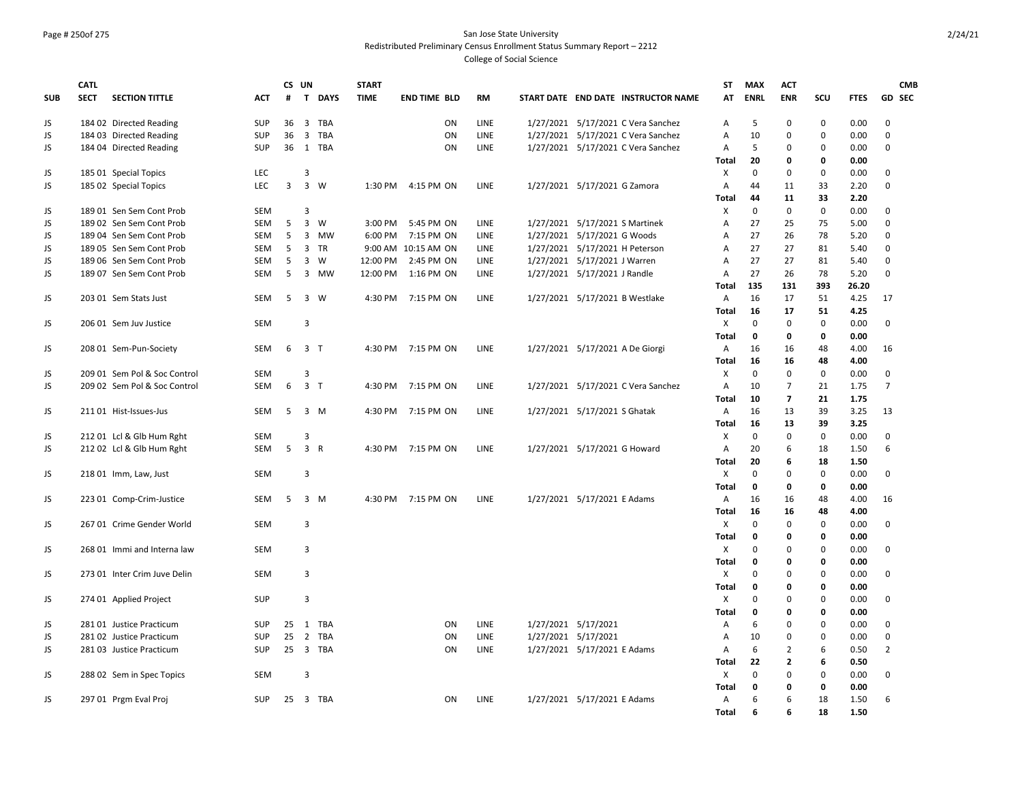## Page # 250of 275 San Jose State University Redistributed Preliminary Census Enrollment Status Summary Report – 2212

|            | <b>CATL</b> |                              |            |                | CS UN          |          | <b>START</b> |                     |             |                                     | <b>ST</b>             | <b>MAX</b>        | <b>ACT</b>               |                   |              | <b>CMB</b>     |
|------------|-------------|------------------------------|------------|----------------|----------------|----------|--------------|---------------------|-------------|-------------------------------------|-----------------------|-------------------|--------------------------|-------------------|--------------|----------------|
| <b>SUB</b> | <b>SECT</b> | <b>SECTION TITTLE</b>        | <b>ACT</b> | #              |                | T DAYS   | <b>TIME</b>  | <b>END TIME BLD</b> | <b>RM</b>   | START DATE END DATE INSTRUCTOR NAME | AT                    | <b>ENRL</b>       | <b>ENR</b>               | scu               | <b>FTES</b>  | GD SEC         |
| JS         |             | 184 02 Directed Reading      | <b>SUP</b> |                |                | 36 3 TBA |              | ON                  | LINE        | 1/27/2021 5/17/2021 C Vera Sanchez  | A                     | 5                 | $\Omega$                 | $\Omega$          | 0.00         | $\Omega$       |
| JS         |             | 184 03 Directed Reading      | SUP        | 36             |                | 3 TBA    |              | ON                  | <b>LINE</b> | 1/27/2021 5/17/2021 C Vera Sanchez  | $\overline{A}$        | 10                | $\Omega$                 | $\mathbf 0$       | 0.00         | $\mathbf 0$    |
| JS         |             | 184 04 Directed Reading      | SUP        |                |                | 36 1 TBA |              | ON                  | LINE        | 1/27/2021 5/17/2021 C Vera Sanchez  | Α                     | 5                 | $\Omega$                 | $\mathbf 0$       | 0.00         | $\Omega$       |
|            |             |                              |            |                |                |          |              |                     |             |                                     | Total                 | 20                | 0                        | 0                 | 0.00         |                |
| JS         |             | 185 01 Special Topics        | <b>LEC</b> |                | 3              |          |              |                     |             |                                     | X                     | $\mathbf{0}$      | 0                        | $\mathbf 0$       | 0.00         | $\mathbf 0$    |
| JS         |             | 185 02 Special Topics        | LEC        | $\overline{3}$ | $\overline{3}$ | W        | 1:30 PM      | 4:15 PM ON          | LINE        | 1/27/2021 5/17/2021 G Zamora        | A                     | 44                | 11                       | 33                | 2.20         | $\mathsf 0$    |
|            |             |                              |            |                |                |          |              |                     |             |                                     | <b>Total</b>          | 44                | 11                       | 33                | 2.20         |                |
| JS         |             | 189 01 Sen Sem Cont Prob     | SEM        |                | 3              |          |              |                     |             |                                     | X                     | $\mathbf 0$       | 0                        | $\mathsf 0$       | 0.00         | $\mathbf 0$    |
| JS         |             | 189 02 Sen Sem Cont Prob     | <b>SEM</b> | 5              | $\overline{3}$ | W        | 3:00 PM      | 5:45 PM ON          | <b>LINE</b> | 1/27/2021 5/17/2021 S Martinek      | $\overline{A}$        | 27                | 25                       | 75                | 5.00         | $\mathbf 0$    |
| <b>JS</b>  |             | 189 04 Sen Sem Cont Prob     | <b>SEM</b> | 5              |                | 3 MW     | 6:00 PM      | 7:15 PM ON          | LINE        | 1/27/2021 5/17/2021 G Woods         | $\overline{A}$        | 27                | 26                       | 78                | 5.20         | $\mathbf 0$    |
| JS         |             | 189 05 Sen Sem Cont Prob     | <b>SEM</b> | 5              |                | 3 TR     |              | 9:00 AM 10:15 AM ON | LINE        | 1/27/2021 5/17/2021 H Peterson      | $\overline{A}$        | 27                | 27                       | 81                | 5.40         | $\mathbf 0$    |
| <b>JS</b>  |             | 189 06 Sen Sem Cont Prob     | <b>SEM</b> | 5              | $\overline{3}$ | W        | 12:00 PM     | 2:45 PM ON          | LINE        | 1/27/2021 5/17/2021 J Warren        | Α                     | 27                | 27                       | 81                | 5.40         | $\mathsf 0$    |
| JS         |             | 189 07 Sen Sem Cont Prob     | <b>SEM</b> | 5              |                | 3 MW     | 12:00 PM     | 1:16 PM ON          | LINE        | 1/27/2021 5/17/2021 J Randle        | Α                     | 27                | 26                       | 78                | 5.20         | 0              |
|            |             |                              |            |                |                |          |              |                     |             |                                     | <b>Total</b>          | 135               | 131                      | 393               | 26.20        |                |
| JS.        |             | 203 01 Sem Stats Just        | <b>SEM</b> | 5              |                | 3 W      | 4:30 PM      | 7:15 PM ON          | <b>LINE</b> | 1/27/2021 5/17/2021 B Westlake      | Α                     | 16                | 17                       | 51                | 4.25         | 17             |
|            |             |                              |            |                | $\overline{3}$ |          |              |                     |             |                                     | Total<br>$\mathsf{X}$ | 16<br>$\mathbf 0$ | 17<br>$\mathbf 0$        | 51<br>$\mathbf 0$ | 4.25<br>0.00 | $\mathbf 0$    |
| JS         |             | 206 01 Sem Juv Justice       | <b>SEM</b> |                |                |          |              |                     |             |                                     | <b>Total</b>          | $\mathbf 0$       | $\mathbf 0$              | $\mathbf 0$       | 0.00         |                |
|            |             |                              | SEM        | 6              | 3 <sub>1</sub> |          |              | 4:30 PM 7:15 PM ON  | LINE        | 1/27/2021 5/17/2021 A De Giorgi     | $\mathsf{A}$          | 16                | 16                       | 48                | 4.00         | 16             |
| JS         |             | 208 01 Sem-Pun-Society       |            |                |                |          |              |                     |             |                                     | Total                 | 16                | 16                       | 48                | 4.00         |                |
| JS         |             | 209 01 Sem Pol & Soc Control | SEM        |                | 3              |          |              |                     |             |                                     | X                     | $\mathbf 0$       | $\pmb{0}$                | $\mathbf 0$       | 0.00         | $\mathsf 0$    |
| JS.        |             | 209 02 Sem Pol & Soc Control | <b>SEM</b> | 6              | 3 <sub>1</sub> |          | 4:30 PM      | 7:15 PM ON          | LINE        | 1/27/2021 5/17/2021 C Vera Sanchez  | Α                     | 10                | $\overline{7}$           | 21                | 1.75         | $\overline{7}$ |
|            |             |                              |            |                |                |          |              |                     |             |                                     | <b>Total</b>          | 10                | $\overline{\phantom{a}}$ | 21                | 1.75         |                |
| JS         |             | 211 01 Hist-Issues-Jus       | <b>SEM</b> | 5              |                | 3 M      |              | 4:30 PM 7:15 PM ON  | <b>LINE</b> | 1/27/2021 5/17/2021 S Ghatak        | Α                     | 16                | 13                       | 39                | 3.25         | 13             |
|            |             |                              |            |                |                |          |              |                     |             |                                     | <b>Total</b>          | 16                | 13                       | 39                | 3.25         |                |
| JS         |             | 212 01 Lcl & Glb Hum Rght    | <b>SEM</b> |                | 3              |          |              |                     |             |                                     | X                     | $\mathbf 0$       | $\mathbf 0$              | $\mathbf 0$       | 0.00         | $\mathbf 0$    |
| JS         |             | 212 02 Lcl & Glb Hum Rght    | SEM        | 5              | 3 R            |          | 4:30 PM      | 7:15 PM ON          | LINE        | 1/27/2021 5/17/2021 G Howard        | A                     | 20                | 6                        | 18                | 1.50         | 6              |
|            |             |                              |            |                |                |          |              |                     |             |                                     | Total                 | 20                | 6                        | 18                | 1.50         |                |
| JS         |             | 218 01 Imm, Law, Just        | <b>SEM</b> |                | 3              |          |              |                     |             |                                     | X                     | $\Omega$          | $\Omega$                 | $\Omega$          | 0.00         | $\Omega$       |
|            |             |                              |            |                |                |          |              |                     |             |                                     | Total                 | $\mathbf 0$       | 0                        | $\mathbf 0$       | 0.00         |                |
| JS         |             | 223 01 Comp-Crim-Justice     | <b>SEM</b> | 5              |                | 3 M      |              | 4:30 PM 7:15 PM ON  | <b>LINE</b> | 1/27/2021 5/17/2021 E Adams         | A                     | 16                | 16                       | 48                | 4.00         | 16             |
|            |             |                              |            |                |                |          |              |                     |             |                                     | Total                 | 16                | 16                       | 48                | 4.00         |                |
| JS.        |             | 267 01 Crime Gender World    | <b>SEM</b> |                | 3              |          |              |                     |             |                                     | $\mathsf{X}$          | $\mathbf 0$       | $\mathbf 0$              | $\mathbf 0$       | 0.00         | $\mathbf 0$    |
|            |             |                              |            |                |                |          |              |                     |             |                                     | <b>Total</b>          | $\mathbf 0$       | 0                        | 0                 | 0.00         |                |
| JS.        |             | 268 01 Immi and Interna law  | <b>SEM</b> |                | $\overline{3}$ |          |              |                     |             |                                     | X                     | $\mathbf{0}$      | $\mathbf 0$              | $\mathsf 0$       | 0.00         | $\mathbf 0$    |
|            |             |                              |            |                |                |          |              |                     |             |                                     | <b>Total</b>          | $\mathbf 0$       | 0                        | 0                 | 0.00         |                |
| JS.        |             | 273 01 Inter Crim Juve Delin | <b>SEM</b> |                | 3              |          |              |                     |             |                                     | Χ                     | $\Omega$          | 0                        | 0                 | 0.00         | $\mathbf 0$    |
|            |             |                              |            |                |                |          |              |                     |             |                                     | <b>Total</b>          | $\mathbf 0$       | 0                        | 0                 | 0.00         |                |
| JS         |             | 274 01 Applied Project       | SUP        |                | 3              |          |              |                     |             |                                     | Χ                     | $\Omega$          | $\Omega$                 | 0                 | 0.00         | $\mathbf 0$    |
|            |             |                              |            |                |                |          |              |                     |             |                                     | <b>Total</b>          | $\mathbf 0$       | $\Omega$                 | $\mathbf 0$       | 0.00         |                |
| JS         |             | 281 01 Justice Practicum     | <b>SUP</b> | 25             | 1              | TBA      |              | <b>ON</b>           | <b>LINE</b> | 1/27/2021 5/17/2021                 | A                     | 6                 | $\mathbf 0$              | 0                 | 0.00         | $\mathbf 0$    |
| JS         |             | 281 02 Justice Practicum     | <b>SUP</b> | 25             |                | 2 TBA    |              | ON                  | LINE        | 1/27/2021 5/17/2021                 | Α                     | 10                | $\mathbf 0$              | $\mathbf 0$       | 0.00         | $\mathbf 0$    |
| JS.        |             | 281 03 Justice Practicum     | <b>SUP</b> |                |                | 25 3 TBA |              | ON                  | LINE        | 1/27/2021 5/17/2021 E Adams         | Α                     | 6                 | $\overline{2}$           | 6                 | 0.50         | $\overline{2}$ |
|            |             |                              |            |                |                |          |              |                     |             |                                     | Total                 | 22                | $\overline{2}$           | 6                 | 0.50         |                |
| JS         |             | 288 02 Sem in Spec Topics    | <b>SEM</b> |                | 3              |          |              |                     |             |                                     | х                     | $\mathbf 0$       | $\Omega$                 | $\mathbf 0$       | 0.00         | $\mathbf 0$    |
|            |             |                              |            |                |                |          |              |                     |             |                                     | <b>Total</b>          | $\mathbf{0}$      | $\Omega$                 | 0                 | 0.00         |                |
| JS         |             | 297 01 Prgm Eval Proj        | <b>SUP</b> |                |                | 25 3 TBA |              | <b>ON</b>           | <b>LINE</b> | 1/27/2021 5/17/2021 E Adams         | $\mathsf{A}$          | 6                 | 6                        | 18                | 1.50         | 6              |
|            |             |                              |            |                |                |          |              |                     |             |                                     | Total                 | 6                 | 6                        | 18                | 1.50         |                |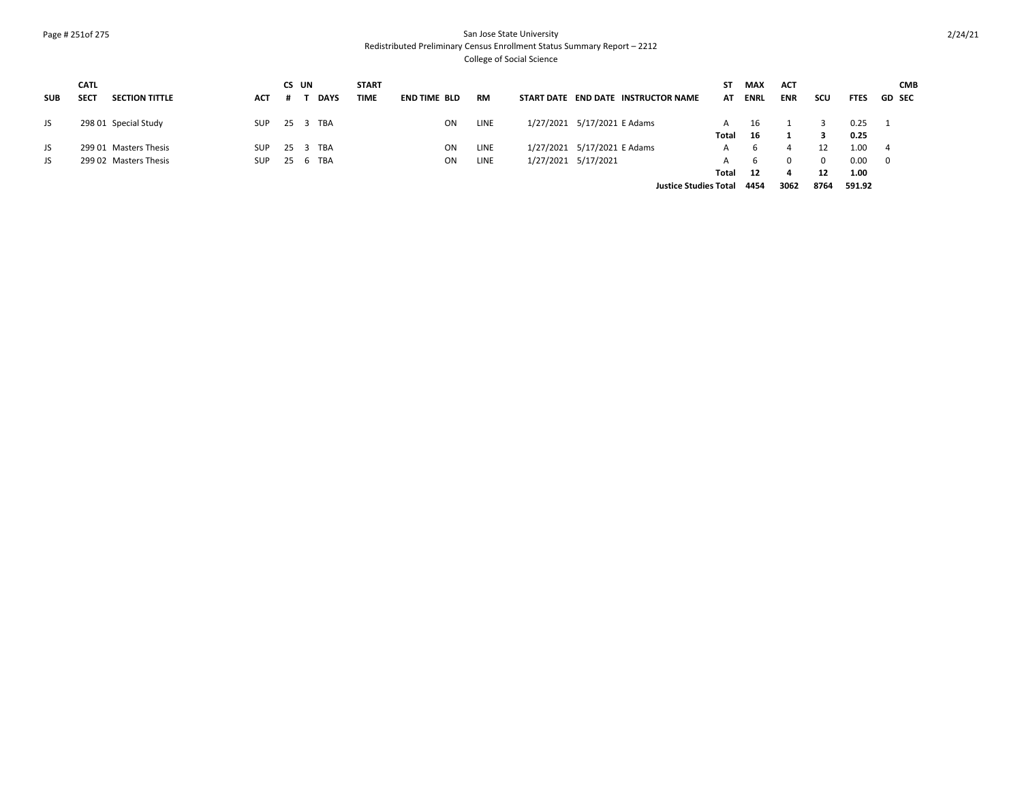# Page # 251of 275 San Jose State University Redistributed Preliminary Census Enrollment Status Summary Report – 2212

|            | <b>CATL</b> |                       |            | CS UN |             | <b>START</b> |                     |           |                                     | SΤ                           | <b>MAX</b>  | <b>ACT</b> |      |             | <b>CMB</b>               |
|------------|-------------|-----------------------|------------|-------|-------------|--------------|---------------------|-----------|-------------------------------------|------------------------------|-------------|------------|------|-------------|--------------------------|
| <b>SUB</b> | <b>SECT</b> | <b>SECTION TITTLE</b> | <b>ACT</b> | Ħ     | <b>DAYS</b> | TIME         | <b>END TIME BLD</b> | <b>RM</b> | START DATE END DATE INSTRUCTOR NAME | ΑT                           | <b>ENRL</b> | <b>ENR</b> | scu  | <b>FTES</b> | <b>GD SEC</b>            |
| JS         |             | 298 01 Special Study  | SUP        |       | 25 3 TBA    |              | <b>ON</b>           | LINE      | 1/27/2021 5/17/2021 E Adams         | A                            | 16          |            |      | 0.25        |                          |
|            |             |                       |            |       |             |              |                     |           |                                     | Total                        | - 16        |            |      | 0.25        |                          |
| JS         |             | 299 01 Masters Thesis | <b>SUP</b> |       | 25 3 TBA    |              | ON.                 | LINE      | 1/27/2021 5/17/2021 E Adams         | A                            | 6           | 4          |      | 1.00        | 4                        |
| JS.        |             | 299 02 Masters Thesis | <b>SUP</b> | 25 6  | TBA         |              | ON.                 | LINE      | 1/27/2021 5/17/2021                 | A                            | 6           | $\Omega$   | 0    | 0.00        | $\overline{\phantom{0}}$ |
|            |             |                       |            |       |             |              |                     |           |                                     | Total                        | 12          |            | 12   | 1.00        |                          |
|            |             |                       |            |       |             |              |                     |           |                                     | <b>Justice Studies Total</b> | 4454        | 3062       | 8764 | 591.92      |                          |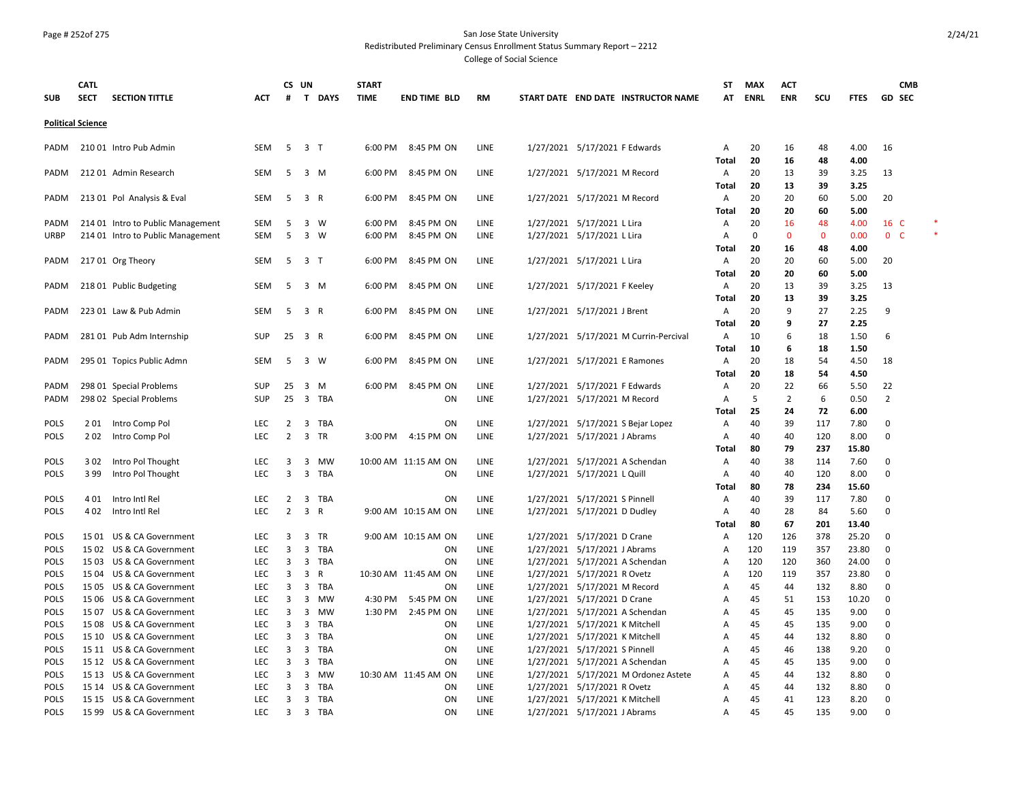#### Page # 252of 275 San Jose State University Redistributed Preliminary Census Enrollment Status Summary Report – 2212

|                            | <b>CATL</b>              |                                                                        |                   | CS UN          |                             | <b>START</b> |                      |              |                                                                  | <b>ST</b>      | <b>MAX</b>  | <b>ACT</b>         |              |              | <b>CMB</b>             |   |
|----------------------------|--------------------------|------------------------------------------------------------------------|-------------------|----------------|-----------------------------|--------------|----------------------|--------------|------------------------------------------------------------------|----------------|-------------|--------------------|--------------|--------------|------------------------|---|
| <b>SUB</b>                 | <b>SECT</b>              | <b>SECTION TITTLE</b>                                                  | <b>ACT</b>        | #              | $\mathbf{T}$<br><b>DAYS</b> | <b>TIME</b>  | <b>END TIME BLD</b>  | <b>RM</b>    | START DATE END DATE INSTRUCTOR NAME                              | AT             | <b>ENRL</b> | <b>ENR</b>         | SCU          | <b>FTES</b>  | <b>GD SEC</b>          |   |
|                            |                          |                                                                        |                   |                |                             |              |                      |              |                                                                  |                |             |                    |              |              |                        |   |
|                            | <b>Political Science</b> |                                                                        |                   |                |                             |              |                      |              |                                                                  |                |             |                    |              |              |                        |   |
| PADM                       |                          | 210 01 Intro Pub Admin                                                 | SEM               | - 5            | 3 T                         | 6:00 PM      | 8:45 PM ON           | LINE         | 1/27/2021 5/17/2021 F Edwards                                    | Α              | 20          | 16                 | 48           | 4.00         | 16                     |   |
|                            |                          |                                                                        |                   |                |                             |              |                      |              |                                                                  | <b>Total</b>   | 20          | 16                 | 48           | 4.00         |                        |   |
| PADM                       |                          | 21201 Admin Research                                                   | <b>SEM</b>        | -5             | 3 M                         | 6:00 PM      | 8:45 PM ON           | LINE         | 1/27/2021 5/17/2021 M Record                                     | Α              | 20          | 13                 | 39           | 3.25         | 13                     |   |
|                            |                          |                                                                        |                   |                |                             |              |                      |              |                                                                  | <b>Total</b>   | 20          | 13                 | 39           | 3.25         |                        |   |
| PADM                       |                          | 213 01 Pol Analysis & Eval                                             | SEM               | 5              | 3 R                         | 6:00 PM      | 8:45 PM ON           | LINE         | 1/27/2021 5/17/2021 M Record                                     | Α              | 20          | 20                 | 60           | 5.00         | 20                     |   |
|                            |                          |                                                                        | SEM               |                | $3 \quad W$                 | 6:00 PM      | 8:45 PM ON           | LINE         |                                                                  | Total          | 20<br>20    | 20                 | 60<br>48     | 5.00<br>4.00 |                        |   |
| PADM<br><b>URBP</b>        |                          | 214 01 Intro to Public Management<br>214 01 Intro to Public Management | SEM               | 5<br>5         | $3 \quad W$                 | 6:00 PM      | 8:45 PM ON           | LINE         | 1/27/2021 5/17/2021 L Lira<br>1/27/2021 5/17/2021 L Lira         | Α<br>Α         | $\mathbf 0$ | 16<br>$\mathbf{0}$ | $\mathbf{0}$ | 0.00         | 16 C<br>0 <sup>o</sup> | * |
|                            |                          |                                                                        |                   |                |                             |              |                      |              |                                                                  | Total          | 20          | 16                 | 48           | 4.00         |                        |   |
| PADM                       |                          | 21701 Org Theory                                                       | SEM               | 5              | 3 T                         | 6:00 PM      | 8:45 PM ON           | LINE         | 1/27/2021 5/17/2021 L Lira                                       | Α              | 20          | 20                 | 60           | 5.00         | 20                     |   |
|                            |                          |                                                                        |                   |                |                             |              |                      |              |                                                                  | Total          | 20          | 20                 | 60           | 5.00         |                        |   |
| PADM                       |                          | 218 01 Public Budgeting                                                | SEM               | -5             | 3 M                         | 6:00 PM      | 8:45 PM ON           | LINE         | 1/27/2021 5/17/2021 F Keeley                                     | Α              | 20          | 13                 | 39           | 3.25         | 13                     |   |
|                            |                          |                                                                        |                   |                |                             |              |                      |              |                                                                  | <b>Total</b>   | 20          | 13                 | 39           | 3.25         |                        |   |
| PADM                       |                          | 223 01 Law & Pub Admin                                                 | SEM               | 5              | 3 R                         | 6:00 PM      | 8:45 PM ON           | LINE         | 1/27/2021 5/17/2021 J Brent                                      | Α              | 20          | 9                  | 27           | 2.25         | 9                      |   |
|                            |                          |                                                                        |                   |                |                             |              |                      |              |                                                                  | Total          | 20          | 9                  | 27           | 2.25         |                        |   |
| PADM                       |                          | 281 01 Pub Adm Internship                                              | SUP               | 25             | 3 R                         | 6:00 PM      | 8:45 PM ON           | LINE         | 1/27/2021 5/17/2021 M Currin-Percival                            | Α              | 10          | 6                  | 18           | 1.50         | 6                      |   |
|                            |                          |                                                                        |                   |                |                             |              |                      |              |                                                                  | Total          | 10          | 6                  | 18           | 1.50         |                        |   |
| PADM                       |                          | 295 01 Topics Public Admn                                              | <b>SEM</b>        | 5              | 3 W                         | 6:00 PM      | 8:45 PM ON           | LINE         | 1/27/2021 5/17/2021 E Ramones                                    | A              | 20          | 18                 | 54           | 4.50         | 18                     |   |
|                            |                          |                                                                        |                   |                |                             |              |                      |              |                                                                  | Total          | 20          | 18                 | 54           | 4.50         |                        |   |
| PADM                       |                          | 298 01 Special Problems                                                | SUP               | 25             | 3<br>M                      | 6:00 PM      | 8:45 PM ON           | LINE         | 1/27/2021 5/17/2021 F Edwards                                    | Α              | 20          | 22                 | 66           | 5.50         | 22                     |   |
| PADM                       |                          | 298 02 Special Problems                                                | SUP               | 25             | 3 TBA                       |              | ON                   | LINE         | 1/27/2021 5/17/2021 M Record                                     | Α              | 5           | 2                  | 6            | 0.50         | $\overline{2}$         |   |
| POLS                       |                          |                                                                        | LEC               | $\overline{2}$ | 3<br>TBA                    |              | ON                   | LINE         | 1/27/2021 5/17/2021 S Bejar Lopez                                | Total<br>Α     | 25<br>40    | 24<br>39           | 72<br>117    | 6.00<br>7.80 | $\mathsf 0$            |   |
| <b>POLS</b>                | 201<br>202               | Intro Comp Pol<br>Intro Comp Pol                                       | <b>LEC</b>        | $\overline{2}$ | 3<br><b>TR</b>              | 3:00 PM      | 4:15 PM ON           | LINE         | 1/27/2021 5/17/2021 J Abrams                                     | Α              | 40          | 40                 | 120          | 8.00         | $\mathbf 0$            |   |
|                            |                          |                                                                        |                   |                |                             |              |                      |              |                                                                  | Total          | 80          | 79                 | 237          | 15.80        |                        |   |
| <b>POLS</b>                | 302                      | Intro Pol Thought                                                      | <b>LEC</b>        | 3              | 3<br>MW                     |              | 10:00 AM 11:15 AM ON | LINE         | 1/27/2021 5/17/2021 A Schendan                                   | Α              | 40          | 38                 | 114          | 7.60         | $\mathbf 0$            |   |
| <b>POLS</b>                | 399                      | Intro Pol Thought                                                      | LEC               | 3              | 3<br>TBA                    |              | ON                   | LINE         | 1/27/2021 5/17/2021 L Quill                                      | Α              | 40          | 40                 | 120          | 8.00         | $\mathsf 0$            |   |
|                            |                          |                                                                        |                   |                |                             |              |                      |              |                                                                  | Total          | 80          | 78                 | 234          | 15.60        |                        |   |
| <b>POLS</b>                | 4 0 1                    | Intro Intl Rel                                                         | LEC               | $\overline{2}$ | 3<br>TBA                    |              | ON                   | LINE         | 1/27/2021 5/17/2021 S Pinnell                                    | Α              | 40          | 39                 | 117          | 7.80         | 0                      |   |
| <b>POLS</b>                | 4 0 2                    | Intro Intl Rel                                                         | LEC               | $\overline{2}$ | 3<br>$\mathsf{R}$           |              | 9:00 AM 10:15 AM ON  | LINE         | 1/27/2021 5/17/2021 D Dudley                                     | Α              | 40          | 28                 | 84           | 5.60         | 0                      |   |
|                            |                          |                                                                        |                   |                |                             |              |                      |              |                                                                  | <b>Total</b>   | 80          | 67                 | 201          | 13.40        |                        |   |
| <b>POLS</b>                |                          | 15 01 US & CA Government                                               | LEC               | 3              | 3<br>TR                     |              | 9:00 AM 10:15 AM ON  | LINE         | 1/27/2021 5/17/2021 D Crane                                      | Α              | 120         | 126                | 378          | 25.20        | 0                      |   |
| <b>POLS</b>                |                          | 15 02 US & CA Government                                               | <b>LEC</b>        | 3              | 3<br>TBA                    |              | ON                   | LINE         | 1/27/2021 5/17/2021 J Abrams                                     | Α              | 120         | 119                | 357          | 23.80        | $\mathbf 0$            |   |
| <b>POLS</b>                |                          | 15 03 US & CA Government                                               | <b>LEC</b>        | 3              | 3<br>TBA                    |              | ON                   | LINE         | 1/27/2021 5/17/2021 A Schendan                                   | Α              | 120         | 120                | 360          | 24.00        | 0                      |   |
| <b>POLS</b>                |                          | 15 04 US & CA Government                                               | <b>LEC</b>        | 3              | 3<br>R                      |              | 10:30 AM 11:45 AM ON | LINE         | 1/27/2021 5/17/2021 R Ovetz                                      | Α              | 120         | 119                | 357          | 23.80        | $\mathbf 0$            |   |
| POLS                       |                          | 15 05 US & CA Government                                               | LEC               | 3              | 3<br>TBA                    |              | ON                   | LINE         | 1/27/2021 5/17/2021 M Record                                     | $\overline{A}$ | 45          | 44                 | 132          | 8.80         | $\mathsf 0$            |   |
| <b>POLS</b>                |                          | 15 06 US & CA Government                                               | <b>LEC</b>        | 3              | 3<br>MW                     | 4:30 PM      | 5:45 PM ON           | LINE         | 1/27/2021 5/17/2021 D Crane                                      | Α              | 45          | 51                 | 153          | 10.20        | $\mathbf 0$            |   |
| <b>POLS</b>                |                          | 15 07 US & CA Government                                               | LEC               | 3              | $\mathbf{3}$<br>MW          | 1:30 PM      | 2:45 PM ON           | LINE         | 1/27/2021 5/17/2021 A Schendan                                   | $\overline{A}$ | 45          | 45                 | 135          | 9.00         | 0                      |   |
| <b>POLS</b><br><b>POLS</b> |                          | 15 08 US & CA Government<br>15 10 US & CA Government                   | LEC<br><b>LEC</b> | 3<br>3         | 3<br><b>TBA</b><br>3<br>TBA |              | ON<br>ON             | LINE<br>LINE | 1/27/2021 5/17/2021 K Mitchell<br>1/27/2021 5/17/2021 K Mitchell | Α<br>Α         | 45<br>45    | 45<br>44           | 135<br>132   | 9.00<br>8.80 | 0<br>$\mathbf 0$       |   |
| <b>POLS</b>                |                          | 15 11 US & CA Government                                               | LEC               | 3              | 3<br><b>TBA</b>             |              | ON                   | LINE         | 1/27/2021 5/17/2021 S Pinnell                                    | Α              | 45          | 46                 | 138          | 9.20         | 0                      |   |
| <b>POLS</b>                |                          | 15 12 US & CA Government                                               | LEC               | 3              | $\overline{3}$<br>TBA       |              | <b>ON</b>            | LINE         | 1/27/2021 5/17/2021 A Schendan                                   | A              | 45          | 45                 | 135          | 9.00         | $\mathbf 0$            |   |
| POLS                       |                          | 15 13 US & CA Government                                               | LEC               | 3              | 3<br>MW                     |              | 10:30 AM 11:45 AM ON | LINE         | 1/27/2021 5/17/2021 M Ordonez Astete                             | Α              | 45          | 44                 | 132          | 8.80         | $\mathsf 0$            |   |
| POLS                       |                          | 15 14 US & CA Government                                               | LEC               | 3              | 3<br>TBA                    |              | ON                   | LINE         | 1/27/2021 5/17/2021 R Ovetz                                      | $\overline{A}$ | 45          | 44                 | 132          | 8.80         | $\mathbf 0$            |   |
| <b>POLS</b>                |                          | 15 15 US & CA Government                                               | <b>LEC</b>        | 3              | 3<br><b>TBA</b>             |              | ON                   | LINE         | 1/27/2021 5/17/2021 K Mitchell                                   | Α              | 45          | 41                 | 123          | 8.20         | $\mathsf 0$            |   |
| <b>POLS</b>                |                          | 15 99 US & CA Government                                               | <b>LEC</b>        | 3              | 3 TBA                       |              | ON                   | LINE         | 1/27/2021 5/17/2021 J Abrams                                     | A              | 45          | 45                 | 135          | 9.00         | $\Omega$               |   |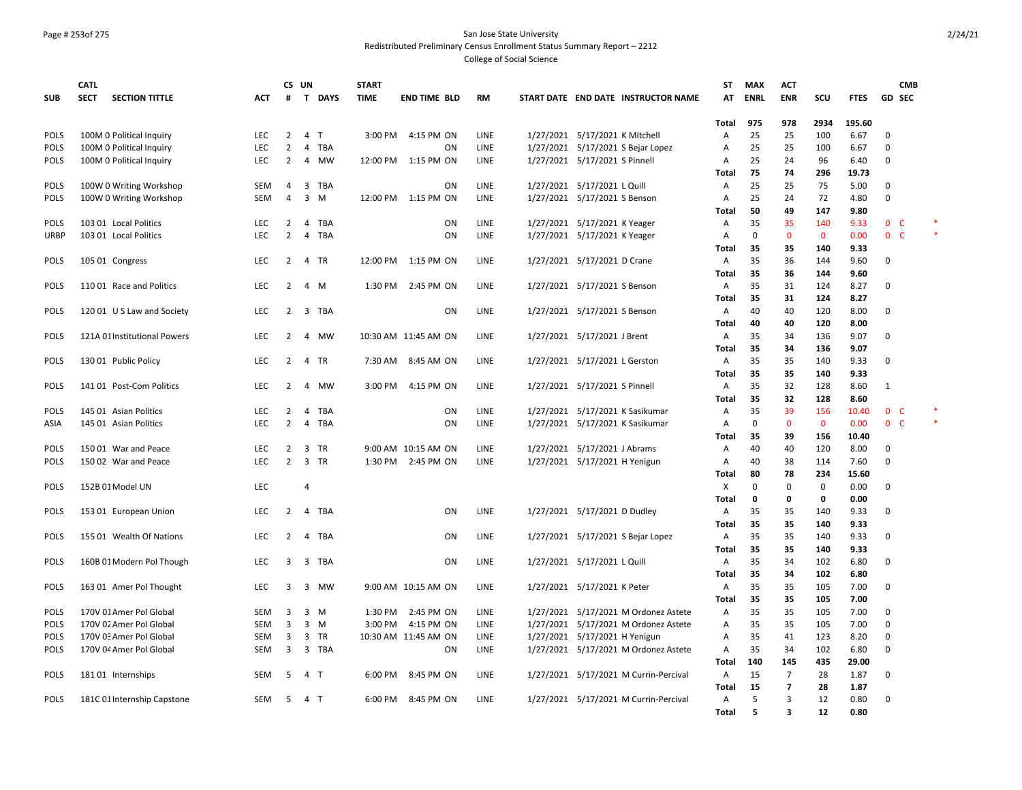#### Page # 253of 275 San Jose State University Redistributed Preliminary Census Enrollment Status Summary Report – 2212

|             | <b>CATL</b>                          |            |                | CS UN          |              | <b>START</b> |                      |             |                                       | ST             | <b>MAX</b>  | <b>ACT</b>              |              |             | <b>CMB</b>     |        |
|-------------|--------------------------------------|------------|----------------|----------------|--------------|--------------|----------------------|-------------|---------------------------------------|----------------|-------------|-------------------------|--------------|-------------|----------------|--------|
| <b>SUB</b>  | <b>SECT</b><br><b>SECTION TITTLE</b> | <b>ACT</b> | #              |                | T DAYS       | <b>TIME</b>  | <b>END TIME BLD</b>  | <b>RM</b>   | START DATE END DATE INSTRUCTOR NAME   | AT             | <b>ENRL</b> | <b>ENR</b>              | scu          | <b>FTES</b> | <b>GD SEC</b>  |        |
|             |                                      |            |                |                |              |              |                      |             |                                       |                |             |                         |              |             |                |        |
|             |                                      |            |                |                |              |              |                      |             |                                       | Total          | 975         | 978                     | 2934         | 195.60      |                |        |
| <b>POLS</b> | 100M 0 Political Inquiry             | LEC        | 2              | 4              | $\mathsf{T}$ | 3:00 PM      | 4:15 PM ON           | LINE        | 1/27/2021 5/17/2021 K Mitchell        | A              | 25          | 25                      | 100          | 6.67        | 0              |        |
| POLS        | 100M 0 Political Inquiry             | LEC        | $\overline{2}$ | $\overline{4}$ | <b>TBA</b>   |              | ON                   | LINE        | 1/27/2021 5/17/2021 S Bejar Lopez     | A              | 25          | 25                      | 100          | 6.67        | 0              |        |
| <b>POLS</b> | 100M 0 Political Inquiry             | <b>LEC</b> | 2              | 4              | <b>MW</b>    |              | 12:00 PM 1:15 PM ON  | <b>LINE</b> | 1/27/2021 5/17/2021 S Pinnell         | Α              | 25          | 24                      | 96           | 6.40        | 0              |        |
|             |                                      |            |                |                |              |              |                      |             |                                       | Total          | 75          | 74                      | 296          | 19.73       |                |        |
| <b>POLS</b> | 100W 0 Writing Workshop              | SEM        | 4              | 3              | TBA          |              | ON                   | <b>LINE</b> | 1/27/2021 5/17/2021 L Quill           | A              | 25          | 25                      | 75           | 5.00        | 0              |        |
| <b>POLS</b> | 100W 0 Writing Workshop              | <b>SEM</b> | 4              | 3              | M            | 12:00 PM     | 1:15 PM ON           | LINE        | 1/27/2021 5/17/2021 S Benson          | $\overline{A}$ | 25          | 24                      | 72           | 4.80        | 0              |        |
|             |                                      |            |                |                |              |              |                      |             |                                       | Total          | 50          | 49                      | 147          | 9.80        |                |        |
| <b>POLS</b> | 103 01 Local Politics                | <b>LEC</b> | $\overline{2}$ | $\overline{4}$ | <b>TBA</b>   |              | ON                   | LINE        | 1/27/2021 5/17/2021 K Yeager          | Α              | 35          | 35                      | 140          | 9.33        | 0 <sup>o</sup> |        |
| <b>URBP</b> | 103 01 Local Politics                | LEC        | $\overline{2}$ | $\overline{4}$ | <b>TBA</b>   |              | ON                   | LINE        | 1/27/2021 5/17/2021 K Yeager          | A              | $\mathbf 0$ | 0                       | $\mathbf 0$  | 0.00        | 0 <sub>c</sub> | $\ast$ |
|             |                                      |            |                |                |              |              |                      |             |                                       | <b>Total</b>   | 35          | 35                      | 140          | 9.33        |                |        |
| <b>POLS</b> | 105 01 Congress                      | <b>LEC</b> | 2              |                | 4 TR         |              | 12:00 PM 1:15 PM ON  | LINE        | 1/27/2021 5/17/2021 D Crane           | A              | 35          | 36                      | 144          | 9.60        | 0              |        |
|             |                                      |            |                |                |              |              |                      |             |                                       | Total          | 35          | 36                      | 144          | 9.60        |                |        |
| <b>POLS</b> | 110 01 Race and Politics             | <b>LEC</b> | 2              | $\overline{4}$ | M            | 1:30 PM      | 2:45 PM ON           | LINE        | 1/27/2021 5/17/2021 S Benson          | Α              | 35          | 31                      | 124          | 8.27        | 0              |        |
|             |                                      |            |                |                |              |              |                      |             |                                       | Total          | 35          | 31                      | 124          | 8.27        |                |        |
| <b>POLS</b> | 120 01 U S Law and Society           | <b>LEC</b> | $\overline{2}$ |                | 3 TBA        |              | ON                   | LINE        | 1/27/2021 5/17/2021 S Benson          | Α              | 40          | 40                      | 120          | 8.00        | 0              |        |
|             |                                      |            |                |                |              |              |                      |             |                                       | <b>Total</b>   | 40          | 40                      | 120          | 8.00        |                |        |
| <b>POLS</b> | 121A 01 Institutional Powers         | <b>LEC</b> | $\overline{2}$ | 4              | MW           |              | 10:30 AM 11:45 AM ON | LINE        | 1/27/2021 5/17/2021 J Brent           | Α              | 35          | 34                      | 136          | 9.07        | 0              |        |
|             |                                      |            |                |                |              |              |                      |             |                                       | <b>Total</b>   | 35          | 34                      | 136          | 9.07        |                |        |
| <b>POLS</b> | 130 01 Public Policy                 | <b>LEC</b> | 2              | $\overline{4}$ | TR           | 7:30 AM      | 8:45 AM ON           | LINE        | 1/27/2021 5/17/2021 L Gerston         | Α              | 35          | 35                      | 140          | 9.33        | 0              |        |
|             |                                      |            |                |                |              |              |                      |             |                                       | <b>Total</b>   | 35          | 35                      | 140          | 9.33        |                |        |
| <b>POLS</b> | 141 01 Post-Com Politics             | LEC        | 2              | 4              | МW           | 3:00 PM      | 4:15 PM ON           | LINE        | 1/27/2021 5/17/2021 S Pinnell         | Α              | 35          | 32                      | 128          | 8.60        | 1              |        |
|             |                                      |            |                |                |              |              |                      |             |                                       | <b>Total</b>   | 35          | 32                      | 128          | 8.60        |                |        |
| <b>POLS</b> | 145 01 Asian Politics                | LEC        | 2              | 4              | TBA          |              | ΟN                   | LINE        | 1/27/2021 5/17/2021 K Sasikumar       | Α              | 35          | 39                      | 156          | 10.40       | 0 <sub>c</sub> |        |
| ASIA        | 145 01 Asian Politics                | <b>LEC</b> | $\overline{2}$ | $\overline{4}$ | <b>TBA</b>   |              | ON                   | LINE        | 1/27/2021 5/17/2021 K Sasikumar       | Α              | $\mathbf 0$ | $\mathbf{0}$            | $\mathbf{0}$ | 0.00        | 0 <sup>o</sup> |        |
|             |                                      |            |                |                |              |              |                      |             |                                       | Total          | 35          | 39                      | 156          | 10.40       |                |        |
| <b>POLS</b> | 150 01 War and Peace                 | <b>LEC</b> | $\overline{2}$ | $\overline{3}$ | <b>TR</b>    |              | 9:00 AM 10:15 AM ON  | <b>LINE</b> | 1/27/2021 5/17/2021 J Abrams          | Α              | 40          | 40                      | 120          | 8.00        | 0              |        |
| <b>POLS</b> | 150 02 War and Peace                 | <b>LEC</b> | 2              | $\overline{3}$ | TR           |              | 1:30 PM 2:45 PM ON   | <b>LINE</b> | 1/27/2021 5/17/2021 H Yenigun         | Α              | 40          | 38                      | 114          | 7.60        | 0              |        |
|             |                                      |            |                |                |              |              |                      |             |                                       | Total          | 80          | 78                      | 234          | 15.60       |                |        |
| <b>POLS</b> | 152B 01 Model UN                     | LEC        |                | 4              |              |              |                      |             |                                       | X              | $\pmb{0}$   | 0                       | $\mathsf 0$  | 0.00        | 0              |        |
|             |                                      |            |                |                |              |              |                      |             |                                       | <b>Total</b>   | $\mathbf 0$ | 0                       | $\mathbf 0$  | 0.00        |                |        |
| <b>POLS</b> | 153 01 European Union                | LEC        | 2              | $\overline{4}$ | TBA          |              | ON                   | LINE        | 1/27/2021 5/17/2021 D Dudley          | Α              | 35          | 35                      | 140          | 9.33        | 0              |        |
|             |                                      |            |                |                |              |              |                      |             |                                       | <b>Total</b>   | 35          | 35                      | 140          | 9.33        |                |        |
| <b>POLS</b> | 155 01 Wealth Of Nations             | <b>LEC</b> | $\overline{2}$ | 4              | TBA          |              | ON                   | LINE        | 1/27/2021 5/17/2021 S Bejar Lopez     | Α              | 35          | 35                      | 140          | 9.33        | 0              |        |
|             |                                      |            |                |                |              |              |                      |             |                                       | <b>Total</b>   | 35          | 35                      | 140          | 9.33        |                |        |
| <b>POLS</b> | 160B 01 Modern Pol Though            | LEC        | 3              |                | 3 TBA        |              | ON                   | LINE        | 1/27/2021 5/17/2021 L Quill           | A              | 35          | 34                      | 102          | 6.80        | 0              |        |
|             |                                      |            |                |                |              |              |                      |             |                                       | <b>Total</b>   | 35          | 34                      | 102          | 6.80        |                |        |
| <b>POLS</b> | 163 01 Amer Pol Thought              | LEC        | 3              |                | 3 MW         |              | 9:00 AM 10:15 AM ON  | LINE        | 1/27/2021 5/17/2021 K Peter           | Α              | 35          | 35                      | 105          | 7.00        | 0              |        |
|             |                                      |            |                |                |              |              |                      |             |                                       | <b>Total</b>   | 35          | 35                      | 105          | 7.00        |                |        |
| <b>POLS</b> | 170V 01 Amer Pol Global              | SEM        | 3              | 3              | M            | 1:30 PM      | 2:45 PM ON           | LINE        | 1/27/2021 5/17/2021 M Ordonez Astete  | Α              | 35          | 35                      | 105          | 7.00        | 0              |        |
| <b>POLS</b> | 170V 02 Amer Pol Global              | <b>SEM</b> | $\overline{3}$ | $\overline{3}$ | M            | 3:00 PM      | 4:15 PM ON           | <b>LINE</b> | 1/27/2021 5/17/2021 M Ordonez Astete  | Α              | 35          | 35                      | 105          | 7.00        | 0              |        |
| <b>POLS</b> | 170V 03 Amer Pol Global              | SEM        | 3              | 3              | TR           |              | 10:30 AM 11:45 AM ON | LINE        | 1/27/2021 5/17/2021 H Yenigun         | A              | 35          | 41                      | 123          | 8.20        | 0              |        |
| <b>POLS</b> | 170V 04 Amer Pol Global              | <b>SEM</b> | $\overline{3}$ | $\overline{3}$ | TBA          |              | ON                   | LINE        | 1/27/2021 5/17/2021 M Ordonez Astete  | Α              | 35          | 34                      | 102          | 6.80        | 0              |        |
|             |                                      |            |                |                |              |              |                      |             |                                       | Total          | 140         | 145                     | 435          | 29.00       |                |        |
| <b>POLS</b> | 18101 Internships                    | SEM        | 5              | $\overline{4}$ | $\mathsf{T}$ | 6:00 PM      | 8:45 PM ON           | LINE        | 1/27/2021 5/17/2021 M Currin-Percival | Α              | 15          | $\overline{7}$          | 28           | 1.87        | 0              |        |
|             |                                      |            |                |                |              |              |                      |             |                                       | Total          | 15          | $\overline{7}$          | 28           | 1.87        |                |        |
| <b>POLS</b> | 181C 01 Internship Capstone          | <b>SEM</b> | -5             | 4 T            |              | 6:00 PM      | 8:45 PM ON           | <b>LINE</b> | 1/27/2021 5/17/2021 M Currin-Percival | A              | 5           | 3                       | 12           | 0.80        | 0              |        |
|             |                                      |            |                |                |              |              |                      |             |                                       | <b>Total</b>   | 5           | $\overline{\mathbf{3}}$ | 12           | 0.80        |                |        |
|             |                                      |            |                |                |              |              |                      |             |                                       |                |             |                         |              |             |                |        |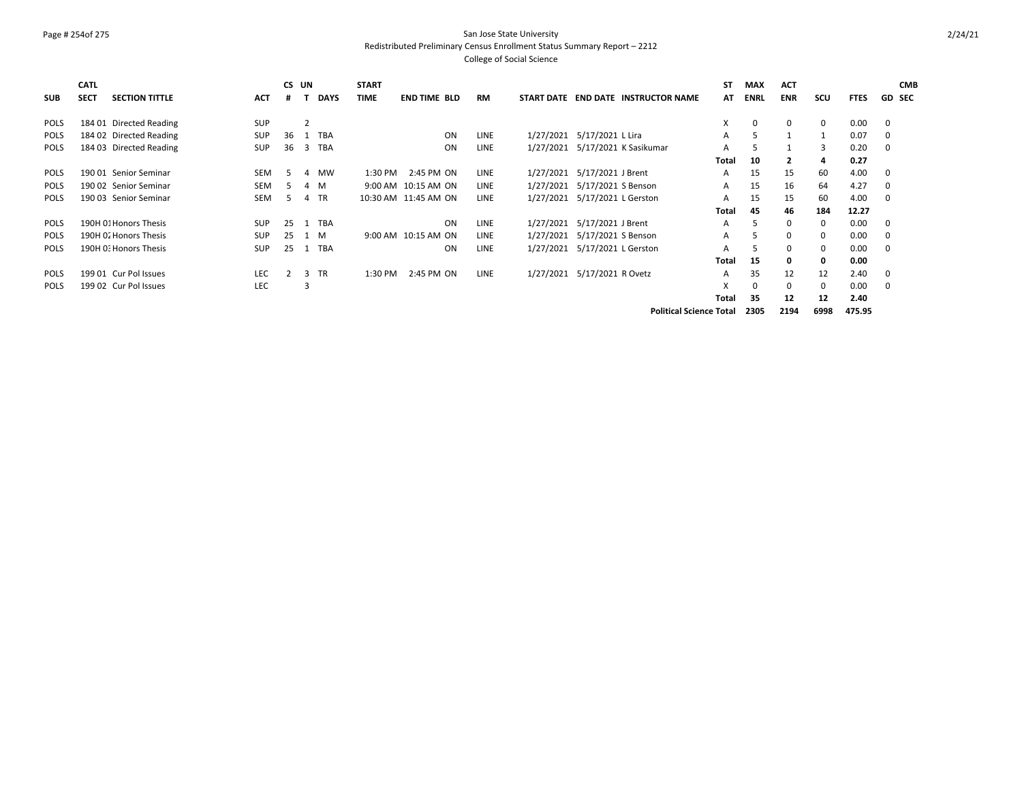#### Page # 254of 275 San Jose State University Redistributed Preliminary Census Enrollment Status Summary Report – 2212

|             | <b>CATL</b> |                         |            | CS UN         |                |             | <b>START</b> |                      |    |             |            |                                 |                                 | ST    | <b>MAX</b>  | <b>ACT</b>   |              |             | <b>CMB</b>    |
|-------------|-------------|-------------------------|------------|---------------|----------------|-------------|--------------|----------------------|----|-------------|------------|---------------------------------|---------------------------------|-------|-------------|--------------|--------------|-------------|---------------|
| <b>SUB</b>  | <b>SECT</b> | <b>SECTION TITTLE</b>   | <b>ACT</b> | #             |                | <b>DAYS</b> | <b>TIME</b>  | <b>END TIME BLD</b>  |    | RM          | START DATE |                                 | <b>END DATE INSTRUCTOR NAME</b> | AT    | <b>ENRL</b> | <b>ENR</b>   | scu          | <b>FTES</b> | <b>GD SEC</b> |
| <b>POLS</b> |             | 184 01 Directed Reading | SUP        |               | $\overline{2}$ |             |              |                      |    |             |            |                                 |                                 | X     | $\mathbf 0$ | $\mathbf 0$  | 0            | 0.00        | 0             |
| <b>POLS</b> |             | 184 02 Directed Reading | SUP        | 36            |                | TBA         |              |                      | ON | LINE        |            | 1/27/2021 5/17/2021 L Lira      |                                 | A     | 5           | $\mathbf{1}$ | $\mathbf{1}$ | 0.07        | 0             |
| <b>POLS</b> |             | 184 03 Directed Reading | <b>SUP</b> | 36            | 3              | <b>TBA</b>  |              |                      | ON | LINE        |            | 1/27/2021 5/17/2021 K Sasikumar |                                 | A     |             |              | 3            | 0.20        | 0             |
|             |             |                         |            |               |                |             |              |                      |    |             |            |                                 |                                 | Total | 10          | $\mathbf{2}$ | 4            | 0.27        |               |
| POLS        |             | 190 01 Senior Seminar   | <b>SEM</b> | .5            | 4              | <b>MW</b>   | 1:30 PM      | 2:45 PM ON           |    | LINE        |            | 1/27/2021 5/17/2021 J Brent     |                                 | A     | 15          | 15           | 60           | 4.00        | 0             |
| <b>POLS</b> |             | 190 02 Senior Seminar   | <b>SEM</b> | 5.            |                | 4 M         |              | 9:00 AM 10:15 AM ON  |    | <b>LINE</b> |            | 1/27/2021 5/17/2021 S Benson    |                                 | A     | 15          | 16           | 64           | 4.27        | 0             |
| <b>POLS</b> |             | 190 03 Senior Seminar   | <b>SEM</b> | 5.            |                | 4 TR        |              | 10:30 AM 11:45 AM ON |    | LINE        |            | 1/27/2021 5/17/2021 L Gerston   |                                 | A     | 15          | 15           | 60           | 4.00        | 0             |
|             |             |                         |            |               |                |             |              |                      |    |             |            |                                 |                                 | Total | 45          | 46           | 184          | 12.27       |               |
| <b>POLS</b> |             | 190H 01 Honors Thesis   | <b>SUP</b> | 25            |                | <b>TBA</b>  |              |                      | ON | LINE        |            | 1/27/2021 5/17/2021 J Brent     |                                 | A     | 5           | 0            | 0            | 0.00        | 0             |
| <b>POLS</b> |             | 190H 02 Honors Thesis   | <b>SUP</b> | 25            |                | 1 M         |              | 9:00 AM 10:15 AM ON  |    | <b>LINE</b> |            | 1/27/2021 5/17/2021 S Benson    |                                 | A     | 5           | 0            | 0            | 0.00        | 0             |
| <b>POLS</b> |             | 190H 0: Honors Thesis   | SUP        | 25            | 1              | <b>TBA</b>  |              |                      | ON | LINE        |            | 1/27/2021 5/17/2021 L Gerston   |                                 | A     | 5           | 0            | 0            | 0.00        | 0             |
|             |             |                         |            |               |                |             |              |                      |    |             |            |                                 |                                 | Total | 15          | 0            | 0            | 0.00        |               |
| POLS        |             | 199 01 Cur Pol Issues   | <b>LEC</b> | $\mathcal{P}$ |                | 3 TR        | 1:30 PM      | 2:45 PM ON           |    | LINE        |            | 1/27/2021 5/17/2021 R Ovetz     |                                 | A     | 35          | 12           | 12           | 2.40        | 0             |
| <b>POLS</b> |             | 199 02 Cur Pol Issues   | LEC        |               | 3              |             |              |                      |    |             |            |                                 |                                 | X     | 0           | $\mathbf 0$  | 0            | 0.00        | 0             |
|             |             |                         |            |               |                |             |              |                      |    |             |            |                                 |                                 | Total | 35          | 12           | 12           | 2.40        |               |
|             |             |                         |            |               |                |             |              |                      |    |             |            |                                 | <b>Political Science Total</b>  |       | 2305        | 2194         | 6998         | 475.95      |               |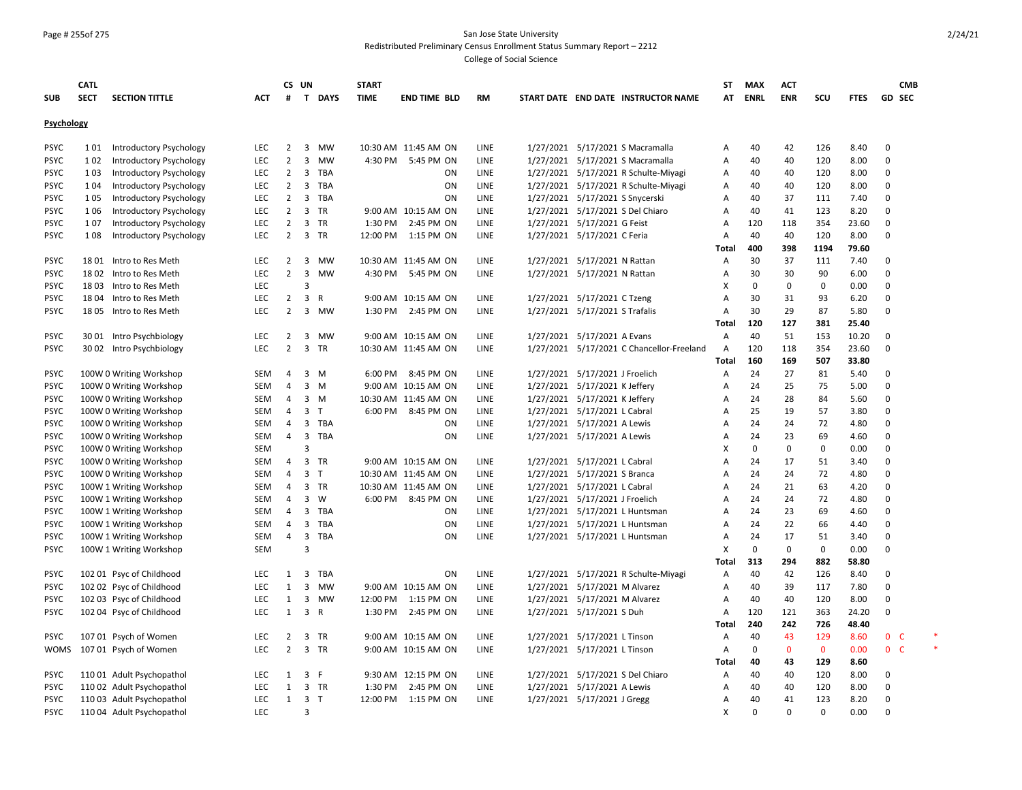#### Page # 255of 275 San Jose State University Redistributed Preliminary Census Enrollment Status Summary Report – 2212

|             | <b>CATL</b> |                                |            |                | CS UN                   |              | <b>START</b> |                      |           |                                 |                                           | <b>ST</b>    | <b>MAX</b>  | <b>ACT</b>  |             |             | <b>CMB</b>     |        |
|-------------|-------------|--------------------------------|------------|----------------|-------------------------|--------------|--------------|----------------------|-----------|---------------------------------|-------------------------------------------|--------------|-------------|-------------|-------------|-------------|----------------|--------|
| <b>SUB</b>  | <b>SECT</b> | <b>SECTION TITTLE</b>          | <b>ACT</b> | #              |                         | T DAYS       | <b>TIME</b>  | <b>END TIME BLD</b>  | <b>RM</b> |                                 | START DATE END DATE INSTRUCTOR NAME       | AT           | <b>ENRL</b> | <b>ENR</b>  | SCU         | <b>FTES</b> | GD SEC         |        |
| Psychology  |             |                                |            |                |                         |              |              |                      |           |                                 |                                           |              |             |             |             |             |                |        |
| <b>PSYC</b> | 1 0 1       | <b>Introductory Psychology</b> | <b>LEC</b> | $\overline{2}$ | $\overline{\mathbf{3}}$ | MW           |              | 10:30 AM 11:45 AM ON | LINE      |                                 | 1/27/2021 5/17/2021 S Macramalla          | Α            | 40          | 42          | 126         | 8.40        | $\mathbf 0$    |        |
| <b>PSYC</b> | 1 0 2       | Introductory Psychology        | LEC        | $\overline{2}$ | 3                       | MW           |              | 4:30 PM 5:45 PM ON   | LINE      |                                 | 1/27/2021 5/17/2021 S Macramalla          | A            | 40          | 40          | 120         | 8.00        | 0              |        |
| <b>PSYC</b> | 1 0 3       | <b>Introductory Psychology</b> | <b>LEC</b> | $\overline{2}$ |                         | 3 TBA        |              | ON                   | LINE      |                                 | 1/27/2021 5/17/2021 R Schulte-Miyagi      | Α            | 40          | 40          | 120         | 8.00        | 0              |        |
| <b>PSYC</b> | 1 0 4       | <b>Introductory Psychology</b> | <b>LEC</b> | $\overline{2}$ | 3                       | TBA          |              | ON                   | LINE      |                                 | 1/27/2021 5/17/2021 R Schulte-Miyagi      | Α            | 40          | 40          | 120         | 8.00        | 0              |        |
| <b>PSYC</b> | 1 0 5       | Introductory Psychology        | LEC        | $\overline{2}$ |                         | 3 TBA        |              | ON                   | LINE      | 1/27/2021 5/17/2021 S Snycerski |                                           | Α            | 40          | 37          | 111         | 7.40        | 0              |        |
| <b>PSYC</b> | 1 0 6       | <b>Introductory Psychology</b> | <b>LEC</b> | $\overline{2}$ | $\overline{\mathbf{3}}$ | TR           |              | 9:00 AM 10:15 AM ON  | LINE      |                                 | 1/27/2021 5/17/2021 S Del Chiaro          | Α            | 40          | 41          | 123         | 8.20        | $\mathbf 0$    |        |
| <b>PSYC</b> | 107         | Introductory Psychology        | LEC        | $\overline{2}$ | 3 TR                    |              | 1:30 PM      | 2:45 PM ON           | LINE      | 1/27/2021 5/17/2021 G Feist     |                                           | Α            | 120         | 118         | 354         | 23.60       | $\mathbf 0$    |        |
| <b>PSYC</b> | 108         | Introductory Psychology        | <b>LEC</b> | $\overline{2}$ | 3 TR                    |              | 12:00 PM     | 1:15 PM ON           | LINE      | 1/27/2021 5/17/2021 C Feria     |                                           | Α            | 40          | 40          | 120         | 8.00        | 0              |        |
|             |             |                                |            |                |                         |              |              |                      |           |                                 |                                           | Total        | 400         | 398         | 1194        | 79.60       |                |        |
| <b>PSYC</b> |             | 1801 Intro to Res Meth         | LEC        | $\overline{2}$ |                         | 3 MW         |              | 10:30 AM 11:45 AM ON | LINE      | 1/27/2021 5/17/2021 N Rattan    |                                           | Α            | 30          | 37          | 111         | 7.40        | $\mathbf 0$    |        |
| <b>PSYC</b> |             | 1802 Intro to Res Meth         | LEC        | $\overline{2}$ | $\overline{\mathbf{3}}$ | <b>MW</b>    | 4:30 PM      | 5:45 PM ON           | LINE      | 1/27/2021 5/17/2021 N Rattan    |                                           | Α            | 30          | 30          | 90          | 6.00        | 0              |        |
| <b>PSYC</b> |             | 1803 Intro to Res Meth         | LEC        |                | 3                       |              |              |                      |           |                                 |                                           | х            | $\mathbf 0$ | $\mathbf 0$ | $\mathbf 0$ | 0.00        | 0              |        |
| <b>PSYC</b> |             | 18 04 Intro to Res Meth        | LEC        | $\overline{2}$ | $\overline{\mathbf{3}}$ | R            |              | 9:00 AM 10:15 AM ON  | LINE      | 1/27/2021 5/17/2021 C Tzeng     |                                           | A            | 30          | 31          | 93          | 6.20        | 0              |        |
| <b>PSYC</b> |             | 1805 Intro to Res Meth         | <b>LEC</b> | $\overline{2}$ |                         | 3 MW         |              | 1:30 PM 2:45 PM ON   | LINE      | 1/27/2021 5/17/2021 S Trafalis  |                                           | A            | 30          | 29          | 87          | 5.80        | $\Omega$       |        |
|             |             |                                |            |                |                         |              |              |                      |           |                                 |                                           | Total        | 120         | 127         | 381         | 25.40       |                |        |
| <b>PSYC</b> |             | 30 01 Intro Psychbiology       | LEC        | 2              |                         | 3 MW         |              | 9:00 AM 10:15 AM ON  | LINE      | 1/27/2021 5/17/2021 A Evans     |                                           | Α            | 40          | 51          | 153         | 10.20       | 0              |        |
| <b>PSYC</b> |             | 30 02 Intro Psychbiology       | LEC        | $\overline{2}$ | 3 TR                    |              |              | 10:30 AM 11:45 AM ON | LINE      |                                 | 1/27/2021 5/17/2021 C Chancellor-Freeland | A            | 120         | 118         | 354         | 23.60       | $\mathbf 0$    |        |
|             |             |                                |            |                |                         |              |              |                      |           |                                 |                                           | Total        | 160         | 169         | 507         | 33.80       |                |        |
| <b>PSYC</b> |             | 100W 0 Writing Workshop        | SEM        | 4              | $3 \, M$                |              | 6:00 PM      | 8:45 PM ON           | LINE      | 1/27/2021 5/17/2021 J Froelich  |                                           | A            | 24          | 27          | 81          | 5.40        | $\mathbf 0$    |        |
| <b>PSYC</b> |             | 100W 0 Writing Workshop        | <b>SEM</b> | 4              | 3                       | M            |              | 9:00 AM 10:15 AM ON  | LINE      | 1/27/2021 5/17/2021 K Jeffery   |                                           | Α            | 24          | 25          | 75          | 5.00        | $\mathbf 0$    |        |
| <b>PSYC</b> |             | 100W 0 Writing Workshop        | SEM        | 4              | $3 \, M$                |              |              | 10:30 AM 11:45 AM ON | LINE      | 1/27/2021 5/17/2021 K Jeffery   |                                           | Α            | 24          | 28          | 84          | 5.60        | $\mathbf 0$    |        |
| <b>PSYC</b> |             | 100W 0 Writing Workshop        | <b>SEM</b> | 4              | 3 <sub>T</sub>          |              |              | 6:00 PM 8:45 PM ON   | LINE      | 1/27/2021 5/17/2021 L Cabral    |                                           | Α            | 25          | 19          | 57          | 3.80        | $\mathbf 0$    |        |
| <b>PSYC</b> |             | 100W 0 Writing Workshop        | SEM        | 4              |                         | 3 TBA        |              | ON                   | LINE      | 1/27/2021 5/17/2021 A Lewis     |                                           | Α            | 24          | 24          | 72          | 4.80        | 0              |        |
| <b>PSYC</b> |             | 100W 0 Writing Workshop        | SEM        | $\overline{4}$ |                         | 3 TBA        |              | ON                   | LINE      | 1/27/2021 5/17/2021 A Lewis     |                                           | Α            | 24          | 23          | 69          | 4.60        | 0              |        |
| <b>PSYC</b> |             | 100W 0 Writing Workshop        | SEM        |                | 3                       |              |              |                      |           |                                 |                                           | x            | $\mathbf 0$ | 0           | $\pmb{0}$   | 0.00        | $\mathbf 0$    |        |
| <b>PSYC</b> |             | 100W 0 Writing Workshop        | SEM        | 4              | 3 TR                    |              |              | 9:00 AM 10:15 AM ON  | LINE      | 1/27/2021 5/17/2021 L Cabral    |                                           | A            | 24          | 17          | 51          | 3.40        | $\mathbf 0$    |        |
| <b>PSYC</b> |             | 100W 0 Writing Workshop        | SEM        | $\overline{4}$ | 3 <sub>T</sub>          |              |              | 10:30 AM 11:45 AM ON | LINE      | 1/27/2021 5/17/2021 S Branca    |                                           | A            | 24          | 24          | 72          | 4.80        | 0              |        |
| <b>PSYC</b> |             | 100W 1 Writing Workshop        | <b>SEM</b> | $\overline{4}$ | 3 TR                    |              |              | 10:30 AM 11:45 AM ON | LINE      | 1/27/2021 5/17/2021 L Cabral    |                                           | Α            | 24          | 21          | 63          | 4.20        | $\mathbf 0$    |        |
| <b>PSYC</b> |             | 100W 1 Writing Workshop        | SEM        | 4              | $\overline{3}$          | W            |              | 6:00 PM 8:45 PM ON   | LINE      | 1/27/2021 5/17/2021 J Froelich  |                                           | A            | 24          | 24          | 72          | 4.80        | 0              |        |
| <b>PSYC</b> |             | 100W 1 Writing Workshop        | SEM        | 4              | 3                       | TBA          |              | ON                   | LINE      |                                 | 1/27/2021 5/17/2021 L Huntsman            | A            | 24          | 23          | 69          | 4.60        | 0              |        |
| <b>PSYC</b> |             | 100W 1 Writing Workshop        | SEM        | 4              |                         | 3 TBA        |              | ON                   | LINE      |                                 | 1/27/2021 5/17/2021 L Huntsman            | A            | 24          | 22          | 66          | 4.40        | 0              |        |
| <b>PSYC</b> |             | 100W 1 Writing Workshop        | SEM        | 4              | 3                       | TBA          |              | ON                   | LINE      |                                 | 1/27/2021 5/17/2021 L Huntsman            | Α            | 24          | 17          | 51          | 3.40        | 0              |        |
| <b>PSYC</b> |             | 100W 1 Writing Workshop        | <b>SEM</b> |                | 3                       |              |              |                      |           |                                 |                                           | Χ            | 0           | $\mathbf 0$ | 0           | 0.00        | 0              |        |
|             |             |                                |            |                |                         |              |              |                      |           |                                 |                                           | <b>Total</b> | 313         | 294         | 882         | 58.80       |                |        |
| <b>PSYC</b> |             | 102 01 Psyc of Childhood       | LEC        | 1              | 3                       | TBA          |              | ON                   | LINE      |                                 | 1/27/2021 5/17/2021 R Schulte-Miyagi      | Α            | 40          | 42          | 126         | 8.40        | $\mathbf 0$    |        |
| <b>PSYC</b> |             | 102 02 Psyc of Childhood       | <b>LEC</b> | 1              | 3                       | <b>MW</b>    |              | 9:00 AM 10:15 AM ON  | LINE      | 1/27/2021 5/17/2021 M Alvarez   |                                           | Α            | 40          | 39          | 117         | 7.80        | $\mathbf 0$    |        |
| <b>PSYC</b> |             | 102 03 Psyc of Childhood       | LEC        | $\mathbf{1}$   | 3                       | MW           | 12:00 PM     | 1:15 PM ON           | LINE      | 1/27/2021 5/17/2021 M Alvarez   |                                           | Α            | 40          | 40          | 120         | 8.00        | 0              |        |
| <b>PSYC</b> |             | 102 04 Psyc of Childhood       | LEC        | 1              | $\overline{3}$          | $\mathsf{R}$ | 1:30 PM      | 2:45 PM ON           | LINE      | 1/27/2021 5/17/2021 S Duh       |                                           | Α            | 120         | 121         | 363         | 24.20       | $\mathbf 0$    |        |
|             |             |                                |            |                |                         |              |              |                      |           |                                 |                                           | <b>Total</b> | 240         | 242         | 726         | 48.40       |                |        |
| <b>PSYC</b> |             | 107 01 Psych of Women          | LEC        | 2              | 3 TR                    |              |              | 9:00 AM 10:15 AM ON  | LINE      | 1/27/2021 5/17/2021 L Tinson    |                                           | Α            | 40          | 43          | 129         | 8.60        | 0 <sup>o</sup> | $\ast$ |
| <b>WOMS</b> |             | 107 01 Psych of Women          | LEC        | $\overline{2}$ | 3 TR                    |              |              | 9:00 AM 10:15 AM ON  | LINE      | 1/27/2021 5/17/2021 L Tinson    |                                           | Α            | $\Omega$    | $\mathbf 0$ | $\mathbf 0$ | 0.00        | 0 <sub>c</sub> |        |
|             |             |                                |            |                |                         |              |              |                      |           |                                 |                                           | <b>Total</b> | 40          | 43          | 129         | 8.60        |                |        |
| <b>PSYC</b> |             | 110 01 Adult Psychopathol      | LEC        | 1              | 3                       | F            |              | 9:30 AM 12:15 PM ON  | LINE      |                                 | 1/27/2021 5/17/2021 S Del Chiaro          | Α            | 40          | 40          | 120         | 8.00        | 0              |        |
| <b>PSYC</b> |             | 110 02 Adult Psychopathol      | LEC        | 1              | 3 TR                    |              | 1:30 PM      | 2:45 PM ON           | LINE      | 1/27/2021 5/17/2021 A Lewis     |                                           | A            | 40          | 40          | 120         | 8.00        | $\Omega$       |        |
| <b>PSYC</b> |             | 110 03 Adult Psychopathol      | LEC        | 1              | 3 <sub>1</sub>          |              |              | 12:00 PM 1:15 PM ON  | LINE      | 1/27/2021 5/17/2021 J Gregg     |                                           | Α            | 40          | 41          | 123         | 8.20        | 0              |        |
| <b>PSYC</b> |             | 110 04 Adult Psychopathol      | LEC        |                | 3                       |              |              |                      |           |                                 |                                           | X            | $\Omega$    | $\Omega$    | $\Omega$    | 0.00        | $\Omega$       |        |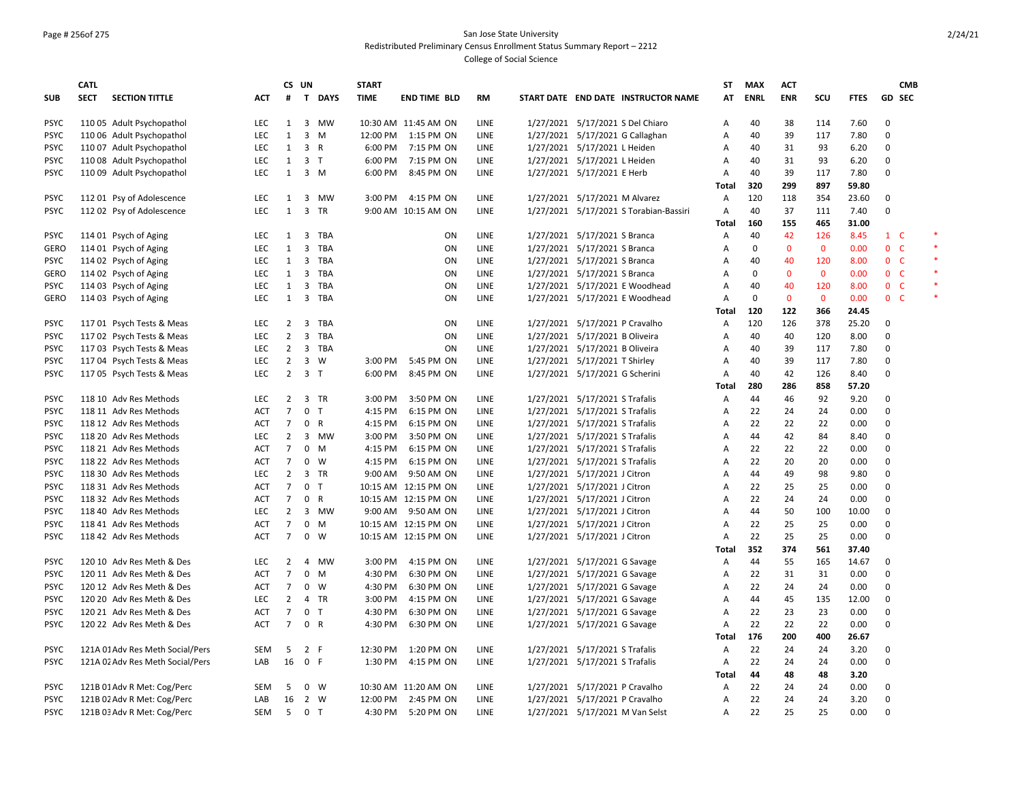## Page # 256of 275 San Jose State University Redistributed Preliminary Census Enrollment Status Summary Report – 2212

|             | <b>CATL</b> |                                  |            |                | CS UN                   |              | <b>START</b> |                      |           |                                |                                        | <b>ST</b>      | <b>MAX</b>        | <b>ACT</b>   |              |             |                                  | <b>CMB</b> |  |
|-------------|-------------|----------------------------------|------------|----------------|-------------------------|--------------|--------------|----------------------|-----------|--------------------------------|----------------------------------------|----------------|-------------------|--------------|--------------|-------------|----------------------------------|------------|--|
| <b>SUB</b>  | <b>SECT</b> | <b>SECTION TITTLE</b>            | <b>ACT</b> | #              |                         | T DAYS       | <b>TIME</b>  | <b>END TIME BLD</b>  | <b>RM</b> |                                | START DATE END DATE INSTRUCTOR NAME    | AT             | <b>ENRL</b>       | <b>ENR</b>   | SCU          | <b>FTES</b> | <b>GD SEC</b>                    |            |  |
| <b>PSYC</b> |             | 110 05 Adult Psychopathol        | <b>LEC</b> | 1              | $\overline{3}$          | <b>MW</b>    |              | 10:30 AM 11:45 AM ON | LINE      |                                | 1/27/2021 5/17/2021 S Del Chiaro       | Α              | 40                | 38           | 114          | 7.60        | $\Omega$                         |            |  |
| <b>PSYC</b> |             | 110 06 Adult Psychopathol        | <b>LEC</b> | 1              | $\overline{3}$          | M            | 12:00 PM     | 1:15 PM ON           | LINE      |                                | 1/27/2021 5/17/2021 G Callaghan        | Α              | 40                | 39           | 117          | 7.80        | $\mathbf 0$                      |            |  |
| <b>PSYC</b> |             | 110 07 Adult Psychopathol        | LEC        | 1              | 3                       | $\mathsf{R}$ | 6:00 PM      | 7:15 PM ON           | LINE      | 1/27/2021 5/17/2021 L Heiden   |                                        | A              | 40                | 31           | 93           | 6.20        | $\Omega$                         |            |  |
| <b>PSYC</b> |             | 110 08 Adult Psychopathol        | <b>LEC</b> | 1              | 3 <sub>T</sub>          |              | 6:00 PM      | 7:15 PM ON           | LINE      | 1/27/2021 5/17/2021 L Heiden   |                                        | Α              | 40                | 31           | 93           | 6.20        | $\Omega$                         |            |  |
| <b>PSYC</b> |             | 110 09 Adult Psychopathol        | LEC        | $\mathbf{1}$   | $3 \, M$                |              | 6:00 PM      | 8:45 PM ON           | LINE      | 1/27/2021 5/17/2021 E Herb     |                                        | A              | 40                | 39           | 117          | 7.80        | $\Omega$                         |            |  |
|             |             |                                  |            |                |                         |              |              |                      |           |                                |                                        | Total          | 320               | 299          | 897          | 59.80       |                                  |            |  |
| <b>PSYC</b> |             | 112 01 Psy of Adolescence        | LEC        | 1              | 3                       | MW           | 3:00 PM      | 4:15 PM ON           | LINE      | 1/27/2021 5/17/2021 M Alvarez  |                                        | Α              | 120               | 118          | 354          | 23.60       | 0                                |            |  |
| <b>PSYC</b> |             | 112 02 Psy of Adolescence        | <b>LEC</b> | 1              | $\overline{\mathbf{3}}$ | TR           |              | 9:00 AM 10:15 AM ON  | LINE      |                                | 1/27/2021 5/17/2021 S Torabian-Bassiri | $\overline{A}$ | 40                | 37           | 111          | 7.40        | $\Omega$                         |            |  |
|             |             |                                  |            |                |                         |              |              |                      |           |                                |                                        | Total          | 160               | 155          | 465          | 31.00       |                                  |            |  |
| <b>PSYC</b> |             | 114 01 Psych of Aging            | LEC        | 1              | $\overline{\mathbf{3}}$ | <b>TBA</b>   |              | ON                   | LINE      | 1/27/2021 5/17/2021 S Branca   |                                        | Α              | 40                | 42           | 126          | 8.45        | $1\quad C$                       |            |  |
| <b>GERO</b> |             | 114 01 Psych of Aging            | LEC        | 1              | 3                       | <b>TBA</b>   |              | ON                   | LINE      | 1/27/2021 5/17/2021 S Branca   |                                        | A              | 0                 | $\mathbf 0$  | $\mathbf{0}$ | 0.00        | $\mathbf 0$                      | - C        |  |
| <b>PSYC</b> |             | 114 02 Psych of Aging            | <b>LEC</b> | 1              | $\overline{3}$          | TBA          |              | ON                   | LINE      | 1/27/2021 5/17/2021 S Branca   |                                        | A              | 40                | 40           | 120          | 8.00        | 0 <sup>o</sup>                   |            |  |
| GERO        |             | 114 02 Psych of Aging            | <b>LEC</b> | 1              | $\overline{\mathbf{3}}$ | TBA          |              | ON                   | LINE      | 1/27/2021 5/17/2021 S Branca   |                                        | Α              | 0                 | $\mathbf{0}$ | $\mathbf{0}$ | 0.00        | 0 <sub>c</sub>                   |            |  |
|             |             |                                  |            |                |                         |              |              |                      |           |                                |                                        |                |                   |              |              |             |                                  |            |  |
| <b>PSYC</b> |             | 114 03 Psych of Aging            | LEC        | $\mathbf{1}$   | $\overline{\mathbf{3}}$ | TBA          |              | ON                   | LINE      |                                | 1/27/2021 5/17/2021 E Woodhead         | A              | 40<br>$\mathbf 0$ | 40           | 120          | 8.00        | 0 <sub>c</sub><br>0 <sub>c</sub> |            |  |
| <b>GERO</b> |             | 114 03 Psych of Aging            | <b>LEC</b> | 1              | $\overline{3}$          | <b>TBA</b>   |              | ON                   | LINE      |                                | 1/27/2021 5/17/2021 E Woodhead         | $\overline{A}$ |                   | $\mathbf{0}$ | $\mathbf{0}$ | 0.00        |                                  |            |  |
|             |             |                                  |            |                |                         |              |              |                      |           |                                |                                        | Total          | 120               | 122          | 366          | 24.45       |                                  |            |  |
| <b>PSYC</b> |             | 117 01 Psych Tests & Meas        | LEC        | $\overline{2}$ | $\overline{\mathbf{3}}$ | <b>TBA</b>   |              | ON                   | LINE      | 1/27/2021 5/17/2021 P Cravalho |                                        | Α              | 120               | 126          | 378          | 25.20       | 0                                |            |  |
| <b>PSYC</b> |             | 117 02 Psych Tests & Meas        | LEC        | $\overline{2}$ | $\overline{3}$          | <b>TBA</b>   |              | ON                   | LINE      | 1/27/2021 5/17/2021 B Oliveira |                                        | Α              | 40                | 40           | 120          | 8.00        | $\mathbf 0$                      |            |  |
| <b>PSYC</b> |             | 117 03 Psych Tests & Meas        | <b>LEC</b> | $\overline{2}$ | 3 TBA                   |              |              | <b>ON</b>            | LINE      | 1/27/2021 5/17/2021 B Oliveira |                                        | Α              | 40                | 39           | 117          | 7.80        | $\Omega$                         |            |  |
| <b>PSYC</b> |             | 117 04 Psych Tests & Meas        | <b>LEC</b> | $\overline{2}$ | $\overline{3}$          | W            | 3:00 PM      | 5:45 PM ON           | LINE      | 1/27/2021 5/17/2021 T Shirley  |                                        | Α              | 40                | 39           | 117          | 7.80        | $\Omega$                         |            |  |
| <b>PSYC</b> |             | 117 05 Psych Tests & Meas        | <b>LEC</b> | $\overline{2}$ | 3 <sub>1</sub>          |              | 6:00 PM      | 8:45 PM ON           | LINE      | 1/27/2021 5/17/2021 G Scherini |                                        | $\overline{A}$ | 40                | 42           | 126          | 8.40        | $\Omega$                         |            |  |
|             |             |                                  |            |                |                         |              |              |                      |           |                                |                                        | Total          | 280               | 286          | 858          | 57.20       |                                  |            |  |
| <b>PSYC</b> |             | 118 10 Adv Res Methods           | <b>LEC</b> | $\overline{2}$ | 3 TR                    |              | 3:00 PM      | 3:50 PM ON           | LINE      | 1/27/2021 5/17/2021 S Trafalis |                                        | A              | 44                | 46           | 92           | 9.20        | $\Omega$                         |            |  |
| <b>PSYC</b> |             | 118 11 Adv Res Methods           | <b>ACT</b> | $\overline{7}$ | $\mathbf 0$             | $\top$       | 4:15 PM      | 6:15 PM ON           | LINE      | 1/27/2021 5/17/2021 S Trafalis |                                        | Α              | 22                | 24           | 24           | 0.00        | $\mathbf 0$                      |            |  |
| <b>PSYC</b> |             | 118 12 Adv Res Methods           | ACT        | $\overline{7}$ | $\mathbf 0$             | $\mathsf{R}$ | 4:15 PM      | 6:15 PM ON           | LINE      | 1/27/2021 5/17/2021 S Trafalis |                                        | A              | 22                | 22           | 22           | 0.00        | $\mathbf 0$                      |            |  |
| <b>PSYC</b> |             | 118 20 Adv Res Methods           | <b>LEC</b> | $\overline{2}$ | 3                       | <b>MW</b>    | 3:00 PM      | 3:50 PM ON           | LINE      | 1/27/2021 5/17/2021 S Trafalis |                                        | Α              | 44                | 42           | 84           | 8.40        | $\mathbf 0$                      |            |  |
| <b>PSYC</b> |             | 118 21 Adv Res Methods           | <b>ACT</b> | $\overline{7}$ | $\mathbf 0$             | M            | 4:15 PM      | 6:15 PM ON           | LINE      | 1/27/2021 5/17/2021 S Trafalis |                                        | Α              | 22                | 22           | 22           | 0.00        | $\mathbf 0$                      |            |  |
| <b>PSYC</b> |             | 118 22 Adv Res Methods           | <b>ACT</b> | $\overline{7}$ | $\mathbf 0$             | w            | 4:15 PM      | 6:15 PM ON           | LINE      | 1/27/2021 5/17/2021 S Trafalis |                                        | $\overline{A}$ | 22                | 20           | 20           | 0.00        | $\Omega$                         |            |  |
| <b>PSYC</b> |             | 118 30 Adv Res Methods           | <b>LEC</b> | $\overline{2}$ | 3 TR                    |              | 9:00 AM      | 9:50 AM ON           | LINE      | 1/27/2021 5/17/2021 J Citron   |                                        | Α              | 44                | 49           | 98           | 9.80        | $\mathbf 0$                      |            |  |
| <b>PSYC</b> |             | 118 31 Adv Res Methods           | <b>ACT</b> | $\overline{7}$ | 0 <sub>T</sub>          |              |              | 10:15 AM 12:15 PM ON | LINE      | 1/27/2021 5/17/2021 J Citron   |                                        | Α              | 22                | 25           | 25           | 0.00        | $\Omega$                         |            |  |
| <b>PSYC</b> |             | 118 32 Adv Res Methods           | ACT        | $\overline{7}$ | 0                       | R            |              | 10:15 AM 12:15 PM ON | LINE      | 1/27/2021 5/17/2021 J Citron   |                                        | Α              | 22                | 24           | 24           | 0.00        | 0                                |            |  |
| <b>PSYC</b> |             | 118 40 Adv Res Methods           | <b>LEC</b> | $\overline{2}$ |                         | 3 MW         | 9:00 AM      | 9:50 AM ON           | LINE      | 1/27/2021 5/17/2021 J Citron   |                                        | $\overline{A}$ | 44                | 50           | 100          | 10.00       | $\mathbf 0$                      |            |  |
| <b>PSYC</b> |             | 118 41 Adv Res Methods           | <b>ACT</b> | $\overline{7}$ | 0                       | M            |              | 10:15 AM 12:15 PM ON | LINE      | 1/27/2021 5/17/2021 J Citron   |                                        | Α              | 22                | 25           | 25           | 0.00        | $\Omega$                         |            |  |
| <b>PSYC</b> |             | 118 42 Adv Res Methods           | <b>ACT</b> | $\overline{7}$ | $0 \quad W$             |              |              | 10:15 AM 12:15 PM ON | LINE      | 1/27/2021 5/17/2021 J Citron   |                                        | Α              | 22                | 25           | 25           | 0.00        | $\Omega$                         |            |  |
|             |             |                                  |            |                |                         |              |              |                      |           |                                |                                        | Total          | 352               | 374          | 561          | 37.40       |                                  |            |  |
| <b>PSYC</b> |             | 120 10 Adv Res Meth & Des        | <b>LEC</b> | $\overline{2}$ | $\overline{4}$          | <b>MW</b>    | 3:00 PM      | 4:15 PM ON           | LINE      | 1/27/2021 5/17/2021 G Savage   |                                        | A              | 44                | 55           | 165          | 14.67       | $\mathbf 0$                      |            |  |
| <b>PSYC</b> |             | 120 11 Adv Res Meth & Des        | <b>ACT</b> | $\overline{7}$ | $\mathbf 0$             | M            | 4:30 PM      | 6:30 PM ON           | LINE      | 1/27/2021 5/17/2021 G Savage   |                                        | Α              | 22                | 31           | 31           | 0.00        | $\mathbf 0$                      |            |  |
| <b>PSYC</b> |             | 120 12 Adv Res Meth & Des        | ACT        | $\overline{7}$ | $\mathbf 0$             | <b>W</b>     | 4:30 PM      | 6:30 PM ON           | LINE      | 1/27/2021 5/17/2021 G Savage   |                                        | A              | 22                | 24           | 24           | 0.00        | $\mathbf 0$                      |            |  |
| <b>PSYC</b> |             | 120 20 Adv Res Meth & Des        | <b>LEC</b> | $\overline{2}$ | 4 TR                    |              | 3:00 PM      | 4:15 PM ON           | LINE      | 1/27/2021 5/17/2021 G Savage   |                                        | Α              | 44                | 45           | 135          | 12.00       | 0                                |            |  |
| <b>PSYC</b> |             | 120 21 Adv Res Meth & Des        | ACT        | $\overline{7}$ | 0                       | $\top$       | 4:30 PM      | 6:30 PM ON           | LINE      | 1/27/2021 5/17/2021 G Savage   |                                        | A              | 22                | 23           | 23           | 0.00        | 0                                |            |  |
| <b>PSYC</b> |             | 120 22 Adv Res Meth & Des        | <b>ACT</b> | $\overline{7}$ | 0 R                     |              | 4:30 PM      | 6:30 PM ON           | LINE      | 1/27/2021 5/17/2021 G Savage   |                                        | Α              | 22                | 22           | 22           | 0.00        | $\Omega$                         |            |  |
|             |             |                                  |            |                |                         |              |              |                      |           |                                |                                        | Total          | 176               | 200          | 400          | 26.67       |                                  |            |  |
| <b>PSYC</b> |             | 121A 01Adv Res Meth Social/Pers  | SEM        | 5              | 2 F                     |              | 12:30 PM     | 1:20 PM ON           | LINE      | 1/27/2021 5/17/2021 S Trafalis |                                        | A              | 22                | 24           | 24           | 3.20        | $\Omega$                         |            |  |
| <b>PSYC</b> |             | 121A 02 Adv Res Meth Social/Pers | LAB        | 16             | $\mathbf 0$             | - F          | 1:30 PM      | 4:15 PM ON           | LINE      | 1/27/2021 5/17/2021 S Trafalis |                                        | Α              | 22                | 24           | 24           | 0.00        | $\Omega$                         |            |  |
|             |             |                                  |            |                |                         |              |              |                      |           |                                |                                        | <b>Total</b>   | 44                | 48           | 48           | 3.20        |                                  |            |  |
| <b>PSYC</b> |             | 121B 01 Adv R Met: Cog/Perc      | <b>SEM</b> | 5              | 0                       | W            |              | 10:30 AM 11:20 AM ON | LINE      | 1/27/2021 5/17/2021 P Cravalho |                                        | A              | 22                | 24           | 24           | 0.00        | $\Omega$                         |            |  |
| <b>PSYC</b> |             | 121B 02 Adv R Met: Cog/Perc      | LAB        | 16             | 2 W                     |              | 12:00 PM     | 2:45 PM ON           | LINE      | 1/27/2021 5/17/2021 P Cravalho |                                        | $\overline{A}$ | 22                | 24           | 24           | 3.20        | $\Omega$                         |            |  |
| <b>PSYC</b> |             | 121B 03 Adv R Met: Cog/Perc      | <b>SEM</b> | 5              | 0 <sub>T</sub>          |              | 4:30 PM      | 5:20 PM ON           | LINE      |                                | 1/27/2021 5/17/2021 M Van Selst        | Α              | 22                | 25           | 25           | 0.00        | $\Omega$                         |            |  |
|             |             |                                  |            |                |                         |              |              |                      |           |                                |                                        |                |                   |              |              |             |                                  |            |  |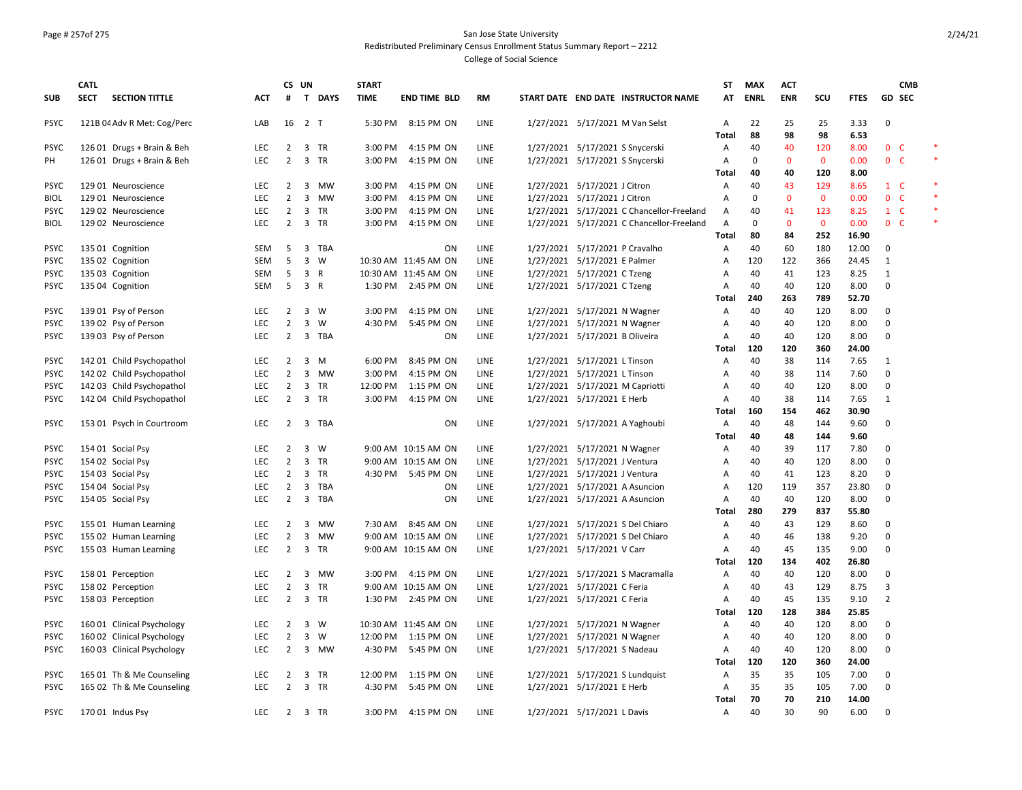#### Page # 257of 275 San Jose State University Redistributed Preliminary Census Enrollment Status Summary Report – 2212

|             | <b>CATL</b> |                             |                   |                     | CS UN                          | <b>START</b> |                      |           |                                                               | ST             | <b>MAX</b>  | <b>ACT</b>  |              |               |                  | <b>CMB</b> |
|-------------|-------------|-----------------------------|-------------------|---------------------|--------------------------------|--------------|----------------------|-----------|---------------------------------------------------------------|----------------|-------------|-------------|--------------|---------------|------------------|------------|
| <b>SUB</b>  | <b>SECT</b> | <b>SECTION TITTLE</b>       | <b>ACT</b>        | #                   | T DAYS                         | <b>TIME</b>  | <b>END TIME BLD</b>  | <b>RM</b> | START DATE END DATE INSTRUCTOR NAME                           | AT             | <b>ENRL</b> | <b>ENR</b>  | SCU          | <b>FTES</b>   | GD SEC           |            |
| <b>PSYC</b> |             | 121B 04 Adv R Met: Cog/Perc | LAB               |                     | 16 2 T                         |              | 5:30 PM 8:15 PM ON   | LINE      | 1/27/2021 5/17/2021 M Van Selst                               | Α              | 22          | 25          | 25           | 3.33          | 0                |            |
|             |             |                             |                   |                     |                                |              |                      |           |                                                               | Total          | 88          | 98          | 98           | 6.53          |                  |            |
| <b>PSYC</b> |             | 126 01 Drugs + Brain & Beh  | <b>LEC</b>        | $\overline{2}$      | 3 TR                           | 3:00 PM      | 4:15 PM ON           | LINE      | 1/27/2021 5/17/2021 S Snycerski                               | $\mathsf{A}$   | 40          | 40          | 120          | 8.00          | 0 <sub>c</sub>   | $\ast$     |
| PH          |             | 126 01 Drugs + Brain & Beh  | <b>LEC</b>        | $\overline{2}$      | 3 TR                           | 3:00 PM      | 4:15 PM ON           | LINE      | 1/27/2021 5/17/2021 S Snycerski                               | A              | 0           | $\mathbf 0$ | $\mathbf 0$  | 0.00          | 0 <sup>o</sup>   |            |
|             |             |                             |                   |                     |                                |              |                      |           |                                                               | <b>Total</b>   | 40          | 40          | 120          | 8.00          |                  |            |
| <b>PSYC</b> |             | 129 01 Neuroscience         | <b>LEC</b>        | $\overline{2}$      | 3 MW                           | 3:00 PM      | 4:15 PM ON           | LINE      | 1/27/2021 5/17/2021 J Citron                                  | Α              | 40          | 43          | 129          | 8.65          | $1 \quad C$      |            |
| <b>BIOL</b> |             | 129 01 Neuroscience         | <b>LEC</b>        | $\overline{2}$      | $\overline{\mathbf{3}}$<br>MW  | 3:00 PM      | 4:15 PM ON           | LINE      | 1/27/2021 5/17/2021 J Citron                                  | Α              | 0           | $\mathbf 0$ | $\mathbf 0$  | 0.00          | 0 <sup>o</sup>   |            |
| <b>PSYC</b> |             | 129 02 Neuroscience         | <b>LEC</b>        | $\overline{2}$      | 3 TR                           | 3:00 PM      | 4:15 PM ON           | LINE      | 1/27/2021 5/17/2021 C Chancellor-Freeland                     | Α              | 40          | 41          | 123          | 8.25          | $1 \quad C$      |            |
| <b>BIOL</b> |             | 129 02 Neuroscience         | <b>LEC</b>        | $\overline{2}$      | 3 TR                           | 3:00 PM      | 4:15 PM ON           | LINE      | 1/27/2021 5/17/2021 C Chancellor-Freeland                     | A              | 0           | $\mathbf 0$ | $\mathbf{0}$ | 0.00          | 0 <sup>o</sup>   |            |
|             |             |                             |                   |                     |                                |              |                      |           |                                                               | <b>Total</b>   | 80          | 84          | 252          | 16.90         |                  |            |
| <b>PSYC</b> |             | 135 01 Cognition            | <b>SEM</b>        | 5                   | 3<br>TBA                       |              | ON                   | LINE      | 1/27/2021 5/17/2021 P Cravalho                                | A              | 40          | 60          | 180          | 12.00         | 0                |            |
| <b>PSYC</b> |             | 135 02 Cognition            | SEM               | 5                   | $\overline{\mathbf{3}}$<br>W   |              | 10:30 AM 11:45 AM ON | LINE      | 1/27/2021 5/17/2021 E Palmer                                  | Α              | 120         | 122         | 366          | 24.45         | 1                |            |
| <b>PSYC</b> |             | 135 03 Cognition            | <b>SEM</b>        | 5                   | $\overline{\mathbf{3}}$<br>R   |              | 10:30 AM 11:45 AM ON | LINE      | 1/27/2021 5/17/2021 C Tzeng                                   | Α              | 40          | 41          | 123          | 8.25          | $\mathbf{1}$     |            |
| <b>PSYC</b> |             | 135 04 Cognition            | SEM               | 5                   | 3 R                            |              | 1:30 PM 2:45 PM ON   | LINE      | 1/27/2021 5/17/2021 C Tzeng                                   | Α              | 40          | 40          | 120          | 8.00          | $\mathbf 0$      |            |
|             |             |                             |                   |                     |                                |              |                      |           |                                                               | Total          | 240         | 263         | 789          | 52.70         |                  |            |
| <b>PSYC</b> |             | 139 01 Psy of Person        | <b>LEC</b>        | $\overline{2}$      | $\overline{3}$<br>W            | 3:00 PM      | 4:15 PM ON           | LINE      | 1/27/2021 5/17/2021 N Wagner                                  | $\mathsf{A}$   | 40          | 40          | 120          | 8.00          | 0                |            |
| <b>PSYC</b> |             | 139 02 Psy of Person        | <b>LEC</b>        | $\overline{2}$      | $\mathbf{3}$<br>W              | 4:30 PM      | 5:45 PM ON           | LINE      | 1/27/2021 5/17/2021 N Wagner                                  | A              | 40          | 40          | 120          | 8.00          | 0                |            |
| <b>PSYC</b> |             | 139 03 Psy of Person        | LEC               | $\overline{2}$      | $\overline{\mathbf{3}}$<br>TBA |              | ON                   | LINE      | 1/27/2021 5/17/2021 B Oliveira                                | Α              | 40          | 40          | 120          | 8.00          | 0                |            |
|             |             |                             |                   |                     |                                |              |                      |           |                                                               | Total          | 120         | 120         | 360          | 24.00         |                  |            |
| <b>PSYC</b> |             | 142 01 Child Psychopathol   | LEC               | $\overline{2}$      | 3<br>M                         | 6:00 PM      | 8:45 PM ON           | LINE      | 1/27/2021 5/17/2021 L Tinson                                  | Α              | 40          | 38          | 114          | 7.65          | $\mathbf{1}$     |            |
| <b>PSYC</b> |             | 142 02 Child Psychopathol   | <b>LEC</b>        | $\overline{2}$      | 3 MW                           | 3:00 PM      | 4:15 PM ON           | LINE      | 1/27/2021 5/17/2021 L Tinson                                  | Α              | 40          | 38          | 114          | 7.60          | $\mathbf 0$      |            |
| <b>PSYC</b> |             | 142 03 Child Psychopathol   | <b>LEC</b>        | $\overline{2}$      | $\overline{\mathbf{3}}$<br>TR  | 12:00 PM     | 1:15 PM ON           | LINE      | 1/27/2021 5/17/2021 M Capriotti                               | Α              | 40          | 40          | 120          | 8.00          | 0                |            |
| <b>PSYC</b> |             | 142 04 Child Psychopathol   | <b>LEC</b>        | $\overline{2}$      | 3 TR                           | 3:00 PM      | 4:15 PM ON           | LINE      | 1/27/2021 5/17/2021 E Herb                                    | A              | 40          | 38          | 114          | 7.65          | 1                |            |
|             |             |                             |                   |                     |                                |              |                      |           |                                                               | Total          | 160         | 154         | 462          | 30.90         |                  |            |
| <b>PSYC</b> |             | 153 01 Psych in Courtroom   | <b>LEC</b>        | $\overline{2}$      | 3 TBA                          |              | ON                   | LINE      | 1/27/2021 5/17/2021 A Yaghoubi                                | $\mathsf{A}$   | 40          | 48          | 144          | 9.60          | 0                |            |
|             |             |                             |                   |                     |                                |              |                      |           |                                                               | Total          | 40          | 48          | 144          | 9.60          |                  |            |
| <b>PSYC</b> |             | 154 01 Social Psy           | <b>LEC</b>        | $\overline{2}$      | 3<br>W                         |              | 9:00 AM 10:15 AM ON  | LINE      | 1/27/2021 5/17/2021 N Wagner                                  | A              | 40          | 39          | 117          | 7.80          | 0                |            |
| <b>PSYC</b> |             | 154 02 Social Psy           | <b>LEC</b>        | $\overline{2}$      | $\overline{\mathbf{3}}$<br>TR  |              | 9:00 AM 10:15 AM ON  | LINE      | 1/27/2021 5/17/2021 J Ventura                                 | Α              | 40          | 40          | 120          | 8.00          | $\mathbf 0$      |            |
| <b>PSYC</b> |             | 154 03 Social Psy           | <b>LEC</b>        | $\overline{2}$      | 3 TR                           |              | 4:30 PM 5:45 PM ON   | LINE      | 1/27/2021 5/17/2021 J Ventura                                 | Α              | 40          | 41          | 123          | 8.20          | $\mathbf 0$      |            |
| <b>PSYC</b> |             | 154 04 Social Psy           | <b>LEC</b>        | $\overline{2}$      | 3 TBA                          |              | ΟN                   | LINE      | 1/27/2021 5/17/2021 A Asuncion                                | Α              | 120         | 119         | 357          | 23.80         | 0                |            |
| <b>PSYC</b> |             | 154 05 Social Psy           | LEC               | $\overline{2}$      | 3 TBA                          |              | ON                   | LINE      | 1/27/2021 5/17/2021 A Asuncion                                | Α              | 40          | 40          | 120          | 8.00          | 0                |            |
|             |             |                             |                   |                     |                                |              |                      |           |                                                               | Total          | 280         | 279         | 837          | 55.80         |                  |            |
| <b>PSYC</b> |             | 155 01 Human Learning       | <b>LEC</b>        | $\overline{2}$      | 3<br><b>MW</b>                 |              | 7:30 AM 8:45 AM ON   | LINE      | 1/27/2021 5/17/2021 S Del Chiaro                              | $\overline{A}$ | 40          | 43          | 129          | 8.60          | $\mathbf 0$      |            |
| <b>PSYC</b> |             | 155 02 Human Learning       | <b>LEC</b>        | $\overline{2}$      | $\overline{3}$<br>MW           |              | 9:00 AM 10:15 AM ON  | LINE      | 1/27/2021 5/17/2021 S Del Chiaro                              | A              | 40          | 46          | 138          | 9.20          | $\mathbf 0$      |            |
| <b>PSYC</b> |             | 155 03 Human Learning       | <b>LEC</b>        | 2                   | 3 TR                           |              | 9:00 AM 10:15 AM ON  | LINE      | 1/27/2021 5/17/2021 V Carr                                    | Α              | 40          | 45          | 135          | 9.00          | $\mathbf 0$      |            |
|             |             |                             |                   |                     |                                |              |                      |           |                                                               | Total          | 120         | 134         | 402          | 26.80         |                  |            |
| <b>PSYC</b> |             | 158 01 Perception           | LEC               | $\overline{2}$      | $\overline{3}$<br>MW           | 3:00 PM      | 4:15 PM ON           | LINE      | 1/27/2021 5/17/2021 S Macramalla                              | Α              | 40          | 40          | 120          | 8.00          | 0                |            |
| <b>PSYC</b> |             | 158 02 Perception           | LEC               | $\overline{2}$      | $\mathbf{3}$<br>TR             |              | 9:00 AM 10:15 AM ON  | LINE      | 1/27/2021 5/17/2021 C Feria                                   | Α              | 40          | 43          | 129          | 8.75          | 3                |            |
| <b>PSYC</b> |             | 158 03 Perception           | <b>LEC</b>        | $\overline{2}$      | 3 TR                           |              | 1:30 PM 2:45 PM ON   | LINE      | 1/27/2021 5/17/2021 C Feria                                   | A              | 40          | 45          | 135          | 9.10          | 2                |            |
|             |             |                             |                   |                     |                                |              |                      |           |                                                               | <b>Total</b>   | 120<br>40   | 128         | 384          | 25.85         |                  |            |
| <b>PSYC</b> |             | 160 01 Clinical Psychology  | <b>LEC</b>        | $\overline{2}$      | 3 W<br>W                       |              | 10:30 AM 11:45 AM ON | LINE      | 1/27/2021 5/17/2021 N Wagner                                  | Α              | 40          | 40          | 120<br>120   | 8.00          | 0<br>$\mathbf 0$ |            |
| <b>PSYC</b> |             | 160 02 Clinical Psychology  | LEC<br><b>LEC</b> | $\overline{2}$<br>2 | 3<br>3 MW                      |              | 12:00 PM 1:15 PM ON  | LINE      | 1/27/2021 5/17/2021 N Wagner                                  | Α              | 40          | 40          |              | 8.00          |                  |            |
| <b>PSYC</b> |             | 160 03 Clinical Psychology  |                   |                     |                                | 4:30 PM      | 5:45 PM ON           | LINE      | 1/27/2021 5/17/2021 S Nadeau                                  | $\mathsf{A}$   |             | 40          | 120          | 8.00          | 0                |            |
|             |             |                             |                   |                     |                                |              |                      |           |                                                               | Total          | 120<br>35   | 120         | 360          | 24.00         |                  |            |
| <b>PSYC</b> |             | 165 01 Th & Me Counseling   | <b>LEC</b>        | 2<br>$\overline{2}$ | 3 TR<br>3 TR                   | 12:00 PM     | 1:15 PM ON           | LINE      | 1/27/2021 5/17/2021 S Lundquist<br>1/27/2021 5/17/2021 E Herb | $\mathsf{A}$   | 35          | 35          | 105          | 7.00          | 0<br>0           |            |
| <b>PSYC</b> |             | 165 02 Th & Me Counseling   | <b>LEC</b>        |                     |                                | 4:30 PM      | 5:45 PM ON           | LINE      |                                                               | $\mathsf{A}$   | 70          | 35<br>70    | 105          | 7.00          |                  |            |
|             |             |                             | <b>LEC</b>        | $\mathbf{2}$        |                                | 3:00 PM      |                      | LINE      |                                                               | Total          | 40          | 30          | 210<br>90    | 14.00<br>6.00 | $\mathbf 0$      |            |
| <b>PSYC</b> |             | 170 01 Indus Psy            |                   |                     | 3 TR                           |              | 4:15 PM ON           |           | 1/27/2021 5/17/2021 L Davis                                   | $\mathsf{A}$   |             |             |              |               |                  |            |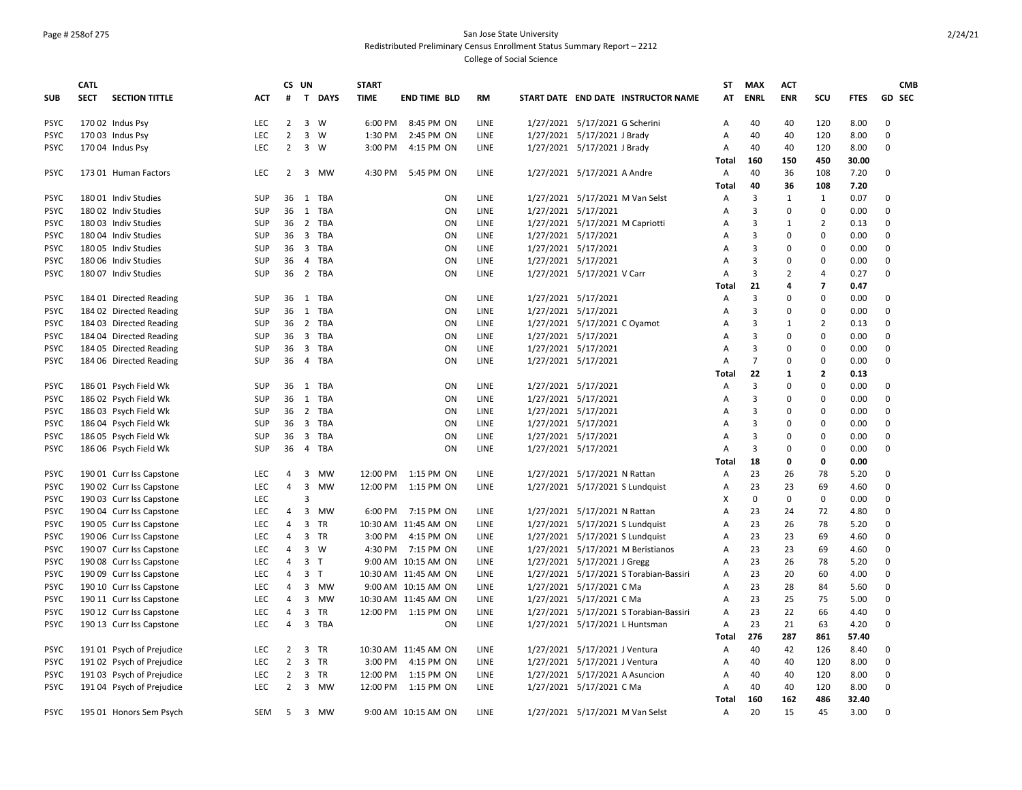## Page # 258of 275 San Jose State University Redistributed Preliminary Census Enrollment Status Summary Report – 2212

|             | CATL        |                           |            | CS UN                         |                |             | <b>START</b> |                      |      |                     |                                        | <b>ST</b>      | <b>MAX</b>     | <b>ACT</b>     |                         |             |                         | <b>CMB</b> |
|-------------|-------------|---------------------------|------------|-------------------------------|----------------|-------------|--------------|----------------------|------|---------------------|----------------------------------------|----------------|----------------|----------------|-------------------------|-------------|-------------------------|------------|
| <b>SUB</b>  | <b>SECT</b> | <b>SECTION TITTLE</b>     | <b>ACT</b> | #                             |                | T DAYS      | <b>TIME</b>  | <b>END TIME BLD</b>  | RM   |                     | START DATE END DATE INSTRUCTOR NAME    | AT             | <b>ENRL</b>    | <b>ENR</b>     | scu                     | <b>FTES</b> | <b>GD SEC</b>           |            |
| <b>PSYC</b> |             | 170 02 Indus Psy          | <b>LEC</b> | 2                             |                | 3 W         | 6:00 PM      | 8:45 PM ON           | LINE |                     | 1/27/2021 5/17/2021 G Scherini         | Α              | 40             | 40             | 120                     | 8.00        | 0                       |            |
| <b>PSYC</b> |             | 170 03 Indus Psy          | LEC        | $\overline{2}$                |                | 3 W         | 1:30 PM      | 2:45 PM ON           | LINE |                     | 1/27/2021 5/17/2021 J Brady            | A              | 40             | 40             | 120                     | 8.00        | 0                       |            |
| <b>PSYC</b> |             | 170 04 Indus Psy          | LEC        | 2                             |                | 3 W         | 3:00 PM      | 4:15 PM ON           | LINE |                     | 1/27/2021 5/17/2021 J Brady            | Α              | 40             | 40             | 120                     | 8.00        | $\mathbf 0$             |            |
|             |             |                           |            |                               |                |             |              |                      |      |                     |                                        | <b>Total</b>   | 160            | 150            | 450                     | 30.00       |                         |            |
| <b>PSYC</b> |             | 173 01 Human Factors      | <b>LEC</b> | 2                             |                | 3 MW        | 4:30 PM      | 5:45 PM ON           | LINE |                     | 1/27/2021 5/17/2021 A Andre            | Α              | 40             | 36             | 108                     | 7.20        | 0                       |            |
|             |             |                           |            |                               |                |             |              |                      |      |                     |                                        | Total          | 40             | 36             | 108                     | 7.20        |                         |            |
| <b>PSYC</b> |             | 180 01 Indiv Studies      | <b>SUP</b> | 36                            |                | 1 TBA       |              | <b>ON</b>            | LINE |                     | 1/27/2021 5/17/2021 M Van Selst        | A              | 3              | 1              | 1                       | 0.07        | 0                       |            |
| <b>PSYC</b> |             | 180 02 Indiv Studies      | SUP        | 36                            |                | 1 TBA       |              | ON                   | LINE | 1/27/2021 5/17/2021 |                                        | A              | 3              | $\mathsf 0$    | $\mathbf 0$             | 0.00        | $\mathbf 0$             |            |
| <b>PSYC</b> |             | 180 03 Indiv Studies      | SUP        | 36                            |                | 2 TBA       |              | ON                   | LINE |                     | 1/27/2021 5/17/2021 M Capriotti        | Α              | 3              | $\mathbf{1}$   | 2                       | 0.13        | 0                       |            |
| <b>PSYC</b> |             | 180 04 Indiv Studies      | SUP        | 36                            |                | 3 TBA       |              | ON                   | LINE | 1/27/2021 5/17/2021 |                                        | Α              | 3              | 0              | $\mathbf 0$             | 0.00        | 0                       |            |
| <b>PSYC</b> |             | 180 05 Indiv Studies      | SUP        | 36                            |                | 3 TBA       |              | ON                   | LINE |                     | 1/27/2021 5/17/2021                    | A              | 3              | 0              | 0                       | 0.00        | 0                       |            |
| <b>PSYC</b> |             | 180 06 Indiv Studies      | SUP        | 36                            |                | 4 TBA       |              | ON                   | LINE | 1/27/2021 5/17/2021 |                                        | A              | 3              | 0              | 0                       | 0.00        | 0                       |            |
| <b>PSYC</b> |             | 180 07 Indiv Studies      | SUP        | 36                            |                | 2 TBA       |              | ON                   | LINE |                     | 1/27/2021 5/17/2021 V Carr             | Α              | 3              | $\overline{2}$ | 4                       | 0.27        | 0                       |            |
|             |             |                           |            |                               |                |             |              |                      |      |                     |                                        | Total          | 21             | 4              | $\overline{\mathbf{z}}$ | 0.47        |                         |            |
| <b>PSYC</b> |             | 184 01 Directed Reading   | <b>SUP</b> | 36                            |                | 1 TBA       |              | ON                   | LINE |                     | 1/27/2021 5/17/2021                    | $\overline{A}$ | 3              | 0              | $\mathbf{0}$            | 0.00        | 0                       |            |
| <b>PSYC</b> |             | 184 02 Directed Reading   | SUP        | 36                            |                | 1 TBA       |              | ON                   | LINE | 1/27/2021 5/17/2021 |                                        | A              | 3              | 0              | $\mathsf 0$             | 0.00        | $\mathbf 0$             |            |
| <b>PSYC</b> |             | 184 03 Directed Reading   | SUP        | 36                            |                | 2 TBA       |              | ON                   | LINE |                     | 1/27/2021 5/17/2021 C Oyamot           | A              | 3              | 1              | 2                       | 0.13        | $\mathbf 0$             |            |
| <b>PSYC</b> |             | 184 04 Directed Reading   | SUP        | 36                            |                | 3 TBA       |              | ON                   | LINE | 1/27/2021 5/17/2021 |                                        | A              | 3              | $\Omega$       | $\mathbf 0$             | 0.00        | $\Omega$                |            |
| <b>PSYC</b> |             | 184 05 Directed Reading   | SUP        | 36                            |                | 3 TBA       |              | <b>ON</b>            | LINE | 1/27/2021 5/17/2021 |                                        | A              | 3              | 0              | $\mathbf 0$             | 0.00        | $\mathbf 0$             |            |
| <b>PSYC</b> |             | 184 06 Directed Reading   | SUP        | 36                            |                | 4 TBA       |              | ON                   | LINE |                     | 1/27/2021 5/17/2021                    | Α              | $\overline{7}$ | $\Omega$       | 0                       | 0.00        | $\Omega$                |            |
|             |             |                           |            |                               |                |             |              |                      |      |                     |                                        | Total          | 22             | 1              | $\overline{2}$          | 0.13        |                         |            |
| <b>PSYC</b> |             | 186 01 Psych Field Wk     | SUP        | 36                            | 1              | TBA         |              | ON                   | LINE |                     | 1/27/2021 5/17/2021                    | A              | 3              | 0              | $\mathsf 0$             | 0.00        | 0                       |            |
| <b>PSYC</b> |             | 186 02 Psych Field Wk     | <b>SUP</b> | 36                            |                | 1 TBA       |              | ON                   | LINE |                     | 1/27/2021 5/17/2021                    | Α              | 3              | $\mathbf 0$    | 0                       | 0.00        | $\mathbf 0$             |            |
| <b>PSYC</b> |             | 186 03 Psych Field Wk     | SUP        | 36                            |                | 2 TBA       |              | ON                   | LINE |                     | 1/27/2021 5/17/2021                    | Α              | 3              | $\Omega$       | 0                       | 0.00        | 0                       |            |
| <b>PSYC</b> |             | 186 04 Psych Field Wk     | SUP        | 36                            |                | 3 TBA       |              | ON                   | LINE |                     | 1/27/2021 5/17/2021                    | A              | 3              | 0              | $\mathbf 0$             | 0.00        | $\mathbf 0$             |            |
| <b>PSYC</b> |             | 186 05 Psych Field Wk     | SUP        | 36                            |                | 3 TBA       |              | ON                   | LINE |                     | 1/27/2021 5/17/2021                    | A              | 3              | 0              | 0                       | 0.00        | 0                       |            |
| <b>PSYC</b> |             | 186 06 Psych Field Wk     | SUP        | 36                            |                | 4 TBA       |              | <b>ON</b>            | LINE |                     | 1/27/2021 5/17/2021                    | Α              | 3              | 0              | 0                       | 0.00        | 0                       |            |
|             |             |                           |            |                               |                |             |              |                      |      |                     |                                        | Total          | 18             | 0              | 0                       | 0.00        |                         |            |
| <b>PSYC</b> |             | 190 01 Curr Iss Capstone  | <b>LEC</b> | 4                             | 3              | MW          | 12:00 PM     | 1:15 PM ON           | LINE |                     | 1/27/2021 5/17/2021 N Rattan           | A              | 23             | 26             | 78                      | 5.20        | 0                       |            |
| <b>PSYC</b> |             | 190 02 Curr Iss Capstone  | LEC        | $\overline{4}$                | $\mathbf{3}$   | MW          | 12:00 PM     | 1:15 PM ON           | LINE |                     | 1/27/2021 5/17/2021 S Lundquist        | A              | 23             | 23             | 69                      | 4.60        | 0                       |            |
| <b>PSYC</b> |             | 190 03 Curr Iss Capstone  | LEC        |                               | 3              |             |              |                      |      |                     |                                        | х              | $\mathbf 0$    | $\mathbf 0$    | $\mathbf 0$             | 0.00        | $\mathbf 0$             |            |
| <b>PSYC</b> |             | 190 04 Curr Iss Capstone  | LEC        | $\overline{4}$                |                | 3 MW        |              | 6:00 PM 7:15 PM ON   | LINE |                     | 1/27/2021 5/17/2021 N Rattan           | A              | 23             | 24             | 72                      | 4.80        | $\Omega$                |            |
| <b>PSYC</b> |             | 190 05 Curr Iss Capstone  | <b>LEC</b> | 4                             |                | 3 TR        |              | 10:30 AM 11:45 AM ON | LINE |                     | 1/27/2021 5/17/2021 S Lundquist        | Α              | 23             | 26             | 78                      | 5.20        | $\mathbf 0$             |            |
| <b>PSYC</b> |             | 190 06 Curr Iss Capstone  | LEC        | $\overline{4}$                |                | 3 TR        |              | 3:00 PM 4:15 PM ON   | LINE |                     | 1/27/2021 5/17/2021 S Lundquist        | Α              | 23             | 23             | 69                      | 4.60        | $\Omega$                |            |
| <b>PSYC</b> |             | 190 07 Curr Iss Capstone  | <b>LEC</b> | 4                             |                | $3 \quad W$ | 4:30 PM      | 7:15 PM ON           | LINE |                     | 1/27/2021 5/17/2021 M Beristianos      | $\overline{A}$ | 23             | 23             | 69                      | 4.60        | $\mathbf 0$             |            |
| <b>PSYC</b> |             | 190 08 Curr Iss Capstone  | LEC        | 4                             | 3 <sub>7</sub> |             |              | 9:00 AM 10:15 AM ON  | LINE |                     | 1/27/2021 5/17/2021 J Gregg            | Α              | 23             | 26             | 78                      | 5.20        | 0                       |            |
| <b>PSYC</b> |             | 190 09 Curr Iss Capstone  | LEC        | 4                             | $\mathbf{3}$   | $\top$      |              | 10:30 AM 11:45 AM ON | LINE |                     | 1/27/2021 5/17/2021 S Torabian-Bassiri | Α              | 23             | 20             | 60                      | 4.00        | 0                       |            |
| <b>PSYC</b> |             | 190 10 Curr Iss Capstone  | LEC        | 4                             |                | 3 MW        |              | 9:00 AM 10:15 AM ON  | LINE |                     | 1/27/2021 5/17/2021 C Ma               | A              | 23             | 28             | 84                      | 5.60        | 0                       |            |
| <b>PSYC</b> |             | 190 11 Curr Iss Capstone  | LEC        | 4                             |                | 3 MW        |              | 10:30 AM 11:45 AM ON | LINE |                     | 1/27/2021 5/17/2021 C Ma               | Α              | 23             | 25             | 75                      | 5.00        | 0                       |            |
| <b>PSYC</b> |             | 190 12 Curr Iss Capstone  | LEC        | 4                             |                | 3 TR        |              | 12:00 PM 1:15 PM ON  | LINE |                     | 1/27/2021 5/17/2021 S Torabian-Bassiri | A              | 23             | 22             | 66                      | 4.40        | 0                       |            |
| <b>PSYC</b> |             | 190 13 Curr Iss Capstone  | <b>LEC</b> | 4                             |                | 3 TBA       |              | ON                   | LINE |                     | 1/27/2021 5/17/2021 L Huntsman         | Α              | 23             | 21             | 63                      | 4.20        | 0                       |            |
|             |             |                           |            |                               |                |             |              |                      |      |                     |                                        | Total          | 276            | 287            | 861                     | 57.40       |                         |            |
| <b>PSYC</b> |             | 191 01 Psych of Prejudice | <b>LEC</b> | $2^{\circ}$<br>$\overline{2}$ |                | 3 TR        |              | 10:30 AM 11:45 AM ON | LINE |                     | 1/27/2021 5/17/2021 J Ventura          | Α              | 40             | 42             | 126                     | 8.40        | 0<br>$\mathbf 0$        |            |
| <b>PSYC</b> |             | 191 02 Psych of Prejudice | LEC        |                               |                | 3 TR        | 3:00 PM      | 4:15 PM ON           | LINE |                     | 1/27/2021 5/17/2021 J Ventura          | A              | 40             | 40             | 120                     | 8.00        |                         |            |
| <b>PSYC</b> |             | 191 03 Psych of Prejudice | LEC        | $\overline{2}$                |                | 3 TR        | 12:00 PM     | 1:15 PM ON           | LINE |                     | 1/27/2021 5/17/2021 A Asuncion         | A              | 40             | 40             | 120                     | 8.00        | $\mathbf 0$<br>$\Omega$ |            |
| <b>PSYC</b> |             | 191 04 Psych of Prejudice | LEC        | $\overline{2}$                |                | 3 MW        |              | 12:00 PM 1:15 PM ON  | LINE |                     | 1/27/2021 5/17/2021 C Ma               | Α              | 40             | 40             | 120                     | 8.00        |                         |            |
|             |             |                           |            |                               |                |             |              |                      |      |                     |                                        | Total          | 160            | 162            | 486                     | 32.40       |                         |            |
| <b>PSYC</b> |             | 195 01 Honors Sem Psych   | SEM        | 5                             |                | 3 MW        |              | 9:00 AM 10:15 AM ON  | LINE |                     | 1/27/2021 5/17/2021 M Van Selst        | A              | 20             | 15             | 45                      | 3.00        | $\Omega$                |            |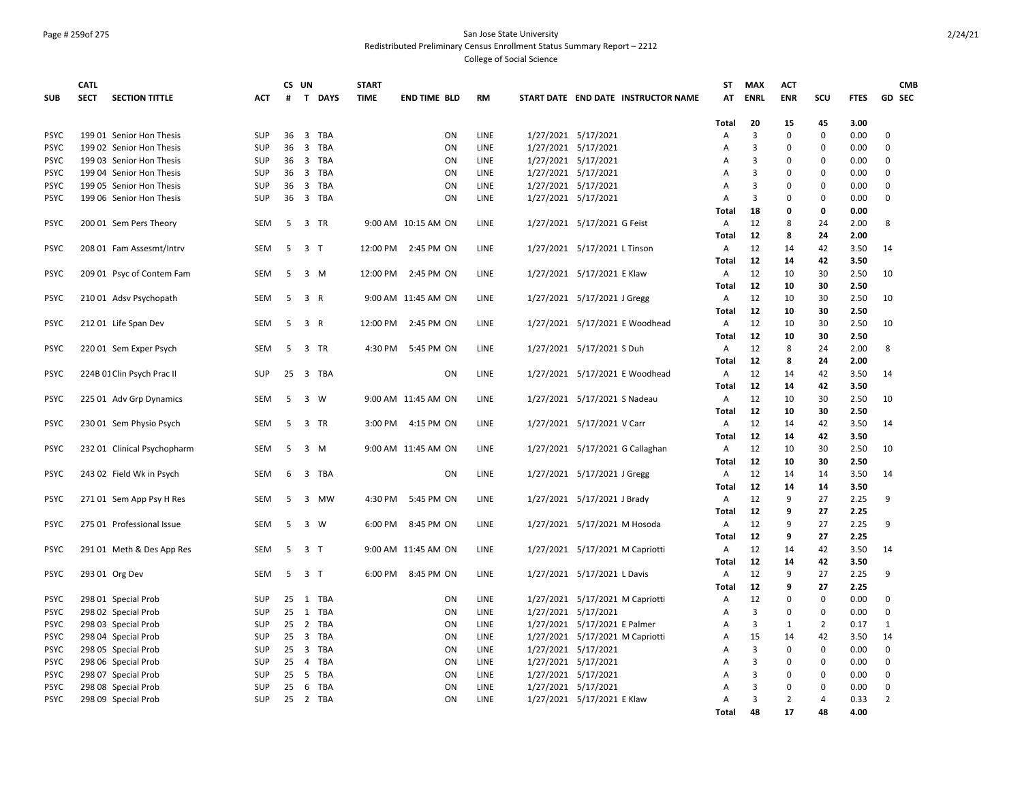#### Page # 259of 275 San Jose State University Redistributed Preliminary Census Enrollment Status Summary Report – 2212

|             | <b>CATL</b> |                             |            | CS UN |                |          | <b>START</b> |                     |           |                                     | ST                | <b>MAX</b> | <b>ACT</b>     |                   |              | <b>CMB</b>     |
|-------------|-------------|-----------------------------|------------|-------|----------------|----------|--------------|---------------------|-----------|-------------------------------------|-------------------|------------|----------------|-------------------|--------------|----------------|
| <b>SUB</b>  | <b>SECT</b> | <b>SECTION TITTLE</b>       | <b>ACT</b> | #     |                | T DAYS   | <b>TIME</b>  | <b>END TIME BLD</b> | <b>RM</b> | START DATE END DATE INSTRUCTOR NAME | AT                | ENRL       | <b>ENR</b>     | scu               | <b>FTES</b>  | <b>GD SEC</b>  |
|             |             |                             |            |       |                |          |              |                     |           |                                     |                   |            |                |                   |              |                |
| <b>PSYC</b> |             | 199 01 Senior Hon Thesis    | <b>SUP</b> | 36    | 3              | TBA      |              | <b>ON</b>           | LINE      | 1/27/2021 5/17/2021                 | <b>Total</b><br>Α | 20<br>3    | 15<br>0        | 45<br>$\mathbf 0$ | 3.00<br>0.00 | $\Omega$       |
| <b>PSYC</b> |             | 199 02 Senior Hon Thesis    | <b>SUP</b> | 36    |                | 3 TBA    |              | ON                  | LINE      | 1/27/2021 5/17/2021                 | A                 | 3          | $\Omega$       | $\Omega$          | 0.00         | $\Omega$       |
| <b>PSYC</b> |             | 199 03 Senior Hon Thesis    | SUP        |       |                | 36 3 TBA |              | ON                  | LINE      | 1/27/2021 5/17/2021                 | Α                 | 3          | $\mathbf 0$    | 0                 | 0.00         | $\mathbf 0$    |
| <b>PSYC</b> |             | 199 04 Senior Hon Thesis    | SUP        |       |                | 36 3 TBA |              | ON                  | LINE      | 1/27/2021 5/17/2021                 |                   | 3          | $\Omega$       | 0                 | 0.00         | 0              |
| <b>PSYC</b> |             |                             | SUP        | 36    |                | 3 TBA    |              | ON                  | LINE      |                                     | Α                 | 3          | $\mathbf 0$    | 0                 | 0.00         | 0              |
|             |             | 199 05 Senior Hon Thesis    |            |       |                |          |              |                     |           | 1/27/2021 5/17/2021                 | A                 |            |                |                   |              |                |
| <b>PSYC</b> |             | 199 06 Senior Hon Thesis    | SUP        | 36    |                | 3 TBA    |              | ON                  | LINE      | 1/27/2021 5/17/2021                 | Α                 | 3          | $\mathbf 0$    | 0                 | 0.00         | $\mathbf 0$    |
|             |             |                             |            |       |                |          |              |                     |           |                                     | Total             | 18         | 0              | 0                 | 0.00         |                |
| <b>PSYC</b> |             | 200 01 Sem Pers Theory      | <b>SEM</b> | 5     |                | 3 TR     |              | 9:00 AM 10:15 AM ON | LINE      | 1/27/2021 5/17/2021 G Feist         | Α                 | 12         | 8              | 24                | 2.00         | 8              |
|             |             |                             |            |       |                |          |              |                     |           |                                     | <b>Total</b>      | 12         | 8              | 24                | 2.00         |                |
| <b>PSYC</b> |             | 208 01 Fam Assesmt/Intrv    | <b>SEM</b> | 5     | 3 <sub>T</sub> |          | 12:00 PM     | 2:45 PM ON          | LINE      | 1/27/2021 5/17/2021 L Tinson        | Α                 | 12         | 14             | 42                | 3.50         | 14             |
|             |             |                             |            |       |                |          |              |                     |           |                                     | Total             | 12         | 14             | 42                | 3.50         |                |
| <b>PSYC</b> |             | 209 01 Psyc of Contem Fam   | SEM        | 5     |                | 3 M      | 12:00 PM     | 2:45 PM ON          | LINE      | 1/27/2021 5/17/2021 E Klaw          | Α                 | 12         | 10             | 30                | 2.50         | 10             |
|             |             |                             |            |       |                |          |              |                     |           |                                     | Total             | 12         | 10             | 30                | 2.50         |                |
| <b>PSYC</b> |             | 210 01 Adsv Psychopath      | SEM        | 5     | 3 R            |          |              | 9:00 AM 11:45 AM ON | LINE      | 1/27/2021 5/17/2021 J Gregg         | Α                 | 12         | 10             | 30                | 2.50         | 10             |
|             |             |                             |            |       |                |          |              |                     |           |                                     | Total             | 12         | 10             | 30                | 2.50         |                |
| <b>PSYC</b> |             | 212 01 Life Span Dev        | <b>SEM</b> | 5     | 3 R            |          | 12:00 PM     | 2:45 PM ON          | LINE      | 1/27/2021 5/17/2021 E Woodhead      | Α                 | 12         | 10             | 30                | 2.50         | 10             |
|             |             |                             |            |       |                |          |              |                     |           |                                     | Total             | 12         | 10             | 30                | 2.50         |                |
| <b>PSYC</b> |             | 220 01 Sem Exper Psych      | <b>SEM</b> | 5     |                | 3 TR     | 4:30 PM      | 5:45 PM ON          | LINE      | 1/27/2021 5/17/2021 S Duh           | Α                 | 12         | 8              | 24                | 2.00         | 8              |
|             |             |                             |            |       |                |          |              |                     |           |                                     | <b>Total</b>      | 12         | 8              | 24                | 2.00         |                |
| <b>PSYC</b> |             | 224B 01 Clin Psych Prac II  | SUP        | 25    |                | 3 TBA    |              | ON                  | LINE      | 1/27/2021 5/17/2021 E Woodhead      | Α                 | 12         | 14             | 42                | 3.50         | 14             |
|             |             |                             |            |       |                |          |              |                     |           |                                     | Total             | 12         | 14             | 42                | 3.50         |                |
| <b>PSYC</b> |             | 225 01 Adv Grp Dynamics     | <b>SEM</b> | 5     |                | 3 W      |              | 9:00 AM 11:45 AM ON | LINE      | 1/27/2021 5/17/2021 S Nadeau        | Α                 | 12         | 10             | 30                | 2.50         | 10             |
|             |             |                             |            |       |                |          |              |                     |           |                                     | Total             | 12         | 10             | 30                | 2.50         |                |
| <b>PSYC</b> |             | 230 01 Sem Physio Psych     | SEM        | 5     |                | 3 TR     | 3:00 PM      | 4:15 PM ON          | LINE      | 1/27/2021 5/17/2021 V Carr          | Α                 | 12         | 14             | 42                | 3.50         | 14             |
|             |             |                             |            |       |                |          |              |                     |           |                                     | <b>Total</b>      | 12         | 14             | 42                | 3.50         |                |
| <b>PSYC</b> |             | 232 01 Clinical Psychopharm | SEM        | 5     |                | 3 M      |              | 9:00 AM 11:45 AM ON | LINE      | 1/27/2021 5/17/2021 G Callaghan     | Α                 | 12         | 10             | 30                | 2.50         | 10             |
|             |             |                             |            |       |                |          |              |                     |           |                                     | Total             | 12         | 10             | 30                | 2.50         |                |
| <b>PSYC</b> |             |                             | SEM        | 6     |                | 3 TBA    |              | ON                  | LINE      |                                     |                   | 12         | 14             |                   | 3.50         | 14             |
|             |             | 243 02 Field Wk in Psych    |            |       |                |          |              |                     |           | 1/27/2021 5/17/2021 J Gregg         | Α                 |            |                | 14                |              |                |
|             |             |                             |            |       |                |          |              |                     |           |                                     | Total             | 12         | 14             | 14                | 3.50         |                |
| <b>PSYC</b> |             | 271 01 Sem App Psy H Res    | SEM        | -5    |                | 3 MW     | 4:30 PM      | 5:45 PM ON          | LINE      | 1/27/2021 5/17/2021 J Brady         | Α                 | 12         | 9              | 27                | 2.25         | 9              |
|             |             |                             |            |       |                |          |              |                     |           |                                     | <b>Total</b>      | 12         | 9              | 27                | 2.25         |                |
| <b>PSYC</b> |             | 275 01 Professional Issue   | SEM        | 5     |                | 3 W      | 6:00 PM      | 8:45 PM ON          | LINE      | 1/27/2021 5/17/2021 M Hosoda        | Α                 | 12         | 9              | 27                | 2.25         | 9              |
|             |             |                             |            |       |                |          |              |                     |           |                                     | <b>Total</b>      | 12         | 9              | 27                | 2.25         |                |
| <b>PSYC</b> |             | 291 01 Meth & Des App Res   | <b>SEM</b> | 5     | 3 <sub>T</sub> |          |              | 9:00 AM 11:45 AM ON | LINE      | 1/27/2021 5/17/2021 M Capriotti     | Α                 | 12         | 14             | 42                | 3.50         | 14             |
|             |             |                             |            |       |                |          |              |                     |           |                                     | <b>Total</b>      | 12         | 14             | 42                | 3.50         |                |
| <b>PSYC</b> |             | 293 01 Org Dev              | <b>SEM</b> | 5     | 3 <sub>1</sub> |          | 6:00 PM      | 8:45 PM ON          | LINE      | 1/27/2021 5/17/2021 L Davis         | Α                 | 12         | 9              | 27                | 2.25         | 9              |
|             |             |                             |            |       |                |          |              |                     |           |                                     | Total             | 12         | 9              | 27                | 2.25         |                |
| <b>PSYC</b> |             | 298 01 Special Prob         | <b>SUP</b> | 25    |                | 1 TBA    |              | ON                  | LINE      | 1/27/2021 5/17/2021 M Capriotti     | Α                 | 12         | 0              | $\mathbf 0$       | 0.00         | $\Omega$       |
| <b>PSYC</b> |             | 298 02 Special Prob         | SUP        | 25    |                | 1 TBA    |              | ON                  | LINE      | 1/27/2021 5/17/2021                 | Α                 | 3          | $\Omega$       | 0                 | 0.00         | $\Omega$       |
| <b>PSYC</b> |             | 298 03 Special Prob         | SUP        |       |                | 25 2 TBA |              | ON                  | LINE      | 1/27/2021 5/17/2021 E Palmer        | Α                 | 3          | 1              | $\overline{2}$    | 0.17         | 1              |
| <b>PSYC</b> |             | 298 04 Special Prob         | SUP        |       |                | 25 3 TBA |              | ON                  | LINE      | 1/27/2021 5/17/2021 M Capriotti     | Α                 | 15         | 14             | 42                | 3.50         | 14             |
| <b>PSYC</b> |             | 298 05 Special Prob         | SUP        |       |                | 25 3 TBA |              | ON                  | LINE      | 1/27/2021 5/17/2021                 | Α                 | 3          | 0              | 0                 | 0.00         | 0              |
| <b>PSYC</b> |             | 298 06 Special Prob         | SUP        | 25    |                | 4 TBA    |              | ON                  | LINE      | 1/27/2021 5/17/2021                 | А                 | 3          | 0              | 0                 | 0.00         | 0              |
| <b>PSYC</b> |             | 298 07 Special Prob         | SUP        | 25    |                | 5 TBA    |              | ON                  | LINE      | 1/27/2021 5/17/2021                 | A                 | 3          | $\mathbf 0$    | 0                 | 0.00         | $\mathbf 0$    |
| <b>PSYC</b> |             | 298 08 Special Prob         | SUP        | 25    |                | 6 TBA    |              | ON                  | LINE      | 1/27/2021 5/17/2021                 | Α                 | 3          | $\mathbf 0$    | $\mathbf 0$       | 0.00         | 0              |
| <b>PSYC</b> |             | 298 09 Special Prob         | <b>SUP</b> | 25    |                | 2 TBA    |              | ON                  | LINE      | 1/27/2021 5/17/2021 E Klaw          | A                 | 3          | $\overline{2}$ | 4                 | 0.33         | $\overline{2}$ |
|             |             |                             |            |       |                |          |              |                     |           |                                     | Total             | 48         | 17             | 48                | 4.00         |                |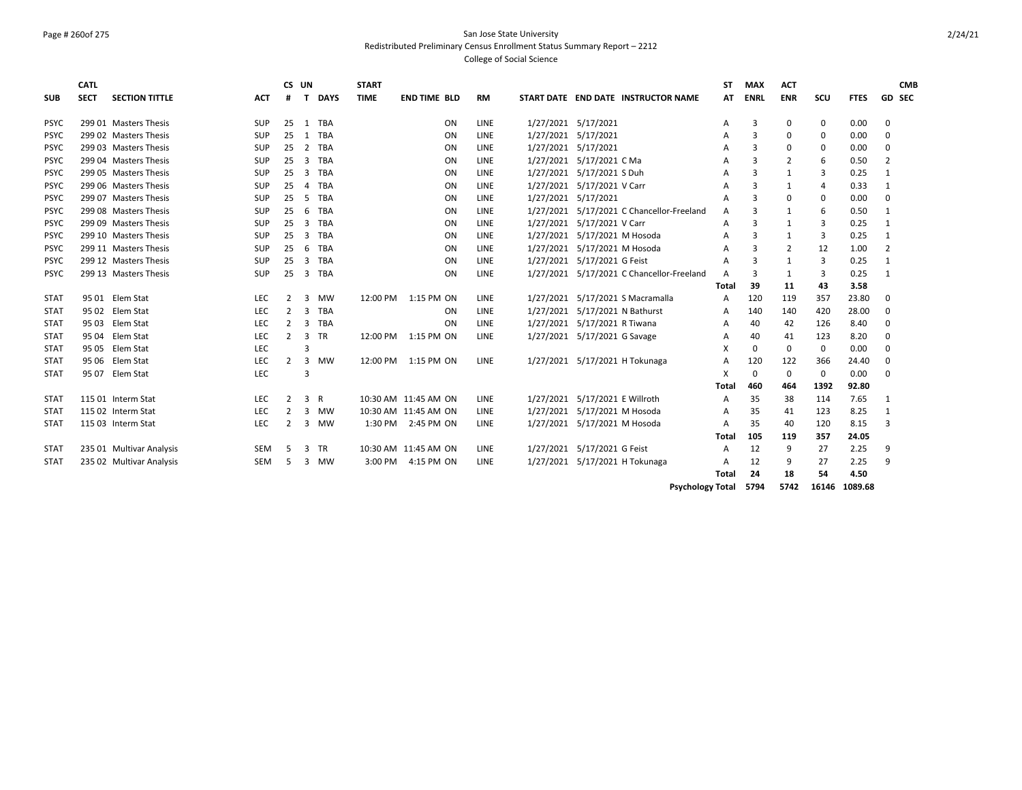## Page # 260of 275 San Jose State University Redistributed Preliminary Census Enrollment Status Summary Report – 2212

College of Social Science

|                            | CATL        |                          |            | CS UN          |                |             | <b>START</b> |                      |    |             |                     |                                |                                           | SΤ           | <b>MAX</b>     | <b>ACT</b>     |             |             | <b>CMB</b>     |
|----------------------------|-------------|--------------------------|------------|----------------|----------------|-------------|--------------|----------------------|----|-------------|---------------------|--------------------------------|-------------------------------------------|--------------|----------------|----------------|-------------|-------------|----------------|
| <b>SUB</b>                 | <b>SECT</b> | <b>SECTION TITTLE</b>    | ACT        | #              | T.             | <b>DAYS</b> | <b>TIME</b>  | <b>END TIME BLD</b>  |    | <b>RM</b>   |                     |                                | START DATE END DATE INSTRUCTOR NAME       | AT           | <b>ENRL</b>    | <b>ENR</b>     | SCU         | <b>FTES</b> | <b>GD SEC</b>  |
| <b>PSYC</b>                |             | 299 01 Masters Thesis    | SUP        | 25             | 1              | TBA         |              |                      | ON | <b>LINE</b> | 1/27/2021 5/17/2021 |                                |                                           | А            | $\overline{3}$ | 0              | 0           | 0.00        | 0              |
| <b>PSYC</b>                |             | 299 02 Masters Thesis    | SUP        | 25             | 1              | TBA         |              |                      | ON | LINE        | 1/27/2021 5/17/2021 |                                |                                           | А            | 3              | 0              | 0           | 0.00        | 0              |
| <b>PSYC</b>                |             | 299.03 Masters Thesis    | <b>SUP</b> | 25             |                | 2 TBA       |              |                      | ON | <b>LINE</b> | 1/27/2021 5/17/2021 |                                |                                           | А            | $\overline{3}$ | $\Omega$       | 0           | 0.00        | $\Omega$       |
| <b>PSYC</b>                |             | 299 04 Masters Thesis    | <b>SUP</b> | 25             | 3              | TBA         |              |                      | ON | <b>LINE</b> |                     | 1/27/2021 5/17/2021 C Ma       |                                           | А            | 3              | $\overline{2}$ | 6           | 0.50        | $\overline{2}$ |
| <b>PSYC</b>                |             | 299 05 Masters Thesis    | <b>SUP</b> | 25             | 3              | <b>TBA</b>  |              |                      | ON | <b>LINE</b> |                     | 1/27/2021 5/17/2021 S Duh      |                                           | А            | 3              | 1              | 3           | 0.25        | 1              |
| <b>PSYC</b>                |             | 299 06 Masters Thesis    | <b>SUP</b> | 25             |                | 4 TBA       |              |                      | ON | LINE        | 1/27/2021           | 5/17/2021 V Carr               |                                           | А            | 3              | 1              | 4           | 0.33        | 1              |
|                            |             | 299 07 Masters Thesis    | <b>SUP</b> | 25             | -5             | TBA         |              |                      | ON | LINE        | 1/27/2021           | 5/17/2021                      |                                           |              | 3              | $\Omega$       |             | 0.00        | $\Omega$       |
| <b>PSYC</b><br><b>PSYC</b> |             | 299 08 Masters Thesis    | <b>SUP</b> | 25             | 6              | <b>TBA</b>  |              |                      | ON | <b>LINE</b> |                     |                                | 1/27/2021 5/17/2021 C Chancellor-Freeland | А            | 3              |                | 0           |             |                |
|                            |             |                          |            |                |                |             |              |                      |    |             |                     | 5/17/2021 V Carr               |                                           | A            |                | 1              | 6           | 0.50        | $\mathbf{1}$   |
| <b>PSYC</b>                |             | 299 09 Masters Thesis    | <b>SUP</b> | 25             |                | 3 TBA       |              |                      | ON | <b>LINE</b> | 1/27/2021           |                                |                                           | A            | 3              | 1              | 3           | 0.25        | 1              |
| <b>PSYC</b>                |             | 299 10 Masters Thesis    | <b>SUP</b> | 25             | $\overline{3}$ | <b>TBA</b>  |              |                      | ON | <b>LINE</b> | 1/27/2021           | 5/17/2021 M Hosoda             |                                           | А            | 3              | 1              | 3           | 0.25        | -1             |
| <b>PSYC</b>                |             | 299 11 Masters Thesis    | <b>SUP</b> | 25             | 6              | <b>TBA</b>  |              |                      | ON | <b>LINE</b> |                     | 1/27/2021 5/17/2021 M Hosoda   |                                           | A            | 3              | $\overline{2}$ | 12          | 1.00        | $\overline{2}$ |
| <b>PSYC</b>                |             | 299 12 Masters Thesis    | <b>SUP</b> | 25             | 3              | TBA         |              |                      | ON | <b>LINE</b> | 1/27/2021           | 5/17/2021 G Feist              |                                           | A            | 3              | 1              | 3           | 0.25        | 1              |
| <b>PSYC</b>                |             | 299 13 Masters Thesis    | <b>SUP</b> | 25             | 3              | TBA         |              |                      | ON | LINE        | 1/27/2021           |                                | 5/17/2021 C Chancellor-Freeland           | A            | 3              | $\mathbf{1}$   | 3           | 0.25        | $\mathbf{1}$   |
|                            |             |                          |            |                |                |             |              |                      |    |             |                     |                                |                                           | Total        | 39             | 11             | 43          | 3.58        |                |
| <b>STAT</b>                |             | 95 01 Elem Stat          | LEC        | $\overline{2}$ | 3              | <b>MW</b>   |              | 12:00 PM 1:15 PM ON  |    | LINE        | 1/27/2021           |                                | 5/17/2021 S Macramalla                    | A            | 120            | 119            | 357         | 23.80       | 0              |
| <b>STAT</b>                | 95 02       | Elem Stat                | <b>LEC</b> | $\overline{2}$ | 3              | TBA         |              |                      | ON | LINE        | 1/27/2021           | 5/17/2021 N Bathurst           |                                           | A            | 140            | 140            | 420         | 28.00       | $\Omega$       |
| <b>STAT</b>                | 9503        | Elem Stat                | <b>LEC</b> | $\overline{2}$ | 3              | TBA         |              |                      | ON | <b>LINE</b> | 1/27/2021           | 5/17/2021 R Tiwana             |                                           | Α            | 40             | 42             | 126         | 8.40        | 0              |
| <b>STAT</b>                | 95 04       | Elem Stat                | <b>LEC</b> | $\overline{2}$ | 3              | <b>TR</b>   |              | 12:00 PM 1:15 PM ON  |    | <b>LINE</b> |                     | 1/27/2021 5/17/2021 G Savage   |                                           | А            | 40             | 41             | 123         | 8.20        | 0              |
| <b>STAT</b>                | 95 05       | Elem Stat                | LEC        |                | 3              |             |              |                      |    |             |                     |                                |                                           | X            | $\mathbf 0$    | $\Omega$       | $\mathbf 0$ | 0.00        | $\Omega$       |
| <b>STAT</b>                | 95 06       | Elem Stat                | <b>LEC</b> | $\overline{2}$ | 3              | <b>MW</b>   |              | 12:00 PM 1:15 PM ON  |    | <b>LINE</b> |                     |                                | 1/27/2021 5/17/2021 H Tokunaga            | A            | 120            | 122            | 366         | 24.40       | 0              |
| <b>STAT</b>                |             | 95 07 Elem Stat          | <b>LEC</b> |                | 3              |             |              |                      |    |             |                     |                                |                                           | X            | $\mathbf 0$    | $\mathbf 0$    | $\mathbf 0$ | 0.00        | 0              |
|                            |             |                          |            |                |                |             |              |                      |    |             |                     |                                |                                           | Total        | 460            | 464            | 1392        | 92.80       |                |
| <b>STAT</b>                |             | 115 01 Interm Stat       | <b>LEC</b> | $\overline{2}$ | 3 R            |             |              | 10:30 AM 11:45 AM ON |    | <b>LINE</b> |                     | 1/27/2021 5/17/2021 E Willroth |                                           | А            | 35             | 38             | 114         | 7.65        | 1              |
| <b>STAT</b>                |             | 115 02 Interm Stat       | <b>LEC</b> | $\overline{2}$ | 3              | MW          |              | 10:30 AM 11:45 AM ON |    | LINE        | 1/27/2021           | 5/17/2021 M Hosoda             |                                           | А            | 35             | 41             | 123         | 8.25        | 1              |
| <b>STAT</b>                |             | 115 03 Interm Stat       | <b>LEC</b> | 2              |                | 3 MW        | 1:30 PM      | 2:45 PM ON           |    | LINE        |                     | 1/27/2021 5/17/2021 M Hosoda   |                                           | А            | 35             | 40             | 120         | 8.15        | 3              |
|                            |             |                          |            |                |                |             |              |                      |    |             |                     |                                |                                           | Total        | 105            | 119            | 357         | 24.05       |                |
| <b>STAT</b>                |             | 235 01 Multivar Analysis | <b>SEM</b> | -5             | 3              | <b>TR</b>   |              | 10:30 AM 11:45 AM ON |    | LINE        |                     | 1/27/2021 5/17/2021 G Feist    |                                           | А            | 12             | 9              | 27          | 2.25        | 9              |
| <b>STAT</b>                |             | 235 02 Multivar Analysis | <b>SEM</b> | 5              |                | 3 MW        | 3:00 PM      | 4:15 PM ON           |    | LINE        |                     |                                | 1/27/2021 5/17/2021 H Tokunaga            | А            | 12             | 9              | 27          | 2.25        | 9              |
|                            |             |                          |            |                |                |             |              |                      |    |             |                     |                                |                                           | <b>Total</b> | 24             | 18             | 54          | 4.50        |                |

**Psychology Total 5794 5742 16146 1089.68**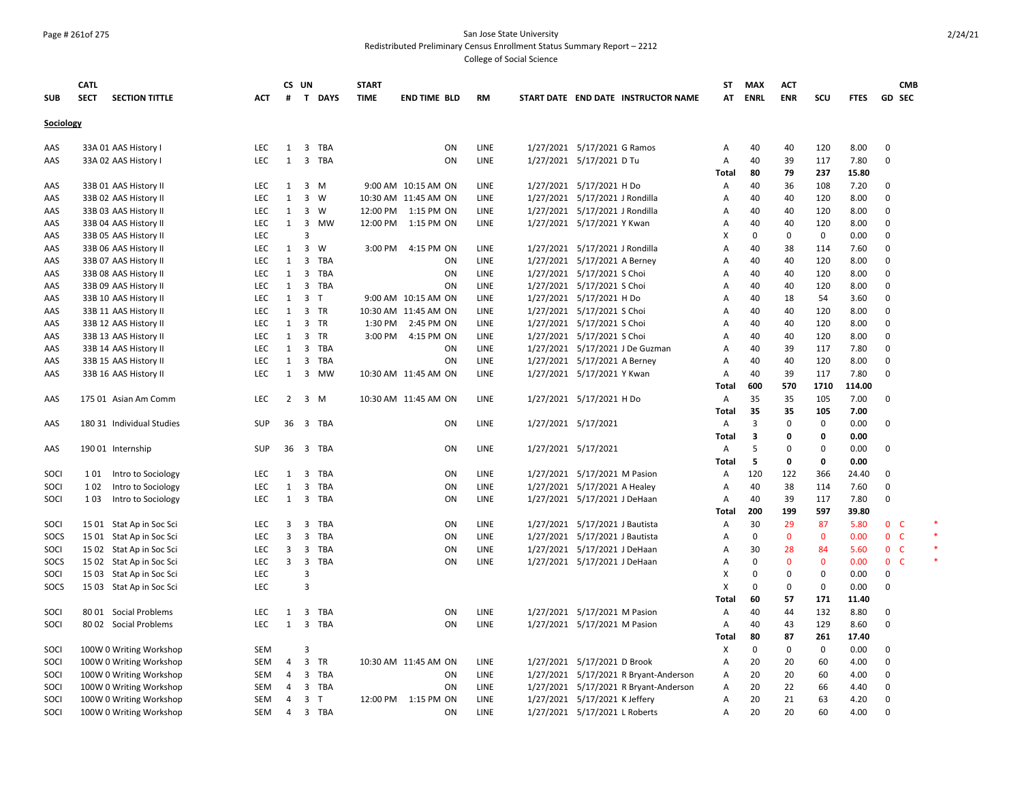#### Page # 261of 275 San Jose State University Redistributed Preliminary Census Enrollment Status Summary Report – 2212

|            | <b>CATL</b>                          |            |                | CS UN          |              | <b>START</b> |                      |             |                                |                                       | <b>ST</b>      | <b>MAX</b>              | <b>ACT</b>   |              |             | <b>CMB</b>              |  |
|------------|--------------------------------------|------------|----------------|----------------|--------------|--------------|----------------------|-------------|--------------------------------|---------------------------------------|----------------|-------------------------|--------------|--------------|-------------|-------------------------|--|
| <b>SUB</b> | <b>SECT</b><br><b>SECTION TITTLE</b> | <b>ACT</b> | #              |                | T DAYS       | <b>TIME</b>  | <b>END TIME BLD</b>  | <b>RM</b>   |                                | START DATE END DATE INSTRUCTOR NAME   | AT             | <b>ENRL</b>             | <b>ENR</b>   | scu          | <b>FTES</b> | GD SEC                  |  |
|            |                                      |            |                |                |              |              |                      |             |                                |                                       |                |                         |              |              |             |                         |  |
| Sociology  |                                      |            |                |                |              |              |                      |             |                                |                                       |                |                         |              |              |             |                         |  |
| AAS        | 33A 01 AAS History I                 | <b>LEC</b> | 1              | 3              | TBA          |              | ON                   | LINE        | 1/27/2021 5/17/2021 G Ramos    |                                       | Α              | 40                      | 40           | 120          | 8.00        | $\Omega$                |  |
| AAS        | 33A 02 AAS History I                 | <b>LEC</b> | $\mathbf{1}$   | 3              | TBA          |              | ON                   | LINE        | 1/27/2021 5/17/2021 D Tu       |                                       | A              | 40                      | 39           | 117          | 7.80        | $\mathbf 0$             |  |
|            |                                      |            |                |                |              |              |                      |             |                                |                                       | Total          | 80                      | 79           | 237          | 15.80       |                         |  |
| AAS        | 33B 01 AAS History II                | <b>LEC</b> | $\mathbf{1}$   | $3 \, M$       |              |              | 9:00 AM 10:15 AM ON  | LINE        | 1/27/2021 5/17/2021 H Do       |                                       | A              | 40                      | 36           | 108          | 7.20        | 0                       |  |
| AAS        | 33B 02 AAS History II                | <b>LEC</b> | 1              | 3              | w            |              | 10:30 AM 11:45 AM ON | LINE        | 1/27/2021 5/17/2021 J Rondilla |                                       | $\overline{A}$ | 40                      | 40           | 120          | 8.00        | $\Omega$                |  |
| AAS        | 33B 03 AAS History II                | <b>LEC</b> | $\mathbf{1}$   | 3 W            |              | 12:00 PM     | 1:15 PM ON           | LINE        | 1/27/2021 5/17/2021 J Rondilla |                                       | Α              | 40                      | 40           | 120          | 8.00        | $\Omega$                |  |
| AAS        | 33B 04 AAS History II                | LEC        | $\mathbf{1}$   |                | 3 MW         | 12:00 PM     | 1:15 PM ON           | LINE        | 1/27/2021 5/17/2021 Y Kwan     |                                       | Α              | 40                      | 40           | 120          | 8.00        | $\mathbf 0$             |  |
| AAS        | 33B 05 AAS History II                | LEC        |                | 3              |              |              |                      |             |                                |                                       | х              | $\Omega$                | $\mathbf 0$  | $\mathbf 0$  | 0.00        | $\Omega$                |  |
| AAS        | 33B 06 AAS History II                | <b>LEC</b> | $\mathbf{1}$   | 3              | W            | 3:00 PM      | 4:15 PM ON           | LINE        | 1/27/2021 5/17/2021 J Rondilla |                                       | A              | 40                      | 38           | 114          | 7.60        | $\Omega$                |  |
| AAS        | 33B 07 AAS History II                | <b>LEC</b> | $\mathbf{1}$   | 3              | <b>TBA</b>   |              | ON                   | <b>LINE</b> | 1/27/2021 5/17/2021 A Berney   |                                       | $\overline{A}$ | 40                      | 40           | 120          | 8.00        | $\Omega$                |  |
| AAS        | 33B 08 AAS History II                | <b>LEC</b> | 1              | 3              | <b>TBA</b>   |              | ON                   | LINE        | 1/27/2021 5/17/2021 S Choi     |                                       | $\overline{A}$ | 40                      | 40           | 120          | 8.00        | $\Omega$                |  |
| AAS        | 33B 09 AAS History II                | <b>LEC</b> | $\mathbf{1}$   | $\mathbf{3}$   | TBA          |              | ON                   | LINE        | 1/27/2021 5/17/2021 S Choi     |                                       | Α              | 40                      | 40           | 120          | 8.00        | $\mathbf 0$             |  |
| AAS        | 33B 10 AAS History II                | <b>LEC</b> | $\mathbf{1}$   | 3              | $\mathsf{T}$ |              | 9:00 AM 10:15 AM ON  | LINE        | 1/27/2021 5/17/2021 H Do       |                                       | Α              | 40                      | 18           | 54           | 3.60        | $\Omega$                |  |
| AAS        | 33B 11 AAS History II                | LEC        | 1              | 3 TR           |              |              | 10:30 AM 11:45 AM ON | LINE        | 1/27/2021 5/17/2021 S Choi     |                                       | A              | 40                      | 40           | 120          | 8.00        | $\mathbf 0$             |  |
| AAS        | 33B 12 AAS History II                | <b>LEC</b> | $\mathbf{1}$   | 3 TR           |              | 1:30 PM      | 2:45 PM ON           | LINE        | 1/27/2021 5/17/2021 S Choi     |                                       | Α              | 40                      | 40           | 120          | 8.00        | $\Omega$                |  |
| AAS        | 33B 13 AAS History II                | <b>LEC</b> | 1              | 3 TR           |              | 3:00 PM      | 4:15 PM ON           | LINE        | 1/27/2021 5/17/2021 S Choi     |                                       | A              | 40                      | 40           | 120          | 8.00        | $\Omega$                |  |
| AAS        | 33B 14 AAS History II                | <b>LEC</b> | $\mathbf{1}$   | 3              | TBA          |              | ON                   | LINE        |                                | 1/27/2021 5/17/2021 J De Guzman       | $\overline{A}$ | 40                      | 39           | 117          | 7.80        | $\Omega$                |  |
| AAS        | 33B 15 AAS History II                | LEC        | 1              | 3              | TBA          |              | ON                   | LINE        | 1/27/2021 5/17/2021 A Berney   |                                       | Α              | 40                      | 40           | 120          | 8.00        | $\Omega$                |  |
| AAS        | 33B 16 AAS History II                | <b>LEC</b> | $\mathbf{1}$   | $\overline{3}$ | MW           |              | 10:30 AM 11:45 AM ON | LINE        | 1/27/2021 5/17/2021 Y Kwan     |                                       | A              | 40                      | 39           | 117          | 7.80        | $\Omega$                |  |
|            |                                      |            |                |                |              |              |                      |             |                                |                                       | Total          | 600                     | 570          | 1710         | 114.00      |                         |  |
| AAS        | 175 01 Asian Am Comm                 | <b>LEC</b> | $2^{\circ}$    | 3 M            |              |              | 10:30 AM 11:45 AM ON | LINE        | 1/27/2021 5/17/2021 H Do       |                                       | Α              | 35                      | 35           | 105          | 7.00        | $\Omega$                |  |
|            |                                      |            |                |                |              |              |                      |             |                                |                                       | <b>Total</b>   | 35                      | 35           | 105          | 7.00        |                         |  |
| AAS        | 180 31 Individual Studies            | SUP        | 36             |                | 3 TBA        |              | ΟN                   | LINE        | 1/27/2021 5/17/2021            |                                       | Α              | 3                       | 0            | 0            | 0.00        | $\Omega$                |  |
|            |                                      |            |                |                |              |              |                      |             |                                |                                       | Total          | $\overline{\mathbf{3}}$ | 0            | 0            | 0.00        |                         |  |
| AAS        | 190 01 Internship                    | <b>SUP</b> |                | 36 3 TBA       |              |              | ON                   | LINE        | 1/27/2021 5/17/2021            |                                       | Α              | 5                       | 0            | 0            | 0.00        | $\Omega$                |  |
|            |                                      |            |                |                |              |              |                      |             |                                |                                       | Total          | 5                       | 0            | 0            | 0.00        |                         |  |
| SOCI       | 101<br>Intro to Sociology            | <b>LEC</b> | 1              | 3              | <b>TBA</b>   |              | ON                   | LINE        | 1/27/2021 5/17/2021 M Pasion   |                                       | Α              | 120                     | 122          | 366          | 24.40       | $\Omega$                |  |
| SOCI       | 102<br>Intro to Sociology            | LEC        | 1              | 3              | TBA          |              | ON                   | LINE        | 1/27/2021 5/17/2021 A Healey   |                                       | Α              | 40                      | 38           | 114          | 7.60        | 0                       |  |
| SOCI       | 103<br>Intro to Sociology            | LEC        | 1              |                | 3 TBA        |              | ΟN                   | LINE        | 1/27/2021 5/17/2021 J DeHaan   |                                       | Α              | 40                      | 39           | 117          | 7.80        | $\Omega$                |  |
|            |                                      |            |                |                |              |              |                      |             |                                |                                       | Total          | 200                     | 199          | 597          | 39.80       |                         |  |
| SOCI       | 15 01 Stat Ap in Soc Sci             | LEC        | 3              | 3              | <b>TBA</b>   |              | ON                   | LINE        | 1/27/2021 5/17/2021 J Bautista |                                       | A              | 30                      | 29           | 87           | 5.80        | 0 <sub>c</sub>          |  |
| SOCS       | 15 01 Stat Ap in Soc Sci             | <b>LEC</b> | 3              | 3              | <b>TBA</b>   |              | ON                   | LINE        | 1/27/2021 5/17/2021 J Bautista |                                       | A              | $\mathbf 0$             | $\mathbf{0}$ | $\mathbf{0}$ | 0.00        | 0 <sub>c</sub>          |  |
| SOCI       | 15 02 Stat Ap in Soc Sci             | <b>LEC</b> | 3              | 3              | <b>TBA</b>   |              | ON                   | LINE        | 1/27/2021 5/17/2021 J DeHaan   |                                       | A              | 30                      | 28           | 84           | 5.60        | 0 <sup>o</sup>          |  |
| SOCS       | 15 02 Stat Ap in Soc Sci             | <b>LEC</b> | 3              | $\overline{3}$ | <b>TBA</b>   |              | ON                   | <b>LINE</b> | 1/27/2021 5/17/2021 J DeHaan   |                                       | $\overline{A}$ | $\Omega$                | $\mathbf{0}$ | $\mathbf{0}$ | 0.00        | $\mathbf{0}$<br>- C     |  |
| SOCI       | 1503 Stat Ap in Soc Sci              | LEC        |                | 3              |              |              |                      |             |                                |                                       | X              | $\Omega$                | $\mathbf 0$  | $\Omega$     | 0.00        | $\Omega$                |  |
| SOCS       | 15 03 Stat Ap in Soc Sci             | LEC        |                | $\overline{3}$ |              |              |                      |             |                                |                                       | X              | $\Omega$                | 0            | 0            | 0.00        | $\Omega$                |  |
|            |                                      |            |                |                |              |              |                      |             |                                |                                       | Total          | 60                      | 57           | 171          | 11.40       |                         |  |
| SOCI       | 80 01 Social Problems                | <b>LEC</b> | 1              | 3              | TBA          |              | ON                   | LINE        | 1/27/2021 5/17/2021 M Pasion   |                                       | Α              | 40                      | 44           | 132          | 8.80        | $\mathbf 0$             |  |
| SOCI       | 80 02 Social Problems                | <b>LEC</b> | $\mathbf{1}$   | 3              | <b>TBA</b>   |              | ON                   | LINE        | 1/27/2021 5/17/2021 M Pasion   |                                       | Α              | 40                      | 43           | 129          | 8.60        | $\Omega$                |  |
|            |                                      |            |                |                |              |              |                      |             |                                |                                       | Total          | 80                      | 87           | 261          | 17.40       |                         |  |
| SOCI       | 100W 0 Writing Workshop              | <b>SEM</b> |                | 3              |              |              |                      |             |                                |                                       | X              | $\Omega$                | 0            | 0            | 0.00        | $\Omega$<br>$\Omega$    |  |
| SOCI       | 100W 0 Writing Workshop              | SEM        | 4              | $\mathbf{3}$   | TR           |              | 10:30 AM 11:45 AM ON | LINE        | 1/27/2021 5/17/2021 D Brook    |                                       | Α              | 20                      | 20           | 60           | 4.00        |                         |  |
| SOCI       | 100W 0 Writing Workshop              | SEM        | 4              |                | 3 TBA        |              | ON                   | LINE        |                                | 1/27/2021 5/17/2021 R Bryant-Anderson | Α              | 20                      | 20           | 60           | 4.00        | $\mathbf 0$<br>$\Omega$ |  |
| SOCI       | 100W 0 Writing Workshop              | SEM        | 4              | 3              | TBA          |              | ON                   | LINE        |                                | 1/27/2021 5/17/2021 R Bryant-Anderson | A              | 20                      | 22           | 66           | 4.40        |                         |  |
| SOCI       | 100W 0 Writing Workshop              | SEM        | 4              | $\overline{3}$ | $\mathsf{T}$ |              | 12:00 PM 1:15 PM ON  | LINE        | 1/27/2021 5/17/2021 K Jeffery  |                                       | Α              | 20                      | 21           | 63           | 4.20        | $\Omega$                |  |
| SOCI       | 100W 0 Writing Workshop              | SEM        | $\overline{4}$ |                | 3 TBA        |              | ON                   | LINE        | 1/27/2021 5/17/2021 L Roberts  |                                       | Α              | 20                      | 20           | 60           | 4.00        | $\Omega$                |  |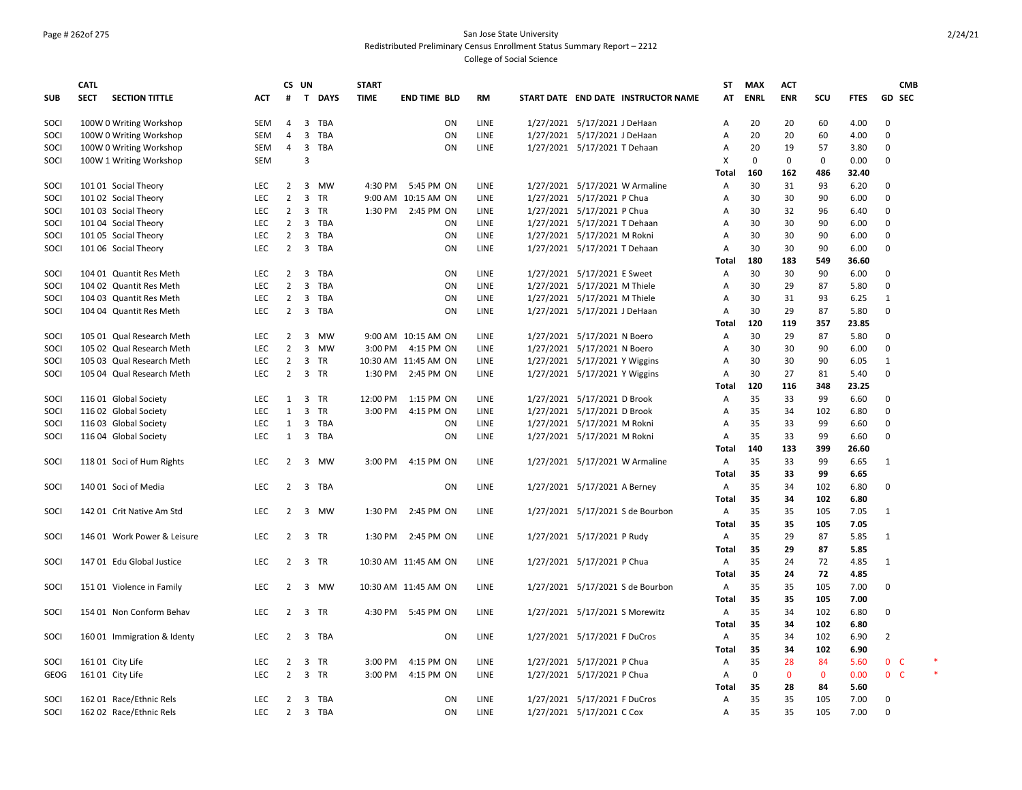## Page # 262of 275 San Jose State University Redistributed Preliminary Census Enrollment Status Summary Report – 2212

|            | CATL                                 |            |                     | CS UN                                 | <b>START</b> |                      |              |                                     |                | <b>ST</b> | <b>MAX</b>      | <b>ACT</b>        |                   |              | <b>CMB</b>                       |  |
|------------|--------------------------------------|------------|---------------------|---------------------------------------|--------------|----------------------|--------------|-------------------------------------|----------------|-----------|-----------------|-------------------|-------------------|--------------|----------------------------------|--|
| <b>SUB</b> | <b>SECT</b><br><b>SECTION TITTLE</b> | ACT        | #                   | T DAYS                                | <b>TIME</b>  | <b>END TIME BLD</b>  | <b>RM</b>    | START DATE END DATE INSTRUCTOR NAME |                | AT        | <b>ENRL</b>     | <b>ENR</b>        | SCU               | <b>FTES</b>  | <b>GD SEC</b>                    |  |
| SOCI       | 100W 0 Writing Workshop              | SEM        | $\overline{4}$      | 3 TBA                                 |              | ON                   | <b>LINE</b>  | 1/27/2021 5/17/2021 J DeHaan        | Α              |           | 20              | 20                | 60                | 4.00         | $\Omega$                         |  |
| SOCI       | 100W 0 Writing Workshop              | <b>SEM</b> | $\overline{4}$      | $\overline{3}$<br><b>TBA</b>          |              | ON                   | <b>LINE</b>  | 1/27/2021 5/17/2021 J DeHaan        | $\overline{A}$ |           | 20              | 20                | 60                | 4.00         | $\Omega$                         |  |
| SOCI       | 100W 0 Writing Workshop              | <b>SEM</b> | $\overline{4}$      | $\overline{\mathbf{3}}$<br>TBA        |              | ON                   | LINE         | 1/27/2021 5/17/2021 T Dehaan        | A              |           | 20              | 19                | 57                | 3.80         | $\Omega$                         |  |
| SOCI       | 100W 1 Writing Workshop              | <b>SEM</b> |                     | $\overline{3}$                        |              |                      |              |                                     | X              |           | $\mathbf 0$     | $\mathbf 0$       | $\mathbf 0$       | 0.00         | $\mathbf 0$                      |  |
|            |                                      |            |                     |                                       |              |                      |              |                                     | Total          |           | 160             | 162               | 486               | 32.40        |                                  |  |
| SOCI       | 101 01 Social Theory                 | LEC        | 2                   | 3<br>MW                               | 4:30 PM      | 5:45 PM ON           | <b>LINE</b>  | 1/27/2021 5/17/2021 W Armaline      | Α              |           | 30              | 31                | 93                | 6.20         | $\Omega$                         |  |
| SOCI       | 101 02 Social Theory                 | <b>LEC</b> | $\overline{2}$      | $\overline{3}$<br>TR                  |              | 9:00 AM 10:15 AM ON  | LINE         | 1/27/2021 5/17/2021 P Chua          | A              |           | 30              | 30                | 90                | 6.00         | $\Omega$                         |  |
| SOCI       | 101 03 Social Theory                 | <b>LEC</b> | $\overline{2}$      | $\mathbf{3}$<br>TR                    | 1:30 PM      | 2:45 PM ON           | LINE         | 1/27/2021 5/17/2021 P Chua          | A              |           | 30              | 32                | 96                | 6.40         | $\Omega$                         |  |
| SOCI       | 101 04 Social Theory                 | <b>LEC</b> | $\overline{2}$      | $\overline{\mathbf{3}}$<br>TBA        |              | ON                   | LINE         | 1/27/2021 5/17/2021 T Dehaan        | A              |           | 30              | 30                | 90                | 6.00         | $\Omega$<br>$\Omega$             |  |
| SOCI       | 101 05 Social Theory                 | LEC<br>LEC | $\overline{2}$      | 3 TBA<br>$\overline{3}$<br>TBA        |              | ON<br>ON             | LINE<br>LINE | 1/27/2021 5/17/2021 M Rokni         | A<br>Α         |           | 30<br>30        | 30<br>30          | 90<br>90          | 6.00<br>6.00 | $\Omega$                         |  |
| SOCI       | 101 06 Social Theory                 |            | $\overline{2}$      |                                       |              |                      |              | 1/27/2021 5/17/2021 T Dehaan        | Total          |           | 180             | 183               | 549               | 36.60        |                                  |  |
| SOCI       | 104 01 Quantit Res Meth              | <b>LEC</b> | 2                   | 3<br>TBA                              |              | <b>ON</b>            | LINE         | 1/27/2021 5/17/2021 E Sweet         | $\overline{A}$ |           | 30              | 30                | 90                | 6.00         | $\Omega$                         |  |
| SOCI       | 104 02 Quantit Res Meth              | LEC        | $\overline{2}$      | $\overline{3}$<br><b>TBA</b>          |              | ON                   | LINE         | 1/27/2021 5/17/2021 M Thiele        | A              |           | 30              | 29                | 87                | 5.80         | $\Omega$                         |  |
| SOCI       | 104 03 Quantit Res Meth              | LEC        | $\overline{2}$      | $\overline{3}$<br><b>TBA</b>          |              | ON                   | LINE         | 1/27/2021 5/17/2021 M Thiele        | A              |           | 30              | 31                | 93                | 6.25         | $\mathbf{1}$                     |  |
| SOCI       | 104 04 Quantit Res Meth              | LEC        | $2^{\circ}$         | 3 TBA                                 |              | ON                   | LINE         | 1/27/2021 5/17/2021 J DeHaan        | Α              |           | 30              | 29                | 87                | 5.80         | $\Omega$                         |  |
|            |                                      |            |                     |                                       |              |                      |              |                                     | <b>Total</b>   |           | 120             | 119               | 357               | 23.85        |                                  |  |
| SOCI       | 105 01 Qual Research Meth            | <b>LEC</b> | $\overline{2}$      | 3<br>MW                               |              | 9:00 AM 10:15 AM ON  | LINE         | 1/27/2021 5/17/2021 N Boero         | A              |           | 30              | 29                | 87                | 5.80         | 0                                |  |
| SOCI       | 105 02 Qual Research Meth            | <b>LEC</b> | $\overline{2}$      | 3 MW                                  | 3:00 PM      | 4:15 PM ON           | LINE         | 1/27/2021 5/17/2021 N Boero         | A              |           | 30              | 30                | 90                | 6.00         | $\Omega$                         |  |
| SOCI       | 105 03 Qual Research Meth            | <b>LEC</b> | 2                   | 3 TR                                  |              | 10:30 AM 11:45 AM ON | LINE         | 1/27/2021 5/17/2021 Y Wiggins       | A              |           | 30              | 30                | 90                | 6.05         | 1                                |  |
| SOCI       | 105 04 Qual Research Meth            | LEC        | $\overline{2}$      | 3 TR                                  |              | 1:30 PM 2:45 PM ON   | LINE         | 1/27/2021 5/17/2021 Y Wiggins       | A              |           | 30              | 27                | 81                | 5.40         | $\Omega$                         |  |
|            |                                      |            |                     |                                       |              |                      |              |                                     | Total          |           | 120             | 116               | 348               | 23.25        |                                  |  |
| SOCI       | 116 01 Global Society                | <b>LEC</b> | 1                   | 3 TR                                  | 12:00 PM     | 1:15 PM ON           | LINE         | 1/27/2021 5/17/2021 D Brook         | Α              |           | 35              | 33                | 99                | 6.60         | $\Omega$                         |  |
| SOCI       | 116 02 Global Society                | LEC        | $\mathbf{1}$        | $\overline{3}$<br><b>TR</b>           | 3:00 PM      | 4:15 PM ON           | LINE         | 1/27/2021 5/17/2021 D Brook         | A              |           | 35              | 34                | 102               | 6.80         | $\Omega$                         |  |
| SOCI       | 116 03 Global Society                | LEC        | $\mathbf{1}$        | $\mathbf{3}$<br>TBA                   |              | ON                   | LINE         | 1/27/2021 5/17/2021 M Rokni         | A              |           | 35              | 33                | 99                | 6.60         | $\mathbf 0$                      |  |
| SOCI       | 116 04 Global Society                | LEC        | $\mathbf{1}$        | $\overline{\mathbf{3}}$<br><b>TBA</b> |              | ON                   | LINE         | 1/27/2021 5/17/2021 M Rokni         | Α              |           | 35              | 33                | 99                | 6.60         | $\Omega$                         |  |
|            |                                      |            |                     |                                       |              |                      |              |                                     | <b>Total</b>   |           | 140             | 133               | 399               | 26.60        |                                  |  |
| SOCI       | 118 01 Soci of Hum Rights            | <b>LEC</b> | $\overline{2}$      | $\overline{\mathbf{3}}$<br><b>MW</b>  | 3:00 PM      | 4:15 PM ON           | <b>LINE</b>  | 1/27/2021 5/17/2021 W Armaline      | Α              |           | 35              | 33                | 99                | 6.65         | 1                                |  |
|            |                                      |            |                     |                                       |              |                      |              |                                     | <b>Total</b>   |           | 35              | 33                | 99                | 6.65         |                                  |  |
| SOCI       | 140 01 Soci of Media                 | LEC        | $2^{\circ}$         | 3 TBA                                 |              | ON                   | LINE         | 1/27/2021 5/17/2021 A Berney        | Α              |           | 35              | 34                | 102               | 6.80         | $\Omega$                         |  |
|            |                                      |            |                     |                                       |              |                      |              |                                     | <b>Total</b>   |           | 35              | 34                | 102               | 6.80         |                                  |  |
| SOCI       | 142 01 Crit Native Am Std            | LEC        | $\overline{2}$      | 3 MW                                  | 1:30 PM      | 2:45 PM ON           | LINE         | 1/27/2021 5/17/2021 S de Bourbon    | Α              |           | 35              | 35                | 105               | 7.05         | 1                                |  |
|            |                                      |            |                     |                                       |              |                      |              |                                     | <b>Total</b>   |           | 35              | 35                | 105               | 7.05         |                                  |  |
| SOCI       | 146 01 Work Power & Leisure          | <b>LEC</b> | $2^{\circ}$         | 3 TR                                  | 1:30 PM      | 2:45 PM ON           | LINE         | 1/27/2021 5/17/2021 P Rudy          | Α              |           | 35              | 29                | 87                | 5.85         | 1                                |  |
|            |                                      |            |                     |                                       |              |                      |              |                                     | <b>Total</b>   |           | 35              | 29                | 87                | 5.85         |                                  |  |
| SOCI       | 147 01 Edu Global Justice            | <b>LEC</b> | $\overline{2}$      | 3 TR                                  |              | 10:30 AM 11:45 AM ON | LINE         | 1/27/2021 5/17/2021 P Chua          | Α              |           | 35              | 24                | 72                | 4.85         | $\mathbf{1}$                     |  |
|            |                                      |            |                     |                                       |              |                      |              |                                     | <b>Total</b>   |           | 35              | 24                | 72                | 4.85         |                                  |  |
| SOCI       | 151 01 Violence in Family            | LEC        | $\overline{2}$      | 3 MW                                  |              | 10:30 AM 11:45 AM ON | LINE         | 1/27/2021 5/17/2021 S de Bourbon    | Α              |           | 35              | 35                | 105               | 7.00         | $\Omega$                         |  |
|            |                                      |            |                     |                                       |              |                      |              |                                     | Total          |           | 35              | 35                | 105               | 7.00         |                                  |  |
| SOCI       | 154 01 Non Conform Behav             | <b>LEC</b> | 2                   | 3 TR                                  | 4:30 PM      | 5:45 PM ON           | LINE         | 1/27/2021 5/17/2021 S Morewitz      | Α              |           | 35              | 34                | 102               | 6.80         | $\Omega$                         |  |
|            |                                      |            |                     |                                       |              |                      |              |                                     | Total          |           | 35              | 34                | 102               | 6.80         |                                  |  |
| SOCI       | 160 01 Immigration & Identy          | <b>LEC</b> | $\overline{2}$      | $\overline{\mathbf{3}}$<br>TBA        |              | ON                   | <b>LINE</b>  | 1/27/2021 5/17/2021 F DuCros        | Α              |           | 35              | 34                | 102               | 6.90         | 2                                |  |
|            |                                      |            |                     |                                       |              |                      |              |                                     | <b>Total</b>   |           | 35              | 34                | 102               | 6.90         |                                  |  |
| SOCI       | 161 01 City Life                     | <b>LEC</b> | 2<br>$\overline{2}$ | 3<br>TR<br>3 TR                       | 3:00 PM      | 4:15 PM ON           | LINE         | 1/27/2021 5/17/2021 P Chua          | A<br>A         |           | 35<br>$\pmb{0}$ | 28<br>$\mathbf 0$ | 84                | 5.60         | 0 <sub>c</sub><br>0 <sup>o</sup> |  |
| GEOG       | 161 01 City Life                     | LEC        |                     |                                       | 3:00 PM      | 4:15 PM ON           | LINE         | 1/27/2021 5/17/2021 P Chua          | Total          |           | 35              | 28                | $\mathbf 0$<br>84 | 0.00<br>5.60 |                                  |  |
| SOCI       | 162 01 Race/Ethnic Rels              | <b>LEC</b> | 2                   | 3<br>TBA                              |              | <b>ON</b>            | LINE         | 1/27/2021 5/17/2021 F DuCros        | Α              |           | 35              | 35                | 105               | 7.00         | $\Omega$                         |  |
| SOCI       | 162 02 Race/Ethnic Rels              | <b>LEC</b> | $2^{\circ}$         | 3 TBA                                 |              | ON                   | LINE         | 1/27/2021 5/17/2021 C Cox           | $\overline{A}$ |           | 35              | 35                | 105               | 7.00         | $\Omega$                         |  |
|            |                                      |            |                     |                                       |              |                      |              |                                     |                |           |                 |                   |                   |              |                                  |  |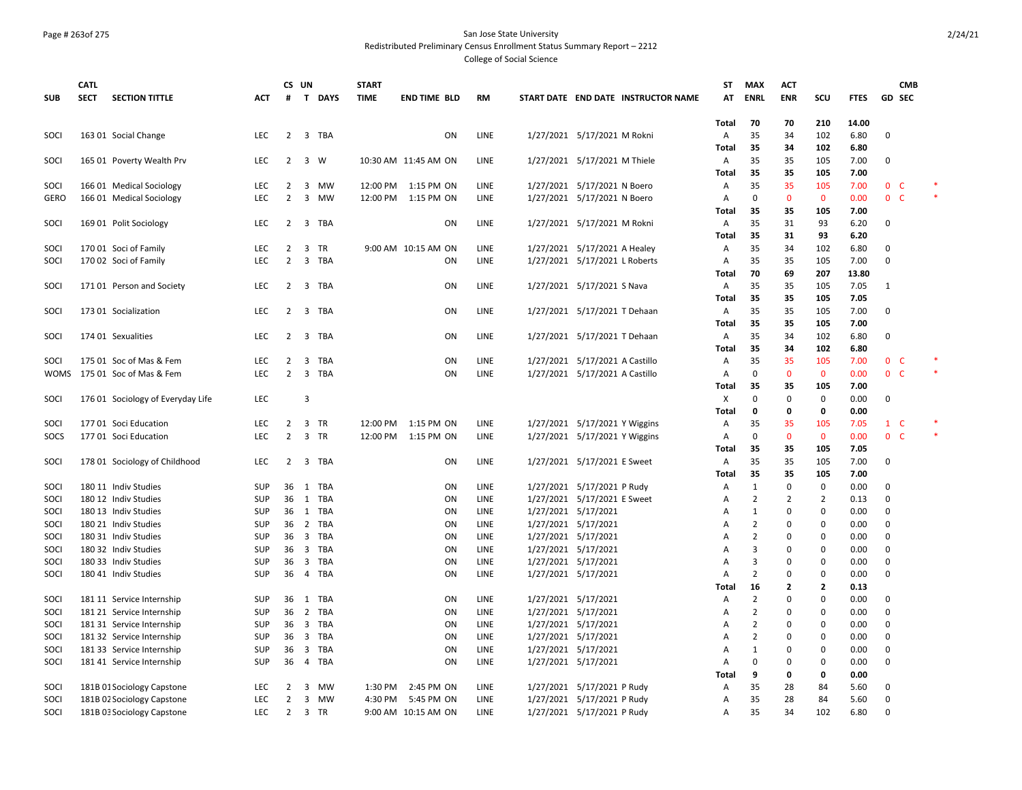#### Page # 263of 275 San Jose State University Redistributed Preliminary Census Enrollment Status Summary Report – 2212

|              | <b>CATL</b> |                                   |                          |                     | CS UN          |                   | <b>START</b>         |                                   |              |                                                          | ST                        | MAX            | <b>ACT</b>         |                     |              |                                  | <b>CMB</b> |        |
|--------------|-------------|-----------------------------------|--------------------------|---------------------|----------------|-------------------|----------------------|-----------------------------------|--------------|----------------------------------------------------------|---------------------------|----------------|--------------------|---------------------|--------------|----------------------------------|------------|--------|
| <b>SUB</b>   | <b>SECT</b> | <b>SECTION TITTLE</b>             | <b>ACT</b>               | #                   |                | T DAYS            | <b>TIME</b>          | <b>END TIME BLD</b>               | <b>RM</b>    | START DATE END DATE INSTRUCTOR NAME                      | AT                        | <b>ENRL</b>    | <b>ENR</b>         | SCU                 | <b>FTES</b>  | <b>GD SEC</b>                    |            |        |
|              |             |                                   |                          |                     |                |                   |                      |                                   |              |                                                          |                           |                |                    |                     |              |                                  |            |        |
|              |             |                                   |                          |                     |                |                   |                      |                                   |              |                                                          | Total                     | 70             | 70                 | 210                 | 14.00        |                                  |            |        |
| SOCI         |             | 163 01 Social Change              | <b>LEC</b>               | 2                   | 3              | TBA               |                      | ON                                | LINE         | 1/27/2021 5/17/2021 M Rokni                              | Α                         | 35             | 34                 | 102                 | 6.80         | $\mathbf 0$                      |            |        |
|              |             |                                   |                          |                     |                |                   |                      |                                   |              |                                                          | Total                     | 35             | 34                 | 102                 | 6.80         |                                  |            |        |
| SOCI         |             | 165 01 Poverty Wealth Prv         | <b>LEC</b>               | 2                   | 3              | W                 |                      | 10:30 AM 11:45 AM ON              | LINE         | 1/27/2021 5/17/2021 M Thiele                             | Α                         | 35             | 35                 | 105                 | 7.00         | 0                                |            |        |
|              |             |                                   |                          |                     |                |                   |                      |                                   |              |                                                          | <b>Total</b>              | 35<br>35       | 35                 | 105                 | 7.00         |                                  |            |        |
| SOCI<br>GERO |             | 166 01 Medical Sociology          | <b>LEC</b><br><b>LEC</b> | 2<br>$\overline{2}$ | 3              | 3 MW<br><b>MW</b> | 12:00 PM<br>12:00 PM | 1:15 PM ON<br>1:15 PM ON          | LINE<br>LINE | 1/27/2021 5/17/2021 N Boero                              | Α                         | $\mathbf 0$    | 35<br>$\mathbf{0}$ | 105<br>$\mathbf{0}$ | 7.00<br>0.00 | 0 <sub>c</sub><br>0 <sub>c</sub> |            |        |
|              |             | 166 01 Medical Sociology          |                          |                     |                |                   |                      |                                   |              | 1/27/2021 5/17/2021 N Boero                              | Α<br>Total                | 35             | 35                 | 105                 | 7.00         |                                  |            |        |
| SOCI         |             | 169 01 Polit Sociology            | <b>LEC</b>               | 2                   |                | 3 TBA             |                      | <b>ON</b>                         | LINE         | 1/27/2021 5/17/2021 M Rokni                              | Α                         | 35             | 31                 | 93                  | 6.20         | $\mathbf 0$                      |            |        |
|              |             |                                   |                          |                     |                |                   |                      |                                   |              |                                                          | Total                     | 35             | 31                 | 93                  | 6.20         |                                  |            |        |
| SOCI         |             | 170 01 Soci of Family             | <b>LEC</b>               | 2                   | 3              | <b>TR</b>         |                      | 9:00 AM 10:15 AM ON               | LINE         | 1/27/2021 5/17/2021 A Healey                             | A                         | 35             | 34                 | 102                 | 6.80         | 0                                |            |        |
| SOCI         |             | 170 02 Soci of Family             | LEC                      | $\overline{2}$      |                | 3 TBA             |                      | <b>ON</b>                         | LINE         | 1/27/2021 5/17/2021 L Roberts                            | Α                         | 35             | 35                 | 105                 | 7.00         | $\mathbf 0$                      |            |        |
|              |             |                                   |                          |                     |                |                   |                      |                                   |              |                                                          | Total                     | 70             | 69                 | 207                 | 13.80        |                                  |            |        |
| SOCI         |             | 17101 Person and Society          | <b>LEC</b>               | 2                   |                | 3 TBA             |                      | ON                                | LINE         | 1/27/2021 5/17/2021 S Nava                               | A                         | 35             | 35                 | 105                 | 7.05         | 1                                |            |        |
|              |             |                                   |                          |                     |                |                   |                      |                                   |              |                                                          | Total                     | 35             | 35                 | 105                 | 7.05         |                                  |            |        |
| SOCI         |             | 173 01 Socialization              | <b>LEC</b>               | 2                   |                | 3 TBA             |                      | ON                                | LINE         | 1/27/2021 5/17/2021 T Dehaan                             | Α                         | 35             | 35                 | 105                 | 7.00         | $\mathbf 0$                      |            |        |
|              |             |                                   |                          |                     |                |                   |                      |                                   |              |                                                          | Total                     | 35             | 35                 | 105                 | 7.00         |                                  |            |        |
| SOCI         |             | 174 01 Sexualities                | <b>LEC</b>               | $\overline{2}$      | 3              | TBA               |                      | ON                                | LINE         | 1/27/2021 5/17/2021 T Dehaan                             | A                         | 35             | 34                 | 102                 | 6.80         | $\mathbf 0$                      |            |        |
|              |             |                                   |                          |                     |                |                   |                      |                                   |              |                                                          | <b>Total</b>              | 35             | 34                 | 102                 | 6.80         |                                  |            |        |
| SOCI         |             | 175 01 Soc of Mas & Fem           | <b>LEC</b>               | 2                   | 3              | TBA               |                      | ON                                | LINE         | 1/27/2021 5/17/2021 A Castillo                           | Α                         | 35             | 35                 | 105                 | 7.00         | 0 <sub>c</sub>                   |            |        |
| WOMS         |             | 175 01 Soc of Mas & Fem           | <b>LEC</b>               | $\overline{2}$      | $\overline{3}$ | <b>TBA</b>        |                      | <b>ON</b>                         | LINE         | 1/27/2021 5/17/2021 A Castillo                           | Α                         | $\mathbf 0$    | $\mathbf{0}$       | $\mathbf{0}$        | 0.00         | 0 <sup>o</sup>                   |            | $\ast$ |
|              |             |                                   |                          |                     |                |                   |                      |                                   |              |                                                          | Total                     | 35             | 35                 | 105                 | 7.00         |                                  |            |        |
| SOCI         |             | 176 01 Sociology of Everyday Life | <b>LEC</b>               |                     | $\overline{3}$ |                   |                      |                                   |              |                                                          | $\boldsymbol{\mathsf{X}}$ | $\Omega$       | $\mathbf 0$        | $\mathbf{0}$        | 0.00         | $\mathbf 0$                      |            |        |
|              |             |                                   |                          |                     |                |                   |                      |                                   |              |                                                          | Total                     | $\mathbf 0$    | 0                  | 0                   | 0.00         |                                  |            |        |
| SOCI         |             | 177 01 Soci Education             | LEC                      | $\overline{2}$      | $\overline{3}$ | TR                | 12:00 PM             | 1:15 PM ON                        | <b>LINE</b>  | 1/27/2021 5/17/2021 Y Wiggins                            | Α                         | 35             | 35                 | 105                 | 7.05         | $1\quad C$                       |            |        |
| SOCS         |             | 177 01 Soci Education             | <b>LEC</b>               | $\overline{2}$      | $\overline{3}$ | <b>TR</b>         |                      | 12:00 PM 1:15 PM ON               | LINE         | 1/27/2021 5/17/2021 Y Wiggins                            | $\mathsf{A}$              | $\mathbf 0$    | $\mathbf{0}$       | $\mathbf{0}$        | 0.00         | 0 <sup>o</sup>                   |            | $\ast$ |
|              |             |                                   |                          |                     |                |                   |                      |                                   |              |                                                          | Total                     | 35             | 35                 | 105                 | 7.05         |                                  |            |        |
| SOCI         |             | 178 01 Sociology of Childhood     | <b>LEC</b>               | 2                   |                | 3 TBA             |                      | ON                                | LINE         | 1/27/2021 5/17/2021 E Sweet                              | Α                         | 35             | 35                 | 105                 | 7.00         | $\mathbf 0$                      |            |        |
|              |             |                                   |                          |                     |                |                   |                      |                                   |              |                                                          | Total                     | 35             | 35                 | 105                 | 7.00         |                                  |            |        |
| SOCI         |             | 180 11 Indiv Studies              | <b>SUP</b>               | 36                  | 1              | TBA               |                      | ON                                | LINE         | 1/27/2021 5/17/2021 P Rudy                               | Α                         | $\mathbf{1}$   | 0                  | $\pmb{0}$           | 0.00         | 0                                |            |        |
| SOCI         |             | 180 12 Indiv Studies              | <b>SUP</b>               | 36                  |                | 1 TBA             |                      | ON                                | LINE         | 1/27/2021 5/17/2021 E Sweet                              | Α                         | $\overline{2}$ | $\overline{2}$     | $\overline{2}$      | 0.13         | $\mathbf 0$                      |            |        |
| SOCI         |             | 180 13 Indiv Studies              | SUP                      | 36                  |                | 1 TBA             |                      | ON                                | LINE         | 1/27/2021 5/17/2021                                      | Α                         | $\mathbf{1}$   | 0                  | $\mathbf 0$         | 0.00         | $\mathbf 0$                      |            |        |
| SOCI         |             | 180 21 Indiv Studies              | <b>SUP</b>               | 36                  |                | 2 TBA             |                      | ON                                | LINE         | 1/27/2021 5/17/2021                                      | A                         | $\overline{2}$ | 0                  | $\mathbf 0$         | 0.00         | $\mathbf 0$                      |            |        |
| SOCI         |             | 180 31 Indiv Studies              | <b>SUP</b>               | 36                  |                | 3 TBA             |                      | ON                                | LINE         | 1/27/2021 5/17/2021                                      | Α                         | $\overline{2}$ | $\Omega$           | $\pmb{0}$           | 0.00         | $\mathbf 0$                      |            |        |
| SOCI         |             | 180 32 Indiv Studies              | <b>SUP</b>               | 36                  |                | 3 TBA             |                      | ON                                | LINE         | 1/27/2021 5/17/2021                                      | A                         | $\overline{3}$ | 0                  | $\mathbf 0$         | 0.00         | $\mathbf 0$                      |            |        |
| SOCI         |             | 180 33 Indiv Studies              | <b>SUP</b>               | 36                  |                | 3 TBA             |                      | ON                                | LINE         | 1/27/2021 5/17/2021                                      | Α                         | 3              | 0                  | 0                   | 0.00         | $\mathbf 0$                      |            |        |
| SOCI         |             | 180 41 Indiv Studies              | SUP                      | 36                  | $\overline{4}$ | <b>TBA</b>        |                      | ON                                | LINE         | 1/27/2021 5/17/2021                                      | A                         | $\overline{2}$ | 0                  | $\Omega$            | 0.00         | $\mathbf 0$                      |            |        |
|              |             |                                   |                          |                     |                |                   |                      |                                   |              |                                                          | Total                     | 16             | 2                  | 2                   | 0.13         |                                  |            |        |
| SOCI         |             | 181 11 Service Internship         | <b>SUP</b>               | 36                  | 1              | <b>TBA</b>        |                      | <b>ON</b>                         | LINE         | 1/27/2021 5/17/2021                                      | A                         | $\overline{2}$ | $\Omega$           | $\Omega$            | 0.00         | $\mathbf 0$                      |            |        |
| SOCI         |             | 181 21 Service Internship         | <b>SUP</b>               | 36                  | $\overline{2}$ | <b>TBA</b>        |                      | ON                                | LINE         | 1/27/2021 5/17/2021                                      | Α                         | $\overline{2}$ | 0                  | $\Omega$            | 0.00         | 0                                |            |        |
| SOCI         |             | 181 31 Service Internship         | <b>SUP</b>               | 36                  | $\overline{3}$ | <b>TBA</b>        |                      | <b>ON</b>                         | LINE         | 1/27/2021 5/17/2021                                      | A                         | $\overline{2}$ | $\Omega$           | $\mathbf 0$         | 0.00         | $\mathbf 0$                      |            |        |
| SOCI         |             | 181 32 Service Internship         | <b>SUP</b>               | 36                  |                | 3 TBA             |                      | ON                                | LINE         | 1/27/2021 5/17/2021                                      | Α                         | $\overline{2}$ | 0                  | 0                   | 0.00         | $\mathbf 0$                      |            |        |
| SOCI         |             | 181 33 Service Internship         | <b>SUP</b>               | 36                  | $\overline{3}$ | TBA               |                      | ON                                | LINE         | 1/27/2021 5/17/2021                                      | Α                         | $\mathbf{1}$   | 0                  | $\mathbf 0$         | 0.00         | 0                                |            |        |
| SOCI         |             | 181 41 Service Internship         | <b>SUP</b>               | 36                  |                | 4 TBA             |                      | ON                                | LINE         | 1/27/2021 5/17/2021                                      | Α                         | $\mathbf 0$    | 0                  | $\mathbf 0$         | 0.00         | $\mathbf 0$                      |            |        |
|              |             |                                   |                          |                     |                |                   |                      |                                   |              |                                                          | <b>Total</b>              | 9              | 0                  | 0                   | 0.00         |                                  |            |        |
| SOCI         |             | 181B 01 Sociology Capstone        | <b>LEC</b><br><b>LEC</b> | 2                   | 3              | <b>MW</b>         | 1:30 PM              | 2:45 PM ON                        | LINE         | 1/27/2021 5/17/2021 P Rudy                               | Α                         | 35<br>35       | 28<br>28           | 84                  | 5.60         | 0<br>$\Omega$                    |            |        |
| SOCI<br>SOCI |             | 181B 02 Sociology Capstone        | LEC                      | 2<br>$\overline{2}$ | 3              | <b>MW</b><br>3 TR | 4:30 PM              | 5:45 PM ON<br>9:00 AM 10:15 AM ON | LINE<br>LINE | 1/27/2021 5/17/2021 P Rudy<br>1/27/2021 5/17/2021 P Rudy | A                         | 35             | 34                 | 84<br>102           | 5.60<br>6.80 | $\Omega$                         |            |        |
|              |             | 181B 03 Sociology Capstone        |                          |                     |                |                   |                      |                                   |              |                                                          | A                         |                |                    |                     |              |                                  |            |        |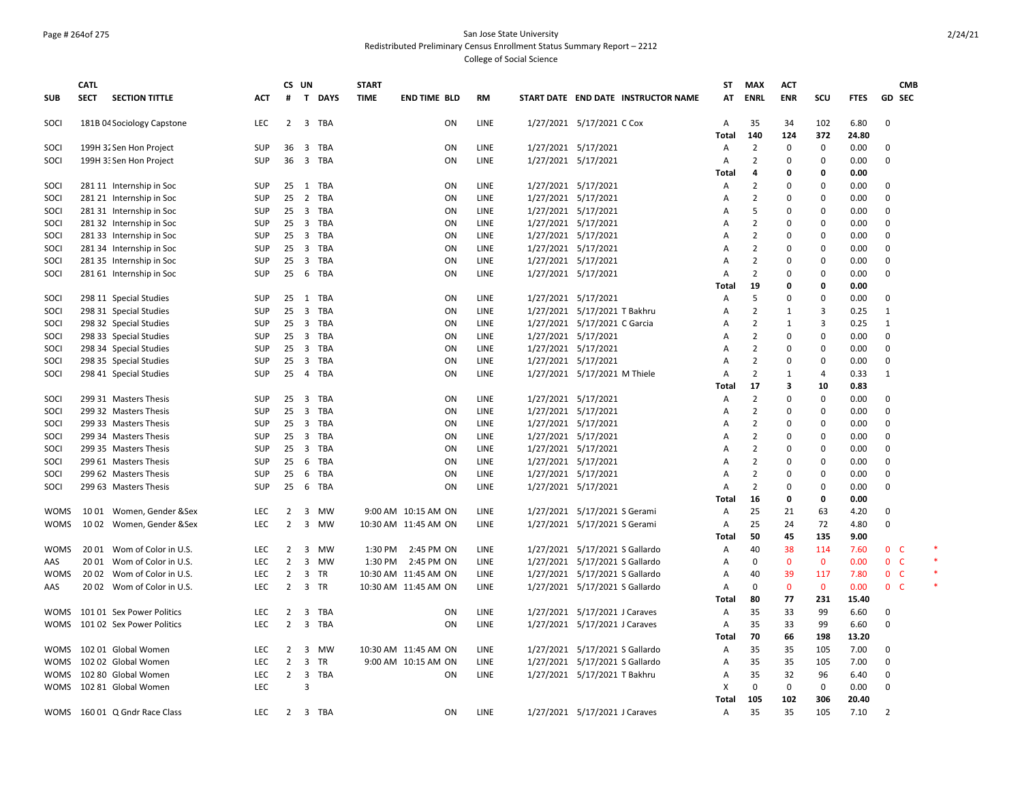### Page # 264of 275 San Jose State University Redistributed Preliminary Census Enrollment Status Summary Report – 2212

|             | <b>CATL</b> |                               |            |                | CS UN                                 | <b>START</b> |                      |             |                                     | <b>ST</b>      | <b>MAX</b>                       | <b>ACT</b>              |                     |             | <b>CMB</b>               |  |
|-------------|-------------|-------------------------------|------------|----------------|---------------------------------------|--------------|----------------------|-------------|-------------------------------------|----------------|----------------------------------|-------------------------|---------------------|-------------|--------------------------|--|
| <b>SUB</b>  | <b>SECT</b> | <b>SECTION TITTLE</b>         | <b>ACT</b> | #              | $\mathbf{T}$<br><b>DAYS</b>           | <b>TIME</b>  | <b>END TIME BLD</b>  | <b>RM</b>   | START DATE END DATE INSTRUCTOR NAME | AT             | <b>ENRL</b>                      | <b>ENR</b>              | SCU                 | <b>FTES</b> | GD SEC                   |  |
| SOCI        |             | 181B 04 Sociology Capstone    | <b>LEC</b> | $2^{\circ}$    | 3 TBA                                 |              | ON                   | LINE        | 1/27/2021 5/17/2021 C Cox           | Α              | 35                               | 34                      | 102                 | 6.80        | $\Omega$                 |  |
|             |             |                               |            |                |                                       |              |                      |             |                                     | Total          | 140                              | 124                     | 372                 | 24.80       |                          |  |
| SOCI        |             | 199H 32 Sen Hon Project       | <b>SUP</b> | 36             | $\overline{\mathbf{3}}$<br>TBA        |              | ON                   | LINE        | 1/27/2021 5/17/2021                 | A              | $\overline{2}$                   | 0                       | $\mathbf 0$         | 0.00        | $\Omega$                 |  |
| SOCI        |             | 199H 3: Sen Hon Project       | <b>SUP</b> | 36             | $\overline{\mathbf{3}}$<br>TBA        |              | ON                   | LINE        | 1/27/2021 5/17/2021                 | A              | $\overline{2}$                   | 0                       | $\mathbf{0}$        | 0.00        | $\mathbf 0$              |  |
|             |             |                               |            |                |                                       |              |                      |             |                                     | Total          | 4                                | 0                       | 0                   | 0.00        |                          |  |
| SOCI        |             | 281 11 Internship in Soc      | <b>SUP</b> | 25             | 1 TBA                                 |              | ON                   | LINE        | 1/27/2021 5/17/2021                 | Α              | $\overline{2}$                   | 0                       | $\Omega$            | 0.00        | 0<br>$\Omega$            |  |
| SOCI        |             | 281 21 Internship in Soc      | SUP        | 25             | 2 TBA                                 |              | ON                   | LINE        | 1/27/2021 5/17/2021                 | A              | $\overline{2}$                   | 0                       | $\mathbf 0$         | 0.00        |                          |  |
| SOCI        |             | 281 31 Internship in Soc      | SUP        | 25             | 3 TBA                                 |              | ON                   | LINE        | 1/27/2021 5/17/2021                 | $\overline{A}$ | 5<br>$\overline{2}$              | 0                       | $\Omega$            | 0.00        | $\Omega$                 |  |
| SOCI        |             | 281 32 Internship in Soc      | <b>SUP</b> | 25             | 3 TBA                                 |              | ON                   | LINE        | 1/27/2021 5/17/2021                 | Α              |                                  | 0                       | 0                   | 0.00        | $\Omega$<br>$\Omega$     |  |
| SOCI        |             | 281 33 Internship in Soc      | <b>SUP</b> | 25             | 3 TBA                                 |              | ON                   | LINE        | 1/27/2021 5/17/2021                 | A              | $\overline{2}$<br>$\overline{2}$ | $\mathbf 0$<br>$\Omega$ | $\Omega$            | 0.00        | $\Omega$                 |  |
| SOCI        |             | 281 34 Internship in Soc      | <b>SUP</b> | 25             | $\overline{3}$<br><b>TBA</b>          |              | ON                   | LINE        | 1/27/2021 5/17/2021                 | $\overline{A}$ | $\overline{2}$                   |                         | $\Omega$            | 0.00        | $\Omega$                 |  |
| SOCI        |             | 281 35 Internship in Soc      | <b>SUP</b> | 25             | 3 TBA                                 |              | ON                   | LINE        | 1/27/2021 5/17/2021                 | A              | $\overline{2}$                   | 0                       | $\mathbf 0$         | 0.00        | $\Omega$                 |  |
| SOCI        |             | 281 61 Internship in Soc      | <b>SUP</b> | 25             | 6<br>TBA                              |              | <b>ON</b>            | LINE        | 1/27/2021 5/17/2021                 | $\overline{A}$ |                                  | $\mathbf 0$             | $\Omega$            | 0.00        |                          |  |
|             |             |                               |            |                |                                       |              |                      |             |                                     | Total          | 19                               | 0                       | 0                   | 0.00        |                          |  |
| SOCI        |             | 298 11 Special Studies        | SUP        | 25             | 1<br>TBA                              |              | ON                   | LINE        | 1/27/2021 5/17/2021                 | A              | 5                                | 0                       | $\mathbf 0$         | 0.00        | $\mathbf 0$              |  |
| SOCI        |             | 298 31 Special Studies        | <b>SUP</b> | 25             | $\overline{\mathbf{3}}$<br><b>TBA</b> |              | ON                   | LINE        | 1/27/2021 5/17/2021 T Bakhru        | A              | $\overline{2}$<br>$\overline{2}$ | 1                       | 3<br>$\overline{3}$ | 0.25        | $\mathbf{1}$             |  |
| SOCI        |             | 298 32 Special Studies        | SUP        | 25             | 3 TBA                                 |              | ON                   | LINE        | 1/27/2021 5/17/2021 C Garcia        | Α              | $\overline{2}$                   | $\mathbf{1}$            | $\Omega$            | 0.25        | $\mathbf{1}$<br>$\Omega$ |  |
| SOCI        |             | 298 33 Special Studies        | SUP        | 25             | $\overline{\mathbf{3}}$<br>TBA        |              | ON                   | LINE        | 1/27/2021 5/17/2021                 | A              |                                  | $\mathbf 0$             |                     | 0.00        |                          |  |
| SOCI        |             | 298 34 Special Studies        | SUP        | 25             | 3 TBA                                 |              | ON                   | LINE        | 1/27/2021 5/17/2021                 | $\overline{A}$ | $\overline{2}$                   | 0                       | 0                   | 0.00        | $\Omega$                 |  |
| SOCI        |             | 298 35 Special Studies        | SUP        | 25             | 3 TBA                                 |              | ON                   | LINE        | 1/27/2021 5/17/2021                 | A              | $\overline{2}$                   | $\mathbf 0$             | 0                   | 0.00        | $\mathbf 0$              |  |
| SOCI        |             | 298 41 Special Studies        | <b>SUP</b> | 25             | 4 TBA                                 |              | <b>ON</b>            | LINE        | 1/27/2021 5/17/2021 M Thiele        | $\overline{A}$ | $\overline{2}$                   | 1                       | 4                   | 0.33        | $\mathbf{1}$             |  |
|             |             |                               |            |                |                                       |              |                      |             |                                     | <b>Total</b>   | 17                               | 3                       | 10                  | 0.83        |                          |  |
| SOCI        |             | 299 31 Masters Thesis         | <b>SUP</b> | 25             | $\overline{\mathbf{3}}$<br>TBA        |              | ON                   | LINE        | 1/27/2021 5/17/2021                 | Α              | $\overline{2}$                   | 0                       | 0                   | 0.00        | $\Omega$                 |  |
| SOCI        |             | 299 32 Masters Thesis         | SUP        | 25             | $\overline{\mathbf{3}}$<br>TBA        |              | ON                   | LINE        | 1/27/2021 5/17/2021                 | A              | $\overline{2}$                   | 0                       | $\Omega$            | 0.00        | $\Omega$                 |  |
| SOCI        |             | 299 33 Masters Thesis         | <b>SUP</b> | 25             | 3 TBA                                 |              | ON                   | LINE        | 1/27/2021 5/17/2021                 | A              | $\overline{2}$                   | 0                       | $\mathbf 0$         | 0.00        | 0                        |  |
| SOCI        |             | 299 34 Masters Thesis         | <b>SUP</b> | 25             | $\overline{3}$<br>TBA                 |              | ON                   | LINE        | 1/27/2021 5/17/2021                 | A              | $\overline{2}$                   | $\mathbf 0$             | $\Omega$            | 0.00        | $\Omega$                 |  |
| SOCI        |             | 299 35 Masters Thesis         | <b>SUP</b> | 25             | $\overline{\mathbf{3}}$<br>TBA        |              | ON                   | LINE        | 1/27/2021 5/17/2021                 | $\overline{A}$ | $\overline{2}$                   | 0                       | $\mathbf{0}$        | 0.00        | $\Omega$                 |  |
| SOCI        |             | 299 61 Masters Thesis         | SUP        | 25             | 6<br><b>TBA</b>                       |              | ON                   | LINE        | 1/27/2021 5/17/2021                 | A              | $\overline{2}$                   | 0                       | 0                   | 0.00        | $\Omega$                 |  |
| SOCI        |             | 299 62 Masters Thesis         | <b>SUP</b> | 25             | 6<br>TBA                              |              | ON                   | LINE        | 1/27/2021 5/17/2021                 | $\overline{A}$ | $\overline{2}$                   | $\mathbf 0$             | 0                   | 0.00        | $\Omega$                 |  |
| SOCI        |             | 299 63 Masters Thesis         | <b>SUP</b> | 25             | 6<br><b>TBA</b>                       |              | ON                   | LINE        | 1/27/2021 5/17/2021                 | A              | $\overline{2}$                   | 0                       | 0                   | 0.00        | $\Omega$                 |  |
|             |             |                               |            |                |                                       |              |                      |             |                                     | Total          | 16                               | 0                       | $\mathbf{0}$        | 0.00        |                          |  |
| <b>WOMS</b> |             | 1001 Women, Gender &Sex       | <b>LEC</b> | 2              | 3<br>MW                               |              | 9:00 AM 10:15 AM ON  | LINE        | 1/27/2021 5/17/2021 S Gerami        | A              | 25                               | 21                      | 63                  | 4.20        | $\Omega$                 |  |
| <b>WOMS</b> |             | 1002 Women, Gender &Sex       | <b>LEC</b> | $\overline{2}$ | $\overline{\mathbf{3}}$<br>MW         |              | 10:30 AM 11:45 AM ON | <b>LINE</b> | 1/27/2021 5/17/2021 S Gerami        | Α              | 25                               | 24                      | 72                  | 4.80        | $\Omega$                 |  |
|             |             |                               |            |                |                                       |              |                      |             |                                     | Total          | 50                               | 45                      | 135                 | 9.00        |                          |  |
| <b>WOMS</b> | 20 01       | Wom of Color in U.S.          | <b>LEC</b> | 2              | 3<br>MW                               | 1:30 PM      | 2:45 PM ON           | LINE        | 1/27/2021 5/17/2021 S Gallardo      | A              | 40                               | 38                      | 114                 | 7.60        | 0 <sub>c</sub>           |  |
| AAS         | 20 01       | Wom of Color in U.S.          | LEC        | $\overline{2}$ | $\overline{\mathbf{3}}$<br><b>MW</b>  | 1:30 PM      | 2:45 PM ON           | LINE        | 1/27/2021 5/17/2021 S Gallardo      | A              | 0                                | $\mathbf 0$             | $\mathbf 0$         | 0.00        | 0 <sub>c</sub>           |  |
| <b>WOMS</b> | 20 02       | Wom of Color in U.S.          | LEC        | $\overline{2}$ | 3<br>TR                               |              | 10:30 AM 11:45 AM ON | LINE        | 1/27/2021 5/17/2021 S Gallardo      | A              | 40                               | 39                      | 117                 | 7.80        | 0 <sub>c</sub>           |  |
| AAS         |             | 2002 Wom of Color in U.S.     | <b>LEC</b> | $2^{\circ}$    | 3 TR                                  |              | 10:30 AM 11:45 AM ON | LINE        | 1/27/2021 5/17/2021 S Gallardo      | Α              | $\Omega$                         | $\mathbf 0$             | $\mathbf{0}$        | 0.00        | 0 <sup>o</sup>           |  |
|             |             |                               |            |                |                                       |              |                      |             |                                     | Total          | 80                               | 77                      | 231                 | 15.40       |                          |  |
| <b>WOMS</b> |             | 101 01 Sex Power Politics     | <b>LEC</b> | 2              | 3<br>TBA                              |              | ON                   | LINE        | 1/27/2021 5/17/2021 J Caraves       | A              | 35                               | 33                      | 99                  | 6.60        | $\Omega$                 |  |
| <b>WOMS</b> |             | 101 02 Sex Power Politics     | LEC        | $\overline{2}$ | 3 TBA                                 |              | ON                   | LINE        | 1/27/2021 5/17/2021 J Caraves       | A              | 35                               | 33                      | 99                  | 6.60        | $\Omega$                 |  |
|             |             |                               |            |                |                                       |              |                      |             |                                     | Total          | 70                               | 66                      | 198                 | 13.20       |                          |  |
| <b>WOMS</b> |             | 102 01 Global Women           | <b>LEC</b> | 2              | 3<br>MW                               |              | 10:30 AM 11:45 AM ON | LINE        | 1/27/2021 5/17/2021 S Gallardo      | Α              | 35                               | 35                      | 105                 | 7.00        | $\Omega$                 |  |
| <b>WOMS</b> |             | 102 02 Global Women           | <b>LEC</b> | $\overline{2}$ | $\overline{\mathbf{3}}$<br>TR         |              | 9:00 AM 10:15 AM ON  | LINE        | 1/27/2021 5/17/2021 S Gallardo      | A              | 35                               | 35                      | 105                 | 7.00        | $\Omega$                 |  |
| <b>WOMS</b> |             | 102 80 Global Women           | <b>LEC</b> | $\overline{2}$ | $\overline{\mathbf{3}}$<br>TBA        |              | <b>ON</b>            | LINE        | 1/27/2021 5/17/2021 T Bakhru        | A              | 35                               | 32                      | 96                  | 6.40        | $\Omega$                 |  |
| <b>WOMS</b> |             | 102 81 Global Women           | LEC        |                | 3                                     |              |                      |             |                                     | X              | $\Omega$                         | $\mathsf 0$             | $\mathbf 0$         | 0.00        | $\Omega$                 |  |
|             |             |                               |            |                |                                       |              |                      |             |                                     | Total          | 105                              | 102                     | 306                 | 20.40       |                          |  |
|             |             | WOMS 160 01 Q Gndr Race Class | LEC        |                | 2 3 TBA                               |              | <b>ON</b>            | LINE        | 1/27/2021 5/17/2021 J Caraves       | Α              | 35                               | 35                      | 105                 | 7.10        | $\overline{2}$           |  |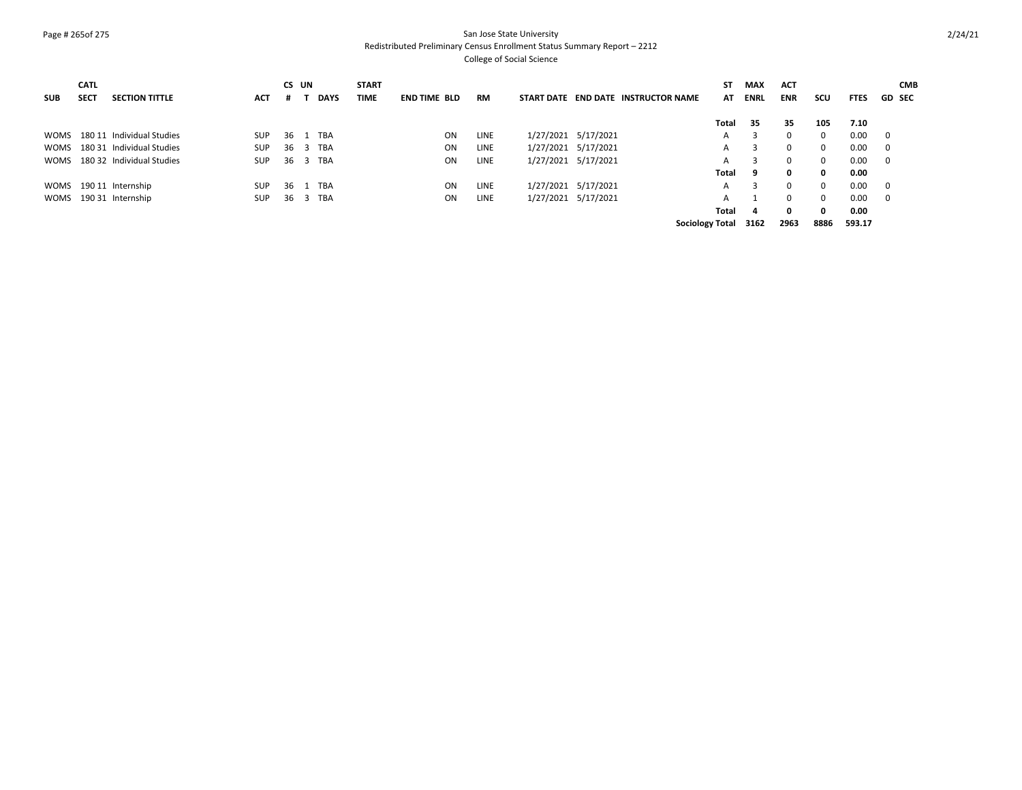# Page # 265of 275 San Jose State University Redistributed Preliminary Census Enrollment Status Summary Report – 2212

| <b>SUB</b> | <b>CATL</b><br><b>SECT</b> | <b>SECTION TITTLE</b>          | <b>ACT</b> | CS UN<br># |                | <b>DAYS</b> | <b>START</b><br><b>TIME</b> | <b>END TIME BLD</b> | <b>RM</b> | START DATE END DATE INSTRUCTOR NAME | SΤ<br>AT               | MAX<br><b>ENRL</b> | <b>ACT</b><br><b>ENR</b> | scu      | <b>FTES</b> | <b>CMB</b><br><b>GD SEC</b> |
|------------|----------------------------|--------------------------------|------------|------------|----------------|-------------|-----------------------------|---------------------|-----------|-------------------------------------|------------------------|--------------------|--------------------------|----------|-------------|-----------------------------|
|            |                            |                                |            |            |                |             |                             |                     |           |                                     | Total                  | -35                | 35                       | 105      | 7.10        |                             |
|            |                            | WOMS 180 11 Individual Studies | <b>SUP</b> |            |                | 36 1 TBA    |                             | <b>ON</b>           | LINE      | 1/27/2021 5/17/2021                 | $\mathsf{A}$           | $\mathbf{R}$       | $\mathbf{0}$             | 0        | 0.00        | $\overline{\phantom{0}}$    |
|            |                            | WOMS 180 31 Individual Studies | <b>SUP</b> | 36         |                | 3 TBA       |                             | <b>ON</b>           | LINE      | 1/27/2021 5/17/2021                 | A                      | 3                  | $\Omega$                 | $\Omega$ | 0.00        | - 0                         |
|            |                            | WOMS 180 32 Individual Studies | <b>SUP</b> | 36         |                | 3 TBA       |                             | ON                  | LINE      | 1/27/2021 5/17/2021                 | A                      | 3                  | $\mathbf{0}$             | 0        | 0.00        | $\mathbf 0$                 |
|            |                            |                                |            |            |                |             |                             |                     |           |                                     | Total                  | 9                  | $\mathbf{0}$             | 0        | 0.00        |                             |
|            |                            | WOMS 190 11 Internship         | <b>SUP</b> | 36 1       |                | TBA         |                             | ON                  | LINE      | 1/27/2021 5/17/2021                 | A                      | 3                  | $\Omega$                 | $\Omega$ | 0.00        | - 0                         |
|            |                            | WOMS 190 31 Internship         | <b>SUP</b> | 36         | $\overline{3}$ | TBA         |                             | <b>ON</b>           | LINE      | 1/27/2021 5/17/2021                 | A                      |                    | $\Omega$                 | $\Omega$ | 0.00        | $\Omega$                    |
|            |                            |                                |            |            |                |             |                             |                     |           |                                     | Total                  | 4                  | 0                        | 0        | 0.00        |                             |
|            |                            |                                |            |            |                |             |                             |                     |           |                                     | <b>Sociology Total</b> | 3162               | 2963                     | 8886     | 593.17      |                             |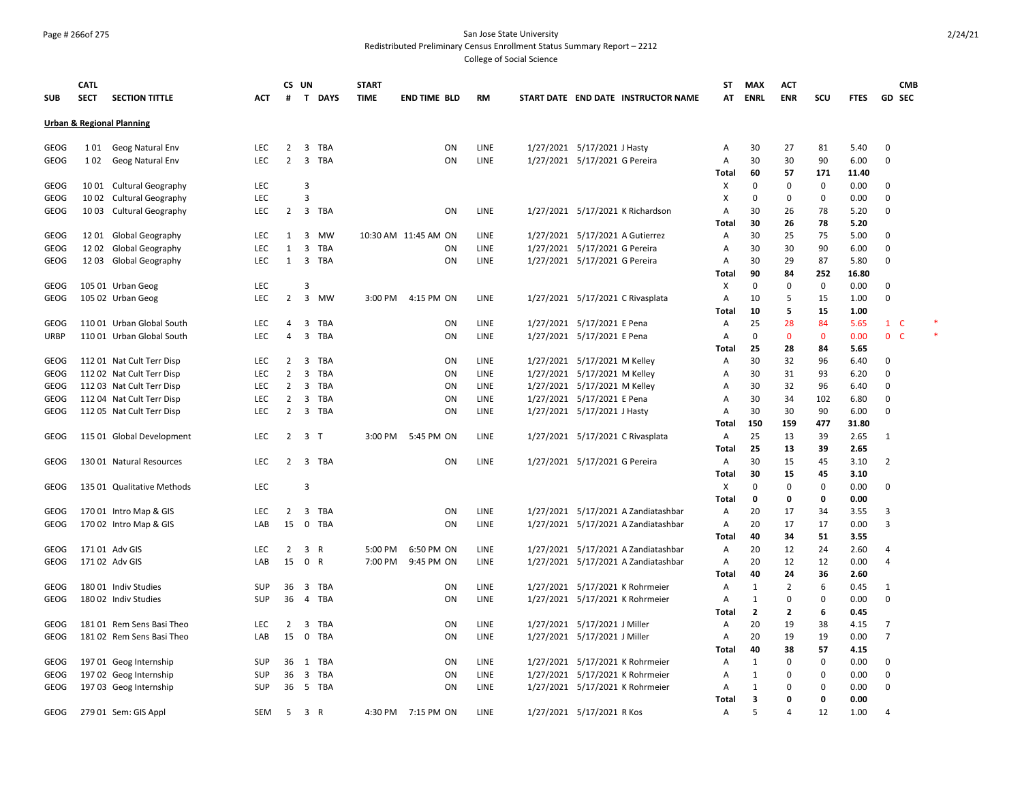#### Page # 266of 275 San Jose State University Redistributed Preliminary Census Enrollment Status Summary Report – 2212

|              | <b>CATL</b> |                                                        |            | CS UN          |                             | <b>START</b> |                      |           |                                 |                                     | ST             | MAX                  | <b>ACT</b>           |             |              | <b>CMB</b>          |   |
|--------------|-------------|--------------------------------------------------------|------------|----------------|-----------------------------|--------------|----------------------|-----------|---------------------------------|-------------------------------------|----------------|----------------------|----------------------|-------------|--------------|---------------------|---|
| <b>SUB</b>   | <b>SECT</b> | <b>SECTION TITTLE</b>                                  | <b>ACT</b> | #              | $\mathbf{T}$<br><b>DAYS</b> | <b>TIME</b>  | <b>END TIME BLD</b>  | <b>RM</b> |                                 | START DATE END DATE INSTRUCTOR NAME | AT             | <b>ENRL</b>          | <b>ENR</b>           | SCU         | <b>FTES</b>  | <b>GD SEC</b>       |   |
|              |             | <b>Urban &amp; Regional Planning</b>                   |            |                |                             |              |                      |           |                                 |                                     |                |                      |                      |             |              |                     |   |
|              |             |                                                        |            |                |                             |              |                      |           |                                 |                                     |                |                      |                      |             |              |                     |   |
| <b>GEOG</b>  | 1 0 1       | Geog Natural Env                                       | LEC        | 2              | 3<br>TBA                    |              | ON                   | LINE      | 1/27/2021 5/17/2021 J Hasty     |                                     | Α              | 30                   | 27                   | 81          | 5.40         | $\Omega$            |   |
| GEOG         | 102         | Geog Natural Env                                       | <b>LEC</b> | $\overline{2}$ | 3<br>TBA                    |              | ON                   | LINE      | 1/27/2021 5/17/2021 G Pereira   |                                     | A              | 30                   | 30                   | 90          | 6.00         | $\mathbf 0$         |   |
|              |             |                                                        |            |                |                             |              |                      |           |                                 |                                     | <b>Total</b>   | 60                   | 57                   | 171         | 11.40        |                     |   |
| GEOG         |             | 1001 Cultural Geography                                | LEC        |                | 3                           |              |                      |           |                                 |                                     | х              | $\Omega$             | 0                    | $\mathbf 0$ | 0.00         | 0                   |   |
| GEOG         | 10 02       | <b>Cultural Geography</b>                              | <b>LEC</b> |                | 3                           |              |                      |           |                                 |                                     | X              | $\Omega$             | 0                    | 0           | 0.00         | $\Omega$            |   |
| GEOG         |             | 1003 Cultural Geography                                | LEC        | $\overline{2}$ | 3 TBA                       |              | ΟN                   | LINE      |                                 | 1/27/2021 5/17/2021 K Richardson    | Α              | 30                   | 26                   | 78          | 5.20         | $\mathbf 0$         |   |
|              |             |                                                        |            |                |                             |              |                      |           |                                 |                                     | Total          | 30                   | 26                   | 78          | 5.20         |                     |   |
| <b>GEOG</b>  |             | 1201 Global Geography                                  | LEC        | 1              | 3<br>MW                     |              | 10:30 AM 11:45 AM ON | LINE      | 1/27/2021 5/17/2021 A Gutierrez |                                     | Α              | 30                   | 25                   | 75          | 5.00         | 0                   |   |
| <b>GEOG</b>  | 1202        | Global Geography                                       | LEC        | 1              | 3<br><b>TBA</b>             |              | ON                   | LINE      | 1/27/2021 5/17/2021 G Pereira   |                                     | A              | 30                   | 30                   | 90          | 6.00         | $\Omega$            |   |
| GEOG         |             | 12 03 Global Geography                                 | <b>LEC</b> |                | 1 3 TBA                     |              | ON                   | LINE      | 1/27/2021 5/17/2021 G Pereira   |                                     | Α              | 30                   | 29                   | 87          | 5.80         | $\Omega$            |   |
|              |             |                                                        |            |                |                             |              |                      |           |                                 |                                     | Total          | 90                   | 84                   | 252         | 16.80        |                     |   |
| GEOG         |             | 105 01 Urban Geog                                      | LEC        |                | 3                           |              |                      |           |                                 |                                     | х              | $\Omega$             | 0                    | 0           | 0.00         | 0                   |   |
| GEOG         |             | 105 02 Urban Geog                                      | LEC        | $\overline{2}$ | 3<br><b>MW</b>              | 3:00 PM      | 4:15 PM ON           | LINE      |                                 | 1/27/2021 5/17/2021 C Rivasplata    | $\overline{A}$ | 10                   | 5                    | 15          | 1.00         | $\Omega$            |   |
|              |             |                                                        |            |                |                             |              |                      |           |                                 |                                     | Total          | 10                   | 5                    | 15          | 1.00         |                     |   |
| GEOG         |             | 110 01 Urban Global South                              | LEC        | 4              | 3<br>TBA                    |              | ON                   | LINE      | 1/27/2021 5/17/2021 E Pena      |                                     | Α              | 25                   | 28                   | 84          | 5.65         | $1 \quad C$         | × |
| <b>URBP</b>  |             | 110 01 Urban Global South                              | <b>LEC</b> | 4              | 3<br><b>TBA</b>             |              | ON                   | LINE      | 1/27/2021 5/17/2021 E Pena      |                                     | A              | $\Omega$             | $\mathbf 0$          | $\mathbf 0$ | 0.00         | 0 <sub>c</sub>      |   |
|              |             |                                                        |            |                |                             |              |                      |           |                                 |                                     | <b>Total</b>   | 25                   | 28                   | 84          | 5.65         |                     |   |
| GEOG         |             | 112 01 Nat Cult Terr Disp                              | <b>LEC</b> | 2              | 3<br>TBA                    |              | ON                   | LINE      | 1/27/2021 5/17/2021 M Kelley    |                                     | Α              | 30                   | 32                   | 96          | 6.40         | $\Omega$            |   |
| <b>GEOG</b>  |             | 112 02 Nat Cult Terr Disp                              | <b>LEC</b> | $\overline{2}$ | 3<br><b>TBA</b>             |              | ON                   | LINE      | 1/27/2021 5/17/2021 M Kelley    |                                     | A              | 30                   | 31                   | 93          | 6.20         | $\Omega$            |   |
| GEOG         |             | 112 03 Nat Cult Terr Disp                              | LEC        | 2              | 3<br>TBA                    |              | ON                   | LINE      | 1/27/2021 5/17/2021 M Kelley    |                                     | A              | 30                   | 32                   | 96          | 6.40         | $\Omega$            |   |
| GEOG         |             | 112 04 Nat Cult Terr Disp                              | LEC        | 2              | 3<br>TBA                    |              | ON                   | LINE      | 1/27/2021 5/17/2021 E Pena      |                                     | A              | 30                   | 34                   | 102         | 6.80         | $\Omega$            |   |
| GEOG         |             | 112 05 Nat Cult Terr Disp                              | <b>LEC</b> | 2              | 3<br><b>TBA</b>             |              | ON                   | LINE      | 1/27/2021 5/17/2021 J Hasty     |                                     | $\overline{A}$ | 30                   | 30                   | 90          | 6.00         | $\Omega$            |   |
|              |             |                                                        |            |                |                             |              |                      |           |                                 |                                     | Total          | 150                  | 159                  | 477         | 31.80        |                     |   |
| GEOG         |             | 115 01 Global Development                              | <b>LEC</b> | $\overline{2}$ | 3<br>$\mathsf{T}$           | 3:00 PM      | 5:45 PM ON           | LINE      |                                 | 1/27/2021 5/17/2021 C Rivasplata    | $\overline{A}$ | 25                   | 13                   | 39          | 2.65         | 1                   |   |
|              |             |                                                        |            |                |                             |              |                      |           |                                 |                                     | Total          | 25                   | 13                   | 39          | 2.65         |                     |   |
| GEOG         |             | 130 01 Natural Resources                               | <b>LEC</b> | $\overline{2}$ | <b>TBA</b><br>3             |              | ON                   | LINE      | 1/27/2021 5/17/2021 G Pereira   |                                     | $\overline{A}$ | 30                   | 15                   | 45          | 3.10         | $\overline{2}$      |   |
|              |             |                                                        |            |                |                             |              |                      |           |                                 |                                     | Total          | 30                   | 15                   | 45          | 3.10         |                     |   |
| GEOG         |             | 135 01 Qualitative Methods                             | LEC        |                | 3                           |              |                      |           |                                 |                                     | X              | $\Omega$             | $\mathbf 0$          | 0           | 0.00         | $\Omega$            |   |
|              |             |                                                        |            |                |                             |              |                      |           |                                 |                                     | Total          | 0                    | 0                    | 0           | 0.00         |                     |   |
| GEOG         |             | 170 01 Intro Map & GIS                                 | LEC        | 2              | 3<br>TBA                    |              | ON                   | LINE      |                                 | 1/27/2021 5/17/2021 A Zandiatashbar | Α              | 20                   | 17                   | 34          | 3.55         | 3<br>$\overline{3}$ |   |
| GEOG         |             | 170 02 Intro Map & GIS                                 | LAB        | 15             | 0<br><b>TBA</b>             |              | ON                   | LINE      |                                 | 1/27/2021 5/17/2021 A Zandiatashbar | A<br>Total     | 20<br>40             | 17<br>34             | 17<br>51    | 0.00         |                     |   |
|              |             | 171 01 Adv GIS                                         | <b>LEC</b> | $\overline{2}$ | 3<br>$\mathsf{R}$           | 5:00 PM      | 6:50 PM ON           | LINE      |                                 | 1/27/2021 5/17/2021 A Zandiatashbar | A              | 20                   | 12                   | 24          | 3.55         | $\overline{4}$      |   |
| GEOG<br>GEOG |             | 171 02 Adv GIS                                         | LAB        | 15             | 0<br>R                      | 7:00 PM      | 9:45 PM ON           | LINE      |                                 |                                     | $\overline{A}$ | 20                   | 12                   | 12          | 2.60<br>0.00 | $\overline{4}$      |   |
|              |             |                                                        |            |                |                             |              |                      |           |                                 | 1/27/2021 5/17/2021 A Zandiatashbar |                | 40                   | 24                   |             |              |                     |   |
| <b>GEOG</b>  |             | 18001 Indiv Studies                                    | SUP        | 36             | 3<br>TBA                    |              | ON                   | LINE      |                                 | 1/27/2021 5/17/2021 K Rohrmeier     | Total<br>Α     | 1                    | 2                    | 36<br>6     | 2.60<br>0.45 |                     |   |
| <b>GEOG</b>  |             |                                                        | SUP        | 36             | TBA<br>$\overline{4}$       |              | ON                   | LINE      |                                 | 1/27/2021 5/17/2021 K Rohrmeier     |                |                      | 0                    | 0           | 0.00         | 1<br>$\mathbf 0$    |   |
|              |             | 180 02 Indiv Studies                                   |            |                |                             |              |                      |           |                                 |                                     | Α              | 1                    |                      |             |              |                     |   |
| <b>GEOG</b>  |             |                                                        | LEC        | $\overline{2}$ | 3<br><b>TBA</b>             |              | ON                   | LINE      |                                 |                                     | Total          | $\overline{2}$<br>20 | $\overline{2}$<br>19 | 6<br>38     | 0.45         | $\overline{7}$      |   |
| GEOG         |             | 181 01 Rem Sens Basi Theo<br>181 02 Rem Sens Basi Theo | LAB        | 15             | $\mathbf 0$<br>TBA          |              | ON                   | LINE      | 1/27/2021 5/17/2021 J Miller    |                                     | Α<br>Α         | 20                   | 19                   | 19          | 4.15<br>0.00 | $\overline{7}$      |   |
|              |             |                                                        |            |                |                             |              |                      |           | 1/27/2021 5/17/2021 J Miller    |                                     |                | 40                   | 38                   | 57          |              |                     |   |
| GEOG         |             | 197 01 Geog Internship                                 | SUP        | 36             | TBA<br>1                    |              | ON                   | LINE      |                                 | 1/27/2021 5/17/2021 K Rohrmeier     | Total<br>Α     | 1                    | 0                    | 0           | 4.15<br>0.00 | $\Omega$            |   |
| GEOG         |             | 197 02 Geog Internship                                 | SUP        | 36             | 3<br>TBA                    |              | ON                   | LINE      |                                 | 1/27/2021 5/17/2021 K Rohrmeier     | Α              | $\mathbf{1}$         | 0                    | $\Omega$    | 0.00         | $\Omega$            |   |
| GEOG         |             | 197 03 Geog Internship                                 | SUP        | 36             | - 5<br>TBA                  |              | ON                   | LINE      |                                 | 1/27/2021 5/17/2021 K Rohrmeier     | Α              | 1                    | 0                    | 0           | 0.00         | $\mathbf 0$         |   |
|              |             |                                                        |            |                |                             |              |                      |           |                                 |                                     | Total          | 3                    | O                    | 0           | 0.00         |                     |   |
| GEOG         |             | 279 01 Sem: GIS Appl                                   | <b>SEM</b> | -5             | 3<br>R                      |              | 4:30 PM 7:15 PM ON   | LINE      | 1/27/2021 5/17/2021 R Kos       |                                     | $\overline{A}$ | 5                    | 4                    | 12          | 1.00         | $\overline{4}$      |   |
|              |             |                                                        |            |                |                             |              |                      |           |                                 |                                     |                |                      |                      |             |              |                     |   |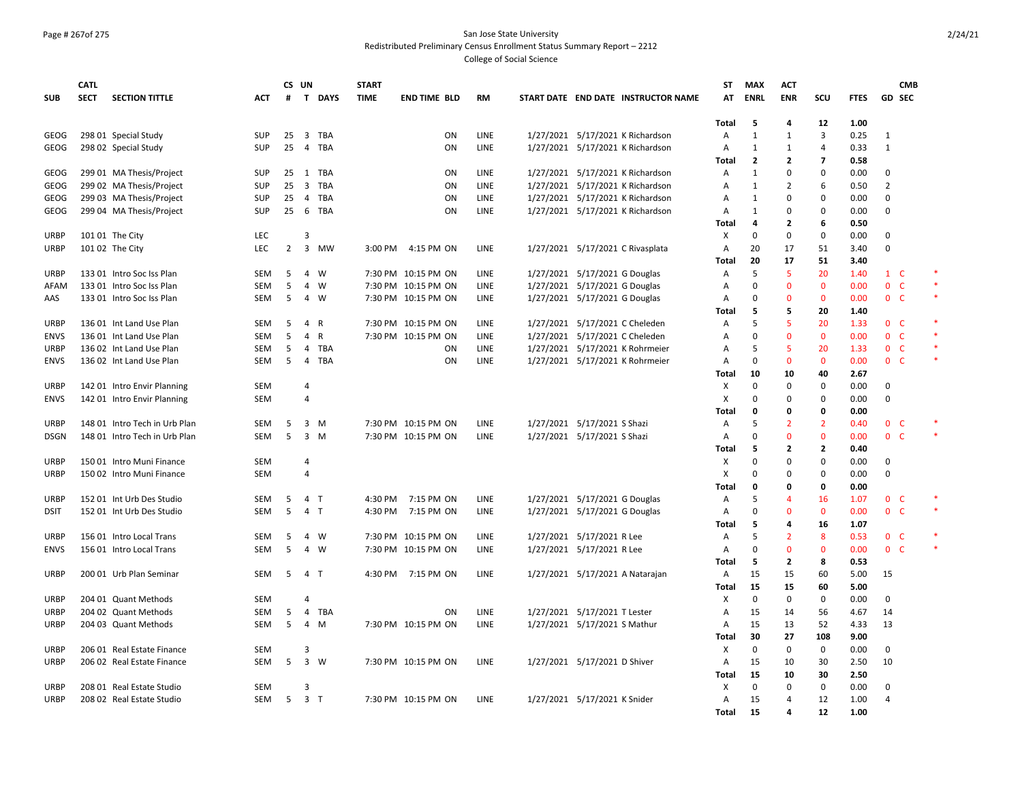#### Page # 267of 275 San Jose State University Redistributed Preliminary Census Enrollment Status Summary Report – 2212

|             | <b>CATL</b> |                               |                   | CS UN |                                | <b>START</b> |                     |           |                               |                                     | ST                | <b>MAX</b>              | <b>ACT</b>     |                         |              | <b>CMB</b>     |        |
|-------------|-------------|-------------------------------|-------------------|-------|--------------------------------|--------------|---------------------|-----------|-------------------------------|-------------------------------------|-------------------|-------------------------|----------------|-------------------------|--------------|----------------|--------|
| <b>SUB</b>  | <b>SECT</b> | <b>SECTION TITTLE</b>         | ACT               | #     | T DAYS                         | <b>TIME</b>  | <b>END TIME BLD</b> | <b>RM</b> |                               | START DATE END DATE INSTRUCTOR NAME | AT                | <b>ENRL</b>             | <b>ENR</b>     | scu                     | <b>FTES</b>  | <b>GD SEC</b>  |        |
|             |             |                               |                   |       |                                |              |                     |           |                               |                                     |                   |                         |                |                         |              |                |        |
|             |             |                               |                   |       |                                |              |                     |           |                               |                                     | <b>Total</b>      | 5                       | 4              | 12                      | 1.00         |                |        |
| GEOG        |             | 298 01 Special Study          | <b>SUP</b>        | 25    | 3<br>TBA                       |              | ON                  | LINE      |                               | 1/27/2021 5/17/2021 K Richardson    | A                 | $\mathbf{1}$            | $\mathbf{1}$   | $\overline{3}$          | 0.25         | $\mathbf{1}$   |        |
| GEOG        |             | 298 02 Special Study          | <b>SUP</b>        | 25    | 4 TBA                          |              | ON                  | LINE      |                               | 1/27/2021 5/17/2021 K Richardson    | A                 | $\mathbf{1}$            | $\mathbf{1}$   | $\overline{4}$          | 0.33         | $\mathbf{1}$   |        |
|             |             |                               |                   |       |                                |              |                     |           |                               |                                     | <b>Total</b>      | $\overline{2}$          | $\mathbf{2}$   | $\overline{\mathbf{z}}$ | 0.58         |                |        |
| GEOG        |             | 299 01 MA Thesis/Project      | SUP               | 25    | 1 TBA                          |              | ON                  | LINE      |                               | 1/27/2021 5/17/2021 K Richardson    | Α                 | 1                       | 0              | $\mathbf 0$             | 0.00         | 0              |        |
| GEOG        |             | 299 02 MA Thesis/Project      | <b>SUP</b>        | 25    | $\overline{\mathbf{3}}$<br>TBA |              | ON                  | LINE      |                               | 1/27/2021 5/17/2021 K Richardson    | Α                 | $\mathbf{1}$            | $\overline{2}$ | 6                       | 0.50         | $\overline{2}$ |        |
| GEOG        |             | 299 03 MA Thesis/Project      | <b>SUP</b>        | 25    | $\overline{4}$<br>TBA          |              | ON                  | LINE      |                               | 1/27/2021 5/17/2021 K Richardson    | Α                 | $\mathbf{1}$            | $\Omega$       | $\mathbf 0$             | 0.00         | 0              |        |
| GEOG        |             | 299 04 MA Thesis/Project      | SUP               | 25    | 6<br><b>TBA</b>                |              | <b>ON</b>           | LINE      |                               | 1/27/2021 5/17/2021 K Richardson    | Α                 | $\mathbf{1}$            | $\Omega$       | $\mathbf 0$             | 0.00         | 0              |        |
|             |             |                               |                   |       |                                |              |                     |           |                               |                                     | Total             | 4                       | 2              | 6                       | 0.50         |                |        |
| <b>URBP</b> |             | 101 01 The City               | <b>LEC</b>        |       | $\overline{3}$                 |              |                     |           |                               |                                     | X                 | $\Omega$                | $\Omega$       | $\mathbf 0$             | 0.00         | 0              |        |
| URBP        |             | 101 02 The City               | <b>LEC</b>        | 2     | $\overline{\mathbf{3}}$<br>MW  | 3:00 PM      | 4:15 PM ON          | LINE      |                               | 1/27/2021 5/17/2021 C Rivasplata    | Α                 | 20                      | 17             | 51                      | 3.40         | 0              |        |
|             |             |                               |                   |       |                                |              |                     |           |                               |                                     | Total             | 20                      | 17             | 51                      | 3.40         |                |        |
| <b>URBP</b> |             | 133 01 Intro Soc Iss Plan     | SEM               | 5     | 4<br>w                         |              | 7:30 PM 10:15 PM ON | LINE      | 1/27/2021 5/17/2021 G Douglas |                                     | Α                 | 5                       | 5              | 20                      | 1.40         | $1\quad C$     |        |
| AFAM        |             | 133 01 Intro Soc Iss Plan     | SEM               | 5     | 4<br>w                         |              | 7:30 PM 10:15 PM ON | LINE      | 1/27/2021 5/17/2021 G Douglas |                                     | Α                 | $\Omega$                | $\mathbf 0$    | $\mathbf{0}$            | 0.00         | 0 <sup>o</sup> |        |
| AAS         |             | 133 01 Intro Soc Iss Plan     | SEM               | 5     | 4<br>w                         |              | 7:30 PM 10:15 PM ON | LINE      | 1/27/2021 5/17/2021 G Douglas |                                     | Α                 | $\Omega$                | $\Omega$       | $\mathbf 0$             | 0.00         | 0 <sub>c</sub> | $\ast$ |
|             |             |                               |                   |       |                                |              |                     |           |                               |                                     | Total             | 5                       | 5              | 20                      | 1.40         |                |        |
| <b>URBP</b> |             | 136 01 Int Land Use Plan      | <b>SEM</b>        | 5     | 4<br>R                         |              | 7:30 PM 10:15 PM ON | LINE      |                               | 1/27/2021 5/17/2021 C Cheleden      | A                 | 5                       | 5              | 20                      | 1.33         | 0 <sup>o</sup> |        |
| <b>ENVS</b> |             | 136 01 Int Land Use Plan      | SEM               | 5     | 4<br>R                         |              | 7:30 PM 10:15 PM ON | LINE      |                               | 1/27/2021 5/17/2021 C Cheleden      | Α                 | $\Omega$                | $\mathbf{0}$   | $\mathbf{0}$            | 0.00         | 0 <sub>c</sub> |        |
| <b>URBP</b> |             | 136 02 Int Land Use Plan      | <b>SEM</b>        | 5     | <b>TBA</b><br>4                |              | ON                  | LINE      |                               | 1/27/2021 5/17/2021 K Rohrmeier     | Α                 | 5                       | 5              | 20                      | 1.33         | 0 <sup>o</sup> | $\ast$ |
| <b>ENVS</b> |             | 136 02 Int Land Use Plan      | SEM               | 5     | 4 TBA                          |              | ON                  | LINE      |                               | 1/27/2021 5/17/2021 K Rohrmeier     | Α                 | 0                       | $\mathbf 0$    | $\mathbf 0$             | 0.00         | 0 <sub>c</sub> | *      |
|             |             |                               |                   |       |                                |              |                     |           |                               |                                     | Total             | 10                      | 10             | 40                      | 2.67         |                |        |
| URBP        |             | 142 01 Intro Envir Planning   | SEM               |       | $\overline{4}$                 |              |                     |           |                               |                                     | X                 | 0                       | 0              | 0                       | 0.00         | 0              |        |
| <b>ENVS</b> |             | 142 01 Intro Envir Planning   | SEM               |       | $\overline{4}$                 |              |                     |           |                               |                                     | X                 | $\Omega$                | 0              | $\mathbf 0$             | 0.00         | 0              |        |
|             |             |                               |                   |       |                                |              |                     |           |                               |                                     | Total             | 0                       | 0              | $\mathbf 0$             | 0.00         |                |        |
| <b>URBP</b> |             | 148 01 Intro Tech in Urb Plan | <b>SEM</b>        | 5     | 3 M                            |              | 7:30 PM 10:15 PM ON | LINE      | 1/27/2021 5/17/2021 S Shazi   |                                     | Α                 | 5                       | $\overline{2}$ | $\overline{2}$          | 0.40         | 0 <sup>o</sup> | $\ast$ |
| <b>DSGN</b> |             | 148 01 Intro Tech in Urb Plan | SEM               | 5     | 3<br>M                         |              | 7:30 PM 10:15 PM ON | LINE      | 1/27/2021 5/17/2021 S Shazi   |                                     | Α                 | $\Omega$                | $\mathbf 0$    | $\mathbf 0$             | 0.00         | 0 <sup>o</sup> |        |
|             |             |                               |                   |       |                                |              |                     |           |                               |                                     | Total             | 5                       | $\overline{2}$ | $\overline{2}$          | 0.40         |                |        |
| <b>URBP</b> |             | 150 01 Intro Muni Finance     | <b>SEM</b>        |       | $\overline{4}$                 |              |                     |           |                               |                                     | х                 | $\Omega$                | $\Omega$       | $\mathbf 0$             | 0.00         | 0              |        |
| URBP        |             | 150 02 Intro Muni Finance     | <b>SEM</b>        |       | $\overline{4}$                 |              |                     |           |                               |                                     | X                 | $\Omega$                | $\Omega$       | $\mathbf 0$             | 0.00         | 0              |        |
|             |             |                               |                   |       |                                |              |                     |           |                               |                                     | <b>Total</b>      | 0                       | $\Omega$       | $\mathbf 0$             | 0.00         |                |        |
| <b>URBP</b> |             | 152 01 Int Urb Des Studio     | SEM               | 5     | 4 <sub>T</sub>                 | 4:30 PM      | 7:15 PM ON          | LINE      | 1/27/2021 5/17/2021 G Douglas |                                     | Α                 | 5                       | $\overline{4}$ | 16                      | 1.07         | 0 <sub>c</sub> | $\ast$ |
| <b>DSIT</b> |             | 152 01 Int Urb Des Studio     | SEM               | 5     | $\overline{4}$<br>$\top$       | 4:30 PM      | 7:15 PM ON          | LINE      | 1/27/2021 5/17/2021 G Douglas |                                     | A                 | $\Omega$                | $\Omega$       | $\mathbf{0}$            | 0.00         | 0 <sup>o</sup> |        |
|             |             |                               |                   |       |                                |              |                     |           |                               |                                     | Total             | 5                       | 4              | 16                      | 1.07         |                |        |
| <b>URBP</b> |             | 156 01 Intro Local Trans      | <b>SEM</b>        | -5    | 4<br>w                         |              | 7:30 PM 10:15 PM ON | LINE      | 1/27/2021 5/17/2021 R Lee     |                                     | Α                 | 5<br>$\Omega$           | $\overline{2}$ | 8                       | 0.53         | 0 <sub>c</sub> |        |
| <b>ENVS</b> |             | 156 01 Intro Local Trans      | SEM               | 5     | $\overline{4}$<br>W            |              | 7:30 PM 10:15 PM ON | LINE      | 1/27/2021 5/17/2021 R Lee     |                                     | Α                 |                         | $\mathbf 0$    | $\mathbf 0$             | 0.00         | 0 <sub>c</sub> |        |
|             |             |                               |                   |       |                                |              |                     |           |                               |                                     | Total             | $\overline{\mathbf{5}}$ | $\overline{2}$ | 8                       | 0.53         |                |        |
| <b>URBP</b> |             | 200 01 Urb Plan Seminar       | SEM               | 5     | $\overline{4}$<br>$\top$       |              | 4:30 PM 7:15 PM ON  | LINE      |                               | 1/27/2021 5/17/2021 A Natarajan     | Α                 | 15<br>15                | 15             | 60                      | 5.00         | 15             |        |
|             |             |                               |                   |       | $\overline{a}$                 |              |                     |           |                               |                                     | Total             | $\Omega$                | 15             | 60                      | 5.00         |                |        |
| <b>URBP</b> |             | 204 01 Quant Methods          | <b>SEM</b>        |       |                                |              |                     |           |                               |                                     | Х                 |                         | 0              | 0                       | 0.00         | 0              |        |
| URBP        |             | 204 02 Quant Methods          | SEM               | 5     | 4<br>TBA                       |              | <b>ON</b>           | LINE      | 1/27/2021 5/17/2021 T Lester  |                                     | Α                 | 15                      | 14             | 56                      | 4.67         | 14             |        |
| <b>URBP</b> |             | 204 03 Quant Methods          | SEM               | 5     | 4<br>M                         |              | 7:30 PM 10:15 PM ON | LINE      | 1/27/2021 5/17/2021 S Mathur  |                                     | A                 | 15<br>30                | 13<br>27       | 52<br>108               | 4.33<br>9.00 | 13             |        |
|             |             |                               |                   |       | 3                              |              |                     |           |                               |                                     | Total             |                         |                |                         |              |                |        |
| URBP        |             | 206 01 Real Estate Finance    | <b>SEM</b><br>SEM | 5     | $\overline{3}$<br>W            |              |                     | LINE      | 1/27/2021 5/17/2021 D Shiver  |                                     | х                 | 0<br>15                 | 0              | 0<br>30                 | 0.00         | 0              |        |
| <b>URBP</b> |             | 206 02 Real Estate Finance    |                   |       |                                |              | 7:30 PM 10:15 PM ON |           |                               |                                     | Α<br><b>Total</b> | 15                      | 10<br>10       | 30                      | 2.50<br>2.50 | 10             |        |
| <b>URBP</b> |             | 208 01 Real Estate Studio     | <b>SEM</b>        |       | 3                              |              |                     |           |                               |                                     | х                 | $\Omega$                | $\Omega$       | $\mathbf 0$             | 0.00         | 0              |        |
| <b>URBP</b> |             | 208 02 Real Estate Studio     | SEM               | 5     | 3 <sub>T</sub>                 |              | 7:30 PM 10:15 PM ON | LINE      | 1/27/2021 5/17/2021 K Snider  |                                     | A                 | 15                      | 4              | 12                      | 1.00         | $\overline{4}$ |        |
|             |             |                               |                   |       |                                |              |                     |           |                               |                                     | <b>Total</b>      | 15                      | 4              | 12                      | 1.00         |                |        |
|             |             |                               |                   |       |                                |              |                     |           |                               |                                     |                   |                         |                |                         |              |                |        |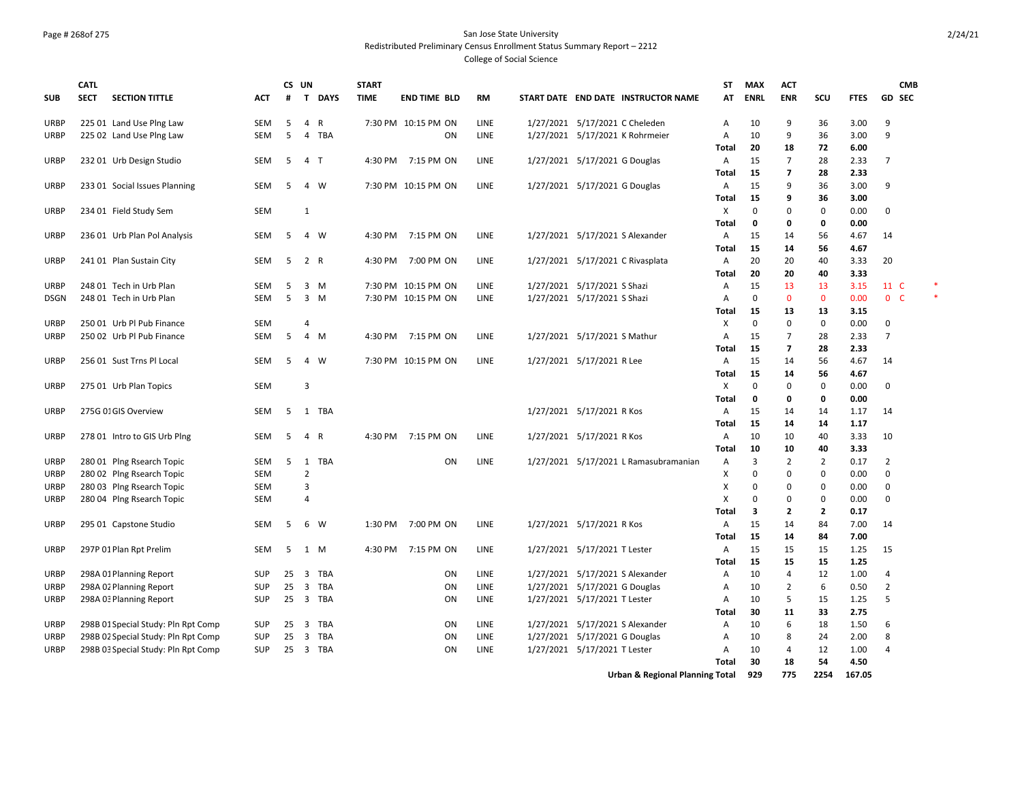## Page # 268of 275 San Jose State University Redistributed Preliminary Census Enrollment Status Summary Report – 2212

College of Social Science

|              | <b>CATL</b>                                            |                                     |                          | CS UN    |                              |                   | <b>START</b> |                     |              |                                                                  |                                       | <b>ST</b>         | <b>MAX</b>        | <b>ACT</b>                    |                     |              | <b>CMB</b>                       |  |
|--------------|--------------------------------------------------------|-------------------------------------|--------------------------|----------|------------------------------|-------------------|--------------|---------------------|--------------|------------------------------------------------------------------|---------------------------------------|-------------------|-------------------|-------------------------------|---------------------|--------------|----------------------------------|--|
| <b>SUB</b>   | <b>SECTION TITTLE</b><br><b>SECT</b>                   |                                     | ACT                      | #        | $\mathbf{T}$                 | <b>DAYS</b>       | <b>TIME</b>  | <b>END TIME BLD</b> | RM           |                                                                  | START DATE END DATE INSTRUCTOR NAME   | AT                | <b>ENRL</b>       | <b>ENR</b>                    | SCU                 | <b>FTES</b>  | GD SEC                           |  |
| URBP         | 225 01 Land Use Plng Law                               |                                     | SEM                      | 5        | 4                            | R                 |              | 7:30 PM 10:15 PM ON | LINE         | 1/27/2021 5/17/2021 C Cheleden                                   |                                       | Α                 | 10                | 9                             | 36                  | 3.00         | 9                                |  |
| <b>URBP</b>  | 225 02 Land Use Plng Law                               |                                     | <b>SEM</b>               | 5        | $\overline{4}$               | TBA               |              | <b>ON</b>           | <b>LINE</b>  |                                                                  | 1/27/2021 5/17/2021 K Rohrmeier       | $\overline{A}$    | 10                | 9                             | 36                  | 3.00         | 9                                |  |
| <b>URBP</b>  | 232 01 Urb Design Studio                               |                                     | SEM                      | 5        | $\overline{4}$               | $\top$            | 4:30 PM      | 7:15 PM ON          | LINE         | 1/27/2021 5/17/2021 G Douglas                                    |                                       | Total<br>Α        | 20<br>15          | 18<br>$\overline{7}$          | 72<br>28            | 6.00<br>2.33 | $\overline{7}$                   |  |
|              |                                                        |                                     |                          |          |                              |                   |              |                     |              |                                                                  |                                       | Total             | 15                | $\overline{\phantom{a}}$      | 28                  | 2.33         |                                  |  |
| <b>URBP</b>  | 233 01 Social Issues Planning                          |                                     | SEM                      | 5        | 4                            | W                 |              | 7:30 PM 10:15 PM ON | LINE         | 1/27/2021 5/17/2021 G Douglas                                    |                                       | Α                 | 15                | 9                             | 36                  | 3.00         | 9                                |  |
| URBP         | 234 01 Field Study Sem                                 |                                     | SEM                      |          | $\mathbf{1}$                 |                   |              |                     |              |                                                                  |                                       | <b>Total</b><br>X | 15<br>$\mathbf 0$ | 9<br>0                        | 36<br>0             | 3.00<br>0.00 | $\Omega$                         |  |
|              |                                                        |                                     |                          |          |                              |                   |              |                     |              |                                                                  |                                       | Total             | 0                 | 0                             | $\mathbf 0$         | 0.00         |                                  |  |
| URBP         | 236 01 Urb Plan Pol Analysis                           |                                     | SEM                      | 5        | $\overline{4}$               | W                 | 4:30 PM      | 7:15 PM ON          | LINE         | 1/27/2021 5/17/2021 S Alexander                                  |                                       | Α                 | 15                | 14                            | 56                  | 4.67         | 14                               |  |
|              |                                                        |                                     |                          |          |                              |                   |              |                     |              |                                                                  |                                       | Total             | 15                | 14                            | 56                  | 4.67         |                                  |  |
| URBP         | 241 01 Plan Sustain City                               |                                     | <b>SEM</b>               | 5        | 2 R                          |                   | 4:30 PM      | 7:00 PM ON          | <b>LINE</b>  |                                                                  | 1/27/2021 5/17/2021 C Rivasplata      | Α                 | 20                | 20                            | 40                  | 3.33         | 20                               |  |
| <b>URBP</b>  | 248 01 Tech in Urb Plan                                |                                     | SEM                      | 5        | 3                            | M                 |              | 7:30 PM 10:15 PM ON | LINE         | 1/27/2021 5/17/2021 S Shazi                                      |                                       | Total<br>Α        | 20<br>15          | 20<br>13                      | 40<br>13            | 3.33<br>3.15 | 11 C                             |  |
| DSGN         | 248 01 Tech in Urb Plan                                |                                     | <b>SEM</b>               | 5        | $\overline{3}$               | M                 |              | 7:30 PM 10:15 PM ON | <b>LINE</b>  | 1/27/2021 5/17/2021 S Shazi                                      |                                       | A                 | $\Omega$          | $\mathbf{0}$                  | $\mathbf{0}$        | 0.00         | $0-$                             |  |
|              |                                                        |                                     |                          |          |                              |                   |              |                     |              |                                                                  |                                       | Total             | 15                | 13                            | 13                  | 3.15         |                                  |  |
| <b>URBP</b>  | 250 01 Urb Pl Pub Finance                              |                                     | <b>SEM</b>               |          | $\overline{4}$               |                   |              |                     |              |                                                                  |                                       | X                 | $\mathbf 0$       | 0                             | $\mathbf 0$         | 0.00         | $\mathbf 0$                      |  |
| URBP         | 250 02 Urb Pl Pub Finance                              |                                     | <b>SEM</b>               | 5        | 4                            | M                 | 4:30 PM      | 7:15 PM ON          | LINE         | 1/27/2021 5/17/2021 S Mathur                                     |                                       | Α                 | 15                | $\overline{7}$                | 28                  | 2.33         | $\overline{7}$                   |  |
|              |                                                        |                                     |                          |          |                              |                   |              |                     |              |                                                                  |                                       | <b>Total</b>      | 15                | $\overline{7}$                | 28                  | 2.33         |                                  |  |
| URBP         | 256 01 Sust Trns Pl Local                              |                                     | SEM                      | 5        | $\overline{4}$               | W                 |              | 7:30 PM 10:15 PM ON | LINE         | 1/27/2021 5/17/2021 R Lee                                        |                                       | Α                 | 15                | 14                            | 56                  | 4.67         | 14                               |  |
| URBP         | 275 01 Urb Plan Topics                                 |                                     | <b>SEM</b>               |          | 3                            |                   |              |                     |              |                                                                  |                                       | Total<br>X        | 15<br>$\mathbf 0$ | 14<br>0                       | 56<br>$\mathbf 0$   | 4.67<br>0.00 | 0                                |  |
|              |                                                        |                                     |                          |          |                              |                   |              |                     |              |                                                                  |                                       | Total             | 0                 | 0                             | 0                   | 0.00         |                                  |  |
| URBP         | 275G 01GIS Overview                                    |                                     | <b>SEM</b>               | -5       | 1                            | TBA               |              |                     |              | 1/27/2021 5/17/2021 R Kos                                        |                                       | Α                 | 15                | 14                            | 14                  | 1.17         | 14                               |  |
|              |                                                        |                                     |                          |          |                              |                   |              |                     |              |                                                                  |                                       | Total             | 15                | 14                            | 14                  | 1.17         |                                  |  |
| <b>URBP</b>  | 278 01 Intro to GIS Urb Plng                           |                                     | SEM                      | 5        | 4                            | $\mathsf{R}$      |              | 4:30 PM 7:15 PM ON  | LINE         | 1/27/2021 5/17/2021 R Kos                                        |                                       | Α                 | 10                | 10                            | 40                  | 3.33         | 10                               |  |
|              |                                                        |                                     |                          |          |                              |                   |              |                     |              |                                                                  |                                       | <b>Total</b>      | 10                | 10                            | 40                  | 3.33         |                                  |  |
| URBP<br>URBP | 280 01 Plng Rsearch Topic<br>280 02 Plng Rsearch Topic |                                     | SEM<br><b>SEM</b>        | 5        | $\overline{2}$               | 1 TBA             |              | ON                  | LINE         |                                                                  | 1/27/2021 5/17/2021 L Ramasubramanian | A<br>X            | 3<br>$\mathbf 0$  | $\overline{2}$<br>$\mathbf 0$ | $\overline{2}$<br>0 | 0.17<br>0.00 | $\overline{2}$<br>$\Omega$       |  |
| URBP         | 280 03 Plng Rsearch Topic                              |                                     | <b>SEM</b>               |          | $\overline{\mathbf{3}}$      |                   |              |                     |              |                                                                  |                                       | X                 | $\Omega$          | $\mathbf 0$                   | 0                   | 0.00         | $\Omega$                         |  |
| URBP         | 280 04 Plng Rsearch Topic                              |                                     | SEM                      |          | $\overline{4}$               |                   |              |                     |              |                                                                  |                                       | Χ                 | 0                 | 0                             | 0                   | 0.00         | $\Omega$                         |  |
|              |                                                        |                                     |                          |          |                              |                   |              |                     |              |                                                                  |                                       | Total             | 3                 | $\mathbf{2}$                  | $\overline{2}$      | 0.17         |                                  |  |
| <b>URBP</b>  | 295 01 Capstone Studio                                 |                                     | SEM                      | 5        | 6                            | W                 | 1:30 PM      | 7:00 PM ON          | LINE         | 1/27/2021 5/17/2021 R Kos                                        |                                       | Α                 | 15                | 14                            | 84                  | 7.00         | 14                               |  |
|              |                                                        |                                     |                          |          |                              |                   |              |                     |              |                                                                  |                                       | <b>Total</b>      | 15                | 14                            | 84                  | 7.00         |                                  |  |
| URBP         | 297P 01 Plan Rpt Prelim                                |                                     | SEM                      | 5        | 1 M                          |                   | 4:30 PM      | 7:15 PM ON          | LINE         | 1/27/2021 5/17/2021 T Lester                                     |                                       | Α                 | 15                | 15                            | 15                  | 1.25         | 15                               |  |
|              |                                                        |                                     |                          |          |                              |                   |              |                     |              |                                                                  |                                       | Total             | 15                | 15                            | 15                  | 1.25         |                                  |  |
| URBP<br>URBP | 298A 01 Planning Report<br>298A 02 Planning Report     |                                     | <b>SUP</b><br><b>SUP</b> | 25<br>25 | 3<br>$\overline{\mathbf{3}}$ | TBA<br><b>TBA</b> |              | ON<br>ON            | LINE<br>LINE | 1/27/2021 5/17/2021 S Alexander<br>1/27/2021 5/17/2021 G Douglas |                                       | Α<br>Α            | 10<br>10          | 4<br>$\overline{2}$           | 12<br>6             | 1.00<br>0.50 | $\overline{4}$<br>$\overline{2}$ |  |
| URBP         | 298A 03 Planning Report                                |                                     | <b>SUP</b>               | 25       | $\overline{\mathbf{3}}$      | TBA               |              | <b>ON</b>           | LINE         | 1/27/2021 5/17/2021 T Lester                                     |                                       | A                 | 10                | 5                             | 15                  | 1.25         | 5                                |  |
|              |                                                        |                                     |                          |          |                              |                   |              |                     |              |                                                                  |                                       | Total             | 30                | 11                            | 33                  | 2.75         |                                  |  |
| <b>URBP</b>  |                                                        | 298B 01 Special Study: Pln Rpt Comp | <b>SUP</b>               | 25       | $\overline{3}$               | TBA               |              | ON                  | LINE         | 1/27/2021 5/17/2021 S Alexander                                  |                                       | Α                 | 10                | 6                             | 18                  | 1.50         | -6                               |  |
| URBP         |                                                        | 298B 02 Special Study: Pln Rpt Comp | <b>SUP</b>               | 25       | 3                            | <b>TBA</b>        |              | ON                  | LINE         | 1/27/2021 5/17/2021 G Douglas                                    |                                       | A                 | 10                | 8                             | 24                  | 2.00         | 8                                |  |
| <b>URBP</b>  |                                                        | 298B 03 Special Study: Pln Rpt Comp | <b>SUP</b>               | 25       | 3                            | TBA               |              | ON                  | LINE         | 1/27/2021 5/17/2021 T Lester                                     |                                       | Α                 | 10                | 4                             | 12                  | 1.00         | $\overline{4}$                   |  |
|              |                                                        |                                     |                          |          |                              |                   |              |                     |              |                                                                  |                                       | <b>Total</b>      | 30                | 18                            | 54                  | 4.50         |                                  |  |

**Urban & Regional Planning Total 929 775 2254 167.05**